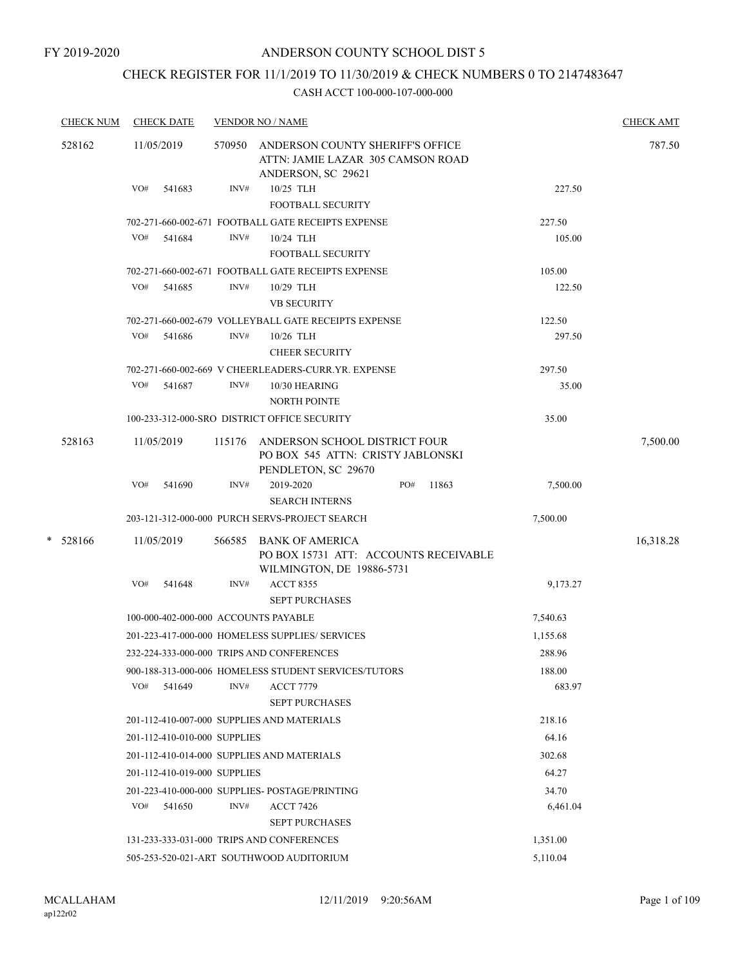# CHECK REGISTER FOR 11/1/2019 TO 11/30/2019 & CHECK NUMBERS 0 TO 2147483647

| <b>CHECK NUM</b> | <b>CHECK DATE</b>                          | <b>VENDOR NO / NAME</b> |                                                                                                   |                  | <b>CHECK AMT</b> |
|------------------|--------------------------------------------|-------------------------|---------------------------------------------------------------------------------------------------|------------------|------------------|
| 528162           | 11/05/2019                                 | 570950                  | ANDERSON COUNTY SHERIFF'S OFFICE<br>ATTN: JAMIE LAZAR 305 CAMSON ROAD<br>ANDERSON, SC 29621       |                  | 787.50           |
|                  | VO#<br>541683                              | INV#                    | 10/25 TLH<br>FOOTBALL SECURITY                                                                    | 227.50           |                  |
|                  |                                            |                         | 702-271-660-002-671 FOOTBALL GATE RECEIPTS EXPENSE                                                | 227.50           |                  |
|                  | VO#<br>541684                              | INV#                    | 10/24 TLH<br><b>FOOTBALL SECURITY</b>                                                             | 105.00           |                  |
|                  |                                            |                         | 702-271-660-002-671 FOOTBALL GATE RECEIPTS EXPENSE                                                | 105.00           |                  |
|                  | VO#<br>541685                              | INV#                    | 10/29 TLH<br><b>VB SECURITY</b>                                                                   | 122.50           |                  |
|                  |                                            |                         | 702-271-660-002-679 VOLLEYBALL GATE RECEIPTS EXPENSE                                              | 122.50           |                  |
|                  | VO#<br>541686                              | INV#                    | $10/26$ TLH<br><b>CHEER SECURITY</b>                                                              | 297.50           |                  |
|                  |                                            |                         | 702-271-660-002-669 V CHEERLEADERS-CURR.YR. EXPENSE                                               | 297.50           |                  |
|                  | VO#<br>541687                              | INV#                    | 10/30 HEARING<br><b>NORTH POINTE</b>                                                              | 35.00            |                  |
|                  |                                            |                         | 100-233-312-000-SRO DISTRICT OFFICE SECURITY                                                      | 35.00            |                  |
| 528163           | 11/05/2019                                 | 115176                  | ANDERSON SCHOOL DISTRICT FOUR<br>PO BOX 545 ATTN: CRISTY JABLONSKI<br>PENDLETON, SC 29670         |                  | 7,500.00         |
|                  | VO#<br>541690                              | INV#                    | 2019-2020<br>PO#<br>11863<br><b>SEARCH INTERNS</b>                                                | 7,500.00         |                  |
|                  |                                            |                         | 203-121-312-000-000 PURCH SERVS-PROJECT SEARCH                                                    | 7,500.00         |                  |
| *<br>528166      | 11/05/2019                                 | 566585                  | <b>BANK OF AMERICA</b><br>PO BOX 15731 ATT: ACCOUNTS RECEIVABLE<br>WILMINGTON, DE 19886-5731      |                  | 16,318.28        |
|                  | VO#<br>541648                              | INV#                    | <b>ACCT 8355</b><br><b>SEPT PURCHASES</b>                                                         | 9,173.27         |                  |
|                  | 100-000-402-000-000 ACCOUNTS PAYABLE       |                         |                                                                                                   | 7,540.63         |                  |
|                  |                                            |                         | 201-223-417-000-000 HOMELESS SUPPLIES/ SERVICES                                                   | 1,155.68         |                  |
|                  | 232-224-333-000-000 TRIPS AND CONFERENCES  |                         |                                                                                                   | 288.96           |                  |
|                  | VO# 541649                                 | INV#                    | 900-188-313-000-006 HOMELESS STUDENT SERVICES/TUTORS<br><b>ACCT 7779</b><br><b>SEPT PURCHASES</b> | 188.00<br>683.97 |                  |
|                  | 201-112-410-007-000 SUPPLIES AND MATERIALS |                         |                                                                                                   | 218.16           |                  |
|                  | 201-112-410-010-000 SUPPLIES               |                         |                                                                                                   | 64.16            |                  |
|                  | 201-112-410-014-000 SUPPLIES AND MATERIALS |                         |                                                                                                   | 302.68           |                  |
|                  | 201-112-410-019-000 SUPPLIES               |                         |                                                                                                   | 64.27            |                  |
|                  |                                            |                         | 201-223-410-000-000 SUPPLIES- POSTAGE/PRINTING                                                    | 34.70            |                  |
|                  | $VO#$ 541650                               | INV#                    | <b>ACCT 7426</b><br><b>SEPT PURCHASES</b>                                                         | 6,461.04         |                  |
|                  | 131-233-333-031-000 TRIPS AND CONFERENCES  |                         |                                                                                                   | 1,351.00         |                  |
|                  |                                            |                         | 505-253-520-021-ART SOUTHWOOD AUDITORIUM                                                          | 5,110.04         |                  |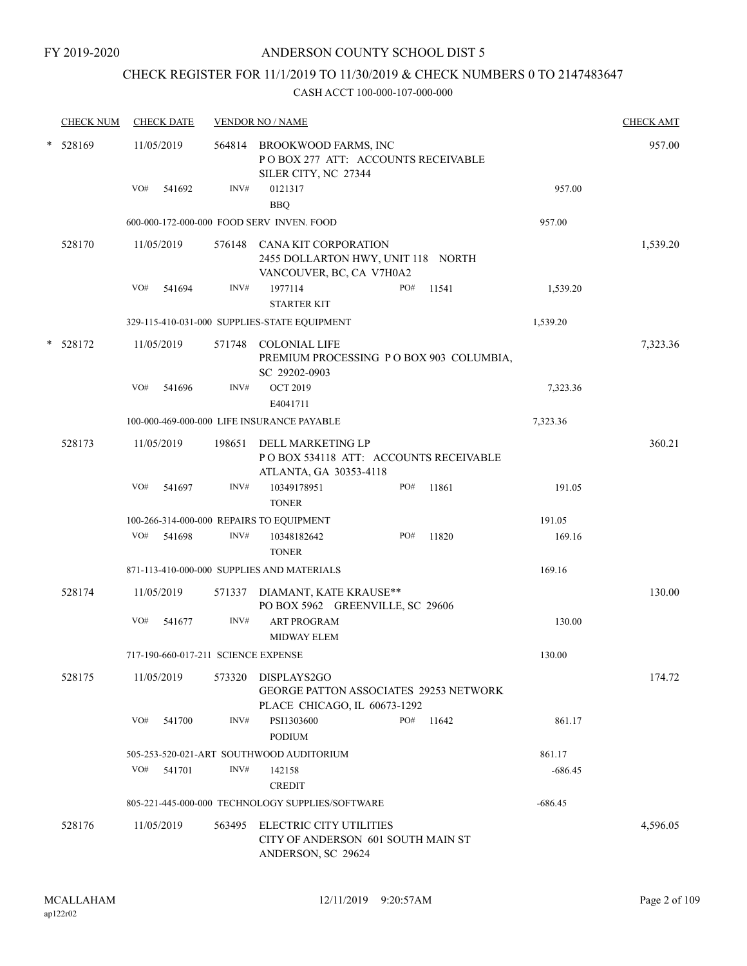# CHECK REGISTER FOR 11/1/2019 TO 11/30/2019 & CHECK NUMBERS 0 TO 2147483647

|        | <b>CHECK NUM</b> | <b>CHECK DATE</b>                        |        | <b>VENDOR NO / NAME</b>                                                                       |                                         |       |           | <b>CHECK AMT</b> |
|--------|------------------|------------------------------------------|--------|-----------------------------------------------------------------------------------------------|-----------------------------------------|-------|-----------|------------------|
| *      | 528169           | 11/05/2019                               |        | 564814 BROOKWOOD FARMS, INC<br>POBOX 277 ATT: ACCOUNTS RECEIVABLE<br>SILER CITY, NC 27344     |                                         |       |           | 957.00           |
|        |                  | VO#<br>541692                            | INV#   | 0121317<br><b>BBQ</b>                                                                         |                                         |       | 957.00    |                  |
|        |                  |                                          |        | 600-000-172-000-000 FOOD SERV INVEN. FOOD                                                     |                                         |       | 957.00    |                  |
|        | 528170           | 11/05/2019                               |        | 576148 CANA KIT CORPORATION<br>2455 DOLLARTON HWY, UNIT 118 NORTH<br>VANCOUVER, BC, CA V7H0A2 |                                         |       |           | 1,539.20         |
|        |                  | VO#<br>541694                            | INV#   | 1977114<br><b>STARTER KIT</b>                                                                 | PO#                                     | 11541 | 1,539.20  |                  |
|        |                  |                                          |        | 329-115-410-031-000 SUPPLIES-STATE EQUIPMENT                                                  |                                         |       | 1,539.20  |                  |
| $\ast$ | 528172           | 11/05/2019                               |        | 571748 COLONIAL LIFE<br>SC 29202-0903                                                         | PREMIUM PROCESSING PO BOX 903 COLUMBIA, |       |           | 7,323.36         |
|        |                  | VO#<br>541696                            | INV#   | <b>OCT 2019</b><br>E4041711                                                                   |                                         |       | 7,323.36  |                  |
|        |                  |                                          |        | 100-000-469-000-000 LIFE INSURANCE PAYABLE                                                    |                                         |       | 7,323.36  |                  |
|        | 528173           | 11/05/2019                               | 198651 | DELL MARKETING LP<br>POBOX 534118 ATT: ACCOUNTS RECEIVABLE<br>ATLANTA, GA 30353-4118          |                                         |       |           | 360.21           |
|        |                  | VO#<br>541697                            | INV#   | 10349178951<br><b>TONER</b>                                                                   | PO#                                     | 11861 | 191.05    |                  |
|        |                  | 100-266-314-000-000 REPAIRS TO EQUIPMENT |        |                                                                                               |                                         |       | 191.05    |                  |
|        |                  | VO#<br>541698                            | INV#   | 10348182642<br><b>TONER</b>                                                                   | PO#                                     | 11820 | 169.16    |                  |
|        |                  |                                          |        | 871-113-410-000-000 SUPPLIES AND MATERIALS                                                    |                                         |       | 169.16    |                  |
|        | 528174           | 11/05/2019                               |        | 571337 DIAMANT, KATE KRAUSE**<br>PO BOX 5962 GREENVILLE, SC 29606                             |                                         |       |           | 130.00           |
|        |                  | VO#<br>541677                            | INV#   | <b>ART PROGRAM</b><br><b>MIDWAY ELEM</b>                                                      |                                         |       | 130.00    |                  |
|        |                  | 717-190-660-017-211 SCIENCE EXPENSE      |        |                                                                                               |                                         |       | 130.00    |                  |
|        | 528175           | 11/05/2019                               | 573320 | DISPLAYS2GO<br>GEORGE PATTON ASSOCIATES 29253 NETWORK<br>PLACE CHICAGO, IL 60673-1292         |                                         |       |           | 174.72           |
|        |                  | VO#<br>541700                            | INV#   | PSI1303600<br><b>PODIUM</b>                                                                   | PO#                                     | 11642 | 861.17    |                  |
|        |                  |                                          |        | 505-253-520-021-ART SOUTHWOOD AUDITORIUM                                                      |                                         |       | 861.17    |                  |
|        |                  | VO#<br>541701                            | INV#   | 142158<br><b>CREDIT</b>                                                                       |                                         |       | $-686.45$ |                  |
|        |                  |                                          |        | 805-221-445-000-000 TECHNOLOGY SUPPLIES/SOFTWARE                                              |                                         |       | $-686.45$ |                  |
|        | 528176           | 11/05/2019                               | 563495 | ELECTRIC CITY UTILITIES<br>CITY OF ANDERSON 601 SOUTH MAIN ST<br>ANDERSON, SC 29624           |                                         |       |           | 4,596.05         |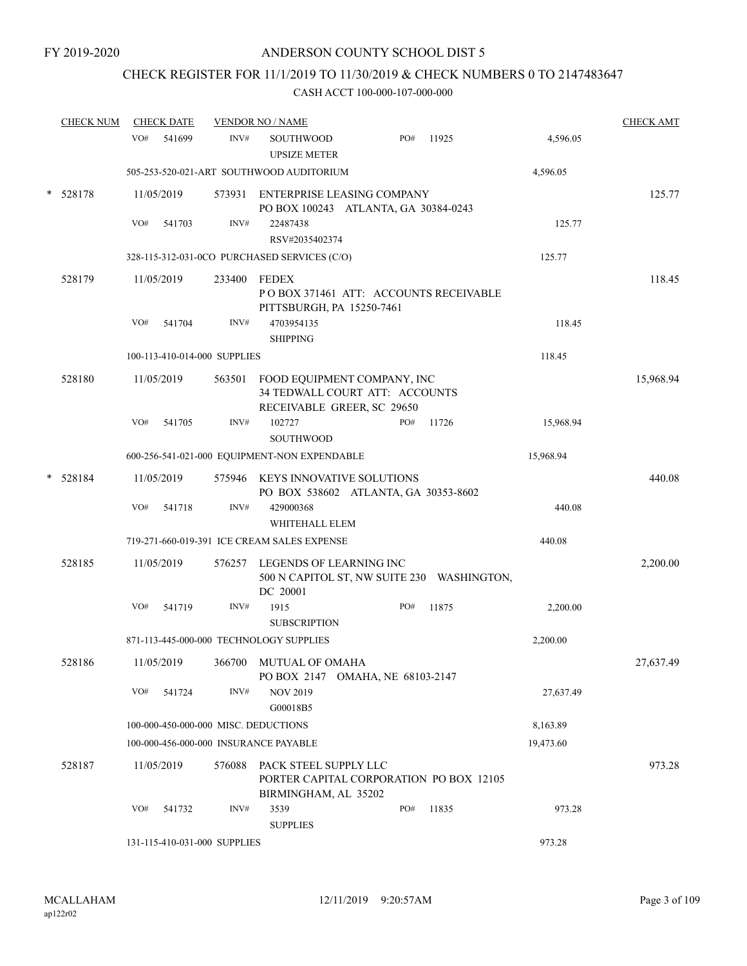# CHECK REGISTER FOR 11/1/2019 TO 11/30/2019 & CHECK NUMBERS 0 TO 2147483647

| <b>CHECK NUM</b> |     | <b>CHECK DATE</b>            |        | <b>VENDOR NO / NAME</b>                                                                            |     |       |           | <b>CHECK AMT</b> |
|------------------|-----|------------------------------|--------|----------------------------------------------------------------------------------------------------|-----|-------|-----------|------------------|
|                  | VO# | 541699                       | INV#   | <b>SOUTHWOOD</b><br><b>UPSIZE METER</b>                                                            | PO# | 11925 | 4,596.05  |                  |
|                  |     |                              |        | 505-253-520-021-ART SOUTHWOOD AUDITORIUM                                                           |     |       | 4,596.05  |                  |
| 528178           |     | 11/05/2019                   |        | 573931 ENTERPRISE LEASING COMPANY<br>PO BOX 100243 ATLANTA, GA 30384-0243                          |     |       |           | 125.77           |
|                  | VO# | 541703                       | INV#   | 22487438<br>RSV#2035402374                                                                         |     |       | 125.77    |                  |
|                  |     |                              |        | 328-115-312-031-0CO PURCHASED SERVICES (C/O)                                                       |     |       | 125.77    |                  |
| 528179           |     | 11/05/2019                   | 233400 | FEDEX<br>POBOX 371461 ATT: ACCOUNTS RECEIVABLE<br>PITTSBURGH, PA 15250-7461                        |     |       |           | 118.45           |
|                  | VO# | 541704                       | INV#   | 4703954135<br><b>SHIPPING</b>                                                                      |     |       | 118.45    |                  |
|                  |     | 100-113-410-014-000 SUPPLIES |        |                                                                                                    |     |       | 118.45    |                  |
| 528180           |     | 11/05/2019                   |        | 563501 FOOD EQUIPMENT COMPANY, INC<br>34 TEDWALL COURT ATT: ACCOUNTS<br>RECEIVABLE GREER, SC 29650 |     |       |           | 15,968.94        |
|                  | VO# | 541705                       | INV#   | 102727<br><b>SOUTHWOOD</b>                                                                         | PO# | 11726 | 15,968.94 |                  |
|                  |     |                              |        | 600-256-541-021-000 EQUIPMENT-NON EXPENDABLE                                                       |     |       | 15,968.94 |                  |
| $* 528184$       |     | 11/05/2019                   | 575946 | KEYS INNOVATIVE SOLUTIONS<br>PO BOX 538602 ATLANTA, GA 30353-8602                                  |     |       |           | 440.08           |
|                  | VO# | 541718                       | INV#   | 429000368<br>WHITEHALL ELEM                                                                        |     |       | 440.08    |                  |
|                  |     |                              |        | 719-271-660-019-391 ICE CREAM SALES EXPENSE                                                        |     |       | 440.08    |                  |
| 528185           |     | 11/05/2019                   | 576257 | LEGENDS OF LEARNING INC<br>500 N CAPITOL ST, NW SUITE 230 WASHINGTON,<br>DC 20001                  |     |       |           | 2,200.00         |
|                  | VO# | 541719                       | INV#   | 1915<br><b>SUBSCRIPTION</b>                                                                        | PO# | 11875 | 2,200.00  |                  |
|                  |     |                              |        | 871-113-445-000-000 TECHNOLOGY SUPPLIES                                                            |     |       | 2,200.00  |                  |
| 528186           |     | 11/05/2019                   |        | 366700 MUTUAL OF OMAHA<br>PO BOX 2147 OMAHA, NE 68103-2147                                         |     |       |           | 27,637.49        |
|                  | VO# | 541724                       | INV#   | <b>NOV 2019</b><br>G00018B5                                                                        |     |       | 27,637.49 |                  |
|                  |     |                              |        | 100-000-450-000-000 MISC. DEDUCTIONS                                                               |     |       | 8,163.89  |                  |
|                  |     |                              |        | 100-000-456-000-000 INSURANCE PAYABLE                                                              |     |       | 19,473.60 |                  |
| 528187           |     | 11/05/2019                   | 576088 | PACK STEEL SUPPLY LLC<br>PORTER CAPITAL CORPORATION PO BOX 12105<br>BIRMINGHAM, AL 35202           |     |       |           | 973.28           |
|                  | VO# | 541732                       | INV#   | 3539<br><b>SUPPLIES</b>                                                                            | PO# | 11835 | 973.28    |                  |
|                  |     | 131-115-410-031-000 SUPPLIES |        |                                                                                                    |     |       | 973.28    |                  |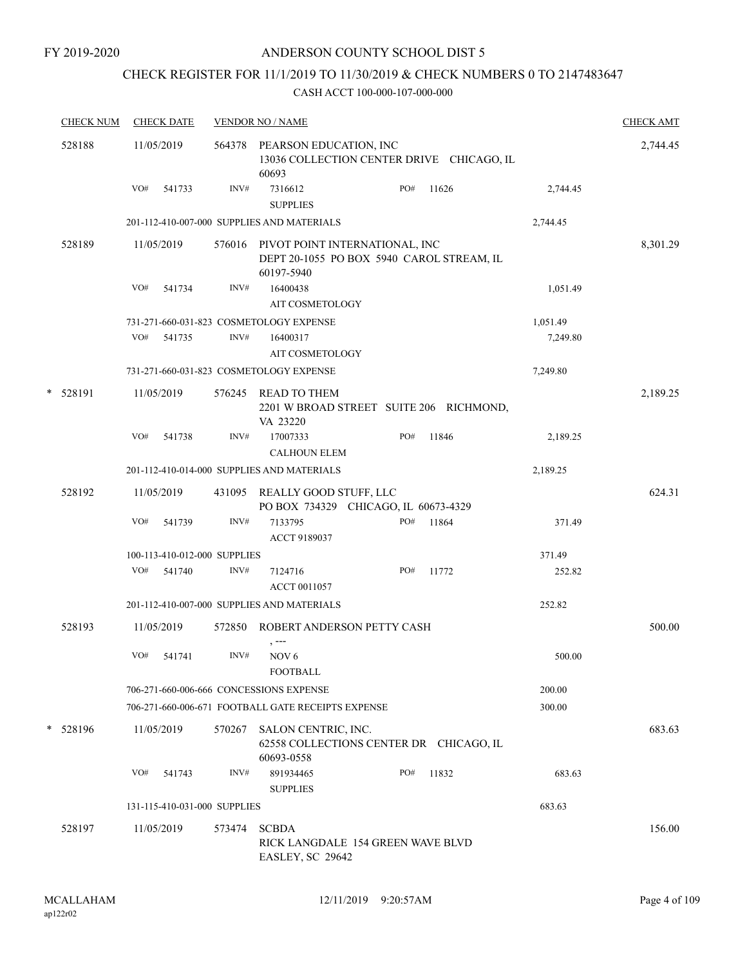# CHECK REGISTER FOR 11/1/2019 TO 11/30/2019 & CHECK NUMBERS 0 TO 2147483647

|   | <b>CHECK NUM</b> |     | <b>CHECK DATE</b> |                              | <b>VENDOR NO / NAME</b>                                                                          |     |       |          | <b>CHECK AMT</b> |
|---|------------------|-----|-------------------|------------------------------|--------------------------------------------------------------------------------------------------|-----|-------|----------|------------------|
|   | 528188           |     | 11/05/2019        |                              | 564378 PEARSON EDUCATION, INC<br>13036 COLLECTION CENTER DRIVE CHICAGO, IL<br>60693              |     |       |          | 2,744.45         |
|   |                  |     | VO# 541733        | INV#                         | 7316612<br><b>SUPPLIES</b>                                                                       | PO# | 11626 | 2,744.45 |                  |
|   |                  |     |                   |                              | 201-112-410-007-000 SUPPLIES AND MATERIALS                                                       |     |       | 2,744.45 |                  |
|   | 528189           |     | 11/05/2019        |                              | 576016 PIVOT POINT INTERNATIONAL, INC<br>DEPT 20-1055 PO BOX 5940 CAROL STREAM, IL<br>60197-5940 |     |       |          | 8,301.29         |
|   |                  | VO# | 541734            | INV#                         | 16400438                                                                                         |     |       | 1,051.49 |                  |
|   |                  |     |                   |                              | AIT COSMETOLOGY                                                                                  |     |       |          |                  |
|   |                  |     |                   |                              | 731-271-660-031-823 COSMETOLOGY EXPENSE                                                          |     |       | 1,051.49 |                  |
|   |                  | VO# | 541735            | INV#                         | 16400317<br>AIT COSMETOLOGY                                                                      |     |       | 7,249.80 |                  |
|   |                  |     |                   |                              | 731-271-660-031-823 COSMETOLOGY EXPENSE                                                          |     |       | 7,249.80 |                  |
|   | * 528191         |     | 11/05/2019        | 576245                       | READ TO THEM<br>2201 W BROAD STREET SUITE 206 RICHMOND,<br>VA 23220                              |     |       |          | 2,189.25         |
|   |                  | VO# | 541738            | INV#                         | 17007333<br><b>CALHOUN ELEM</b>                                                                  | PO# | 11846 | 2,189.25 |                  |
|   |                  |     |                   |                              | 201-112-410-014-000 SUPPLIES AND MATERIALS                                                       |     |       | 2,189.25 |                  |
|   | 528192           |     | 11/05/2019        |                              | 431095 REALLY GOOD STUFF, LLC                                                                    |     |       |          | 624.31           |
|   |                  | VO# | 541739            | INV#                         | PO BOX 734329 CHICAGO, IL 60673-4329<br>7133795                                                  | PO# | 11864 | 371.49   |                  |
|   |                  |     |                   |                              | ACCT 9189037                                                                                     |     |       |          |                  |
|   |                  |     |                   | 100-113-410-012-000 SUPPLIES |                                                                                                  |     |       | 371.49   |                  |
|   |                  | VO# | 541740            | INV#                         | 7124716<br>ACCT 0011057                                                                          | PO# | 11772 | 252.82   |                  |
|   |                  |     |                   |                              | 201-112-410-007-000 SUPPLIES AND MATERIALS                                                       |     |       | 252.82   |                  |
|   | 528193           |     | 11/05/2019        | 572850                       | ROBERT ANDERSON PETTY CASH                                                                       |     |       |          | 500.00           |
|   |                  | VO# | 541741            | INV#                         | $, --$<br>NOV <sub>6</sub><br><b>FOOTBALL</b>                                                    |     |       | 500.00   |                  |
|   |                  |     |                   |                              | 706-271-660-006-666 CONCESSIONS EXPENSE                                                          |     |       | 200.00   |                  |
|   |                  |     |                   |                              | 706-271-660-006-671 FOOTBALL GATE RECEIPTS EXPENSE                                               |     |       | 300.00   |                  |
| * | 528196           |     | 11/05/2019        | 570267                       | SALON CENTRIC, INC.<br>62558 COLLECTIONS CENTER DR CHICAGO, IL<br>60693-0558                     |     |       |          | 683.63           |
|   |                  | VO# | 541743            | INV#                         | 891934465<br><b>SUPPLIES</b>                                                                     | PO# | 11832 | 683.63   |                  |
|   |                  |     |                   | 131-115-410-031-000 SUPPLIES |                                                                                                  |     |       | 683.63   |                  |
|   | 528197           |     | 11/05/2019        | 573474                       | <b>SCBDA</b><br>RICK LANGDALE 154 GREEN WAVE BLVD<br>EASLEY, SC 29642                            |     |       |          | 156.00           |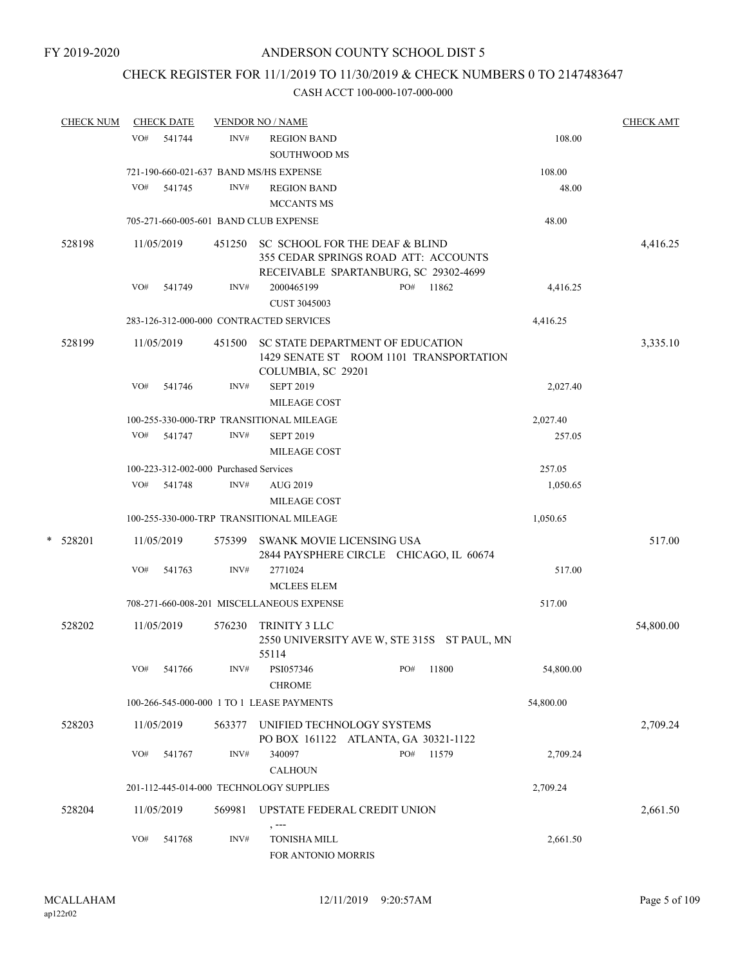# CHECK REGISTER FOR 11/1/2019 TO 11/30/2019 & CHECK NUMBERS 0 TO 2147483647

| <b>CHECK NUM</b> |            | <b>CHECK DATE</b> |                                        | <b>VENDOR NO / NAME</b>                                                                                                |     |       |           | <b>CHECK AMT</b> |
|------------------|------------|-------------------|----------------------------------------|------------------------------------------------------------------------------------------------------------------------|-----|-------|-----------|------------------|
|                  | VO#        | 541744            | INV#                                   | <b>REGION BAND</b><br><b>SOUTHWOOD MS</b>                                                                              |     |       | 108.00    |                  |
|                  |            |                   |                                        | 721-190-660-021-637 BAND MS/HS EXPENSE                                                                                 |     |       | 108.00    |                  |
|                  | VO#        | 541745            | INV#                                   | <b>REGION BAND</b><br><b>MCCANTS MS</b>                                                                                |     |       | 48.00     |                  |
|                  |            |                   |                                        | 705-271-660-005-601 BAND CLUB EXPENSE                                                                                  |     |       | 48.00     |                  |
|                  |            |                   |                                        |                                                                                                                        |     |       |           |                  |
| 528198           | 11/05/2019 |                   |                                        | 451250 SC SCHOOL FOR THE DEAF & BLIND<br>355 CEDAR SPRINGS ROAD ATT: ACCOUNTS<br>RECEIVABLE SPARTANBURG, SC 29302-4699 |     |       |           | 4,416.25         |
|                  | VO#        | 541749            | INV#                                   | 2000465199                                                                                                             | PO# | 11862 | 4,416.25  |                  |
|                  |            |                   |                                        | <b>CUST 3045003</b>                                                                                                    |     |       |           |                  |
|                  |            |                   |                                        | 283-126-312-000-000 CONTRACTED SERVICES                                                                                |     |       | 4,416.25  |                  |
| 528199           | 11/05/2019 |                   | 451500                                 | SC STATE DEPARTMENT OF EDUCATION<br>1429 SENATE ST ROOM 1101 TRANSPORTATION<br>COLUMBIA, SC 29201                      |     |       |           | 3,335.10         |
|                  | VO#        | 541746            | INV#                                   | <b>SEPT 2019</b><br>MILEAGE COST                                                                                       |     |       | 2,027.40  |                  |
|                  |            |                   |                                        | 100-255-330-000-TRP TRANSITIONAL MILEAGE                                                                               |     |       | 2,027.40  |                  |
|                  | VO#        | 541747            | INV#                                   | <b>SEPT 2019</b><br><b>MILEAGE COST</b>                                                                                |     |       | 257.05    |                  |
|                  |            |                   | 100-223-312-002-000 Purchased Services |                                                                                                                        |     |       | 257.05    |                  |
|                  | VO#        | 541748            | INV#                                   | <b>AUG 2019</b><br><b>MILEAGE COST</b>                                                                                 |     |       | 1,050.65  |                  |
|                  |            |                   |                                        | 100-255-330-000-TRP TRANSITIONAL MILEAGE                                                                               |     |       | 1,050.65  |                  |
| *<br>528201      | 11/05/2019 |                   | 575399                                 | SWANK MOVIE LICENSING USA<br>2844 PAYSPHERE CIRCLE CHICAGO, IL 60674                                                   |     |       |           | 517.00           |
|                  | VO#        | 541763            | INV#                                   | 2771024<br><b>MCLEES ELEM</b>                                                                                          |     |       | 517.00    |                  |
|                  |            |                   |                                        | 708-271-660-008-201 MISCELLANEOUS EXPENSE                                                                              |     |       | 517.00    |                  |
| 528202           | 11/05/2019 |                   | 576230                                 | TRINITY 3 LLC<br>2550 UNIVERSITY AVE W, STE 315S ST PAUL, MN                                                           |     |       |           | 54,800.00        |
|                  | VO#        | 541766            | INV#                                   | 55114<br>PSI057346<br><b>CHROME</b>                                                                                    | PO# | 11800 | 54,800.00 |                  |
|                  |            |                   |                                        | 100-266-545-000-000 1 TO 1 LEASE PAYMENTS                                                                              |     |       | 54,800.00 |                  |
|                  |            |                   |                                        |                                                                                                                        |     |       |           |                  |
| 528203           | 11/05/2019 |                   | 563377                                 | UNIFIED TECHNOLOGY SYSTEMS<br>PO BOX 161122 ATLANTA, GA 30321-1122                                                     |     |       |           | 2,709.24         |
|                  | VO#        | 541767            | INV#                                   | 340097<br><b>CALHOUN</b>                                                                                               | PO# | 11579 | 2,709.24  |                  |
|                  |            |                   |                                        | 201-112-445-014-000 TECHNOLOGY SUPPLIES                                                                                |     |       | 2,709.24  |                  |
| 528204           | 11/05/2019 |                   | 569981                                 | UPSTATE FEDERAL CREDIT UNION<br>$, --$                                                                                 |     |       |           | 2,661.50         |
|                  | VO#        | 541768            | INV#                                   | <b>TONISHA MILL</b><br>FOR ANTONIO MORRIS                                                                              |     |       | 2,661.50  |                  |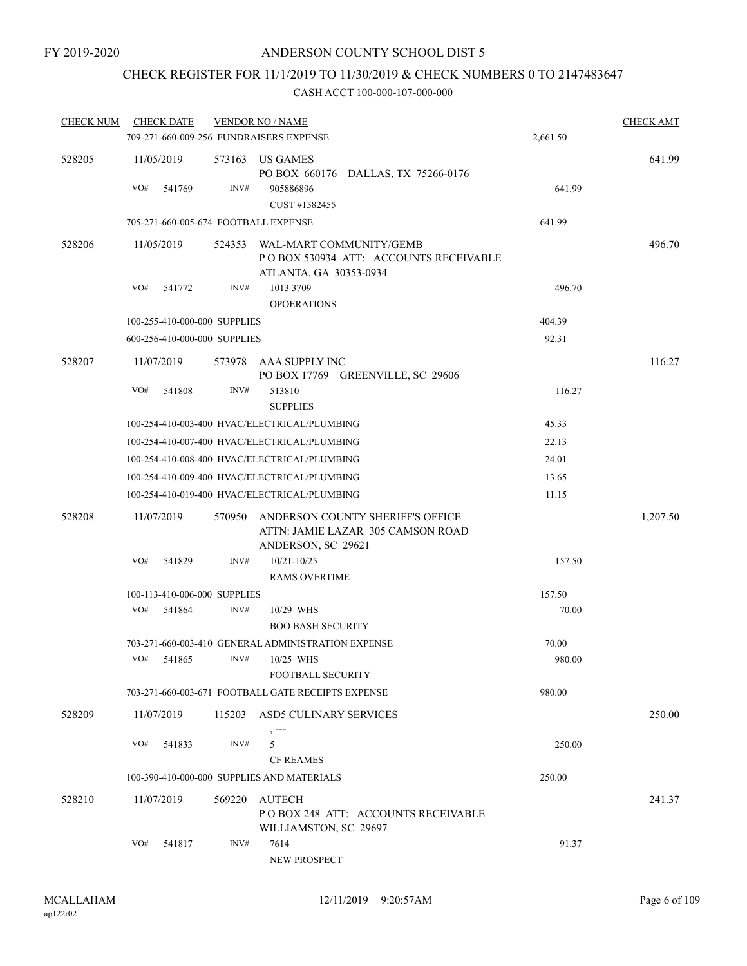# CHECK REGISTER FOR 11/1/2019 TO 11/30/2019 & CHECK NUMBERS 0 TO 2147483647

| <b>CHECK NUM</b> | <b>CHECK DATE</b>                       |        | <b>VENDOR NO / NAME</b>                                                                     |          | <b>CHECK AMT</b> |
|------------------|-----------------------------------------|--------|---------------------------------------------------------------------------------------------|----------|------------------|
|                  | 709-271-660-009-256 FUNDRAISERS EXPENSE |        |                                                                                             | 2,661.50 |                  |
| 528205           | 11/05/2019                              |        | 573163 US GAMES<br>PO BOX 660176 DALLAS, TX 75266-0176                                      |          | 641.99           |
|                  | VO#<br>541769                           | INV#   | 905886896<br>CUST #1582455                                                                  | 641.99   |                  |
|                  | 705-271-660-005-674 FOOTBALL EXPENSE    |        |                                                                                             | 641.99   |                  |
| 528206           | 11/05/2019                              | 524353 | WAL-MART COMMUNITY/GEMB<br>POBOX 530934 ATT: ACCOUNTS RECEIVABLE<br>ATLANTA, GA 30353-0934  |          | 496.70           |
|                  | VO#<br>541772                           | INV#   | 1013 3709<br><b>OPOERATIONS</b>                                                             | 496.70   |                  |
|                  | 100-255-410-000-000 SUPPLIES            |        |                                                                                             | 404.39   |                  |
|                  | 600-256-410-000-000 SUPPLIES            |        |                                                                                             | 92.31    |                  |
| 528207           | 11/07/2019                              | 573978 | AAA SUPPLY INC<br>PO BOX 17769 GREENVILLE, SC 29606                                         |          | 116.27           |
|                  | VO#<br>541808                           | INV#   | 513810<br><b>SUPPLIES</b>                                                                   | 116.27   |                  |
|                  |                                         |        | 100-254-410-003-400 HVAC/ELECTRICAL/PLUMBING                                                | 45.33    |                  |
|                  |                                         |        | 100-254-410-007-400 HVAC/ELECTRICAL/PLUMBING                                                | 22.13    |                  |
|                  |                                         |        | 100-254-410-008-400 HVAC/ELECTRICAL/PLUMBING                                                | 24.01    |                  |
|                  |                                         |        | 100-254-410-009-400 HVAC/ELECTRICAL/PLUMBING                                                | 13.65    |                  |
|                  |                                         |        | 100-254-410-019-400 HVAC/ELECTRICAL/PLUMBING                                                | 11.15    |                  |
| 528208           | 11/07/2019                              | 570950 | ANDERSON COUNTY SHERIFF'S OFFICE<br>ATTN: JAMIE LAZAR 305 CAMSON ROAD<br>ANDERSON, SC 29621 |          | 1,207.50         |
|                  | VO#<br>541829                           | INV#   | $10/21 - 10/25$<br><b>RAMS OVERTIME</b>                                                     | 157.50   |                  |
|                  | 100-113-410-006-000 SUPPLIES            |        |                                                                                             | 157.50   |                  |
|                  | VO#<br>541864                           | INV#   | 10/29 WHS<br><b>BOO BASH SECURITY</b>                                                       | 70.00    |                  |
|                  |                                         |        | 703-271-660-003-410 GENERAL ADMINISTRATION EXPENSE                                          | 70.00    |                  |
|                  | VO# 541865                              |        | $INV#$ 10/25 WHS<br>FOOTBALL SECURITY                                                       | 980.00   |                  |
|                  |                                         |        | 703-271-660-003-671 FOOTBALL GATE RECEIPTS EXPENSE                                          | 980.00   |                  |
| 528209           | 11/07/2019                              | 115203 | ASD5 CULINARY SERVICES                                                                      |          | 250.00           |
|                  | VO#<br>541833                           | INV#   | 5<br><b>CF REAMES</b>                                                                       | 250.00   |                  |
|                  |                                         |        | 100-390-410-000-000 SUPPLIES AND MATERIALS                                                  | 250.00   |                  |
| 528210           | 11/07/2019                              | 569220 | <b>AUTECH</b><br>POBOX 248 ATT: ACCOUNTS RECEIVABLE<br>WILLIAMSTON, SC 29697                |          | 241.37           |
|                  | VO#<br>541817                           | INV#   | 7614<br>NEW PROSPECT                                                                        | 91.37    |                  |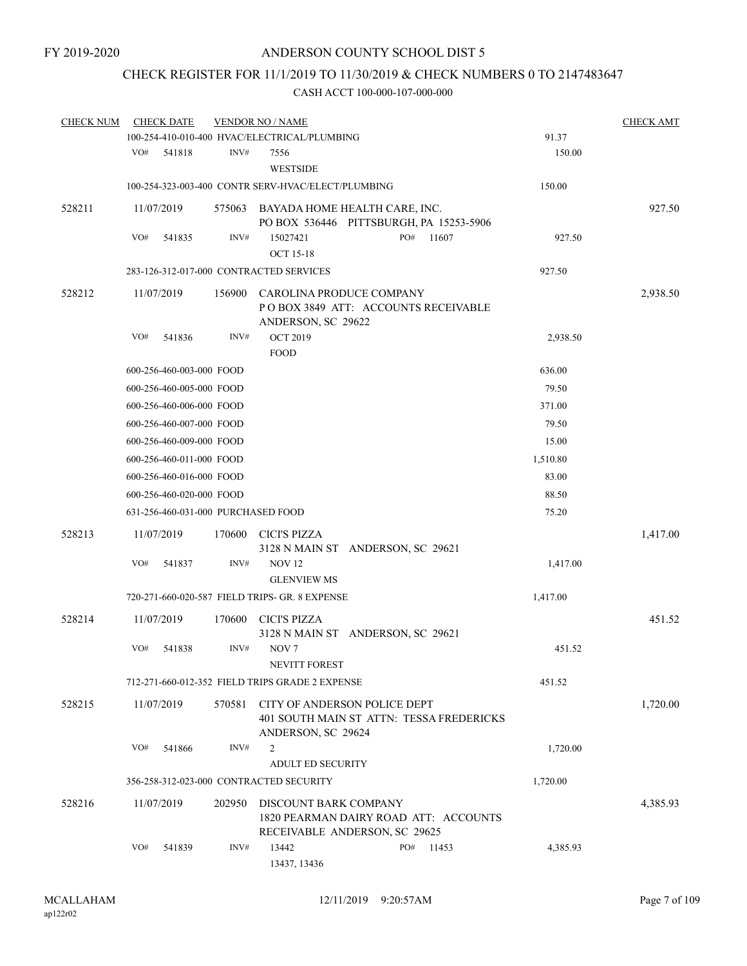# CHECK REGISTER FOR 11/1/2019 TO 11/30/2019 & CHECK NUMBERS 0 TO 2147483647

| <b>CHECK NUM</b> |     | <b>CHECK DATE</b>        |        | <b>VENDOR NO / NAME</b>                                                               |     |                                          |          | <b>CHECK AMT</b> |
|------------------|-----|--------------------------|--------|---------------------------------------------------------------------------------------|-----|------------------------------------------|----------|------------------|
|                  |     |                          |        | 100-254-410-010-400 HVAC/ELECTRICAL/PLUMBING                                          |     |                                          | 91.37    |                  |
|                  | VO# | 541818                   | INV#   | 7556<br><b>WESTSIDE</b>                                                               |     |                                          | 150.00   |                  |
|                  |     |                          |        | 100-254-323-003-400 CONTR SERV-HVAC/ELECT/PLUMBING                                    |     |                                          | 150.00   |                  |
|                  |     |                          |        |                                                                                       |     |                                          |          |                  |
| 528211           |     | 11/07/2019               | 575063 | BAYADA HOME HEALTH CARE, INC.<br>PO BOX 536446 PITTSBURGH, PA 15253-5906              |     |                                          |          | 927.50           |
|                  | VO# | 541835                   | INV#   | 15027421<br><b>OCT 15-18</b>                                                          | PO# | 11607                                    | 927.50   |                  |
|                  |     |                          |        | 283-126-312-017-000 CONTRACTED SERVICES                                               |     |                                          | 927.50   |                  |
| 528212           |     | 11/07/2019               | 156900 | CAROLINA PRODUCE COMPANY<br>POBOX 3849 ATT: ACCOUNTS RECEIVABLE<br>ANDERSON, SC 29622 |     |                                          |          | 2,938.50         |
|                  | VO# | 541836                   | INV#   | <b>OCT 2019</b><br><b>FOOD</b>                                                        |     |                                          | 2,938.50 |                  |
|                  |     | 600-256-460-003-000 FOOD |        |                                                                                       |     |                                          | 636.00   |                  |
|                  |     | 600-256-460-005-000 FOOD |        |                                                                                       |     |                                          | 79.50    |                  |
|                  |     | 600-256-460-006-000 FOOD |        |                                                                                       |     |                                          | 371.00   |                  |
|                  |     | 600-256-460-007-000 FOOD |        |                                                                                       |     |                                          | 79.50    |                  |
|                  |     | 600-256-460-009-000 FOOD |        |                                                                                       |     |                                          | 15.00    |                  |
|                  |     | 600-256-460-011-000 FOOD |        |                                                                                       |     |                                          | 1,510.80 |                  |
|                  |     | 600-256-460-016-000 FOOD |        |                                                                                       |     |                                          | 83.00    |                  |
|                  |     | 600-256-460-020-000 FOOD |        |                                                                                       |     |                                          | 88.50    |                  |
|                  |     |                          |        | 631-256-460-031-000 PURCHASED FOOD                                                    |     |                                          | 75.20    |                  |
| 528213           |     | 11/07/2019               | 170600 | <b>CICI'S PIZZA</b><br>3128 N MAIN ST ANDERSON, SC 29621                              |     |                                          |          | 1,417.00         |
|                  | VO# | 541837                   | INV#   | <b>NOV 12</b><br><b>GLENVIEW MS</b>                                                   |     |                                          | 1,417.00 |                  |
|                  |     |                          |        | 720-271-660-020-587 FIELD TRIPS- GR. 8 EXPENSE                                        |     |                                          | 1,417.00 |                  |
| 528214           |     | 11/07/2019               | 170600 | <b>CICI'S PIZZA</b><br>3128 N MAIN ST ANDERSON, SC 29621                              |     |                                          |          | 451.52           |
|                  | VO# | 541838                   | INV#   | NOV <sub>7</sub><br>NEVITT FOREST                                                     |     |                                          | 451.52   |                  |
|                  |     |                          |        | 712-271-660-012-352 FIELD TRIPS GRADE 2 EXPENSE                                       |     |                                          | 451.52   |                  |
| 528215           |     | 11/07/2019               | 570581 | CITY OF ANDERSON POLICE DEPT<br>ANDERSON, SC 29624                                    |     | 401 SOUTH MAIN ST ATTN: TESSA FREDERICKS |          | 1,720.00         |
|                  | VO# | 541866                   | INV#   | 2<br><b>ADULT ED SECURITY</b>                                                         |     |                                          | 1,720.00 |                  |
|                  |     |                          |        | 356-258-312-023-000 CONTRACTED SECURITY                                               |     |                                          | 1,720.00 |                  |
| 528216           |     | 11/07/2019               | 202950 | DISCOUNT BARK COMPANY<br>RECEIVABLE ANDERSON, SC 29625                                |     | 1820 PEARMAN DAIRY ROAD ATT: ACCOUNTS    |          | 4,385.93         |
|                  | VO# | 541839                   | INV#   | 13442<br>13437, 13436                                                                 | PO# | 11453                                    | 4,385.93 |                  |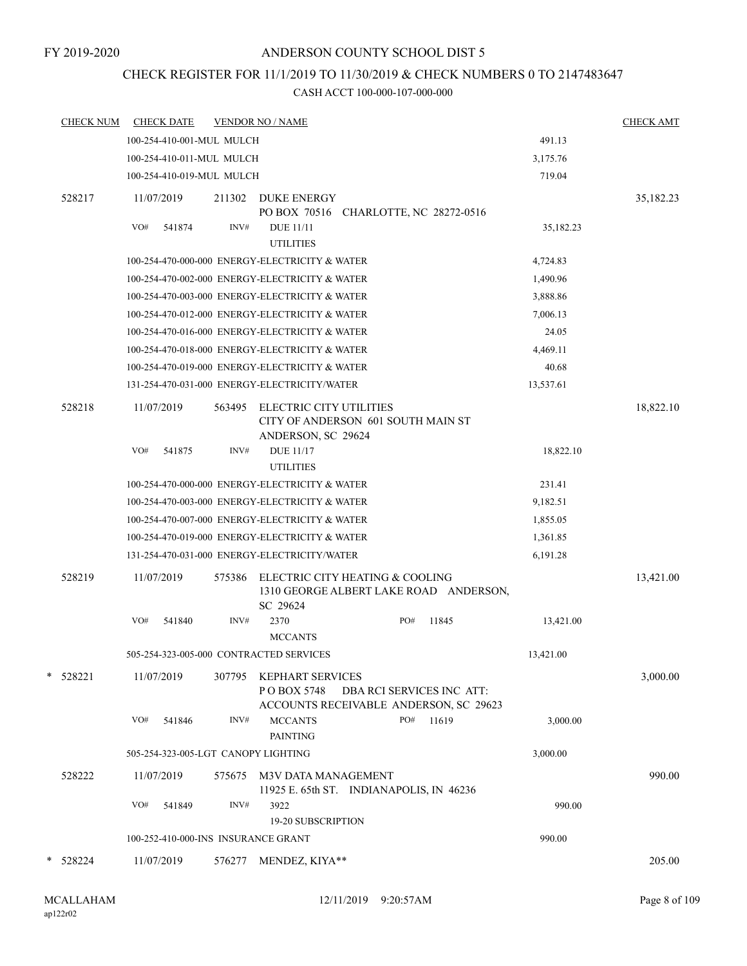# CHECK REGISTER FOR 11/1/2019 TO 11/30/2019 & CHECK NUMBERS 0 TO 2147483647

| <b>CHECK NUM</b> |     | <b>CHECK DATE</b>         |        | <b>VENDOR NO / NAME</b>                                                             |  |     |                                        |           | <b>CHECK AMT</b> |
|------------------|-----|---------------------------|--------|-------------------------------------------------------------------------------------|--|-----|----------------------------------------|-----------|------------------|
|                  |     | 100-254-410-001-MUL MULCH |        |                                                                                     |  |     |                                        | 491.13    |                  |
|                  |     | 100-254-410-011-MUL MULCH |        |                                                                                     |  |     |                                        | 3,175.76  |                  |
|                  |     | 100-254-410-019-MUL MULCH |        | 719.04                                                                              |  |     |                                        |           |                  |
| 528217           |     | 11/07/2019                | 211302 | <b>DUKE ENERGY</b><br>PO BOX 70516 CHARLOTTE, NC 28272-0516                         |  |     |                                        |           | 35,182.23        |
|                  | VO# | 541874                    | INV#   | <b>DUE 11/11</b><br><b>UTILITIES</b>                                                |  |     | 35,182.23                              |           |                  |
|                  |     |                           |        | 100-254-470-000-000 ENERGY-ELECTRICITY & WATER                                      |  |     |                                        | 4,724.83  |                  |
|                  |     |                           |        | 100-254-470-002-000 ENERGY-ELECTRICITY & WATER                                      |  |     |                                        | 1,490.96  |                  |
|                  |     |                           |        | 100-254-470-003-000 ENERGY-ELECTRICITY & WATER                                      |  |     |                                        | 3,888.86  |                  |
|                  |     |                           |        | 100-254-470-012-000 ENERGY-ELECTRICITY & WATER                                      |  |     |                                        | 7,006.13  |                  |
|                  |     |                           |        | 100-254-470-016-000 ENERGY-ELECTRICITY & WATER                                      |  |     |                                        | 24.05     |                  |
|                  |     |                           |        | 100-254-470-018-000 ENERGY-ELECTRICITY & WATER                                      |  |     |                                        | 4,469.11  |                  |
|                  |     |                           |        | 100-254-470-019-000 ENERGY-ELECTRICITY & WATER                                      |  |     |                                        | 40.68     |                  |
|                  |     |                           |        | 131-254-470-031-000 ENERGY-ELECTRICITY/WATER                                        |  |     |                                        | 13,537.61 |                  |
| 528218           |     | 11/07/2019                | 563495 | ELECTRIC CITY UTILITIES<br>CITY OF ANDERSON 601 SOUTH MAIN ST<br>ANDERSON, SC 29624 |  |     |                                        |           | 18,822.10        |
|                  | VO# | 541875                    | INV#   | <b>DUE 11/17</b><br><b>UTILITIES</b>                                                |  |     |                                        | 18,822.10 |                  |
|                  |     |                           |        | 100-254-470-000-000 ENERGY-ELECTRICITY & WATER                                      |  |     |                                        | 231.41    |                  |
|                  |     |                           |        | 100-254-470-003-000 ENERGY-ELECTRICITY & WATER                                      |  |     |                                        | 9,182.51  |                  |
|                  |     |                           |        | 100-254-470-007-000 ENERGY-ELECTRICITY & WATER                                      |  |     |                                        | 1,855.05  |                  |
|                  |     |                           |        | 100-254-470-019-000 ENERGY-ELECTRICITY & WATER                                      |  |     |                                        | 1,361.85  |                  |
|                  |     |                           |        | 131-254-470-031-000 ENERGY-ELECTRICITY/WATER                                        |  |     |                                        | 6,191.28  |                  |
| 528219           |     | 11/07/2019                | 575386 | ELECTRIC CITY HEATING & COOLING<br>SC 29624                                         |  |     | 1310 GEORGE ALBERT LAKE ROAD ANDERSON, |           | 13,421.00        |
|                  | VO# | 541840                    | INV#   | 2370<br><b>MCCANTS</b>                                                              |  | PO# | 11845                                  | 13,421.00 |                  |
|                  |     |                           |        | 505-254-323-005-000 CONTRACTED SERVICES                                             |  |     |                                        | 13,421.00 |                  |
| * 528221         |     | 11/07/2019                | 307795 | KEPHART SERVICES<br>P O BOX 5748<br>ACCOUNTS RECEIVABLE ANDERSON, SC 29623          |  |     | DBA RCI SERVICES INC ATT:              |           | 3,000.00         |
|                  | VO# | 541846                    | INV#   | <b>MCCANTS</b><br><b>PAINTING</b>                                                   |  | PO# | 11619                                  | 3,000.00  |                  |
|                  |     |                           |        | 505-254-323-005-LGT CANOPY LIGHTING                                                 |  |     |                                        | 3,000.00  |                  |
| 528222           |     | 11/07/2019                | 575675 | M3V DATA MANAGEMENT<br>11925 E. 65th ST. INDIANAPOLIS, IN 46236                     |  |     |                                        |           | 990.00           |
|                  | VO# | 541849                    | INV#   | 3922<br>19-20 SUBSCRIPTION                                                          |  |     |                                        | 990.00    |                  |
|                  |     |                           |        | 100-252-410-000-INS INSURANCE GRANT                                                 |  |     |                                        | 990.00    |                  |
| * 528224         |     | 11/07/2019                |        | 576277 MENDEZ, KIYA**                                                               |  |     |                                        |           | 205.00           |
|                  |     |                           |        |                                                                                     |  |     |                                        |           |                  |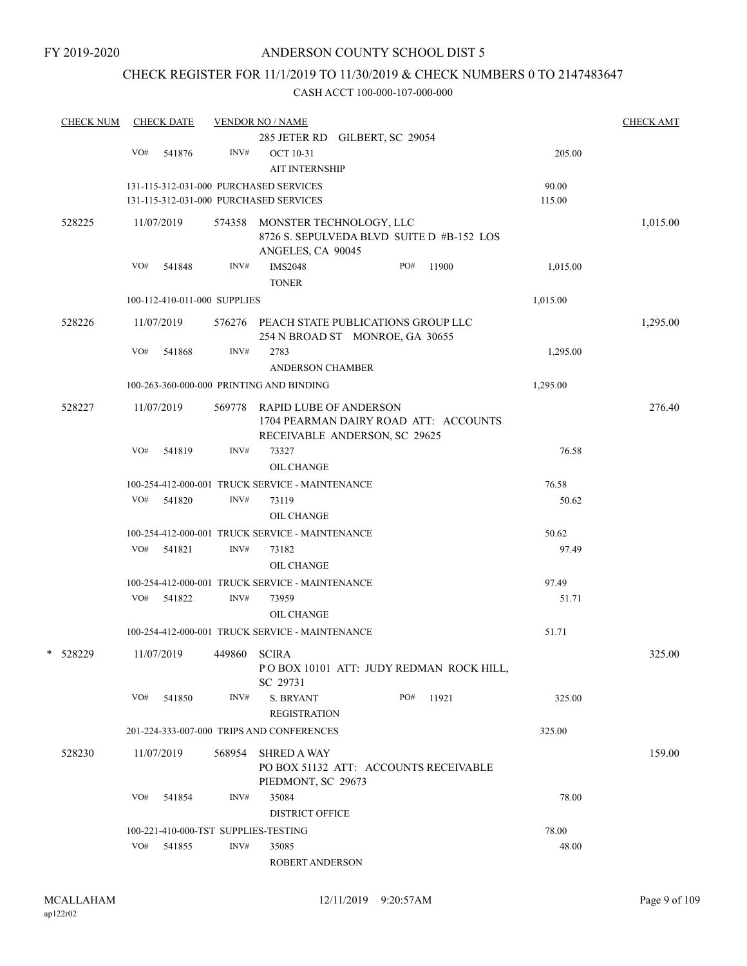# CHECK REGISTER FOR 11/1/2019 TO 11/30/2019 & CHECK NUMBERS 0 TO 2147483647

|          | <b>CHECK NUM</b> |     | <b>CHECK DATE</b>            |        | <b>VENDOR NO / NAME</b>                                                |     |       |          | <b>CHECK AMT</b> |
|----------|------------------|-----|------------------------------|--------|------------------------------------------------------------------------|-----|-------|----------|------------------|
|          |                  |     |                              |        | 285 JETER RD GILBERT, SC 29054                                         |     |       |          |                  |
|          |                  | VO# | 541876                       | INV#   | <b>OCT 10-31</b>                                                       |     |       | 205.00   |                  |
|          |                  |     |                              |        | <b>AIT INTERNSHIP</b>                                                  |     |       |          |                  |
|          |                  |     |                              |        | 131-115-312-031-000 PURCHASED SERVICES                                 |     |       | 90.00    |                  |
|          |                  |     |                              |        | 131-115-312-031-000 PURCHASED SERVICES                                 |     |       | 115.00   |                  |
| 528225   |                  |     | 11/07/2019                   | 574358 | MONSTER TECHNOLOGY, LLC                                                |     |       |          | 1,015.00         |
|          |                  |     |                              |        | 8726 S. SEPULVEDA BLVD SUITE D #B-152 LOS                              |     |       |          |                  |
|          |                  |     |                              |        | ANGELES, CA 90045                                                      |     |       |          |                  |
|          |                  | VO# | 541848                       | INV#   | <b>IMS2048</b>                                                         | PO# | 11900 | 1,015.00 |                  |
|          |                  |     |                              |        | <b>TONER</b>                                                           |     |       |          |                  |
|          |                  |     | 100-112-410-011-000 SUPPLIES |        |                                                                        |     |       | 1,015.00 |                  |
| 528226   |                  |     | 11/07/2019                   |        | 576276 PEACH STATE PUBLICATIONS GROUP LLC                              |     |       |          | 1,295.00         |
|          |                  |     |                              |        | 254 N BROAD ST MONROE, GA 30655                                        |     |       |          |                  |
|          |                  | VO# | 541868                       | INV#   | 2783                                                                   |     |       | 1,295.00 |                  |
|          |                  |     |                              |        | <b>ANDERSON CHAMBER</b>                                                |     |       |          |                  |
|          |                  |     |                              |        | 100-263-360-000-000 PRINTING AND BINDING                               |     |       | 1,295.00 |                  |
|          |                  |     |                              |        |                                                                        |     |       |          |                  |
| 528227   |                  |     | 11/07/2019                   | 569778 | <b>RAPID LUBE OF ANDERSON</b>                                          |     |       |          | 276.40           |
|          |                  |     |                              |        | 1704 PEARMAN DAIRY ROAD ATT: ACCOUNTS<br>RECEIVABLE ANDERSON, SC 29625 |     |       |          |                  |
|          |                  | VO# | 541819                       | INV#   | 73327                                                                  |     |       | 76.58    |                  |
|          |                  |     |                              |        | <b>OIL CHANGE</b>                                                      |     |       |          |                  |
|          |                  |     |                              |        |                                                                        |     |       |          |                  |
|          |                  |     |                              |        | 100-254-412-000-001 TRUCK SERVICE - MAINTENANCE                        |     |       | 76.58    |                  |
|          |                  | VO# | 541820                       | INV#   | 73119                                                                  |     |       | 50.62    |                  |
|          |                  |     |                              |        | OIL CHANGE                                                             |     |       |          |                  |
|          |                  |     |                              |        | 100-254-412-000-001 TRUCK SERVICE - MAINTENANCE                        |     |       | 50.62    |                  |
|          |                  | VO# | 541821                       | INV#   | 73182                                                                  |     |       | 97.49    |                  |
|          |                  |     |                              |        | OIL CHANGE                                                             |     |       |          |                  |
|          |                  |     |                              |        | 100-254-412-000-001 TRUCK SERVICE - MAINTENANCE                        |     |       | 97.49    |                  |
|          |                  | VO# | 541822                       | INV#   | 73959                                                                  |     |       | 51.71    |                  |
|          |                  |     |                              |        | <b>OIL CHANGE</b>                                                      |     |       |          |                  |
|          |                  |     |                              |        | 100-254-412-000-001 TRUCK SERVICE - MAINTENANCE                        |     |       | 51.71    |                  |
| * 528229 |                  |     | 11/07/2019                   | 449860 | <b>SCIRA</b>                                                           |     |       |          | 325.00           |
|          |                  |     |                              |        | PO BOX 10101 ATT: JUDY REDMAN ROCK HILL,                               |     |       |          |                  |
|          |                  |     |                              |        | SC 29731                                                               |     |       |          |                  |
|          |                  | VO# | 541850                       | INV#   | <b>S. BRYANT</b>                                                       | PO# | 11921 | 325.00   |                  |
|          |                  |     |                              |        | <b>REGISTRATION</b>                                                    |     |       |          |                  |
|          |                  |     |                              |        | 201-224-333-007-000 TRIPS AND CONFERENCES                              |     |       | 325.00   |                  |
| 528230   |                  |     | 11/07/2019                   | 568954 | <b>SHRED A WAY</b>                                                     |     |       |          | 159.00           |
|          |                  |     |                              |        | PO BOX 51132 ATT: ACCOUNTS RECEIVABLE                                  |     |       |          |                  |
|          |                  |     |                              |        | PIEDMONT, SC 29673                                                     |     |       |          |                  |
|          |                  | VO# | 541854                       | INV#   | 35084                                                                  |     |       | 78.00    |                  |
|          |                  |     |                              |        | <b>DISTRICT OFFICE</b>                                                 |     |       |          |                  |
|          |                  |     |                              |        | 100-221-410-000-TST SUPPLIES-TESTING                                   |     |       | 78.00    |                  |
|          |                  | VO# | 541855                       | INV#   | 35085                                                                  |     |       | 48.00    |                  |
|          |                  |     |                              |        | ROBERT ANDERSON                                                        |     |       |          |                  |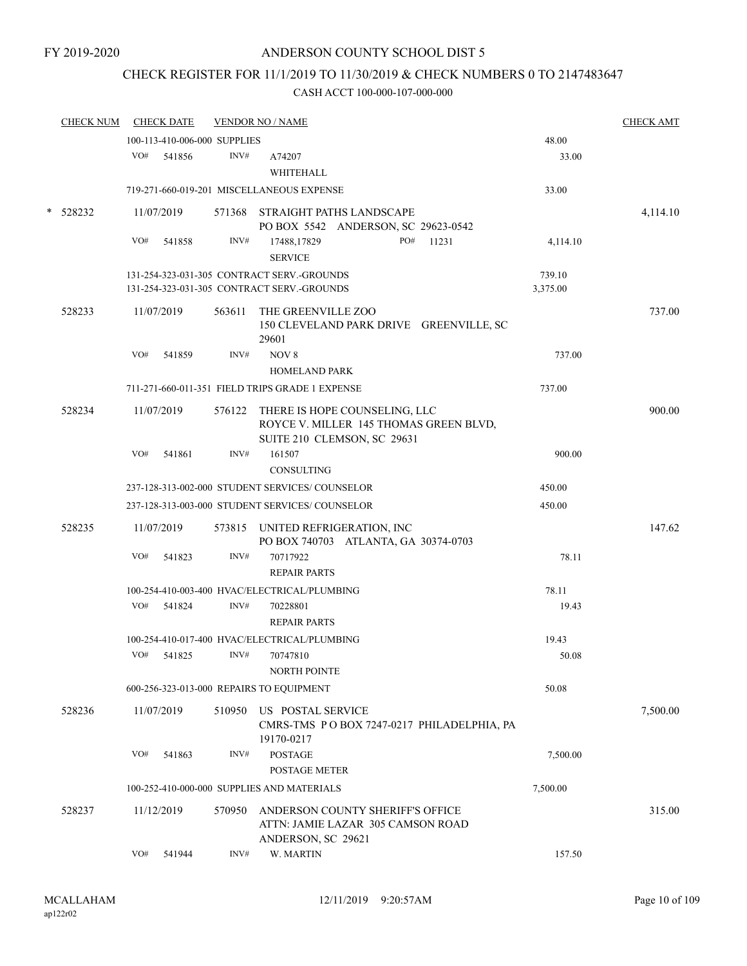# CHECK REGISTER FOR 11/1/2019 TO 11/30/2019 & CHECK NUMBERS 0 TO 2147483647

| <b>CHECK NUM</b> |     | <b>CHECK DATE</b>            |        | <b>VENDOR NO / NAME</b>                                                                                       |                    | <b>CHECK AMT</b> |
|------------------|-----|------------------------------|--------|---------------------------------------------------------------------------------------------------------------|--------------------|------------------|
|                  |     | 100-113-410-006-000 SUPPLIES |        |                                                                                                               | 48.00              |                  |
|                  | VO# | 541856                       | INV#   | A74207<br>WHITEHALL                                                                                           | 33.00              |                  |
|                  |     |                              |        | 719-271-660-019-201 MISCELLANEOUS EXPENSE                                                                     | 33.00              |                  |
| * 528232         |     | 11/07/2019                   |        | 571368 STRAIGHT PATHS LANDSCAPE<br>PO BOX 5542 ANDERSON, SC 29623-0542                                        |                    | 4,114.10         |
|                  | VO# | 541858                       | INV#   | PO#<br>17488,17829<br>11231<br><b>SERVICE</b>                                                                 | 4,114.10           |                  |
|                  |     |                              |        | 131-254-323-031-305 CONTRACT SERV.-GROUNDS<br>131-254-323-031-305 CONTRACT SERV.-GROUNDS                      | 739.10<br>3,375.00 |                  |
| 528233           |     | 11/07/2019                   | 563611 | THE GREENVILLE ZOO<br>150 CLEVELAND PARK DRIVE GREENVILLE, SC<br>29601                                        |                    | 737.00           |
|                  | VO# | 541859                       | INV#   | NOV 8<br><b>HOMELAND PARK</b>                                                                                 | 737.00             |                  |
|                  |     |                              |        | 711-271-660-011-351 FIELD TRIPS GRADE 1 EXPENSE                                                               | 737.00             |                  |
| 528234           |     | 11/07/2019                   |        | 576122 THERE IS HOPE COUNSELING, LLC<br>ROYCE V. MILLER 145 THOMAS GREEN BLVD,<br>SUITE 210 CLEMSON, SC 29631 |                    | 900.00           |
|                  | VO# | 541861                       | INV#   | 161507<br><b>CONSULTING</b>                                                                                   | 900.00             |                  |
|                  |     |                              |        | 237-128-313-002-000 STUDENT SERVICES/COUNSELOR                                                                | 450.00             |                  |
|                  |     |                              |        | 237-128-313-003-000 STUDENT SERVICES/ COUNSELOR                                                               | 450.00             |                  |
| 528235           |     | 11/07/2019                   |        | 573815 UNITED REFRIGERATION, INC<br>PO BOX 740703 ATLANTA, GA 30374-0703                                      |                    | 147.62           |
|                  | VO# | 541823                       | INV#   | 70717922<br><b>REPAIR PARTS</b>                                                                               | 78.11              |                  |
|                  |     |                              |        | 100-254-410-003-400 HVAC/ELECTRICAL/PLUMBING                                                                  | 78.11              |                  |
|                  | VO# | 541824                       | INV#   | 70228801<br><b>REPAIR PARTS</b>                                                                               | 19.43              |                  |
|                  |     |                              |        | 100-254-410-017-400 HVAC/ELECTRICAL/PLUMBING                                                                  | 19.43              |                  |
|                  | VO# | 541825                       | INV#   | 70747810<br><b>NORTH POINTE</b>                                                                               | 50.08              |                  |
|                  |     |                              |        | 600-256-323-013-000 REPAIRS TO EQUIPMENT                                                                      | 50.08              |                  |
| 528236           |     | 11/07/2019                   | 510950 | US POSTAL SERVICE<br>CMRS-TMS PO BOX 7247-0217 PHILADELPHIA, PA<br>19170-0217                                 |                    | 7,500.00         |
|                  | VO# | 541863                       | INV#   | <b>POSTAGE</b><br><b>POSTAGE METER</b>                                                                        | 7,500.00           |                  |
|                  |     |                              |        | 100-252-410-000-000 SUPPLIES AND MATERIALS                                                                    | 7,500.00           |                  |
| 528237           |     | 11/12/2019                   | 570950 | ANDERSON COUNTY SHERIFF'S OFFICE<br>ATTN: JAMIE LAZAR 305 CAMSON ROAD<br>ANDERSON, SC 29621                   |                    | 315.00           |
|                  | VO# | 541944                       | INV#   | W. MARTIN                                                                                                     | 157.50             |                  |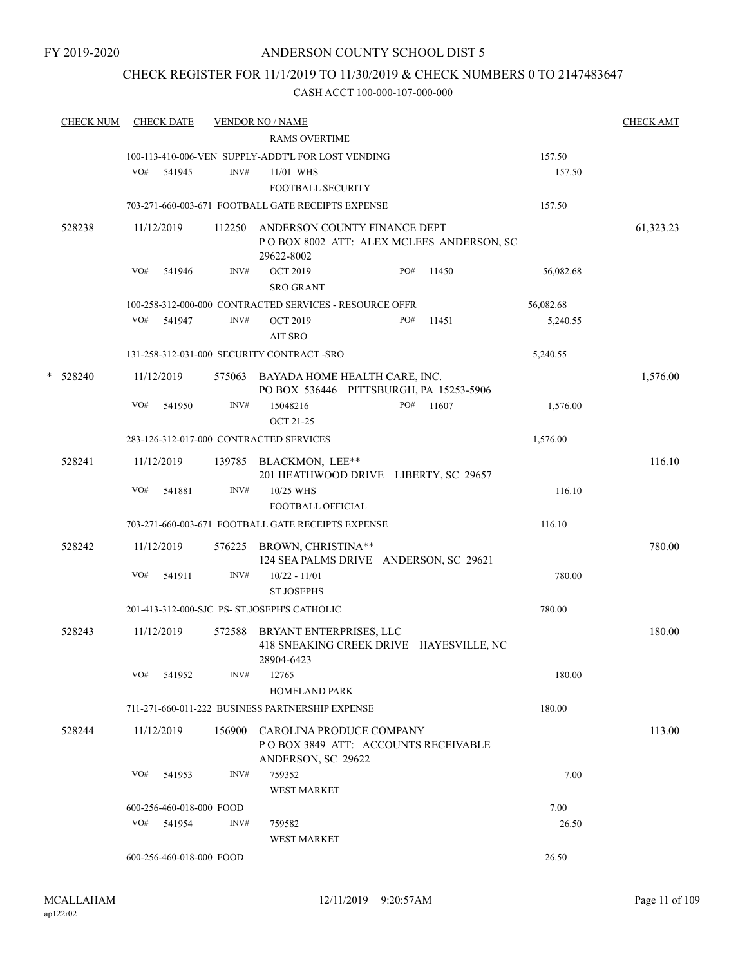# CHECK REGISTER FOR 11/1/2019 TO 11/30/2019 & CHECK NUMBERS 0 TO 2147483647

| <b>CHECK NUM</b> | <b>CHECK DATE</b> |                                  | <b>VENDOR NO / NAME</b>                                            |     |       |               | <b>CHECK AMT</b> |
|------------------|-------------------|----------------------------------|--------------------------------------------------------------------|-----|-------|---------------|------------------|
|                  |                   |                                  | <b>RAMS OVERTIME</b>                                               |     |       |               |                  |
|                  |                   |                                  | 100-113-410-006-VEN SUPPLY-ADDT'L FOR LOST VENDING                 |     |       | 157.50        |                  |
|                  | VO#<br>541945     | INV#                             | 11/01 WHS                                                          |     |       | 157.50        |                  |
|                  |                   |                                  | FOOTBALL SECURITY                                                  |     |       |               |                  |
|                  |                   |                                  | 703-271-660-003-671 FOOTBALL GATE RECEIPTS EXPENSE                 |     |       | 157.50        |                  |
| 528238           | 11/12/2019        | 112250                           | ANDERSON COUNTY FINANCE DEPT                                       |     |       |               | 61,323.23        |
|                  |                   |                                  | POBOX 8002 ATT: ALEX MCLEES ANDERSON, SC                           |     |       |               |                  |
|                  | VO#<br>541946     | INV#                             | 29622-8002<br><b>OCT 2019</b>                                      | PO# | 11450 | 56,082.68     |                  |
|                  |                   |                                  | <b>SRO GRANT</b>                                                   |     |       |               |                  |
|                  |                   |                                  | 100-258-312-000-000 CONTRACTED SERVICES - RESOURCE OFFR            |     |       | 56,082.68     |                  |
|                  | VO#<br>541947     | INV#                             | <b>OCT 2019</b>                                                    | PO# | 11451 | 5,240.55      |                  |
|                  |                   |                                  | <b>AIT SRO</b>                                                     |     |       |               |                  |
|                  |                   |                                  | 131-258-312-031-000 SECURITY CONTRACT -SRO                         |     |       | 5,240.55      |                  |
| $*$ 528240       | 11/12/2019        |                                  | 575063 BAYADA HOME HEALTH CARE, INC.                               |     |       |               | 1,576.00         |
|                  |                   |                                  | PO BOX 536446 PITTSBURGH, PA 15253-5906                            |     |       |               |                  |
|                  | VO#<br>541950     | INV#                             | 15048216                                                           | PO# | 11607 | 1,576.00      |                  |
|                  |                   |                                  | <b>OCT 21-25</b>                                                   |     |       |               |                  |
|                  |                   |                                  | 283-126-312-017-000 CONTRACTED SERVICES                            |     |       | 1,576.00      |                  |
| 528241           | 11/12/2019        |                                  | 139785 BLACKMON, LEE**                                             |     |       |               | 116.10           |
|                  |                   |                                  | 201 HEATHWOOD DRIVE LIBERTY, SC 29657                              |     |       |               |                  |
|                  | VO#<br>541881     | INV#                             | 10/25 WHS                                                          |     |       | 116.10        |                  |
|                  |                   |                                  | FOOTBALL OFFICIAL                                                  |     |       |               |                  |
|                  |                   |                                  | 703-271-660-003-671 FOOTBALL GATE RECEIPTS EXPENSE                 |     |       | 116.10        |                  |
| 528242           | 11/12/2019        | 576225                           | BROWN, CHRISTINA**                                                 |     |       |               | 780.00           |
|                  | VO#<br>541911     | INV#                             | 124 SEA PALMS DRIVE ANDERSON, SC 29621<br>$10/22 - 11/01$          |     |       | 780.00        |                  |
|                  |                   |                                  | <b>ST JOSEPHS</b>                                                  |     |       |               |                  |
|                  |                   |                                  | 201-413-312-000-SJC PS- ST.JOSEPH'S CATHOLIC                       |     |       | 780.00        |                  |
|                  |                   |                                  |                                                                    |     |       |               |                  |
| 528243           | 11/12/2019        | 572588                           | BRYANT ENTERPRISES, LLC<br>418 SNEAKING CREEK DRIVE HAYESVILLE, NC |     |       |               | 180.00           |
|                  |                   |                                  | 28904-6423                                                         |     |       |               |                  |
|                  | VO#<br>541952     | INV#                             | 12765                                                              |     |       | 180.00        |                  |
|                  |                   |                                  | <b>HOMELAND PARK</b>                                               |     |       |               |                  |
|                  |                   |                                  | 711-271-660-011-222 BUSINESS PARTNERSHIP EXPENSE                   |     |       | 180.00        |                  |
| 528244           | 11/12/2019        |                                  | 156900 CAROLINA PRODUCE COMPANY                                    |     |       |               | 113.00           |
|                  |                   |                                  | POBOX 3849 ATT: ACCOUNTS RECEIVABLE                                |     |       |               |                  |
|                  |                   |                                  | ANDERSON, SC 29622                                                 |     |       |               |                  |
|                  | VO#<br>541953     | INV#                             | 759352                                                             |     |       | 7.00          |                  |
|                  |                   |                                  | WEST MARKET                                                        |     |       |               |                  |
|                  | VO# 541954        | 600-256-460-018-000 FOOD<br>INV# | 759582                                                             |     |       | 7.00<br>26.50 |                  |
|                  |                   |                                  | <b>WEST MARKET</b>                                                 |     |       |               |                  |
|                  |                   | 600-256-460-018-000 FOOD         |                                                                    |     |       | 26.50         |                  |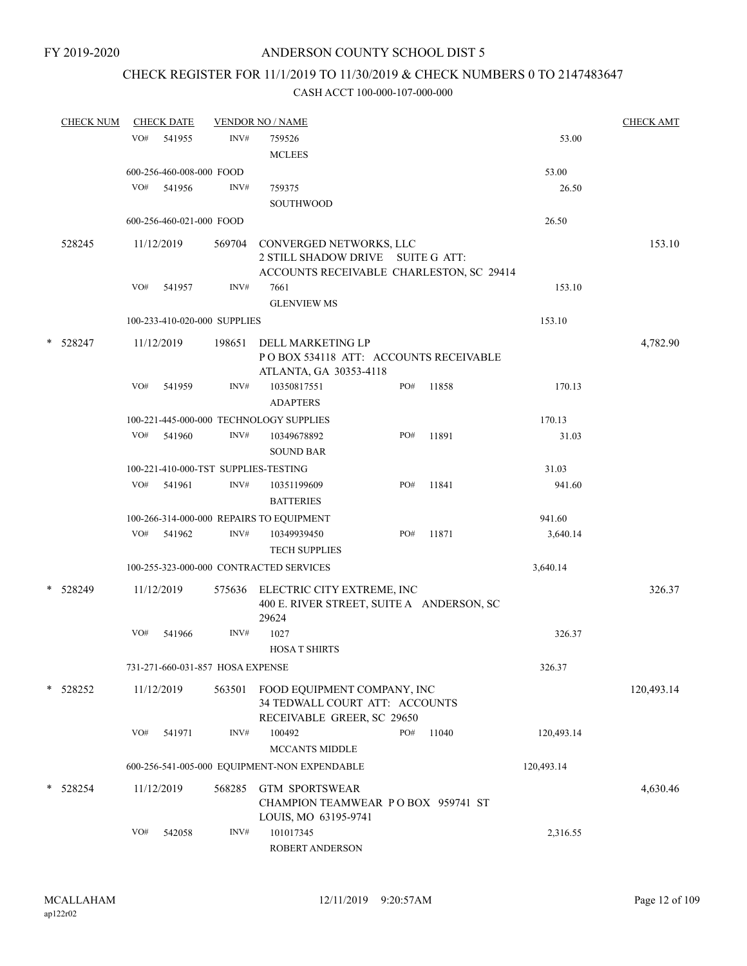# CHECK REGISTER FOR 11/1/2019 TO 11/30/2019 & CHECK NUMBERS 0 TO 2147483647

|   | <b>CHECK NUM</b> |     | <b>CHECK DATE</b>        |                                  | <b>VENDOR NO / NAME</b>                          |     |       |            | <b>CHECK AMT</b> |
|---|------------------|-----|--------------------------|----------------------------------|--------------------------------------------------|-----|-------|------------|------------------|
|   |                  | VO# | 541955                   | INV#                             | 759526                                           |     |       | 53.00      |                  |
|   |                  |     |                          |                                  | <b>MCLEES</b>                                    |     |       |            |                  |
|   |                  |     | 600-256-460-008-000 FOOD |                                  |                                                  |     |       | 53.00      |                  |
|   |                  |     | VO# 541956               | INV#                             | 759375                                           |     |       | 26.50      |                  |
|   |                  |     |                          |                                  | <b>SOUTHWOOD</b>                                 |     |       |            |                  |
|   |                  |     | 600-256-460-021-000 FOOD |                                  |                                                  |     |       | 26.50      |                  |
|   |                  |     |                          |                                  |                                                  |     |       |            |                  |
|   | 528245           |     | 11/12/2019               | 569704                           | CONVERGED NETWORKS, LLC                          |     |       |            | 153.10           |
|   |                  |     |                          |                                  | 2 STILL SHADOW DRIVE SUITE G ATT:                |     |       |            |                  |
|   |                  | VO# | 541957                   | INV#                             | ACCOUNTS RECEIVABLE CHARLESTON, SC 29414<br>7661 |     |       | 153.10     |                  |
|   |                  |     |                          |                                  | <b>GLENVIEW MS</b>                               |     |       |            |                  |
|   |                  |     |                          | 100-233-410-020-000 SUPPLIES     |                                                  |     |       | 153.10     |                  |
|   |                  |     |                          |                                  |                                                  |     |       |            |                  |
|   | * 528247         |     | 11/12/2019               | 198651                           | DELL MARKETING LP                                |     |       |            | 4,782.90         |
|   |                  |     |                          |                                  | POBOX 534118 ATT: ACCOUNTS RECEIVABLE            |     |       |            |                  |
|   |                  | VO# |                          | INV#                             | ATLANTA, GA 30353-4118                           | PO# |       |            |                  |
|   |                  |     | 541959                   |                                  | 10350817551<br><b>ADAPTERS</b>                   |     | 11858 | 170.13     |                  |
|   |                  |     |                          |                                  | 100-221-445-000-000 TECHNOLOGY SUPPLIES          |     |       | 170.13     |                  |
|   |                  | VO# | 541960                   | INV#                             | 10349678892                                      | PO# | 11891 | 31.03      |                  |
|   |                  |     |                          |                                  | <b>SOUND BAR</b>                                 |     |       |            |                  |
|   |                  |     |                          |                                  | 100-221-410-000-TST SUPPLIES-TESTING             |     |       | 31.03      |                  |
|   |                  | VO# | 541961                   | INV#                             | 10351199609                                      | PO# | 11841 | 941.60     |                  |
|   |                  |     |                          |                                  | <b>BATTERIES</b>                                 |     |       |            |                  |
|   |                  |     |                          |                                  | 100-266-314-000-000 REPAIRS TO EQUIPMENT         |     |       | 941.60     |                  |
|   |                  | VO# | 541962                   | INV#                             | 10349939450                                      | PO# | 11871 | 3,640.14   |                  |
|   |                  |     |                          |                                  | <b>TECH SUPPLIES</b>                             |     |       |            |                  |
|   |                  |     |                          |                                  | 100-255-323-000-000 CONTRACTED SERVICES          |     |       | 3,640.14   |                  |
|   | * 528249         |     | 11/12/2019               | 575636                           | ELECTRIC CITY EXTREME, INC                       |     |       |            | 326.37           |
|   |                  |     |                          |                                  | 400 E. RIVER STREET, SUITE A ANDERSON, SC        |     |       |            |                  |
|   |                  |     |                          |                                  | 29624                                            |     |       |            |                  |
|   |                  | VO# | 541966                   | INV#                             | 1027                                             |     |       | 326.37     |                  |
|   |                  |     |                          |                                  | <b>HOSAT SHIRTS</b>                              |     |       |            |                  |
|   |                  |     |                          | 731-271-660-031-857 HOSA EXPENSE |                                                  |     |       | 326.37     |                  |
|   | * 528252         |     | 11/12/2019               | 563501                           | FOOD EQUIPMENT COMPANY, INC                      |     |       |            | 120,493.14       |
|   |                  |     |                          |                                  | 34 TEDWALL COURT ATT: ACCOUNTS                   |     |       |            |                  |
|   |                  |     |                          |                                  | RECEIVABLE GREER, SC 29650                       |     |       |            |                  |
|   |                  | VO# | 541971                   | INV#                             | 100492                                           | PO# | 11040 | 120,493.14 |                  |
|   |                  |     |                          |                                  | <b>MCCANTS MIDDLE</b>                            |     |       |            |                  |
|   |                  |     |                          |                                  | 600-256-541-005-000 EQUIPMENT-NON EXPENDABLE     |     |       | 120,493.14 |                  |
| * | 528254           |     | 11/12/2019               | 568285                           | <b>GTM SPORTSWEAR</b>                            |     |       |            | 4,630.46         |
|   |                  |     |                          |                                  | CHAMPION TEAMWEAR PO BOX 959741 ST               |     |       |            |                  |
|   |                  |     |                          |                                  | LOUIS, MO 63195-9741                             |     |       |            |                  |
|   |                  | VO# | 542058                   | INV#                             | 101017345                                        |     |       | 2,316.55   |                  |
|   |                  |     |                          |                                  | ROBERT ANDERSON                                  |     |       |            |                  |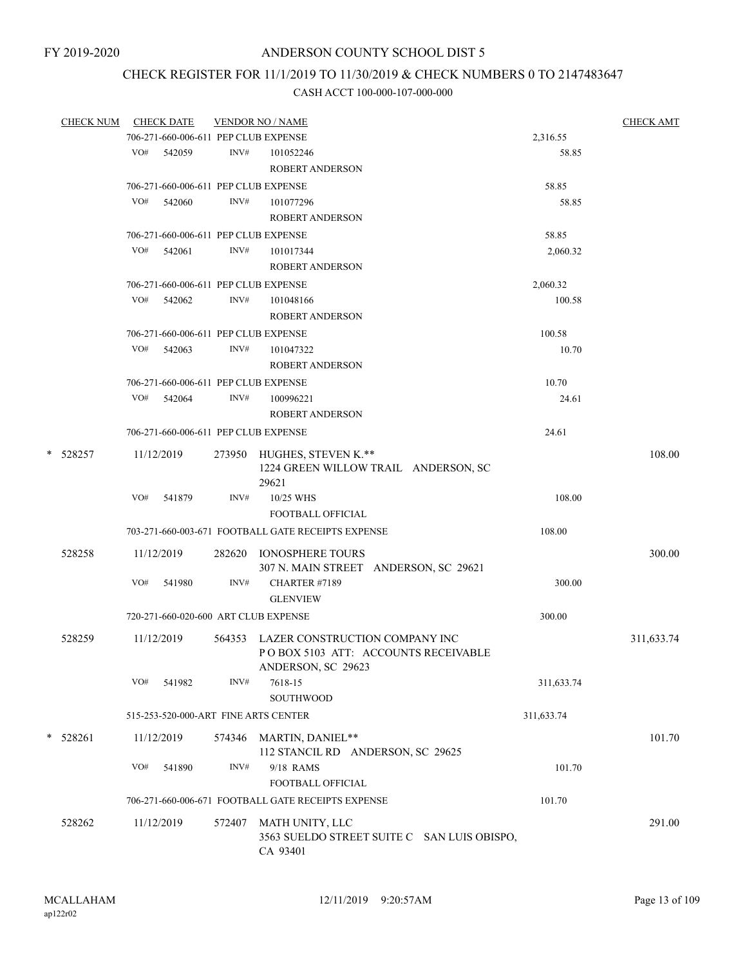# CHECK REGISTER FOR 11/1/2019 TO 11/30/2019 & CHECK NUMBERS 0 TO 2147483647

|   | <b>CHECK NUM</b> |            | <b>CHECK DATE</b>                    |        | <b>VENDOR NO / NAME</b>                                                                             |            | <b>CHECK AMT</b> |
|---|------------------|------------|--------------------------------------|--------|-----------------------------------------------------------------------------------------------------|------------|------------------|
|   |                  |            | 706-271-660-006-611 PEP CLUB EXPENSE |        |                                                                                                     | 2,316.55   |                  |
|   |                  |            | VO# 542059                           | INV#   | 101052246                                                                                           | 58.85      |                  |
|   |                  |            |                                      |        | <b>ROBERT ANDERSON</b>                                                                              |            |                  |
|   |                  |            | 706-271-660-006-611 PEP CLUB EXPENSE |        |                                                                                                     | 58.85      |                  |
|   |                  | VO#        | 542060                               | INV#   | 101077296                                                                                           | 58.85      |                  |
|   |                  |            |                                      |        | <b>ROBERT ANDERSON</b>                                                                              |            |                  |
|   |                  |            | 706-271-660-006-611 PEP CLUB EXPENSE |        |                                                                                                     | 58.85      |                  |
|   |                  | VO#        | 542061                               | INV#   | 101017344                                                                                           | 2,060.32   |                  |
|   |                  |            |                                      |        | <b>ROBERT ANDERSON</b>                                                                              |            |                  |
|   |                  |            | 706-271-660-006-611 PEP CLUB EXPENSE |        |                                                                                                     | 2,060.32   |                  |
|   |                  | VO#        | 542062                               | INV#   | 101048166                                                                                           | 100.58     |                  |
|   |                  |            |                                      |        | <b>ROBERT ANDERSON</b>                                                                              |            |                  |
|   |                  |            |                                      |        |                                                                                                     |            |                  |
|   |                  |            | 706-271-660-006-611 PEP CLUB EXPENSE |        |                                                                                                     | 100.58     |                  |
|   |                  | VO#        | 542063                               | INV#   | 101047322                                                                                           | 10.70      |                  |
|   |                  |            |                                      |        | <b>ROBERT ANDERSON</b>                                                                              |            |                  |
|   |                  |            | 706-271-660-006-611 PEP CLUB EXPENSE |        |                                                                                                     | 10.70      |                  |
|   |                  |            | VO# 542064                           | INV#   | 100996221                                                                                           | 24.61      |                  |
|   |                  |            |                                      |        | <b>ROBERT ANDERSON</b>                                                                              |            |                  |
|   |                  |            | 706-271-660-006-611 PEP CLUB EXPENSE |        |                                                                                                     | 24.61      |                  |
| * | 528257           |            | 11/12/2019                           |        | 273950 HUGHES, STEVEN K.**<br>1224 GREEN WILLOW TRAIL ANDERSON, SC<br>29621                         |            | 108.00           |
|   |                  | VO#        | 541879                               | INV#   | 10/25 WHS                                                                                           | 108.00     |                  |
|   |                  |            |                                      |        | FOOTBALL OFFICIAL                                                                                   |            |                  |
|   |                  |            |                                      |        | 703-271-660-003-671 FOOTBALL GATE RECEIPTS EXPENSE                                                  | 108.00     |                  |
|   |                  |            |                                      |        |                                                                                                     |            |                  |
|   | 528258           | 11/12/2019 |                                      |        | 282620 IONOSPHERE TOURS                                                                             |            | 300.00           |
|   |                  |            |                                      |        | 307 N. MAIN STREET ANDERSON, SC 29621                                                               |            |                  |
|   |                  | VO#        | 541980                               | INV#   | CHARTER #7189                                                                                       | 300.00     |                  |
|   |                  |            |                                      |        | <b>GLENVIEW</b>                                                                                     |            |                  |
|   |                  |            |                                      |        | 720-271-660-020-600 ART CLUB EXPENSE                                                                | 300.00     |                  |
|   | 528259           |            | 11/12/2019                           |        | 564353 LAZER CONSTRUCTION COMPANY INC<br>PO BOX 5103 ATT: ACCOUNTS RECEIVABLE<br>ANDERSON, SC 29623 |            | 311,633.74       |
|   |                  | VO#        | 541982                               | INV#   | 7618-15<br><b>SOUTHWOOD</b>                                                                         | 311,633.74 |                  |
|   |                  |            |                                      |        | 515-253-520-000-ART FINE ARTS CENTER                                                                | 311,633.74 |                  |
|   |                  |            |                                      |        |                                                                                                     |            |                  |
|   | $*$ 528261       |            | 11/12/2019                           | 574346 | <b>MARTIN, DANIEL**</b><br>112 STANCIL RD ANDERSON, SC 29625                                        |            | 101.70           |
|   |                  | VO#        | 541890                               | INV#   | 9/18 RAMS                                                                                           | 101.70     |                  |
|   |                  |            |                                      |        | FOOTBALL OFFICIAL                                                                                   |            |                  |
|   |                  |            |                                      |        | 706-271-660-006-671 FOOTBALL GATE RECEIPTS EXPENSE                                                  | 101.70     |                  |
|   |                  |            |                                      |        |                                                                                                     |            |                  |
|   | 528262           |            | 11/12/2019                           | 572407 | MATH UNITY, LLC<br>3563 SUELDO STREET SUITE C SAN LUIS OBISPO,<br>CA 93401                          |            | 291.00           |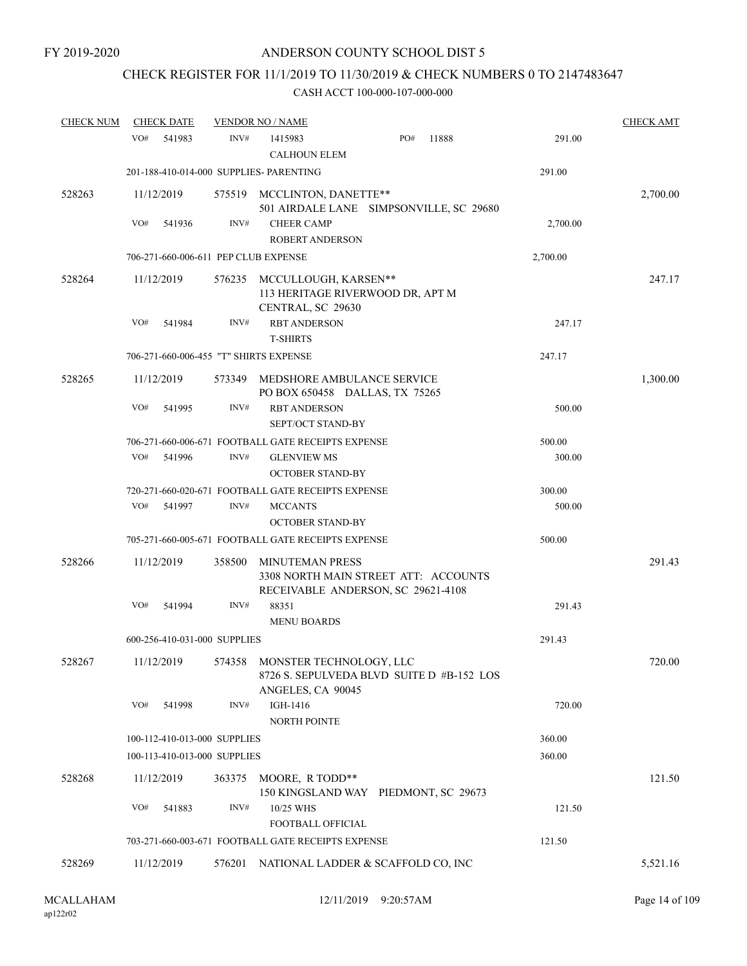# CHECK REGISTER FOR 11/1/2019 TO 11/30/2019 & CHECK NUMBERS 0 TO 2147483647

| <b>CHECK NUM</b> | <b>CHECK DATE</b>                       |        | <b>VENDOR NO / NAME</b>                                                                              |                 | <b>CHECK AMT</b> |
|------------------|-----------------------------------------|--------|------------------------------------------------------------------------------------------------------|-----------------|------------------|
|                  | VO#<br>541983                           | INV#   | PO#<br>1415983<br><b>CALHOUN ELEM</b>                                                                | 11888<br>291.00 |                  |
|                  | 201-188-410-014-000 SUPPLIES- PARENTING |        |                                                                                                      | 291.00          |                  |
| 528263           | 11/12/2019                              |        | 575519 MCCLINTON, DANETTE**<br>501 AIRDALE LANE SIMPSONVILLE, SC 29680                               |                 | 2,700.00         |
|                  | VO#<br>541936                           | INV#   | <b>CHEER CAMP</b><br><b>ROBERT ANDERSON</b>                                                          | 2,700.00        |                  |
|                  | 706-271-660-006-611 PEP CLUB EXPENSE    |        |                                                                                                      | 2,700.00        |                  |
| 528264           | 11/12/2019                              |        | 576235 MCCULLOUGH, KARSEN**<br>113 HERITAGE RIVERWOOD DR, APT M<br>CENTRAL, SC 29630                 |                 | 247.17           |
|                  | VO#<br>541984                           | INV#   | <b>RBT ANDERSON</b><br><b>T-SHIRTS</b>                                                               | 247.17          |                  |
|                  | 706-271-660-006-455 "T" SHIRTS EXPENSE  |        |                                                                                                      | 247.17          |                  |
| 528265           | 11/12/2019                              | 573349 | MEDSHORE AMBULANCE SERVICE<br>PO BOX 650458 DALLAS, TX 75265                                         |                 | 1,300.00         |
|                  | VO#<br>541995                           | INV#   | <b>RBT ANDERSON</b><br>SEPT/OCT STAND-BY                                                             | 500.00          |                  |
|                  |                                         |        | 706-271-660-006-671 FOOTBALL GATE RECEIPTS EXPENSE                                                   | 500.00          |                  |
|                  | VO#<br>541996                           | INV#   | <b>GLENVIEW MS</b><br><b>OCTOBER STAND-BY</b>                                                        | 300.00          |                  |
|                  |                                         |        | 720-271-660-020-671 FOOTBALL GATE RECEIPTS EXPENSE                                                   | 300.00          |                  |
|                  | VO#<br>541997                           | INV#   | <b>MCCANTS</b><br><b>OCTOBER STAND-BY</b>                                                            | 500.00          |                  |
|                  |                                         |        | 705-271-660-005-671 FOOTBALL GATE RECEIPTS EXPENSE                                                   | 500.00          |                  |
| 528266           | 11/12/2019                              | 358500 | <b>MINUTEMAN PRESS</b><br>3308 NORTH MAIN STREET ATT: ACCOUNTS<br>RECEIVABLE ANDERSON, SC 29621-4108 |                 | 291.43           |
|                  | VO#<br>541994                           | INV#   | 88351<br><b>MENU BOARDS</b>                                                                          | 291.43          |                  |
|                  | 600-256-410-031-000 SUPPLIES            |        |                                                                                                      | 291.43          |                  |
| 528267           | 11/12/2019                              |        | 574358 MONSTER TECHNOLOGY, LLC<br>8726 S. SEPULVEDA BLVD SUITE D #B-152 LOS<br>ANGELES, CA 90045     |                 | 720.00           |
|                  | VO#<br>541998                           | INV#   | IGH-1416<br>NORTH POINTE                                                                             | 720.00          |                  |
|                  | 100-112-410-013-000 SUPPLIES            |        |                                                                                                      | 360.00          |                  |
|                  | 100-113-410-013-000 SUPPLIES            |        |                                                                                                      | 360.00          |                  |
| 528268           | 11/12/2019                              |        | 363375 MOORE, R TODD**<br>150 KINGSLAND WAY PIEDMONT, SC 29673                                       |                 | 121.50           |
|                  | VO#<br>541883                           | INV#   | 10/25 WHS<br>FOOTBALL OFFICIAL                                                                       | 121.50          |                  |
|                  |                                         |        | 703-271-660-003-671 FOOTBALL GATE RECEIPTS EXPENSE                                                   | 121.50          |                  |
| 528269           | 11/12/2019                              |        | 576201 NATIONAL LADDER & SCAFFOLD CO, INC                                                            |                 | 5,521.16         |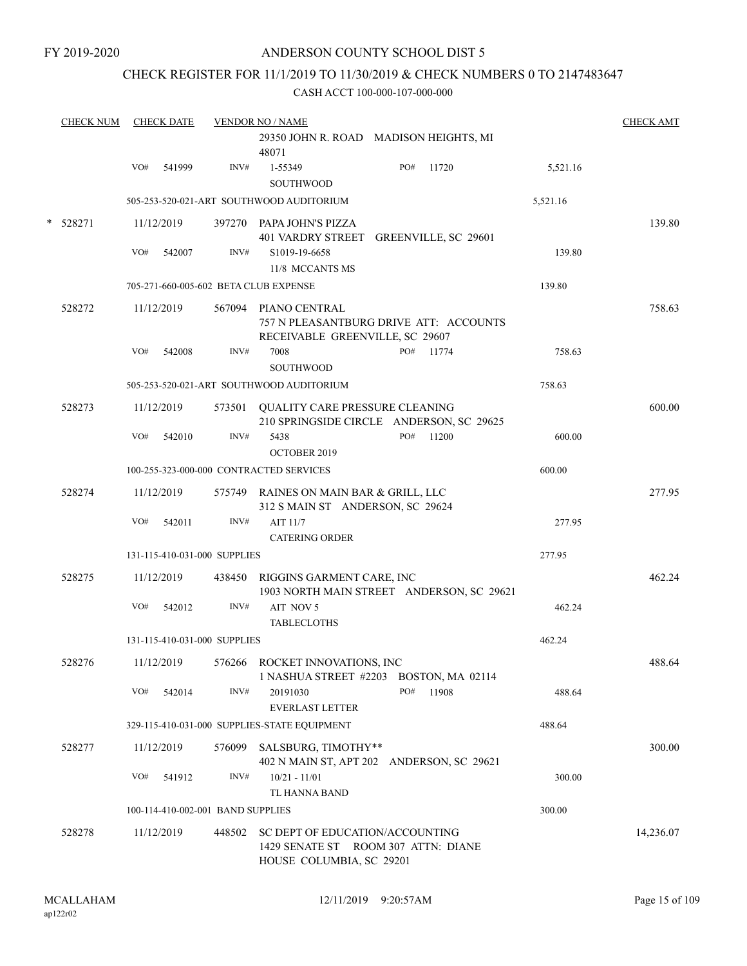# CHECK REGISTER FOR 11/1/2019 TO 11/30/2019 & CHECK NUMBERS 0 TO 2147483647

|   | <b>CHECK NUM</b> |     | <b>CHECK DATE</b> |                                   | <b>VENDOR NO / NAME</b>                                                    |                                           |          | <b>CHECK AMT</b> |
|---|------------------|-----|-------------------|-----------------------------------|----------------------------------------------------------------------------|-------------------------------------------|----------|------------------|
|   |                  |     |                   |                                   | 48071                                                                      | 29350 JOHN R. ROAD MADISON HEIGHTS, MI    |          |                  |
|   |                  | VO# | 541999            | INV#                              | 1-55349<br>SOUTHWOOD                                                       | PO#<br>11720                              | 5,521.16 |                  |
|   |                  |     |                   |                                   | 505-253-520-021-ART SOUTHWOOD AUDITORIUM                                   |                                           | 5,521.16 |                  |
| * | 528271           |     | 11/12/2019        |                                   | 397270 PAPA JOHN'S PIZZA                                                   | 401 VARDRY STREET GREENVILLE, SC 29601    |          | 139.80           |
|   |                  | VO# | 542007            | INV#                              | S1019-19-6658<br>11/8 MCCANTS MS                                           |                                           | 139.80   |                  |
|   |                  |     |                   |                                   | 705-271-660-005-602 BETA CLUB EXPENSE                                      |                                           | 139.80   |                  |
|   | 528272           |     | 11/12/2019        |                                   | 567094 PIANO CENTRAL<br>RECEIVABLE GREENVILLE, SC 29607                    | 757 N PLEASANTBURG DRIVE ATT: ACCOUNTS    |          | 758.63           |
|   |                  | VO# | 542008            | INV#                              | 7008                                                                       | PO#<br>11774                              | 758.63   |                  |
|   |                  |     |                   |                                   | <b>SOUTHWOOD</b>                                                           |                                           |          |                  |
|   |                  |     |                   |                                   | 505-253-520-021-ART SOUTHWOOD AUDITORIUM                                   |                                           | 758.63   |                  |
|   | 528273           |     | 11/12/2019        |                                   | 573501 QUALITY CARE PRESSURE CLEANING                                      | 210 SPRINGSIDE CIRCLE ANDERSON, SC 29625  |          | 600.00           |
|   |                  | VO# | 542010            | INV#                              | 5438<br>OCTOBER 2019                                                       | PO#<br>11200                              | 600.00   |                  |
|   |                  |     |                   |                                   | 100-255-323-000-000 CONTRACTED SERVICES                                    |                                           | 600.00   |                  |
|   | 528274           |     | 11/12/2019        |                                   | 575749 RAINES ON MAIN BAR & GRILL, LLC<br>312 S MAIN ST ANDERSON, SC 29624 |                                           |          | 277.95           |
|   |                  | VO# | 542011            | INV#                              | AIT 11/7<br><b>CATERING ORDER</b>                                          |                                           | 277.95   |                  |
|   |                  |     |                   | 131-115-410-031-000 SUPPLIES      |                                                                            |                                           | 277.95   |                  |
|   | 528275           |     | 11/12/2019        |                                   | 438450 RIGGINS GARMENT CARE, INC                                           | 1903 NORTH MAIN STREET ANDERSON, SC 29621 |          | 462.24           |
|   |                  | VO# | 542012            | INV#                              | AIT NOV 5<br><b>TABLECLOTHS</b>                                            |                                           | 462.24   |                  |
|   |                  |     |                   | 131-115-410-031-000 SUPPLIES      |                                                                            |                                           | 462.24   |                  |
|   | 528276           |     | 11/12/2019        |                                   | 576266 ROCKET INNOVATIONS, INC                                             | 1 NASHUA STREET #2203 BOSTON, MA 02114    |          | 488.64           |
|   |                  | VO# | 542014            | INV#                              | 20191030<br><b>EVERLAST LETTER</b>                                         | PO#<br>11908                              | 488.64   |                  |
|   |                  |     |                   |                                   | 329-115-410-031-000 SUPPLIES-STATE EQUIPMENT                               |                                           | 488.64   |                  |
|   | 528277           |     | 11/12/2019        | 576099                            | SALSBURG, TIMOTHY**                                                        | 402 N MAIN ST, APT 202 ANDERSON, SC 29621 |          | 300.00           |
|   |                  | VO# | 541912            | INV#                              | $10/21 - 11/01$<br>TL HANNA BAND                                           |                                           | 300.00   |                  |
|   |                  |     |                   | 100-114-410-002-001 BAND SUPPLIES |                                                                            |                                           | 300.00   |                  |
|   | 528278           |     | 11/12/2019        | 448502                            | SC DEPT OF EDUCATION/ACCOUNTING<br>HOUSE COLUMBIA, SC 29201                | 1429 SENATE ST ROOM 307 ATTN: DIANE       |          | 14,236.07        |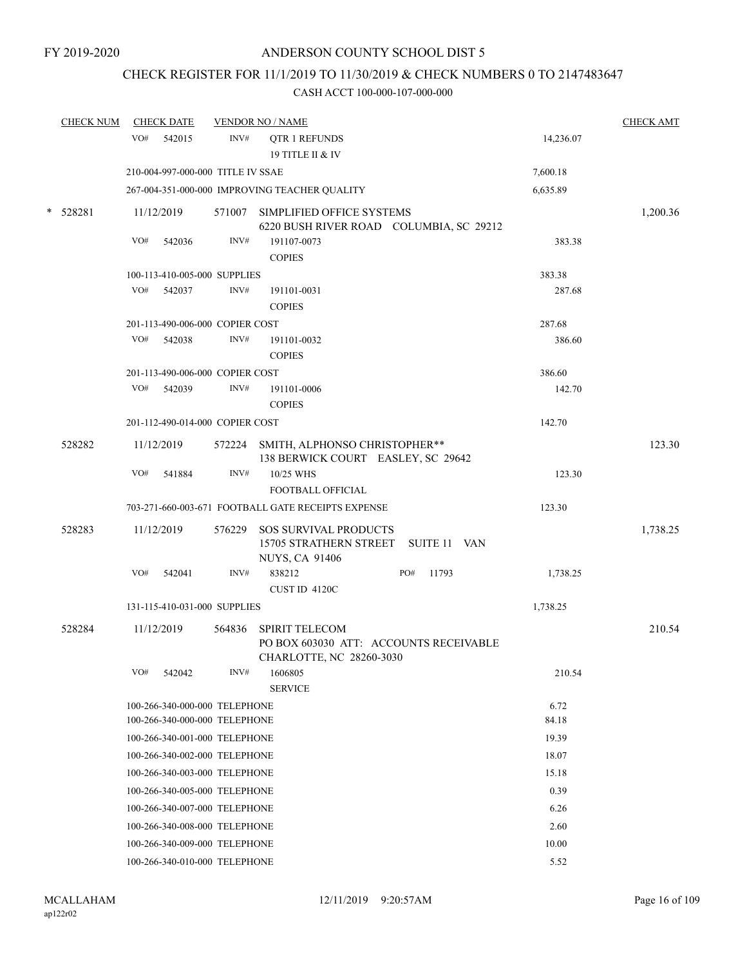# CHECK REGISTER FOR 11/1/2019 TO 11/30/2019 & CHECK NUMBERS 0 TO 2147483647

| <b>CHECK NUM</b> |     | <b>CHECK DATE</b>                                              |        | <b>VENDOR NO / NAME</b>                                                                      |  |              |  |               | <b>CHECK AMT</b> |
|------------------|-----|----------------------------------------------------------------|--------|----------------------------------------------------------------------------------------------|--|--------------|--|---------------|------------------|
|                  | VO# | 542015                                                         | INV#   | <b>QTR 1 REFUNDS</b><br><b>19 TITLE II &amp; IV</b>                                          |  |              |  | 14,236.07     |                  |
|                  |     | 210-004-997-000-000 TITLE IV SSAE                              |        |                                                                                              |  |              |  | 7,600.18      |                  |
|                  |     |                                                                |        | 267-004-351-000-000 IMPROVING TEACHER QUALITY                                                |  |              |  | 6,635.89      |                  |
| * 528281         |     | 11/12/2019                                                     | 571007 | SIMPLIFIED OFFICE SYSTEMS<br>6220 BUSH RIVER ROAD COLUMBIA, SC 29212                         |  |              |  |               | 1,200.36         |
|                  | VO# | 542036                                                         | INV#   | 191107-0073<br><b>COPIES</b>                                                                 |  |              |  | 383.38        |                  |
|                  |     | 100-113-410-005-000 SUPPLIES                                   |        |                                                                                              |  |              |  | 383.38        |                  |
|                  | VO# | 542037                                                         | INV#   | 191101-0031<br><b>COPIES</b>                                                                 |  |              |  | 287.68        |                  |
|                  |     | 201-113-490-006-000 COPIER COST                                |        |                                                                                              |  |              |  | 287.68        |                  |
|                  | VO# | 542038                                                         | INV#   | 191101-0032<br><b>COPIES</b>                                                                 |  |              |  | 386.60        |                  |
|                  |     | 201-113-490-006-000 COPIER COST                                |        |                                                                                              |  |              |  | 386.60        |                  |
|                  | VO# | 542039                                                         | INV#   | 191101-0006<br><b>COPIES</b>                                                                 |  |              |  | 142.70        |                  |
|                  |     | 201-112-490-014-000 COPIER COST                                |        |                                                                                              |  |              |  | 142.70        |                  |
| 528282           |     | 11/12/2019                                                     |        | 572224 SMITH, ALPHONSO CHRISTOPHER**<br>138 BERWICK COURT EASLEY, SC 29642                   |  |              |  |               | 123.30           |
|                  | VO# | 541884                                                         | INV#   | 10/25 WHS<br>FOOTBALL OFFICIAL                                                               |  |              |  | 123.30        |                  |
|                  |     |                                                                |        | 703-271-660-003-671 FOOTBALL GATE RECEIPTS EXPENSE                                           |  |              |  | 123.30        |                  |
| 528283           |     | 11/12/2019                                                     | 576229 | <b>SOS SURVIVAL PRODUCTS</b><br>15705 STRATHERN STREET SUITE 11 VAN<br><b>NUYS, CA 91406</b> |  |              |  |               | 1,738.25         |
|                  | VO# | 542041                                                         | INV#   | 838212<br>CUST ID 4120C                                                                      |  | PO#<br>11793 |  | 1,738.25      |                  |
|                  |     | 131-115-410-031-000 SUPPLIES                                   |        |                                                                                              |  |              |  | 1,738.25      |                  |
| 528284           |     | 11/12/2019                                                     | 564836 | <b>SPIRIT TELECOM</b><br>PO BOX 603030 ATT: ACCOUNTS RECEIVABLE<br>CHARLOTTE, NC 28260-3030  |  |              |  |               | 210.54           |
|                  | VO# | 542042                                                         | INV#   | 1606805<br><b>SERVICE</b>                                                                    |  |              |  | 210.54        |                  |
|                  |     | 100-266-340-000-000 TELEPHONE<br>100-266-340-000-000 TELEPHONE |        |                                                                                              |  |              |  | 6.72<br>84.18 |                  |
|                  |     | 100-266-340-001-000 TELEPHONE                                  |        |                                                                                              |  |              |  | 19.39         |                  |
|                  |     |                                                                |        | 100-266-340-002-000 TELEPHONE                                                                |  |              |  | 18.07         |                  |
|                  |     | 100-266-340-003-000 TELEPHONE                                  |        |                                                                                              |  |              |  | 15.18         |                  |
|                  |     | 100-266-340-005-000 TELEPHONE                                  |        |                                                                                              |  |              |  | 0.39          |                  |
|                  |     | 100-266-340-007-000 TELEPHONE                                  |        |                                                                                              |  |              |  | 6.26          |                  |
|                  |     | 100-266-340-008-000 TELEPHONE                                  |        |                                                                                              |  |              |  | 2.60          |                  |
|                  |     | 100-266-340-009-000 TELEPHONE                                  |        |                                                                                              |  |              |  | 10.00         |                  |
|                  |     | 100-266-340-010-000 TELEPHONE                                  |        |                                                                                              |  |              |  | 5.52          |                  |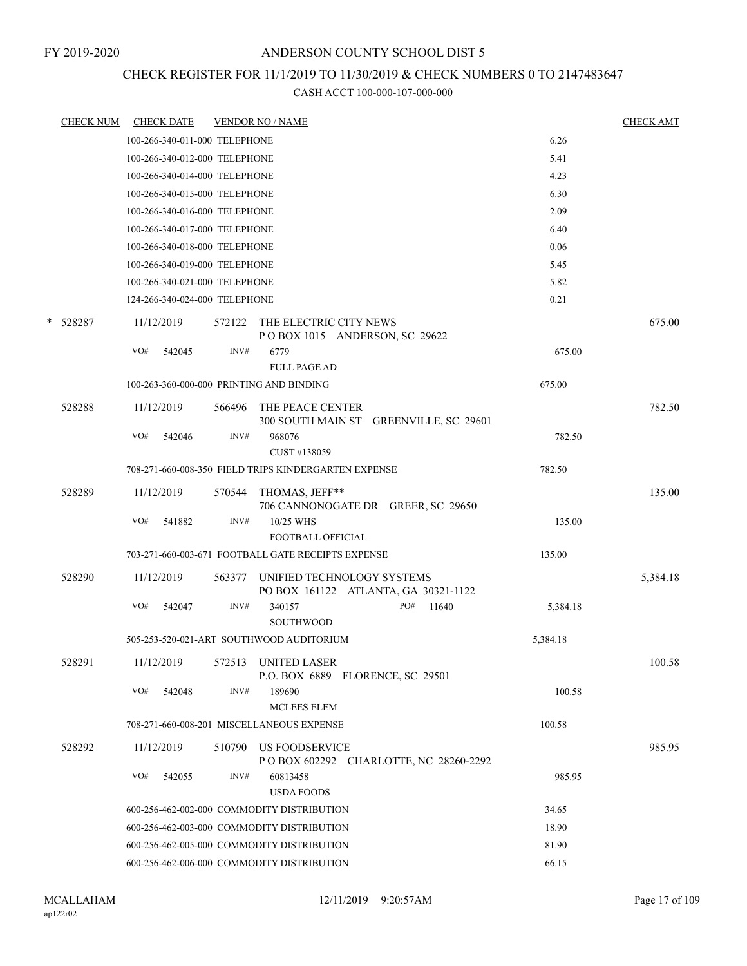# CHECK REGISTER FOR 11/1/2019 TO 11/30/2019 & CHECK NUMBERS 0 TO 2147483647

|   | <b>CHECK NUM</b> | <b>CHECK DATE</b>                        |        | <b>VENDOR NO / NAME</b>                                            |          | <b>CHECK AMT</b> |
|---|------------------|------------------------------------------|--------|--------------------------------------------------------------------|----------|------------------|
|   |                  | 100-266-340-011-000 TELEPHONE            |        |                                                                    | 6.26     |                  |
|   |                  | 100-266-340-012-000 TELEPHONE            |        |                                                                    | 5.41     |                  |
|   |                  | 100-266-340-014-000 TELEPHONE            |        |                                                                    | 4.23     |                  |
|   |                  | 100-266-340-015-000 TELEPHONE            |        |                                                                    | 6.30     |                  |
|   |                  | 100-266-340-016-000 TELEPHONE            |        |                                                                    | 2.09     |                  |
|   |                  | 100-266-340-017-000 TELEPHONE            |        |                                                                    | 6.40     |                  |
|   |                  | 100-266-340-018-000 TELEPHONE            |        |                                                                    | 0.06     |                  |
|   |                  | 100-266-340-019-000 TELEPHONE            |        |                                                                    | 5.45     |                  |
|   |                  | 100-266-340-021-000 TELEPHONE            |        |                                                                    | 5.82     |                  |
|   |                  | 124-266-340-024-000 TELEPHONE            |        |                                                                    | 0.21     |                  |
| * | 528287           | 11/12/2019                               | 572122 | THE ELECTRIC CITY NEWS<br>POBOX 1015 ANDERSON, SC 29622            |          | 675.00           |
|   |                  | VO#<br>542045                            | INV#   | 6779                                                               | 675.00   |                  |
|   |                  |                                          |        | <b>FULL PAGE AD</b>                                                |          |                  |
|   |                  | 100-263-360-000-000 PRINTING AND BINDING |        |                                                                    | 675.00   |                  |
|   | 528288           | 11/12/2019                               | 566496 | THE PEACE CENTER<br>300 SOUTH MAIN ST GREENVILLE, SC 29601         |          | 782.50           |
|   |                  | VO#<br>542046                            | INV#   | 968076<br>CUST #138059                                             | 782.50   |                  |
|   |                  |                                          |        | 708-271-660-008-350 FIELD TRIPS KINDERGARTEN EXPENSE               | 782.50   |                  |
|   | 528289           | 11/12/2019                               |        | 570544 THOMAS, JEFF**                                              |          | 135.00           |
|   |                  | VO#<br>541882                            | INV#   | 706 CANNONOGATE DR GREER, SC 29650<br>10/25 WHS                    | 135.00   |                  |
|   |                  |                                          |        | FOOTBALL OFFICIAL                                                  |          |                  |
|   |                  |                                          |        | 703-271-660-003-671 FOOTBALL GATE RECEIPTS EXPENSE                 | 135.00   |                  |
|   | 528290           | 11/12/2019                               | 563377 | UNIFIED TECHNOLOGY SYSTEMS<br>PO BOX 161122 ATLANTA, GA 30321-1122 |          | 5,384.18         |
|   |                  | VO#<br>542047                            | INV#   | PO#<br>340157<br>11640<br>SOUTHWOOD                                | 5,384.18 |                  |
|   |                  |                                          |        | 505-253-520-021-ART SOUTHWOOD AUDITORIUM                           | 5,384.18 |                  |
|   | 528291           |                                          |        | 11/12/2019 572513 UNITED LASER<br>P.O. BOX 6889 FLORENCE, SC 29501 |          | 100.58           |
|   |                  | VO#<br>542048                            | INV#   | 189690<br><b>MCLEES ELEM</b>                                       | 100.58   |                  |
|   |                  |                                          |        | 708-271-660-008-201 MISCELLANEOUS EXPENSE                          | 100.58   |                  |
|   | 528292           | 11/12/2019                               |        | 510790 US FOODSERVICE                                              |          | 985.95           |
|   |                  | VO#<br>542055                            | INV#   | P O BOX 602292 CHARLOTTE, NC 28260-2292<br>60813458                | 985.95   |                  |
|   |                  |                                          |        | <b>USDA FOODS</b><br>600-256-462-002-000 COMMODITY DISTRIBUTION    | 34.65    |                  |
|   |                  |                                          |        | 600-256-462-003-000 COMMODITY DISTRIBUTION                         | 18.90    |                  |
|   |                  |                                          |        | 600-256-462-005-000 COMMODITY DISTRIBUTION                         | 81.90    |                  |
|   |                  |                                          |        | 600-256-462-006-000 COMMODITY DISTRIBUTION                         | 66.15    |                  |
|   |                  |                                          |        |                                                                    |          |                  |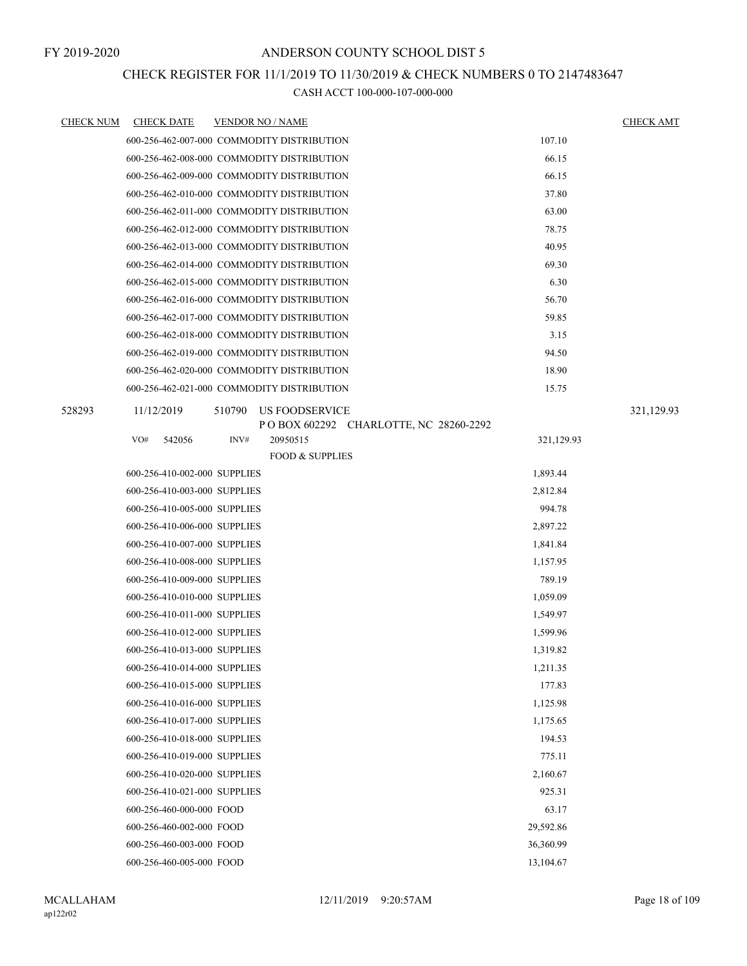# CHECK REGISTER FOR 11/1/2019 TO 11/30/2019 & CHECK NUMBERS 0 TO 2147483647

| <b>CHECK NUM</b> | <b>CHECK DATE</b>            | <b>VENDOR NO / NAME</b>                                   |            | <b>CHECK AMT</b> |
|------------------|------------------------------|-----------------------------------------------------------|------------|------------------|
|                  |                              | 600-256-462-007-000 COMMODITY DISTRIBUTION                | 107.10     |                  |
|                  |                              | 600-256-462-008-000 COMMODITY DISTRIBUTION                | 66.15      |                  |
|                  |                              | 600-256-462-009-000 COMMODITY DISTRIBUTION                | 66.15      |                  |
|                  |                              | 600-256-462-010-000 COMMODITY DISTRIBUTION                | 37.80      |                  |
|                  |                              | 600-256-462-011-000 COMMODITY DISTRIBUTION                | 63.00      |                  |
|                  |                              | 600-256-462-012-000 COMMODITY DISTRIBUTION                | 78.75      |                  |
|                  |                              | 600-256-462-013-000 COMMODITY DISTRIBUTION                | 40.95      |                  |
|                  |                              | 600-256-462-014-000 COMMODITY DISTRIBUTION                | 69.30      |                  |
|                  |                              | 600-256-462-015-000 COMMODITY DISTRIBUTION                | 6.30       |                  |
|                  |                              | 600-256-462-016-000 COMMODITY DISTRIBUTION                | 56.70      |                  |
|                  |                              | 600-256-462-017-000 COMMODITY DISTRIBUTION                | 59.85      |                  |
|                  |                              | 600-256-462-018-000 COMMODITY DISTRIBUTION                | 3.15       |                  |
|                  |                              | 600-256-462-019-000 COMMODITY DISTRIBUTION                | 94.50      |                  |
|                  |                              | 600-256-462-020-000 COMMODITY DISTRIBUTION                | 18.90      |                  |
|                  |                              | 600-256-462-021-000 COMMODITY DISTRIBUTION                | 15.75      |                  |
| 528293           | 11/12/2019                   | 510790<br>US FOODSERVICE                                  |            | 321,129.93       |
|                  | VO#<br>542056                | POBOX 602292 CHARLOTTE, NC 28260-2292<br>INV#<br>20950515 | 321,129.93 |                  |
|                  |                              | <b>FOOD &amp; SUPPLIES</b>                                |            |                  |
|                  | 600-256-410-002-000 SUPPLIES |                                                           | 1,893.44   |                  |
|                  | 600-256-410-003-000 SUPPLIES |                                                           | 2,812.84   |                  |
|                  | 600-256-410-005-000 SUPPLIES |                                                           | 994.78     |                  |
|                  | 600-256-410-006-000 SUPPLIES |                                                           | 2,897.22   |                  |
|                  | 600-256-410-007-000 SUPPLIES |                                                           | 1,841.84   |                  |
|                  | 600-256-410-008-000 SUPPLIES |                                                           | 1,157.95   |                  |
|                  | 600-256-410-009-000 SUPPLIES |                                                           | 789.19     |                  |
|                  | 600-256-410-010-000 SUPPLIES |                                                           | 1,059.09   |                  |
|                  | 600-256-410-011-000 SUPPLIES |                                                           | 1,549.97   |                  |
|                  | 600-256-410-012-000 SUPPLIES |                                                           | 1,599.96   |                  |
|                  | 600-256-410-013-000 SUPPLIES |                                                           | 1,319.82   |                  |
|                  | 600-256-410-014-000 SUPPLIES |                                                           | 1,211.35   |                  |
|                  | 600-256-410-015-000 SUPPLIES |                                                           | 177.83     |                  |
|                  | 600-256-410-016-000 SUPPLIES |                                                           | 1,125.98   |                  |
|                  | 600-256-410-017-000 SUPPLIES |                                                           | 1,175.65   |                  |
|                  | 600-256-410-018-000 SUPPLIES |                                                           | 194.53     |                  |
|                  | 600-256-410-019-000 SUPPLIES |                                                           | 775.11     |                  |
|                  | 600-256-410-020-000 SUPPLIES |                                                           | 2,160.67   |                  |
|                  | 600-256-410-021-000 SUPPLIES |                                                           | 925.31     |                  |
|                  | 600-256-460-000-000 FOOD     |                                                           | 63.17      |                  |
|                  | 600-256-460-002-000 FOOD     |                                                           | 29,592.86  |                  |
|                  | 600-256-460-003-000 FOOD     |                                                           | 36,360.99  |                  |
|                  | 600-256-460-005-000 FOOD     |                                                           | 13,104.67  |                  |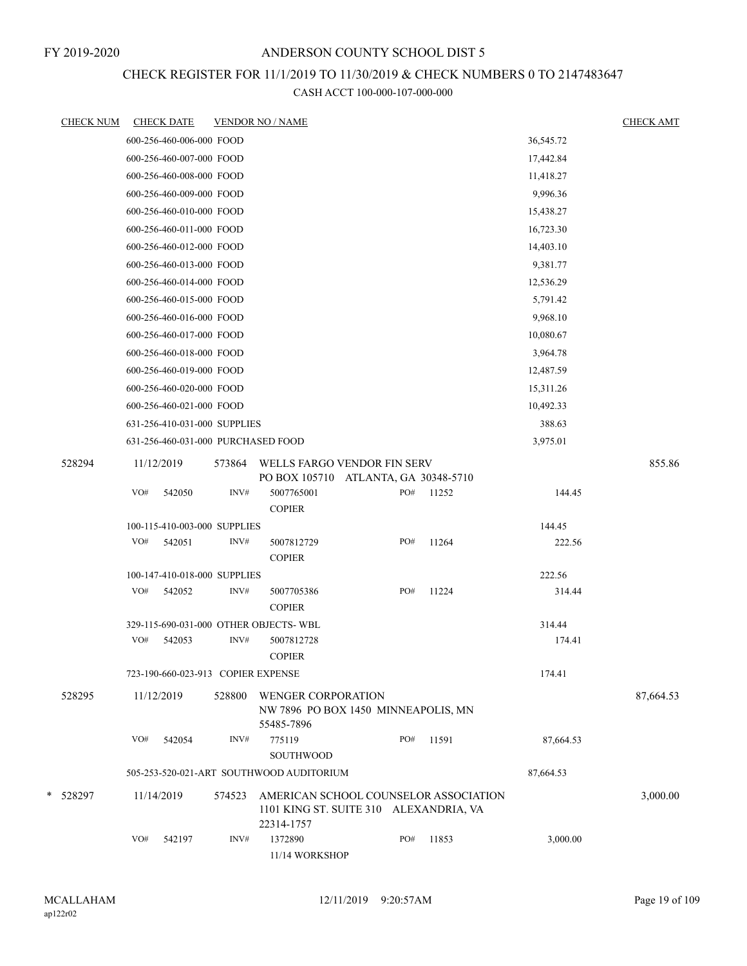# CHECK REGISTER FOR 11/1/2019 TO 11/30/2019 & CHECK NUMBERS 0 TO 2147483647

| <b>CHECK NUM</b> |     | <b>CHECK DATE</b>                  |        | <b>VENDOR NO / NAME</b>                                                                       |     |       |           | <b>CHECK AMT</b> |
|------------------|-----|------------------------------------|--------|-----------------------------------------------------------------------------------------------|-----|-------|-----------|------------------|
|                  |     | 600-256-460-006-000 FOOD           |        |                                                                                               |     |       | 36,545.72 |                  |
|                  |     | 600-256-460-007-000 FOOD           |        |                                                                                               |     |       | 17,442.84 |                  |
|                  |     | 600-256-460-008-000 FOOD           |        |                                                                                               |     |       | 11,418.27 |                  |
|                  |     | 600-256-460-009-000 FOOD           |        |                                                                                               |     |       | 9,996.36  |                  |
|                  |     | 600-256-460-010-000 FOOD           |        |                                                                                               |     |       | 15,438.27 |                  |
|                  |     | 600-256-460-011-000 FOOD           |        |                                                                                               |     |       | 16,723.30 |                  |
|                  |     | 600-256-460-012-000 FOOD           |        |                                                                                               |     |       | 14,403.10 |                  |
|                  |     | 600-256-460-013-000 FOOD           |        |                                                                                               |     |       | 9,381.77  |                  |
|                  |     | 600-256-460-014-000 FOOD           |        |                                                                                               |     |       | 12,536.29 |                  |
|                  |     | 600-256-460-015-000 FOOD           |        |                                                                                               |     |       | 5,791.42  |                  |
|                  |     | 600-256-460-016-000 FOOD           |        |                                                                                               |     |       | 9,968.10  |                  |
|                  |     | 600-256-460-017-000 FOOD           |        |                                                                                               |     |       | 10,080.67 |                  |
|                  |     | 600-256-460-018-000 FOOD           |        |                                                                                               |     |       | 3,964.78  |                  |
|                  |     | 600-256-460-019-000 FOOD           |        |                                                                                               |     |       | 12,487.59 |                  |
|                  |     | 600-256-460-020-000 FOOD           |        |                                                                                               |     |       | 15,311.26 |                  |
|                  |     | 600-256-460-021-000 FOOD           |        |                                                                                               |     |       | 10,492.33 |                  |
|                  |     | 631-256-410-031-000 SUPPLIES       |        |                                                                                               |     |       | 388.63    |                  |
|                  |     | 631-256-460-031-000 PURCHASED FOOD |        |                                                                                               |     |       | 3,975.01  |                  |
| 528294           |     | 11/12/2019                         | 573864 | WELLS FARGO VENDOR FIN SERV                                                                   |     |       |           | 855.86           |
|                  | VO# | 542050                             | INV#   | PO BOX 105710 ATLANTA, GA 30348-5710<br>5007765001                                            | PO# | 11252 | 144.45    |                  |
|                  |     |                                    |        | <b>COPIER</b>                                                                                 |     |       |           |                  |
|                  |     | 100-115-410-003-000 SUPPLIES       |        |                                                                                               |     |       | 144.45    |                  |
|                  | VO# | 542051                             | INV#   | 5007812729<br><b>COPIER</b>                                                                   | PO# | 11264 | 222.56    |                  |
|                  |     | 100-147-410-018-000 SUPPLIES       |        |                                                                                               |     |       | 222.56    |                  |
|                  | VO# | 542052                             | INV#   | 5007705386<br><b>COPIER</b>                                                                   | PO# | 11224 | 314.44    |                  |
|                  |     |                                    |        | 329-115-690-031-000 OTHER OBJECTS- WBL                                                        |     |       | 314.44    |                  |
|                  | VO# | 542053                             | INV#   | 5007812728<br><b>COPIER</b>                                                                   |     |       | 174.41    |                  |
|                  |     | 723-190-660-023-913 COPIER EXPENSE |        |                                                                                               |     |       | 174.41    |                  |
| 528295           |     | 11/12/2019                         | 528800 | <b>WENGER CORPORATION</b><br>NW 7896 PO BOX 1450 MINNEAPOLIS, MN<br>55485-7896                |     |       |           | 87,664.53        |
|                  | VO# | 542054                             | INV#   | 775119<br>SOUTHWOOD                                                                           | PO# | 11591 | 87,664.53 |                  |
|                  |     |                                    |        | 505-253-520-021-ART SOUTHWOOD AUDITORIUM                                                      |     |       | 87,664.53 |                  |
| * 528297         |     | 11/14/2019                         | 574523 | AMERICAN SCHOOL COUNSELOR ASSOCIATION<br>1101 KING ST. SUITE 310 ALEXANDRIA, VA<br>22314-1757 |     |       |           | 3,000.00         |
|                  | VO# | 542197                             | INV#   | 1372890<br>11/14 WORKSHOP                                                                     | PO# | 11853 | 3,000.00  |                  |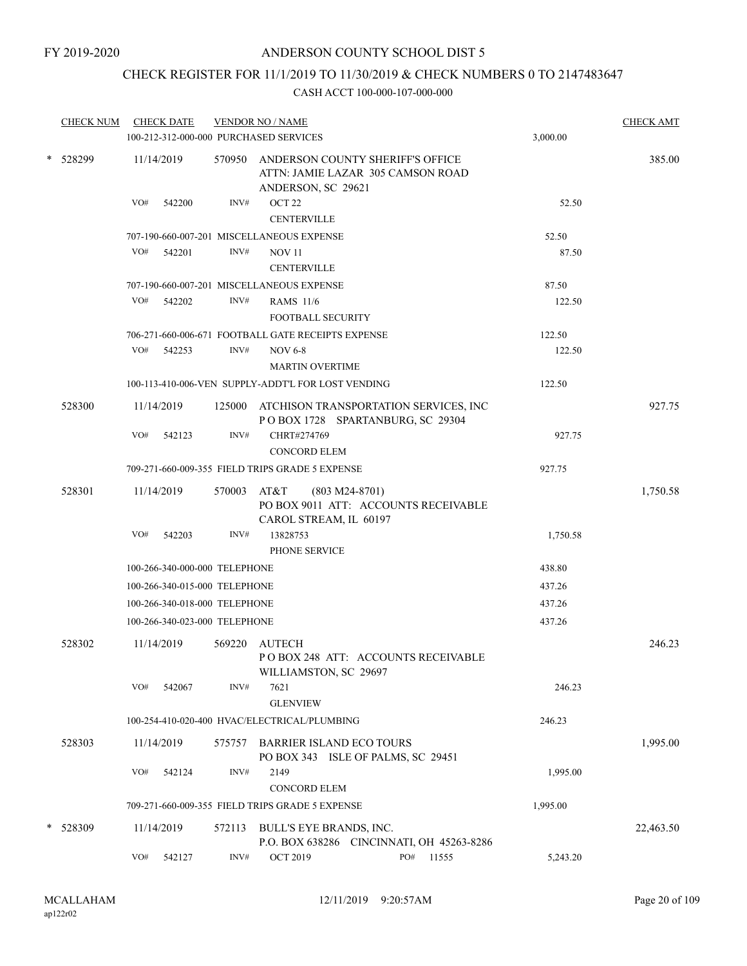# CHECK REGISTER FOR 11/1/2019 TO 11/30/2019 & CHECK NUMBERS 0 TO 2147483647

| <b>CHECK NUM</b> |     | <b>CHECK DATE</b>             |                  | <b>VENDOR NO / NAME</b><br>100-212-312-000-000 PURCHASED SERVICES                                  |                  |                                           | 3,000.00 | <b>CHECK AMT</b> |
|------------------|-----|-------------------------------|------------------|----------------------------------------------------------------------------------------------------|------------------|-------------------------------------------|----------|------------------|
| * 528299         |     | 11/14/2019                    |                  | 570950 ANDERSON COUNTY SHERIFF'S OFFICE<br>ATTN: JAMIE LAZAR 305 CAMSON ROAD<br>ANDERSON, SC 29621 |                  |                                           |          | 385.00           |
|                  | VO# | 542200                        | INV#             | OCT <sub>22</sub><br><b>CENTERVILLE</b>                                                            |                  |                                           | 52.50    |                  |
|                  |     |                               |                  | 707-190-660-007-201 MISCELLANEOUS EXPENSE                                                          |                  |                                           | 52.50    |                  |
|                  | VO# | 542201                        | INV#             | <b>NOV 11</b><br><b>CENTERVILLE</b>                                                                |                  |                                           | 87.50    |                  |
|                  |     |                               |                  | 707-190-660-007-201 MISCELLANEOUS EXPENSE                                                          |                  |                                           | 87.50    |                  |
|                  | VO# | 542202                        | INV#             | <b>RAMS</b> 11/6<br><b>FOOTBALL SECURITY</b>                                                       |                  |                                           | 122.50   |                  |
|                  |     |                               |                  | 706-271-660-006-671 FOOTBALL GATE RECEIPTS EXPENSE                                                 |                  |                                           | 122.50   |                  |
|                  | VO# | 542253                        | INV#             | <b>NOV 6-8</b>                                                                                     |                  |                                           | 122.50   |                  |
|                  |     |                               |                  | <b>MARTIN OVERTIME</b>                                                                             |                  |                                           |          |                  |
|                  |     |                               |                  | 100-113-410-006-VEN SUPPLY-ADDT'L FOR LOST VENDING                                                 |                  |                                           | 122.50   |                  |
| 528300           |     | 11/14/2019                    |                  | 125000 ATCHISON TRANSPORTATION SERVICES, INC<br>POBOX 1728 SPARTANBURG, SC 29304                   |                  |                                           |          | 927.75           |
|                  | VO# | 542123                        | INV#             | CHRT#274769                                                                                        |                  |                                           | 927.75   |                  |
|                  |     |                               |                  | <b>CONCORD ELEM</b>                                                                                |                  |                                           |          |                  |
|                  |     |                               |                  | 709-271-660-009-355 FIELD TRIPS GRADE 5 EXPENSE                                                    |                  |                                           | 927.75   |                  |
| 528301           |     | 11/14/2019                    | 570003 AT&T      | PO BOX 9011 ATT: ACCOUNTS RECEIVABLE<br>CAROL STREAM, IL 60197                                     | $(803 M24-8701)$ |                                           |          | 1,750.58         |
|                  | VO# | 542203                        | INV#             | 13828753<br>PHONE SERVICE                                                                          |                  |                                           | 1,750.58 |                  |
|                  |     | 100-266-340-000-000 TELEPHONE |                  |                                                                                                    |                  |                                           | 438.80   |                  |
|                  |     | 100-266-340-015-000 TELEPHONE |                  |                                                                                                    |                  |                                           | 437.26   |                  |
|                  |     | 100-266-340-018-000 TELEPHONE |                  |                                                                                                    |                  |                                           | 437.26   |                  |
|                  |     | 100-266-340-023-000 TELEPHONE |                  |                                                                                                    |                  |                                           | 437.26   |                  |
| 528302           |     | 11/14/2019                    | 569220           | <b>AUTECH</b><br>PO BOX 248 ATT: ACCOUNTS RECEIVABLE<br>WILLIAMSTON, SC 29697                      |                  |                                           |          | 246.23           |
|                  | VO# | 542067                        | INV#             | 7621<br><b>GLENVIEW</b>                                                                            |                  |                                           | 246.23   |                  |
|                  |     |                               |                  | 100-254-410-020-400 HVAC/ELECTRICAL/PLUMBING                                                       |                  |                                           | 246.23   |                  |
| 528303           |     | 11/14/2019                    | 575757           | <b>BARRIER ISLAND ECO TOURS</b><br>PO BOX 343 ISLE OF PALMS, SC 29451                              |                  |                                           |          | 1,995.00         |
|                  | VO# | 542124                        | INV#             | 2149                                                                                               |                  |                                           | 1,995.00 |                  |
|                  |     |                               |                  | <b>CONCORD ELEM</b>                                                                                |                  |                                           |          |                  |
|                  |     |                               |                  | 709-271-660-009-355 FIELD TRIPS GRADE 5 EXPENSE                                                    |                  |                                           | 1,995.00 |                  |
| * 528309         |     | 11/14/2019                    | 572113           | BULL'S EYE BRANDS, INC.                                                                            |                  | P.O. BOX 638286 CINCINNATI, OH 45263-8286 |          | 22,463.50        |
|                  | VO# | 542127                        | $\mathrm{INV}\#$ | <b>OCT 2019</b>                                                                                    | PO#              | 11555                                     | 5,243.20 |                  |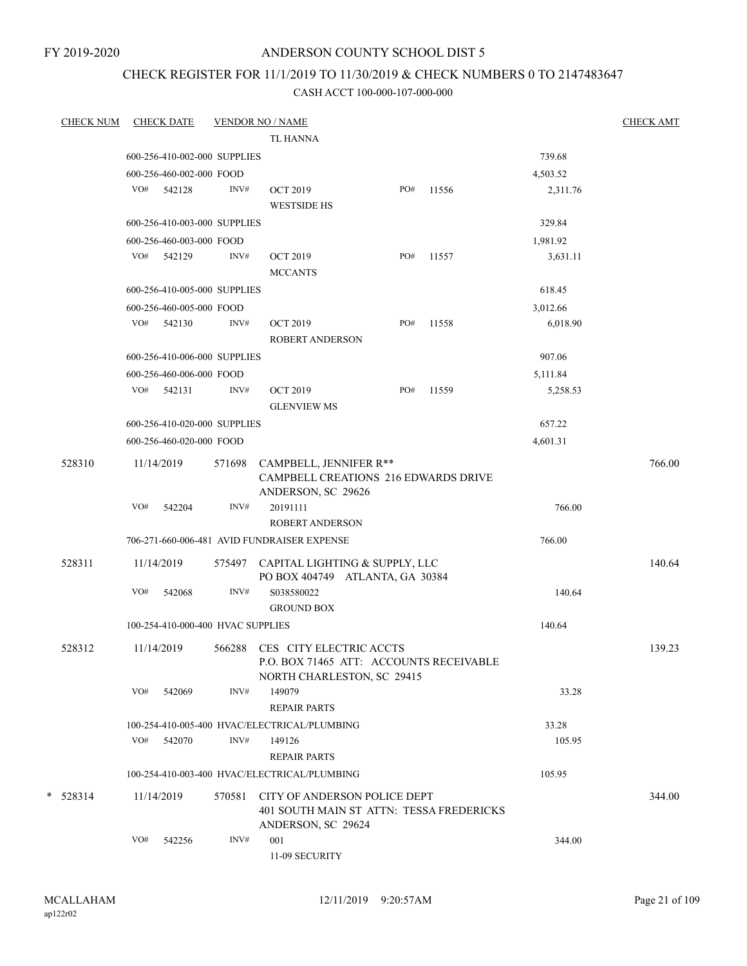FY 2019-2020

# ANDERSON COUNTY SCHOOL DIST 5

# CHECK REGISTER FOR 11/1/2019 TO 11/30/2019 & CHECK NUMBERS 0 TO 2147483647

| <b>CHECK NUM</b> |     | <b>CHECK DATE</b>                 |        | <b>VENDOR NO / NAME</b>                                                                                 |     |       |          | <b>CHECK AMT</b> |
|------------------|-----|-----------------------------------|--------|---------------------------------------------------------------------------------------------------------|-----|-------|----------|------------------|
|                  |     |                                   |        | <b>TL HANNA</b>                                                                                         |     |       |          |                  |
|                  |     | 600-256-410-002-000 SUPPLIES      |        |                                                                                                         |     |       | 739.68   |                  |
|                  |     | 600-256-460-002-000 FOOD          |        |                                                                                                         |     |       | 4,503.52 |                  |
|                  |     | VO# 542128                        | INV#   | <b>OCT 2019</b><br><b>WESTSIDE HS</b>                                                                   | PO# | 11556 | 2,311.76 |                  |
|                  |     | 600-256-410-003-000 SUPPLIES      |        |                                                                                                         |     |       | 329.84   |                  |
|                  |     | 600-256-460-003-000 FOOD          |        |                                                                                                         |     |       | 1,981.92 |                  |
|                  |     | VO# 542129                        | INV#   | <b>OCT 2019</b><br><b>MCCANTS</b>                                                                       | PO# | 11557 | 3,631.11 |                  |
|                  |     | 600-256-410-005-000 SUPPLIES      |        |                                                                                                         |     |       | 618.45   |                  |
|                  |     | 600-256-460-005-000 FOOD          |        |                                                                                                         |     |       | 3,012.66 |                  |
|                  |     | VO# 542130                        | INV#   | <b>OCT 2019</b><br><b>ROBERT ANDERSON</b>                                                               | PO# | 11558 | 6,018.90 |                  |
|                  |     | 600-256-410-006-000 SUPPLIES      |        |                                                                                                         |     |       | 907.06   |                  |
|                  |     | 600-256-460-006-000 FOOD          |        |                                                                                                         |     |       | 5,111.84 |                  |
|                  |     | VO# 542131                        | INV#   | <b>OCT 2019</b><br><b>GLENVIEW MS</b>                                                                   | PO# | 11559 | 5,258.53 |                  |
|                  |     | 600-256-410-020-000 SUPPLIES      |        |                                                                                                         |     |       | 657.22   |                  |
|                  |     | 600-256-460-020-000 FOOD          |        |                                                                                                         |     |       | 4,601.31 |                  |
| 528310           |     | 11/14/2019                        | 571698 | CAMPBELL, JENNIFER R**<br><b>CAMPBELL CREATIONS 216 EDWARDS DRIVE</b><br>ANDERSON, SC 29626             |     |       |          | 766.00           |
|                  | VO# | 542204                            | INV#   | 20191111                                                                                                |     |       | 766.00   |                  |
|                  |     |                                   |        | <b>ROBERT ANDERSON</b>                                                                                  |     |       |          |                  |
|                  |     |                                   |        | 706-271-660-006-481 AVID FUNDRAISER EXPENSE                                                             |     |       | 766.00   |                  |
| 528311           |     | 11/14/2019                        |        | 575497 CAPITAL LIGHTING & SUPPLY, LLC<br>PO BOX 404749 ATLANTA, GA 30384                                |     |       |          | 140.64           |
|                  | VO# | 542068                            | INV#   | S038580022<br><b>GROUND BOX</b>                                                                         |     |       | 140.64   |                  |
|                  |     | 100-254-410-000-400 HVAC SUPPLIES |        |                                                                                                         |     |       | 140.64   |                  |
| 528312           |     | 11/14/2019                        |        | 566288 CES CITY ELECTRIC ACCTS<br>P.O. BOX 71465 ATT: ACCOUNTS RECEIVABLE<br>NORTH CHARLESTON, SC 29415 |     |       |          | 139.23           |
|                  | VO# | 542069                            | INV#   | 149079<br><b>REPAIR PARTS</b>                                                                           |     |       | 33.28    |                  |
|                  |     |                                   |        | 100-254-410-005-400 HVAC/ELECTRICAL/PLUMBING                                                            |     |       | 33.28    |                  |
|                  | VO# | 542070                            | INV#   | 149126<br><b>REPAIR PARTS</b>                                                                           |     |       | 105.95   |                  |
|                  |     |                                   |        | 100-254-410-003-400 HVAC/ELECTRICAL/PLUMBING                                                            |     |       | 105.95   |                  |
| $*$ 528314       |     | 11/14/2019                        | 570581 | CITY OF ANDERSON POLICE DEPT<br>401 SOUTH MAIN ST ATTN: TESSA FREDERICKS<br>ANDERSON, SC 29624          |     |       |          | 344.00           |
|                  | VO# | 542256                            | INV#   | 001<br>11-09 SECURITY                                                                                   |     |       | 344.00   |                  |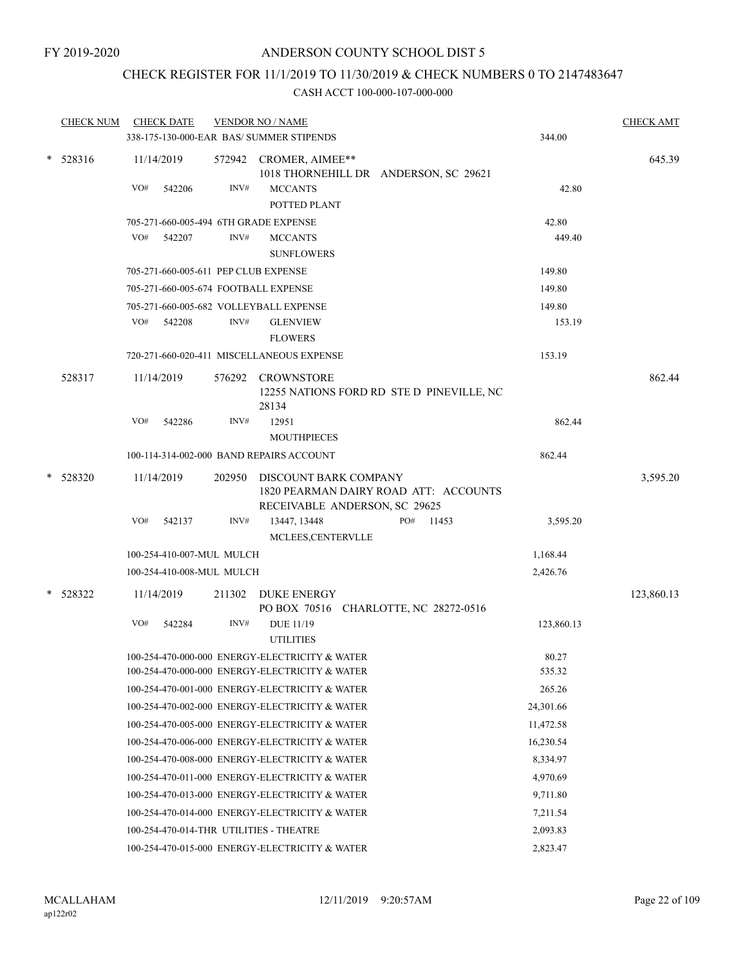# CHECK REGISTER FOR 11/1/2019 TO 11/30/2019 & CHECK NUMBERS 0 TO 2147483647

|        | <b>CHECK NUM</b> |     | <b>CHECK DATE</b>         |        | <b>VENDOR NO / NAME</b><br>338-175-130-000-EAR BAS/ SUMMER STIPENDS                             | 344.00     | <b>CHECK AMT</b> |
|--------|------------------|-----|---------------------------|--------|-------------------------------------------------------------------------------------------------|------------|------------------|
|        |                  |     |                           |        |                                                                                                 |            |                  |
| $\ast$ | 528316           |     | 11/14/2019                |        | 572942 CROMER, AIMEE**<br>1018 THORNEHILL DR ANDERSON, SC 29621                                 |            | 645.39           |
|        |                  | VO# | 542206                    | INV#   | <b>MCCANTS</b><br>POTTED PLANT                                                                  | 42.80      |                  |
|        |                  |     |                           |        | 705-271-660-005-494 6TH GRADE EXPENSE                                                           | 42.80      |                  |
|        |                  | VO# | 542207                    | INV#   | <b>MCCANTS</b><br><b>SUNFLOWERS</b>                                                             | 449.40     |                  |
|        |                  |     |                           |        | 705-271-660-005-611 PEP CLUB EXPENSE                                                            | 149.80     |                  |
|        |                  |     |                           |        | 705-271-660-005-674 FOOTBALL EXPENSE                                                            | 149.80     |                  |
|        |                  |     |                           |        | 705-271-660-005-682 VOLLEYBALL EXPENSE                                                          | 149.80     |                  |
|        |                  | VO# | 542208                    | INV#   | <b>GLENVIEW</b><br><b>FLOWERS</b>                                                               | 153.19     |                  |
|        |                  |     |                           |        | 720-271-660-020-411 MISCELLANEOUS EXPENSE                                                       | 153.19     |                  |
|        | 528317           |     | 11/14/2019                | 576292 | CROWNSTORE<br>12255 NATIONS FORD RD STE D PINEVILLE, NC<br>28134                                |            | 862.44           |
|        |                  | VO# | 542286                    | INV#   | 12951<br><b>MOUTHPIECES</b>                                                                     | 862.44     |                  |
|        |                  |     |                           |        | 100-114-314-002-000 BAND REPAIRS ACCOUNT                                                        | 862.44     |                  |
|        |                  |     |                           |        |                                                                                                 |            |                  |
|        | $*$ 528320       |     | 11/14/2019                | 202950 | DISCOUNT BARK COMPANY<br>1820 PEARMAN DAIRY ROAD ATT: ACCOUNTS<br>RECEIVABLE ANDERSON, SC 29625 |            | 3,595.20         |
|        |                  | VO# | 542137                    | INV#   | PO# 11453<br>13447, 13448<br>MCLEES, CENTERVLLE                                                 | 3,595.20   |                  |
|        |                  |     | 100-254-410-007-MUL MULCH |        |                                                                                                 | 1,168.44   |                  |
|        |                  |     | 100-254-410-008-MUL MULCH |        |                                                                                                 | 2,426.76   |                  |
|        | * 528322         |     | 11/14/2019                | 211302 | <b>DUKE ENERGY</b><br>PO BOX 70516 CHARLOTTE, NC 28272-0516                                     |            | 123,860.13       |
|        |                  | VO# | 542284                    | INV#   | <b>DUE 11/19</b><br><b>UTILITIES</b>                                                            | 123,860.13 |                  |
|        |                  |     |                           |        | 100-254-470-000-000 ENERGY-ELECTRICITY & WATER                                                  | 80.27      |                  |
|        |                  |     |                           |        | 100-254-470-000-000 ENERGY-ELECTRICITY & WATER                                                  | 535.32     |                  |
|        |                  |     |                           |        | 100-254-470-001-000 ENERGY-ELECTRICITY & WATER                                                  | 265.26     |                  |
|        |                  |     |                           |        | 100-254-470-002-000 ENERGY-ELECTRICITY & WATER                                                  | 24,301.66  |                  |
|        |                  |     |                           |        | 100-254-470-005-000 ENERGY-ELECTRICITY & WATER                                                  | 11,472.58  |                  |
|        |                  |     |                           |        | 100-254-470-006-000 ENERGY-ELECTRICITY & WATER                                                  | 16,230.54  |                  |
|        |                  |     |                           |        | 100-254-470-008-000 ENERGY-ELECTRICITY & WATER                                                  | 8,334.97   |                  |
|        |                  |     |                           |        | 100-254-470-011-000 ENERGY-ELECTRICITY & WATER                                                  | 4,970.69   |                  |
|        |                  |     |                           |        | 100-254-470-013-000 ENERGY-ELECTRICITY & WATER                                                  | 9,711.80   |                  |
|        |                  |     |                           |        | 100-254-470-014-000 ENERGY-ELECTRICITY & WATER                                                  | 7,211.54   |                  |
|        |                  |     |                           |        | 100-254-470-014-THR UTILITIES - THEATRE                                                         | 2,093.83   |                  |
|        |                  |     |                           |        | 100-254-470-015-000 ENERGY-ELECTRICITY & WATER                                                  | 2,823.47   |                  |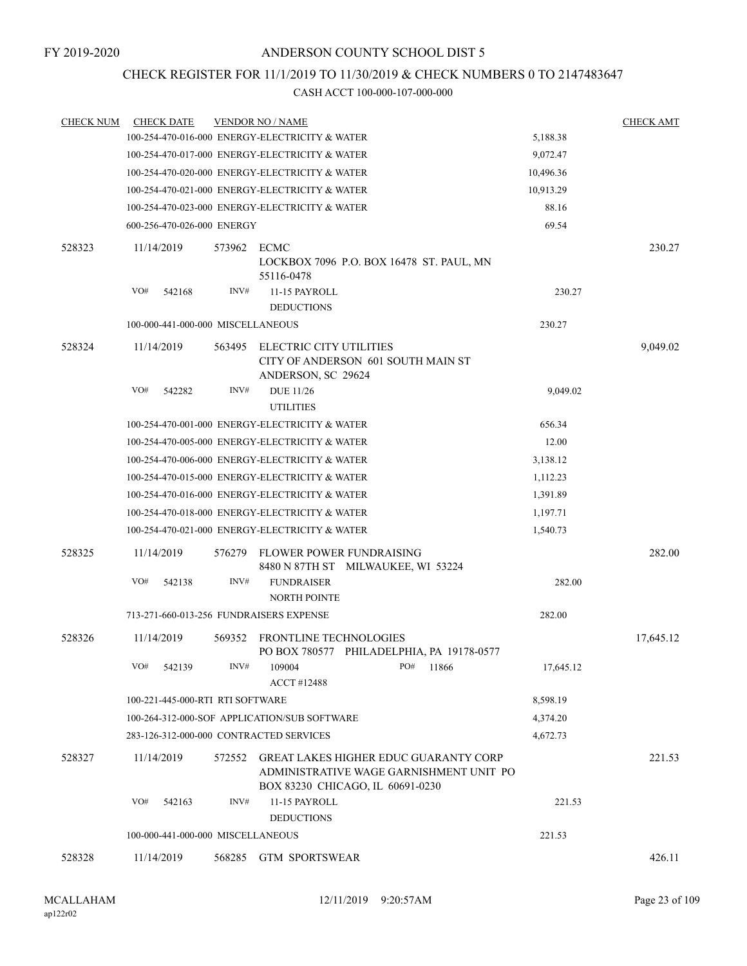# CHECK REGISTER FOR 11/1/2019 TO 11/30/2019 & CHECK NUMBERS 0 TO 2147483647

| <b>CHECK NUM</b> | <b>CHECK DATE</b>                       |        | <b>VENDOR NO / NAME</b>                                                                                                     |           | <b>CHECK AMT</b> |
|------------------|-----------------------------------------|--------|-----------------------------------------------------------------------------------------------------------------------------|-----------|------------------|
|                  |                                         |        | 100-254-470-016-000 ENERGY-ELECTRICITY & WATER                                                                              | 5,188.38  |                  |
|                  |                                         |        | 100-254-470-017-000 ENERGY-ELECTRICITY & WATER                                                                              | 9,072.47  |                  |
|                  |                                         |        | 100-254-470-020-000 ENERGY-ELECTRICITY & WATER                                                                              | 10,496.36 |                  |
|                  |                                         |        | 100-254-470-021-000 ENERGY-ELECTRICITY & WATER                                                                              | 10,913.29 |                  |
|                  |                                         |        | 100-254-470-023-000 ENERGY-ELECTRICITY & WATER                                                                              | 88.16     |                  |
|                  | 600-256-470-026-000 ENERGY              |        |                                                                                                                             | 69.54     |                  |
| 528323           | 11/14/2019                              | 573962 | ECMC<br>LOCKBOX 7096 P.O. BOX 16478 ST. PAUL, MN<br>55116-0478                                                              |           | 230.27           |
|                  | VO#<br>542168                           | INV#   | 11-15 PAYROLL                                                                                                               | 230.27    |                  |
|                  |                                         |        | <b>DEDUCTIONS</b>                                                                                                           |           |                  |
|                  | 100-000-441-000-000 MISCELLANEOUS       |        |                                                                                                                             | 230.27    |                  |
| 528324           | 11/14/2019                              | 563495 | ELECTRIC CITY UTILITIES<br>CITY OF ANDERSON 601 SOUTH MAIN ST<br>ANDERSON, SC 29624                                         |           | 9,049.02         |
|                  | VO#<br>542282                           | INV#   | <b>DUE 11/26</b><br><b>UTILITIES</b>                                                                                        | 9,049.02  |                  |
|                  |                                         |        | 100-254-470-001-000 ENERGY-ELECTRICITY & WATER                                                                              | 656.34    |                  |
|                  |                                         |        | 100-254-470-005-000 ENERGY-ELECTRICITY & WATER                                                                              | 12.00     |                  |
|                  |                                         |        | 100-254-470-006-000 ENERGY-ELECTRICITY & WATER                                                                              | 3,138.12  |                  |
|                  |                                         |        | 100-254-470-015-000 ENERGY-ELECTRICITY & WATER                                                                              | 1,112.23  |                  |
|                  |                                         |        | 100-254-470-016-000 ENERGY-ELECTRICITY & WATER                                                                              | 1,391.89  |                  |
|                  |                                         |        | 100-254-470-018-000 ENERGY-ELECTRICITY & WATER                                                                              | 1,197.71  |                  |
|                  |                                         |        | 100-254-470-021-000 ENERGY-ELECTRICITY & WATER                                                                              | 1,540.73  |                  |
| 528325           | 11/14/2019                              | 576279 | FLOWER POWER FUNDRAISING<br>8480 N 87TH ST MILWAUKEE, WI 53224                                                              |           | 282.00           |
|                  | VO#<br>542138                           | INV#   | <b>FUNDRAISER</b><br><b>NORTH POINTE</b>                                                                                    | 282.00    |                  |
|                  | 713-271-660-013-256 FUNDRAISERS EXPENSE |        |                                                                                                                             | 282.00    |                  |
| 528326           | 11/14/2019                              | 569352 | FRONTLINE TECHNOLOGIES<br>PO BOX 780577 PHILADELPHIA, PA 19178-0577                                                         |           | 17,645.12        |
|                  | VO#<br>542139                           | INV#   | 109004<br>PO#<br>11866<br><b>ACCT#12488</b>                                                                                 | 17,645.12 |                  |
|                  | 100-221-445-000-RTI RTI SOFTWARE        |        |                                                                                                                             | 8,598.19  |                  |
|                  |                                         |        | 100-264-312-000-SOF APPLICATION/SUB SOFTWARE                                                                                | 4,374.20  |                  |
|                  |                                         |        | 283-126-312-000-000 CONTRACTED SERVICES                                                                                     | 4,672.73  |                  |
| 528327           | 11/14/2019                              | 572552 | <b>GREAT LAKES HIGHER EDUC GUARANTY CORP</b><br>ADMINISTRATIVE WAGE GARNISHMENT UNIT PO<br>BOX 83230 CHICAGO, IL 60691-0230 |           | 221.53           |
|                  | VO#<br>542163                           | INV#   | 11-15 PAYROLL<br><b>DEDUCTIONS</b>                                                                                          | 221.53    |                  |
|                  | 100-000-441-000-000 MISCELLANEOUS       |        |                                                                                                                             | 221.53    |                  |
| 528328           | 11/14/2019                              | 568285 | <b>GTM SPORTSWEAR</b>                                                                                                       |           | 426.11           |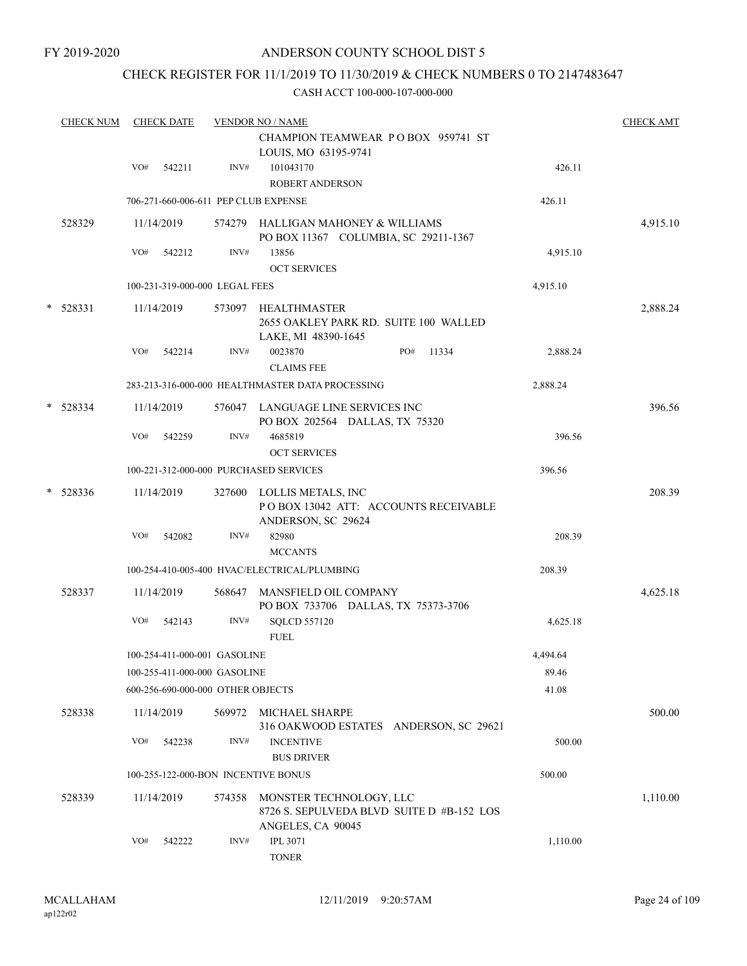# CHECK REGISTER FOR 11/1/2019 TO 11/30/2019 & CHECK NUMBERS 0 TO 2147483647

|   | <b>CHECK NUM</b> |     | <b>CHECK DATE</b> |                                   | <b>VENDOR NO / NAME</b>                                                                   |          | <b>CHECK AMT</b> |
|---|------------------|-----|-------------------|-----------------------------------|-------------------------------------------------------------------------------------------|----------|------------------|
|   |                  |     |                   |                                   | CHAMPION TEAMWEAR POBOX 959741 ST<br>LOUIS, MO 63195-9741                                 |          |                  |
|   |                  | VO# | 542211            | INV#                              | 101043170<br><b>ROBERT ANDERSON</b>                                                       | 426.11   |                  |
|   |                  |     |                   |                                   | 706-271-660-006-611 PEP CLUB EXPENSE                                                      | 426.11   |                  |
|   | 528329           |     | 11/14/2019        |                                   | 574279 HALLIGAN MAHONEY & WILLIAMS<br>PO BOX 11367 COLUMBIA, SC 29211-1367                |          | 4,915.10         |
|   |                  | VO# | 542212            | INV#                              | 13856<br><b>OCT SERVICES</b>                                                              | 4,915.10 |                  |
|   |                  |     |                   | 100-231-319-000-000 LEGAL FEES    |                                                                                           | 4,915.10 |                  |
| * | 528331           |     | 11/14/2019        |                                   | 573097 HEALTHMASTER<br>2655 OAKLEY PARK RD. SUITE 100 WALLED<br>LAKE, MI 48390-1645       |          | 2,888.24         |
|   |                  | VO# | 542214            | INV#                              | 0023870<br>PO#<br>11334<br><b>CLAIMS FEE</b>                                              | 2,888.24 |                  |
|   |                  |     |                   |                                   | 283-213-316-000-000 HEALTHMASTER DATA PROCESSING                                          | 2,888.24 |                  |
|   | $*$ 528334       |     | 11/14/2019        |                                   | 576047 LANGUAGE LINE SERVICES INC<br>PO BOX 202564 DALLAS, TX 75320                       |          | 396.56           |
|   |                  | VO# | 542259            | INV#                              | 4685819<br><b>OCT SERVICES</b>                                                            | 396.56   |                  |
|   |                  |     |                   |                                   | 100-221-312-000-000 PURCHASED SERVICES                                                    | 396.56   |                  |
|   | $*$ 528336       |     | 11/14/2019        |                                   | 327600 LOLLIS METALS, INC<br>POBOX 13042 ATT: ACCOUNTS RECEIVABLE<br>ANDERSON, SC 29624   |          | 208.39           |
|   |                  | VO# | 542082            | INV#                              | 82980                                                                                     | 208.39   |                  |
|   |                  |     |                   |                                   | <b>MCCANTS</b>                                                                            |          |                  |
|   |                  |     |                   |                                   | 100-254-410-005-400 HVAC/ELECTRICAL/PLUMBING                                              | 208.39   |                  |
|   | 528337           |     | 11/14/2019        | 568647                            | MANSFIELD OIL COMPANY<br>PO BOX 733706 DALLAS, TX 75373-3706                              |          | 4,625.18         |
|   |                  | VO# | 542143            | INV#                              | <b>SQLCD 557120</b><br><b>FUEL</b>                                                        | 4,625.18 |                  |
|   |                  |     |                   | 100-254-411-000-001 GASOLINE      |                                                                                           | 4,494.64 |                  |
|   |                  |     |                   | 100-255-411-000-000 GASOLINE      |                                                                                           | 89.46    |                  |
|   |                  |     |                   | 600-256-690-000-000 OTHER OBJECTS |                                                                                           | 41.08    |                  |
|   | 528338           |     | 11/14/2019        | 569972                            | MICHAEL SHARPE<br>316 OAKWOOD ESTATES ANDERSON, SC 29621                                  |          | 500.00           |
|   |                  | VO# | 542238            | INV#                              | <b>INCENTIVE</b><br><b>BUS DRIVER</b>                                                     | 500.00   |                  |
|   |                  |     |                   |                                   | 100-255-122-000-BON INCENTIVE BONUS                                                       | 500.00   |                  |
|   | 528339           |     | 11/14/2019        | 574358                            | MONSTER TECHNOLOGY, LLC<br>8726 S. SEPULVEDA BLVD SUITE D #B-152 LOS<br>ANGELES, CA 90045 |          | 1,110.00         |
|   |                  | VO# | 542222            | INV#                              | <b>IPL 3071</b><br><b>TONER</b>                                                           | 1,110.00 |                  |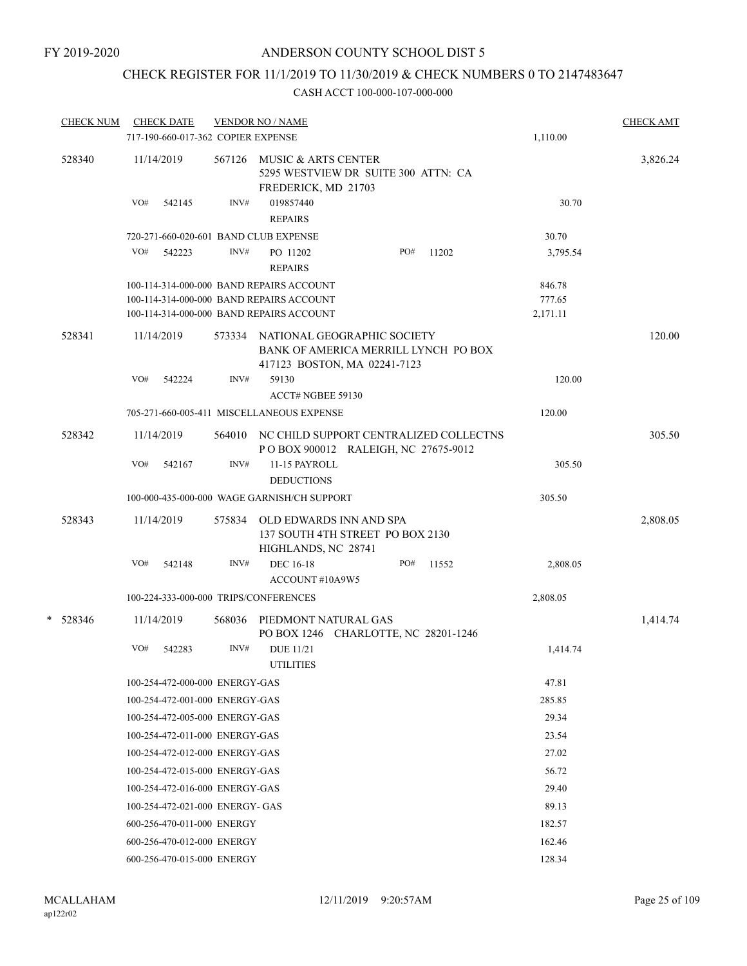# CHECK REGISTER FOR 11/1/2019 TO 11/30/2019 & CHECK NUMBERS 0 TO 2147483647

| <b>CHECK NUM</b> | <b>CHECK DATE</b>                                                                    |        | <b>VENDOR NO / NAME</b>                                                                  |     |       |                    | <b>CHECK AMT</b> |
|------------------|--------------------------------------------------------------------------------------|--------|------------------------------------------------------------------------------------------|-----|-------|--------------------|------------------|
|                  | 717-190-660-017-362 COPIER EXPENSE                                                   |        |                                                                                          |     |       | 1,110.00           |                  |
| 528340           | 11/14/2019                                                                           |        | 567126 MUSIC & ARTS CENTER<br>5295 WESTVIEW DR SUITE 300 ATTN: CA<br>FREDERICK, MD 21703 |     |       |                    | 3,826.24         |
|                  | VO#<br>542145                                                                        | INV#   | 019857440<br><b>REPAIRS</b>                                                              |     |       | 30.70              |                  |
|                  | 720-271-660-020-601 BAND CLUB EXPENSE                                                |        |                                                                                          |     |       | 30.70              |                  |
|                  | VO#<br>542223                                                                        | INV#   | PO 11202<br><b>REPAIRS</b>                                                               | PO# | 11202 | 3,795.54           |                  |
|                  | 100-114-314-000-000 BAND REPAIRS ACCOUNT                                             |        |                                                                                          |     |       | 846.78             |                  |
|                  | 100-114-314-000-000 BAND REPAIRS ACCOUNT<br>100-114-314-000-000 BAND REPAIRS ACCOUNT |        |                                                                                          |     |       | 777.65<br>2,171.11 |                  |
| 528341           | 11/14/2019                                                                           |        | 573334 NATIONAL GEOGRAPHIC SOCIETY<br>BANK OF AMERICA MERRILL LYNCH PO BOX               |     |       |                    | 120.00           |
|                  |                                                                                      |        | 417123 BOSTON, MA 02241-7123                                                             |     |       |                    |                  |
|                  | VO#<br>542224                                                                        | INV#   | 59130<br>ACCT# NGBEE 59130                                                               |     |       | 120.00             |                  |
|                  |                                                                                      |        | 705-271-660-005-411 MISCELLANEOUS EXPENSE                                                |     |       | 120.00             |                  |
| 528342           | 11/14/2019                                                                           |        | 564010 NC CHILD SUPPORT CENTRALIZED COLLECTNS<br>POBOX 900012 RALEIGH, NC 27675-9012     |     |       |                    | 305.50           |
|                  | VO#<br>542167                                                                        | INV#   | 11-15 PAYROLL<br><b>DEDUCTIONS</b>                                                       |     |       | 305.50             |                  |
|                  |                                                                                      |        | 100-000-435-000-000 WAGE GARNISH/CH SUPPORT                                              |     |       | 305.50             |                  |
| 528343           | 11/14/2019                                                                           | 575834 | OLD EDWARDS INN AND SPA<br>137 SOUTH 4TH STREET PO BOX 2130<br>HIGHLANDS, NC 28741       |     |       |                    | 2,808.05         |
|                  | VO#<br>542148                                                                        | INV#   | DEC 16-18<br>ACCOUNT#10A9W5                                                              | PO# | 11552 | 2,808.05           |                  |
|                  | 100-224-333-000-000 TRIPS/CONFERENCES                                                |        |                                                                                          |     |       | 2,808.05           |                  |
| $*$ 528346       | 11/14/2019                                                                           | 568036 | PIEDMONT NATURAL GAS<br>PO BOX 1246 CHARLOTTE, NC 28201-1246                             |     |       |                    | 1,414.74         |
|                  | VO#<br>542283                                                                        | INV#   | <b>DUE 11/21</b><br><b>UTILITIES</b>                                                     |     |       | 1,414.74           |                  |
|                  | 100-254-472-000-000 ENERGY-GAS                                                       |        |                                                                                          |     |       | 47.81              |                  |
|                  | 100-254-472-001-000 ENERGY-GAS                                                       |        |                                                                                          |     |       | 285.85             |                  |
|                  | 100-254-472-005-000 ENERGY-GAS                                                       |        |                                                                                          |     |       | 29.34              |                  |
|                  | 100-254-472-011-000 ENERGY-GAS                                                       |        |                                                                                          |     |       | 23.54              |                  |
|                  | 100-254-472-012-000 ENERGY-GAS                                                       |        |                                                                                          |     |       | 27.02              |                  |
|                  | 100-254-472-015-000 ENERGY-GAS                                                       |        |                                                                                          |     |       | 56.72              |                  |
|                  | 100-254-472-016-000 ENERGY-GAS                                                       |        |                                                                                          |     |       | 29.40              |                  |
|                  | 100-254-472-021-000 ENERGY- GAS                                                      |        |                                                                                          |     |       | 89.13              |                  |
|                  | 600-256-470-011-000 ENERGY                                                           |        |                                                                                          |     |       | 182.57             |                  |
|                  | 600-256-470-012-000 ENERGY                                                           |        |                                                                                          |     |       | 162.46             |                  |
|                  | 600-256-470-015-000 ENERGY                                                           |        |                                                                                          |     |       | 128.34             |                  |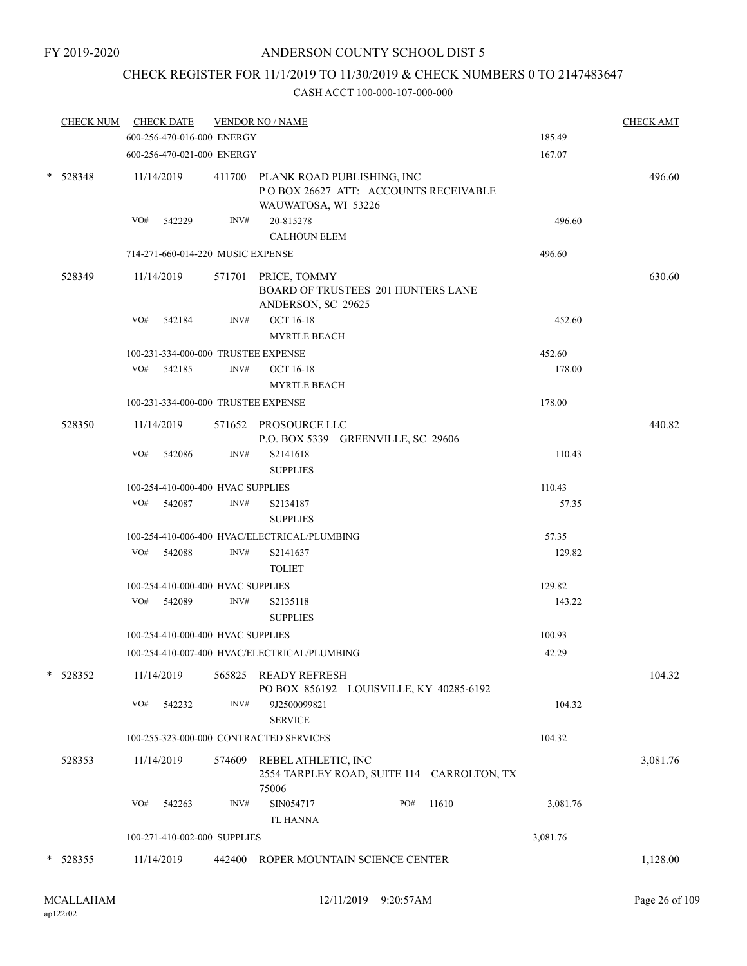# CHECK REGISTER FOR 11/1/2019 TO 11/30/2019 & CHECK NUMBERS 0 TO 2147483647

| <b>CHECK NUM</b> |     | <b>CHECK DATE</b>                   |        | <b>VENDOR NO / NAME</b>                                                                          | <b>CHECK AMT</b> |
|------------------|-----|-------------------------------------|--------|--------------------------------------------------------------------------------------------------|------------------|
|                  |     | 600-256-470-016-000 ENERGY          |        | 185.49                                                                                           |                  |
|                  |     | 600-256-470-021-000 ENERGY          |        | 167.07                                                                                           |                  |
| $* 528348$       |     | 11/14/2019                          |        | 411700 PLANK ROAD PUBLISHING, INC<br>POBOX 26627 ATT: ACCOUNTS RECEIVABLE<br>WAUWATOSA, WI 53226 | 496.60           |
|                  | VO# | 542229                              | INV#   | 20-815278<br>496.60                                                                              |                  |
|                  |     |                                     |        | <b>CALHOUN ELEM</b>                                                                              |                  |
|                  |     | 714-271-660-014-220 MUSIC EXPENSE   |        | 496.60                                                                                           |                  |
| 528349           |     | 11/14/2019                          |        | 571701 PRICE, TOMMY<br>BOARD OF TRUSTEES 201 HUNTERS LANE<br>ANDERSON, SC 29625                  | 630.60           |
|                  | VO# | 542184                              | INV#   | <b>OCT 16-18</b><br>452.60<br><b>MYRTLE BEACH</b>                                                |                  |
|                  |     | 100-231-334-000-000 TRUSTEE EXPENSE |        | 452.60                                                                                           |                  |
|                  |     | VO# 542185                          | INV#   | <b>OCT 16-18</b><br>178.00                                                                       |                  |
|                  |     |                                     |        | <b>MYRTLE BEACH</b>                                                                              |                  |
|                  |     | 100-231-334-000-000 TRUSTEE EXPENSE |        | 178.00                                                                                           |                  |
| 528350           |     | 11/14/2019                          |        | 571652 PROSOURCE LLC<br>P.O. BOX 5339 GREENVILLE, SC 29606                                       | 440.82           |
|                  | VO# | 542086                              | INV#   | S2141618<br>110.43<br><b>SUPPLIES</b>                                                            |                  |
|                  |     | 100-254-410-000-400 HVAC SUPPLIES   |        | 110.43                                                                                           |                  |
|                  | VO# | 542087                              | INV#   | 57.35<br>S2134187<br><b>SUPPLIES</b>                                                             |                  |
|                  |     |                                     |        | 100-254-410-006-400 HVAC/ELECTRICAL/PLUMBING<br>57.35                                            |                  |
|                  | VO# | 542088                              | INV#   | S2141637<br>129.82<br><b>TOLIET</b>                                                              |                  |
|                  |     | 100-254-410-000-400 HVAC SUPPLIES   |        | 129.82                                                                                           |                  |
|                  |     | VO# 542089                          | INV#   | S2135118<br>143.22<br><b>SUPPLIES</b>                                                            |                  |
|                  |     | 100-254-410-000-400 HVAC SUPPLIES   |        | 100.93                                                                                           |                  |
|                  |     |                                     |        | 100-254-410-007-400 HVAC/ELECTRICAL/PLUMBING<br>42.29                                            |                  |
| 528352           |     | 11/14/2019                          |        | 565825 READY REFRESH<br>PO BOX 856192 LOUISVILLE, KY 40285-6192                                  | 104.32           |
|                  | VO# | 542232                              | INV#   | 104.32<br>9J2500099821<br><b>SERVICE</b>                                                         |                  |
|                  |     |                                     |        | 100-255-323-000-000 CONTRACTED SERVICES<br>104.32                                                |                  |
| 528353           |     | 11/14/2019                          | 574609 | REBEL ATHLETIC, INC<br>2554 TARPLEY ROAD, SUITE 114 CARROLTON, TX<br>75006                       | 3,081.76         |
|                  | VO# | 542263                              | INV#   | SIN054717<br>PO#<br>11610<br>3,081.76<br><b>TL HANNA</b>                                         |                  |
|                  |     | 100-271-410-002-000 SUPPLIES        |        | 3,081.76                                                                                         |                  |
|                  |     |                                     |        |                                                                                                  |                  |
| $* 528355$       |     | 11/14/2019                          | 442400 | ROPER MOUNTAIN SCIENCE CENTER                                                                    | 1,128.00         |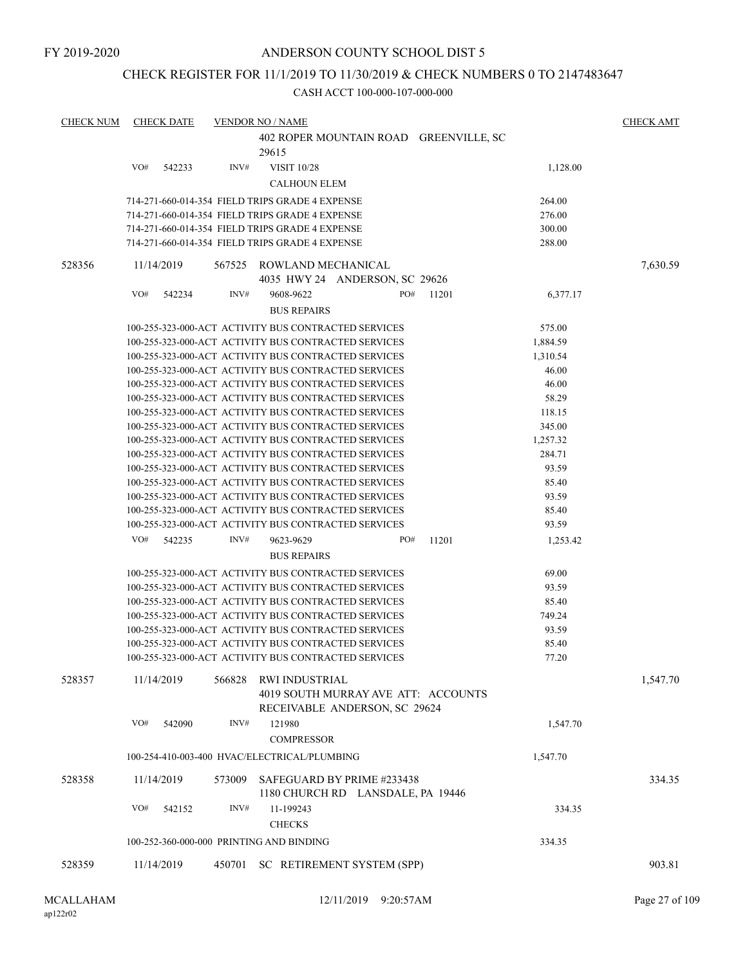#### CHECK REGISTER FOR 11/1/2019 TO 11/30/2019 & CHECK NUMBERS 0 TO 2147483647

| <b>CHECK NUM</b> | <b>CHECK DATE</b> | <b>VENDOR NO / NAME</b>                                                       | <b>CHECK AMT</b> |
|------------------|-------------------|-------------------------------------------------------------------------------|------------------|
|                  |                   | 402 ROPER MOUNTAIN ROAD GREENVILLE, SC                                        |                  |
|                  |                   | 29615                                                                         |                  |
|                  | VO#<br>542233     | INV#<br><b>VISIT 10/28</b><br>1,128.00                                        |                  |
|                  |                   | <b>CALHOUN ELEM</b>                                                           |                  |
|                  |                   | 714-271-660-014-354 FIELD TRIPS GRADE 4 EXPENSE<br>264.00                     |                  |
|                  |                   | 714-271-660-014-354 FIELD TRIPS GRADE 4 EXPENSE<br>276.00                     |                  |
|                  |                   | 714-271-660-014-354 FIELD TRIPS GRADE 4 EXPENSE<br>300.00                     |                  |
|                  |                   | 714-271-660-014-354 FIELD TRIPS GRADE 4 EXPENSE<br>288.00                     |                  |
| 528356           | 11/14/2019        | 567525<br>ROWLAND MECHANICAL                                                  | 7,630.59         |
|                  |                   | 4035 HWY 24 ANDERSON, SC 29626                                                |                  |
|                  | VO#<br>542234     | INV#<br>9608-9622<br>PO#<br>6,377.17<br>11201                                 |                  |
|                  |                   | <b>BUS REPAIRS</b>                                                            |                  |
|                  |                   | 100-255-323-000-ACT ACTIVITY BUS CONTRACTED SERVICES<br>575.00                |                  |
|                  |                   | 100-255-323-000-ACT ACTIVITY BUS CONTRACTED SERVICES<br>1,884.59              |                  |
|                  |                   | 100-255-323-000-ACT ACTIVITY BUS CONTRACTED SERVICES<br>1,310.54              |                  |
|                  |                   | 100-255-323-000-ACT ACTIVITY BUS CONTRACTED SERVICES<br>46.00                 |                  |
|                  |                   | 100-255-323-000-ACT ACTIVITY BUS CONTRACTED SERVICES<br>46.00                 |                  |
|                  |                   | 100-255-323-000-ACT ACTIVITY BUS CONTRACTED SERVICES<br>58.29                 |                  |
|                  |                   | 100-255-323-000-ACT ACTIVITY BUS CONTRACTED SERVICES<br>118.15                |                  |
|                  |                   | 345.00<br>100-255-323-000-ACT ACTIVITY BUS CONTRACTED SERVICES                |                  |
|                  |                   | 100-255-323-000-ACT ACTIVITY BUS CONTRACTED SERVICES<br>1,257.32              |                  |
|                  |                   | 100-255-323-000-ACT ACTIVITY BUS CONTRACTED SERVICES<br>284.71                |                  |
|                  |                   | 100-255-323-000-ACT ACTIVITY BUS CONTRACTED SERVICES<br>93.59                 |                  |
|                  |                   | 100-255-323-000-ACT ACTIVITY BUS CONTRACTED SERVICES<br>85.40                 |                  |
|                  |                   | 100-255-323-000-ACT ACTIVITY BUS CONTRACTED SERVICES<br>93.59                 |                  |
|                  |                   | 85.40<br>100-255-323-000-ACT ACTIVITY BUS CONTRACTED SERVICES                 |                  |
|                  |                   | 100-255-323-000-ACT ACTIVITY BUS CONTRACTED SERVICES<br>93.59                 |                  |
|                  | VO#<br>542235     | INV#<br>11201<br>9623-9629<br>PO#<br>1,253.42                                 |                  |
|                  |                   | <b>BUS REPAIRS</b>                                                            |                  |
|                  |                   | 100-255-323-000-ACT ACTIVITY BUS CONTRACTED SERVICES<br>69.00                 |                  |
|                  |                   | 100-255-323-000-ACT ACTIVITY BUS CONTRACTED SERVICES<br>93.59                 |                  |
|                  |                   | 100-255-323-000-ACT ACTIVITY BUS CONTRACTED SERVICES<br>85.40                 |                  |
|                  |                   | 100-255-323-000-ACT ACTIVITY BUS CONTRACTED SERVICES<br>749.24                |                  |
|                  |                   | 100-255-323-000-ACT ACTIVITY BUS CONTRACTED SERVICES<br>93.59                 |                  |
|                  |                   | 100-255-323-000-ACT ACTIVITY BUS CONTRACTED SERVICES<br>85.40                 |                  |
|                  |                   | 100-255-323-000-ACT ACTIVITY BUS CONTRACTED SERVICES<br>77.20                 |                  |
| 528357           | 11/14/2019        | 566828<br>RWI INDUSTRIAL                                                      | 1,547.70         |
|                  |                   | 4019 SOUTH MURRAY AVE ATT: ACCOUNTS                                           |                  |
|                  |                   | RECEIVABLE ANDERSON, SC 29624                                                 |                  |
|                  | VO#<br>542090     | INV#<br>121980<br>1,547.70                                                    |                  |
|                  |                   | <b>COMPRESSOR</b><br>100-254-410-003-400 HVAC/ELECTRICAL/PLUMBING<br>1,547.70 |                  |
| 528358           | 11/14/2019        | SAFEGUARD BY PRIME #233438<br>573009                                          | 334.35           |
|                  |                   | 1180 CHURCH RD LANSDALE, PA 19446                                             |                  |
|                  | VO#<br>542152     | INV#<br>11-199243<br>334.35                                                   |                  |
|                  |                   | <b>CHECKS</b>                                                                 |                  |
|                  |                   | 100-252-360-000-000 PRINTING AND BINDING<br>334.35                            |                  |
|                  |                   |                                                                               |                  |
| 528359           | 11/14/2019        | 450701<br>SC RETIREMENT SYSTEM (SPP)                                          | 903.81           |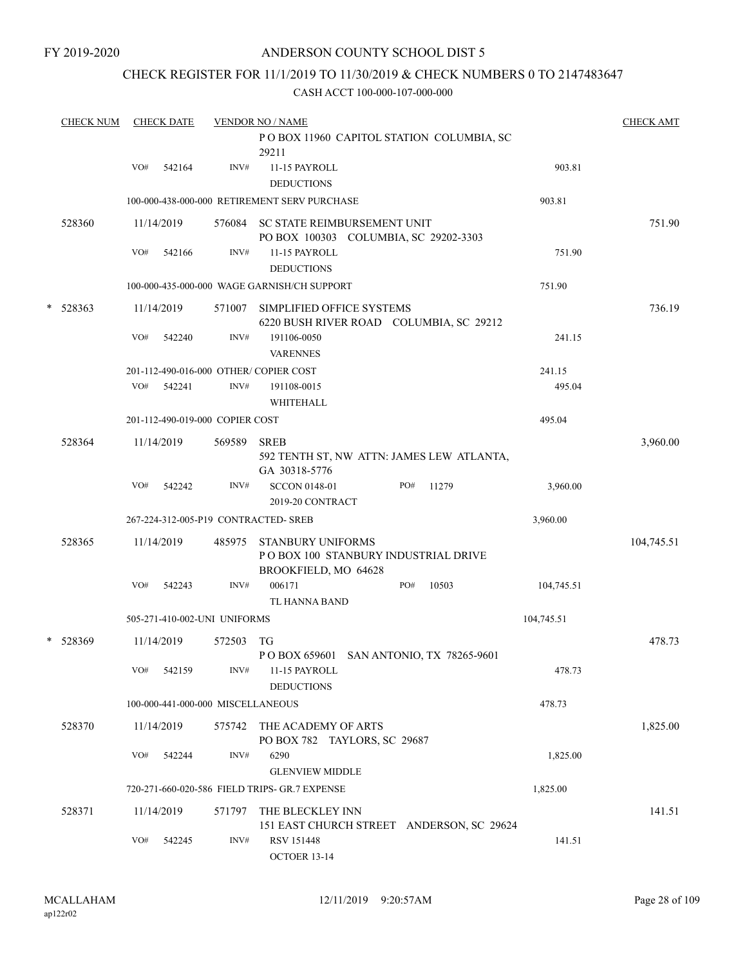# CHECK REGISTER FOR 11/1/2019 TO 11/30/2019 & CHECK NUMBERS 0 TO 2147483647

|   | <b>CHECK NUM</b> |     | <b>CHECK DATE</b>    |                                   | <b>VENDOR NO / NAME</b>                                                                  | <b>CHECK AMT</b> |
|---|------------------|-----|----------------------|-----------------------------------|------------------------------------------------------------------------------------------|------------------|
|   |                  |     |                      |                                   | POBOX 11960 CAPITOL STATION COLUMBIA, SC<br>29211                                        |                  |
|   |                  | VO# | 542164               | INV#                              | 11-15 PAYROLL<br>903.81<br><b>DEDUCTIONS</b>                                             |                  |
|   |                  |     |                      |                                   | 100-000-438-000-000 RETIREMENT SERV PURCHASE<br>903.81                                   |                  |
|   | 528360           |     | 11/14/2019           |                                   | 576084 SC STATE REIMBURSEMENT UNIT<br>PO BOX 100303 COLUMBIA, SC 29202-3303              | 751.90           |
|   |                  | VO# | 542166               | INV#                              | 11-15 PAYROLL<br>751.90<br><b>DEDUCTIONS</b>                                             |                  |
|   |                  |     |                      |                                   | 100-000-435-000-000 WAGE GARNISH/CH SUPPORT<br>751.90                                    |                  |
| * | 528363           |     | 11/14/2019           | 571007                            | SIMPLIFIED OFFICE SYSTEMS<br>6220 BUSH RIVER ROAD COLUMBIA, SC 29212                     | 736.19           |
|   |                  | VO# | 542240               | INV#                              | 191106-0050<br>241.15<br><b>VARENNES</b>                                                 |                  |
|   |                  |     |                      |                                   | 201-112-490-016-000 OTHER/COPIER COST<br>241.15                                          |                  |
|   |                  | VO# | 542241               | INV#                              | 495.04<br>191108-0015<br>WHITEHALL                                                       |                  |
|   |                  |     |                      | 201-112-490-019-000 COPIER COST   | 495.04                                                                                   |                  |
|   | 528364           |     | 11/14/2019           | 569589                            | <b>SREB</b><br>592 TENTH ST, NW ATTN: JAMES LEW ATLANTA,<br>GA 30318-5776                | 3,960.00         |
|   |                  | VO# | 542242               | INV#                              | PO#<br><b>SCCON 0148-01</b><br>11279<br>3,960.00<br>2019-20 CONTRACT                     |                  |
|   |                  |     |                      |                                   | 267-224-312-005-P19 CONTRACTED- SREB<br>3,960.00                                         |                  |
|   | 528365           |     | 11/14/2019           | 485975                            | <b>STANBURY UNIFORMS</b><br>PO BOX 100 STANBURY INDUSTRIAL DRIVE<br>BROOKFIELD, MO 64628 | 104,745.51       |
|   |                  | VO# | 542243               | INV#                              | 006171<br>PO#<br>10503<br>104,745.51<br><b>TL HANNA BAND</b>                             |                  |
|   |                  |     |                      | 505-271-410-002-UNI UNIFORMS      | 104,745.51                                                                               |                  |
|   | * 528369         |     | 11/14/2019           | 572503                            | TG<br>P O BOX 659601 SAN ANTONIO, TX 78265-9601                                          | 478.73           |
|   |                  | VO# | 542159               | INV#                              | 11-15 PAYROLL<br>478.73<br><b>DEDUCTIONS</b>                                             |                  |
|   |                  |     |                      | 100-000-441-000-000 MISCELLANEOUS | 478.73                                                                                   |                  |
|   | 528370           |     | 11/14/2019           | 575742                            | THE ACADEMY OF ARTS<br>PO BOX 782 TAYLORS, SC 29687                                      | 1,825.00         |
|   |                  | VO# | 542244               | INV#                              | 6290<br>1,825.00<br><b>GLENVIEW MIDDLE</b>                                               |                  |
|   |                  |     |                      |                                   | 720-271-660-020-586 FIELD TRIPS- GR.7 EXPENSE<br>1,825.00                                |                  |
|   | 528371           | VO# | 11/14/2019<br>542245 | 571797<br>INV#                    | THE BLECKLEY INN<br>151 EAST CHURCH STREET ANDERSON, SC 29624<br>RSV 151448<br>141.51    | 141.51           |
|   |                  |     |                      |                                   | OCTOER 13-14                                                                             |                  |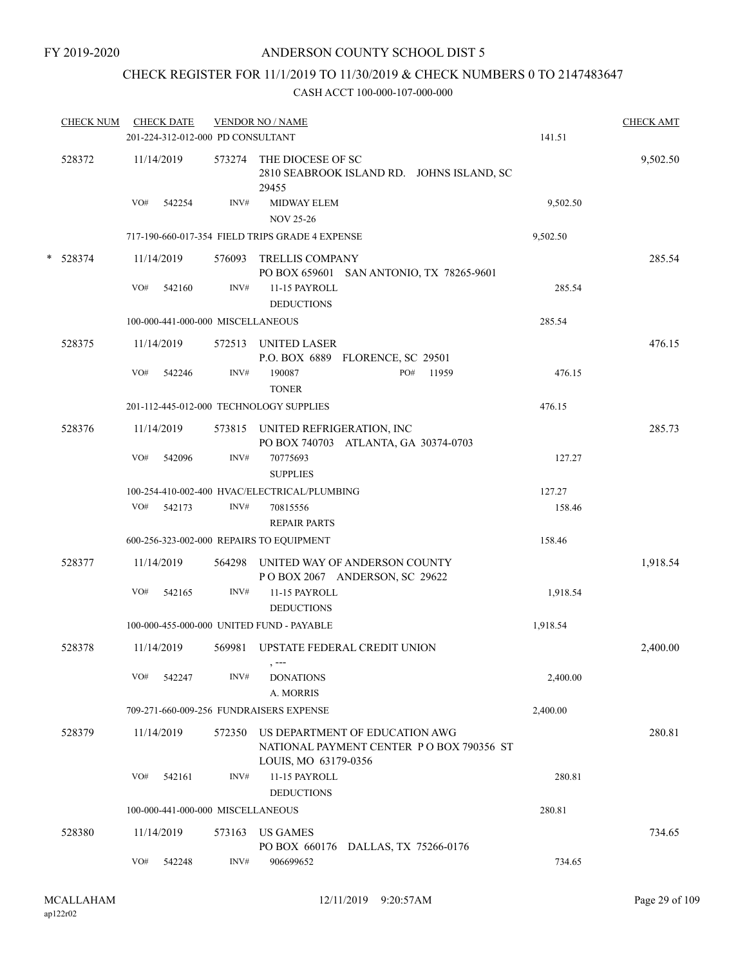# CHECK REGISTER FOR 11/1/2019 TO 11/30/2019 & CHECK NUMBERS 0 TO 2147483647

| 9,502.50<br>9,502.50<br>285.54<br>285.54 | 9,502.50<br>285.54 |
|------------------------------------------|--------------------|
|                                          |                    |
|                                          |                    |
|                                          |                    |
|                                          |                    |
|                                          |                    |
|                                          |                    |
|                                          | 476.15             |
| 476.15                                   |                    |
| 476.15                                   |                    |
|                                          | 285.73             |
| 127.27                                   |                    |
| 127.27                                   |                    |
| 158.46                                   |                    |
| 158.46                                   |                    |
|                                          | 1,918.54           |
| 1,918.54                                 |                    |
| 1,918.54                                 |                    |
|                                          | 2,400.00           |
| 2,400.00                                 |                    |
| 2,400.00                                 |                    |
|                                          | 280.81             |
| 280.81                                   |                    |
| 280.81                                   |                    |
|                                          | 734.65             |
| 734.65                                   |                    |
|                                          |                    |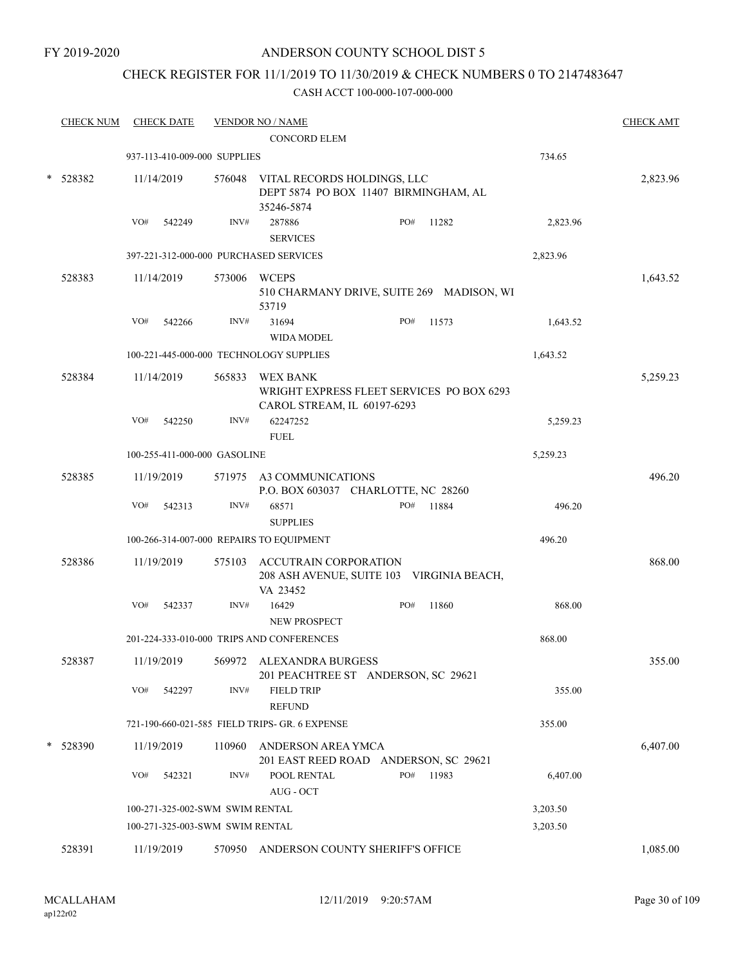# CHECK REGISTER FOR 11/1/2019 TO 11/30/2019 & CHECK NUMBERS 0 TO 2147483647

|   | <b>CHECK NUM</b> |     | <b>CHECK DATE</b>               |        | <b>VENDOR NO / NAME</b>                                                                   |     |           |          | <b>CHECK AMT</b> |
|---|------------------|-----|---------------------------------|--------|-------------------------------------------------------------------------------------------|-----|-----------|----------|------------------|
|   |                  |     |                                 |        | <b>CONCORD ELEM</b>                                                                       |     |           |          |                  |
|   |                  |     | 937-113-410-009-000 SUPPLIES    |        |                                                                                           |     |           | 734.65   |                  |
| * | 528382           |     | 11/14/2019                      |        | 576048 VITAL RECORDS HOLDINGS, LLC<br>DEPT 5874 PO BOX 11407 BIRMINGHAM, AL<br>35246-5874 |     |           |          | 2,823.96         |
|   |                  | VO# | 542249                          | INV#   | 287886<br><b>SERVICES</b>                                                                 | PO# | 11282     | 2,823.96 |                  |
|   |                  |     |                                 |        | 397-221-312-000-000 PURCHASED SERVICES                                                    |     |           | 2,823.96 |                  |
|   | 528383           |     | 11/14/2019                      |        | 573006 WCEPS<br>510 CHARMANY DRIVE, SUITE 269 MADISON, WI<br>53719                        |     |           |          | 1,643.52         |
|   |                  | VO# | 542266                          | INV#   | 31694<br><b>WIDA MODEL</b>                                                                | PO# | 11573     | 1,643.52 |                  |
|   |                  |     |                                 |        | 100-221-445-000-000 TECHNOLOGY SUPPLIES                                                   |     |           | 1,643.52 |                  |
|   | 528384           |     | 11/14/2019                      | 565833 | WEX BANK<br>WRIGHT EXPRESS FLEET SERVICES PO BOX 6293<br>CAROL STREAM, IL 60197-6293      |     |           |          | 5,259.23         |
|   |                  | VO# | 542250                          | INV#   | 62247252<br><b>FUEL</b>                                                                   |     |           | 5,259.23 |                  |
|   |                  |     | 100-255-411-000-000 GASOLINE    |        |                                                                                           |     |           | 5,259.23 |                  |
|   | 528385           |     | 11/19/2019                      |        | 571975 A3 COMMUNICATIONS<br>P.O. BOX 603037 CHARLOTTE, NC 28260                           |     |           |          | 496.20           |
|   |                  | VO# | 542313                          | INV#   | 68571<br><b>SUPPLIES</b>                                                                  | PO# | 11884     | 496.20   |                  |
|   |                  |     |                                 |        | 100-266-314-007-000 REPAIRS TO EQUIPMENT                                                  |     |           | 496.20   |                  |
|   | 528386           |     | 11/19/2019                      |        | 575103 ACCUTRAIN CORPORATION<br>208 ASH AVENUE, SUITE 103 VIRGINIA BEACH,<br>VA 23452     |     |           |          | 868.00           |
|   |                  | VO# | 542337                          | INV#   | 16429<br><b>NEW PROSPECT</b>                                                              | PO# | 11860     | 868.00   |                  |
|   |                  |     |                                 |        | 201-224-333-010-000 TRIPS AND CONFERENCES                                                 |     |           | 868.00   |                  |
|   | 528387           |     | 11/19/2019                      |        | 569972 ALEXANDRA BURGESS<br>201 PEACHTREE ST ANDERSON, SC 29621                           |     |           |          | 355.00           |
|   |                  |     | VO# 542297                      | INV#   | <b>FIELD TRIP</b><br><b>REFUND</b>                                                        |     |           | 355.00   |                  |
|   |                  |     |                                 |        | 721-190-660-021-585 FIELD TRIPS- GR. 6 EXPENSE                                            |     |           | 355.00   |                  |
|   | 528390           |     | 11/19/2019                      |        | 110960 ANDERSON AREA YMCA<br>201 EAST REED ROAD ANDERSON, SC 29621                        |     |           |          | 6,407.00         |
|   |                  |     | VO# 542321                      | INV#   | POOL RENTAL<br>AUG - OCT                                                                  |     | PO# 11983 | 6,407.00 |                  |
|   |                  |     | 100-271-325-002-SWM SWIM RENTAL |        |                                                                                           |     |           | 3,203.50 |                  |
|   |                  |     | 100-271-325-003-SWM SWIM RENTAL |        |                                                                                           |     |           | 3,203.50 |                  |
|   | 528391           |     | 11/19/2019                      |        | 570950 ANDERSON COUNTY SHERIFF'S OFFICE                                                   |     |           |          | 1,085.00         |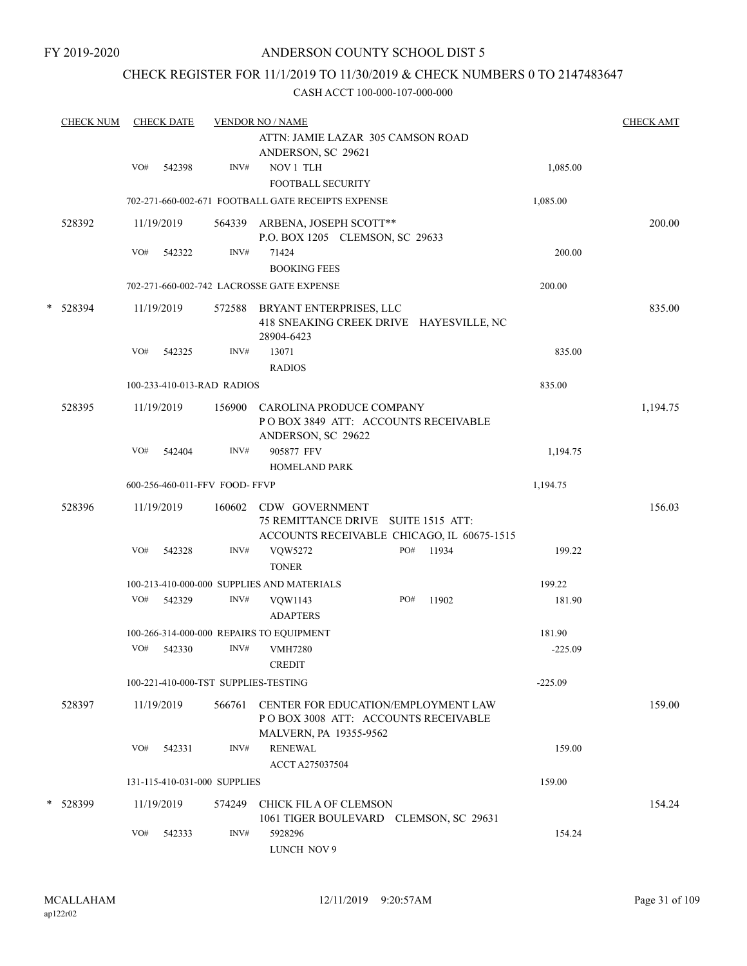# CHECK REGISTER FOR 11/1/2019 TO 11/30/2019 & CHECK NUMBERS 0 TO 2147483647

|   | <b>CHECK NUM</b> |     | <b>CHECK DATE</b> |                                | <b>VENDOR NO / NAME</b><br>ATTN: JAMIE LAZAR 305 CAMSON ROAD<br>ANDERSON, SC 29621                          |     |       |           | <b>CHECK AMT</b> |
|---|------------------|-----|-------------------|--------------------------------|-------------------------------------------------------------------------------------------------------------|-----|-------|-----------|------------------|
|   |                  | VO# | 542398            | INV#                           | NOV 1 TLH<br><b>FOOTBALL SECURITY</b>                                                                       |     |       | 1,085.00  |                  |
|   |                  |     |                   |                                | 702-271-660-002-671 FOOTBALL GATE RECEIPTS EXPENSE                                                          |     |       | 1,085.00  |                  |
|   | 528392           |     | 11/19/2019        |                                | 564339 ARBENA, JOSEPH SCOTT**<br>P.O. BOX 1205 CLEMSON, SC 29633                                            |     |       |           | 200.00           |
|   |                  | VO# | 542322            | INV#                           | 71424<br><b>BOOKING FEES</b>                                                                                |     |       | 200.00    |                  |
|   |                  |     |                   |                                | 702-271-660-002-742 LACROSSE GATE EXPENSE                                                                   |     |       | 200.00    |                  |
| * | 528394           |     | 11/19/2019        |                                | 572588 BRYANT ENTERPRISES, LLC<br>418 SNEAKING CREEK DRIVE HAYESVILLE, NC<br>28904-6423                     |     |       |           | 835.00           |
|   |                  | VO# | 542325            | INV#                           | 13071<br><b>RADIOS</b>                                                                                      |     |       | 835.00    |                  |
|   |                  |     |                   | 100-233-410-013-RAD RADIOS     |                                                                                                             |     |       | 835.00    |                  |
|   | 528395           |     | 11/19/2019        |                                | 156900 CAROLINA PRODUCE COMPANY<br>POBOX 3849 ATT: ACCOUNTS RECEIVABLE<br>ANDERSON, SC 29622                |     |       |           | 1,194.75         |
|   |                  | VO# | 542404            | INV#                           | 905877 FFV<br><b>HOMELAND PARK</b>                                                                          |     |       | 1,194.75  |                  |
|   |                  |     |                   | 600-256-460-011-FFV FOOD- FFVP |                                                                                                             |     |       | 1,194.75  |                  |
|   | 528396           |     | 11/19/2019        | 160602                         | CDW GOVERNMENT<br>75 REMITTANCE DRIVE SUITE 1515 ATT:<br>ACCOUNTS RECEIVABLE CHICAGO, IL 60675-1515         |     |       |           | 156.03           |
|   |                  | VO# | 542328            | INV#                           | VQW5272<br><b>TONER</b>                                                                                     | PO# | 11934 | 199.22    |                  |
|   |                  |     |                   |                                | 100-213-410-000-000 SUPPLIES AND MATERIALS                                                                  |     |       | 199.22    |                  |
|   |                  | VO# | 542329            | INV#                           | VQW1143<br><b>ADAPTERS</b>                                                                                  | PO# | 11902 | 181.90    |                  |
|   |                  |     |                   |                                | 100-266-314-000-000 REPAIRS TO EQUIPMENT                                                                    |     |       | 181.90    |                  |
|   |                  | VO# | 542330            | INV#                           | <b>VMH7280</b><br><b>CREDIT</b>                                                                             |     |       | $-225.09$ |                  |
|   |                  |     |                   |                                | 100-221-410-000-TST SUPPLIES-TESTING                                                                        |     |       | $-225.09$ |                  |
|   | 528397           |     | 11/19/2019        | 566761                         | <b>CENTER FOR EDUCATION/EMPLOYMENT LAW</b><br>POBOX 3008 ATT: ACCOUNTS RECEIVABLE<br>MALVERN, PA 19355-9562 |     |       |           | 159.00           |
|   |                  | VO# | 542331            | INV#                           | <b>RENEWAL</b><br>ACCT A275037504                                                                           |     |       | 159.00    |                  |
|   |                  |     |                   | 131-115-410-031-000 SUPPLIES   |                                                                                                             |     |       | 159.00    |                  |
|   | * 528399         |     | 11/19/2019        | 574249                         | CHICK FIL A OF CLEMSON<br>1061 TIGER BOULEVARD CLEMSON, SC 29631                                            |     |       |           | 154.24           |
|   |                  | VO# | 542333            | INV#                           | 5928296<br>LUNCH NOV 9                                                                                      |     |       | 154.24    |                  |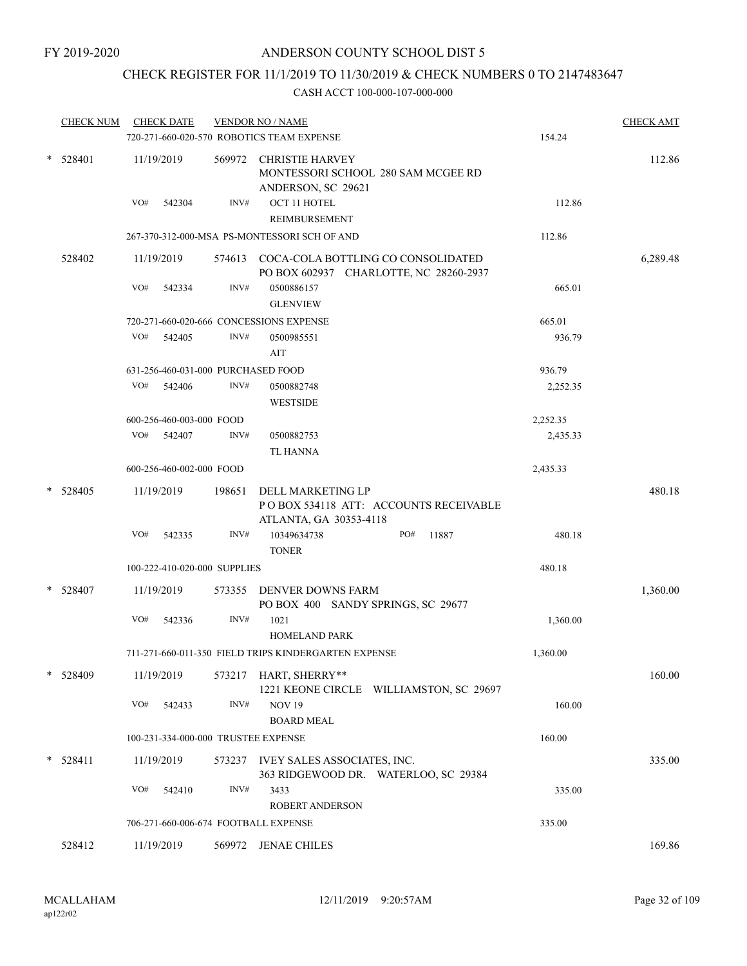# CHECK REGISTER FOR 11/1/2019 TO 11/30/2019 & CHECK NUMBERS 0 TO 2147483647

|            | <b>CHECK NUM</b> | <b>CHECK DATE</b>                    |        | <b>VENDOR NO / NAME</b><br>720-271-660-020-570 ROBOTICS TEAM EXPENSE                  | 154.24   | <b>CHECK AMT</b> |
|------------|------------------|--------------------------------------|--------|---------------------------------------------------------------------------------------|----------|------------------|
|            | * 528401         | 11/19/2019                           |        | 569972 CHRISTIE HARVEY<br>MONTESSORI SCHOOL 280 SAM MCGEE RD<br>ANDERSON, SC 29621    |          | 112.86           |
|            |                  | VO#<br>542304                        | INV#   | OCT 11 HOTEL<br>REIMBURSEMENT                                                         | 112.86   |                  |
|            |                  |                                      |        | 267-370-312-000-MSA PS-MONTESSORI SCH OF AND                                          | 112.86   |                  |
|            | 528402           | 11/19/2019                           |        | 574613 COCA-COLA BOTTLING CO CONSOLIDATED<br>PO BOX 602937 CHARLOTTE, NC 28260-2937   |          | 6,289.48         |
|            |                  | VO#<br>542334                        | INV#   | 0500886157<br><b>GLENVIEW</b>                                                         | 665.01   |                  |
|            |                  |                                      |        | 720-271-660-020-666 CONCESSIONS EXPENSE                                               | 665.01   |                  |
|            |                  | VO#<br>542405                        | INV#   | 0500985551<br>AIT                                                                     | 936.79   |                  |
|            |                  | 631-256-460-031-000 PURCHASED FOOD   |        |                                                                                       | 936.79   |                  |
|            |                  | VO# 542406                           | INV#   | 0500882748<br><b>WESTSIDE</b>                                                         | 2,252.35 |                  |
|            |                  | 600-256-460-003-000 FOOD             |        |                                                                                       | 2,252.35 |                  |
|            |                  | VO# 542407                           | INV#   | 0500882753<br><b>TL HANNA</b>                                                         | 2,435.33 |                  |
|            |                  | 600-256-460-002-000 FOOD             |        |                                                                                       | 2,435.33 |                  |
| $*$ 528405 |                  | 11/19/2019                           | 198651 | DELL MARKETING LP<br>PO BOX 534118 ATT: ACCOUNTS RECEIVABLE<br>ATLANTA, GA 30353-4118 |          | 480.18           |
|            |                  | VO#<br>542335                        | INV#   | PO#<br>11887<br>10349634738<br><b>TONER</b>                                           | 480.18   |                  |
|            |                  | 100-222-410-020-000 SUPPLIES         |        |                                                                                       | 480.18   |                  |
|            | * 528407         | 11/19/2019                           |        | 573355 DENVER DOWNS FARM<br>PO BOX 400 SANDY SPRINGS, SC 29677                        |          | 1,360.00         |
|            |                  | VO#<br>542336                        | INV#   | 1021<br><b>HOMELAND PARK</b>                                                          | 1,360.00 |                  |
|            |                  |                                      |        | 711-271-660-011-350 FIELD TRIPS KINDERGARTEN EXPENSE                                  | 1,360.00 |                  |
|            | * 528409         | 11/19/2019                           |        | 573217 HART, SHERRY**<br>1221 KEONE CIRCLE WILLIAMSTON, SC 29697                      |          | 160.00           |
|            |                  | VO#<br>542433                        | INV#   | <b>NOV 19</b><br><b>BOARD MEAL</b>                                                    | 160.00   |                  |
|            |                  | 100-231-334-000-000 TRUSTEE EXPENSE  |        |                                                                                       | 160.00   |                  |
|            | $* 528411$       | 11/19/2019                           |        | 573237 IVEY SALES ASSOCIATES, INC.<br>363 RIDGEWOOD DR. WATERLOO, SC 29384            |          | 335.00           |
|            |                  | VO#<br>542410                        | INV#   | 3433<br><b>ROBERT ANDERSON</b>                                                        | 335.00   |                  |
|            |                  | 706-271-660-006-674 FOOTBALL EXPENSE |        |                                                                                       | 335.00   |                  |
|            | 528412           | 11/19/2019                           |        | 569972 JENAE CHILES                                                                   |          | 169.86           |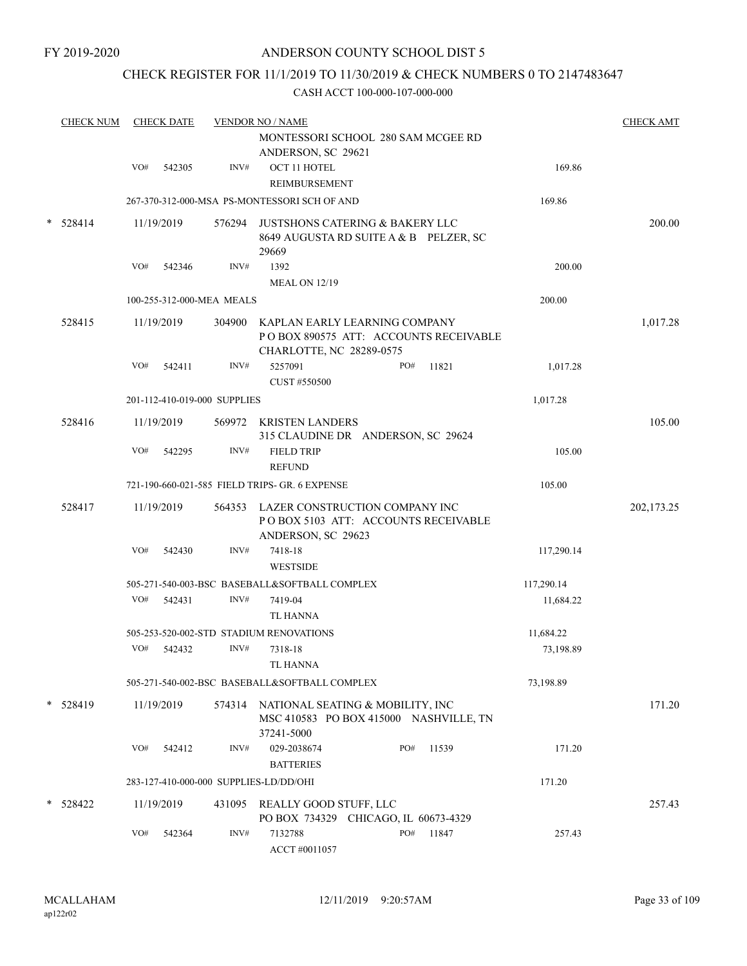# CHECK REGISTER FOR 11/1/2019 TO 11/30/2019 & CHECK NUMBERS 0 TO 2147483647

| <b>CHECK NUM</b> |     | <b>CHECK DATE</b> |                              | <b>VENDOR NO / NAME</b>                                                                                   |     |       |            | <b>CHECK AMT</b> |
|------------------|-----|-------------------|------------------------------|-----------------------------------------------------------------------------------------------------------|-----|-------|------------|------------------|
|                  |     |                   |                              | MONTESSORI SCHOOL 280 SAM MCGEE RD<br>ANDERSON, SC 29621                                                  |     |       |            |                  |
|                  | VO# | 542305            | INV#                         | OCT 11 HOTEL<br>REIMBURSEMENT                                                                             |     |       | 169.86     |                  |
|                  |     |                   |                              | 267-370-312-000-MSA PS-MONTESSORI SCH OF AND                                                              |     |       | 169.86     |                  |
| $* 528414$       |     | 11/19/2019        |                              | 576294 JUSTSHONS CATERING & BAKERY LLC<br>8649 AUGUSTA RD SUITE A & B PELZER, SC<br>29669                 |     |       |            | 200.00           |
|                  | VO# | 542346            | INV#                         | 1392                                                                                                      |     |       | 200.00     |                  |
|                  |     |                   |                              | <b>MEAL ON 12/19</b>                                                                                      |     |       |            |                  |
|                  |     |                   | 100-255-312-000-MEA MEALS    |                                                                                                           |     |       | 200.00     |                  |
| 528415           |     | 11/19/2019        |                              | 304900 KAPLAN EARLY LEARNING COMPANY<br>POBOX 890575 ATT: ACCOUNTS RECEIVABLE<br>CHARLOTTE, NC 28289-0575 |     |       |            | 1,017.28         |
|                  | VO# | 542411            | INV#                         | 5257091<br>CUST #550500                                                                                   | PO# | 11821 | 1,017.28   |                  |
|                  |     |                   | 201-112-410-019-000 SUPPLIES |                                                                                                           |     |       | 1,017.28   |                  |
| 528416           |     | 11/19/2019        |                              | 569972 KRISTEN LANDERS<br>315 CLAUDINE DR ANDERSON, SC 29624                                              |     |       |            | 105.00           |
|                  | VO# | 542295            | INV#                         | <b>FIELD TRIP</b><br><b>REFUND</b>                                                                        |     |       | 105.00     |                  |
|                  |     |                   |                              | 721-190-660-021-585 FIELD TRIPS- GR. 6 EXPENSE                                                            |     |       | 105.00     |                  |
| 528417           |     | 11/19/2019        |                              | 564353 LAZER CONSTRUCTION COMPANY INC<br>PO BOX 5103 ATT: ACCOUNTS RECEIVABLE<br>ANDERSON, SC 29623       |     |       |            | 202, 173.25      |
|                  | VO# | 542430            | INV#                         | 7418-18<br><b>WESTSIDE</b>                                                                                |     |       | 117,290.14 |                  |
|                  |     |                   |                              | 505-271-540-003-BSC BASEBALL&SOFTBALL COMPLEX                                                             |     |       | 117,290.14 |                  |
|                  | VO# | 542431            | INV#                         | 7419-04<br><b>TL HANNA</b>                                                                                |     |       | 11,684.22  |                  |
|                  |     |                   |                              | 505-253-520-002-STD STADIUM RENOVATIONS                                                                   |     |       | 11,684.22  |                  |
|                  | VO# | 542432            | INV#                         | 7318-18<br><b>TL HANNA</b>                                                                                |     |       | 73,198.89  |                  |
|                  |     |                   |                              | 505-271-540-002-BSC BASEBALL&SOFTBALL COMPLEX                                                             |     |       | 73,198.89  |                  |
| * 528419         |     | 11/19/2019        |                              | 574314 NATIONAL SEATING & MOBILITY, INC<br>MSC 410583 PO BOX 415000 NASHVILLE, TN<br>37241-5000           |     |       |            | 171.20           |
|                  | VO# | 542412            | INV#                         | 029-2038674<br><b>BATTERIES</b>                                                                           | PO# | 11539 | 171.20     |                  |
|                  |     |                   |                              | 283-127-410-000-000 SUPPLIES-LD/DD/OHI                                                                    |     |       | 171.20     |                  |
| * 528422         |     | 11/19/2019        |                              | 431095 REALLY GOOD STUFF, LLC<br>PO BOX 734329 CHICAGO, IL 60673-4329                                     |     |       |            | 257.43           |
|                  | VO# | 542364            | INV#                         | 7132788<br>ACCT #0011057                                                                                  | PO# | 11847 | 257.43     |                  |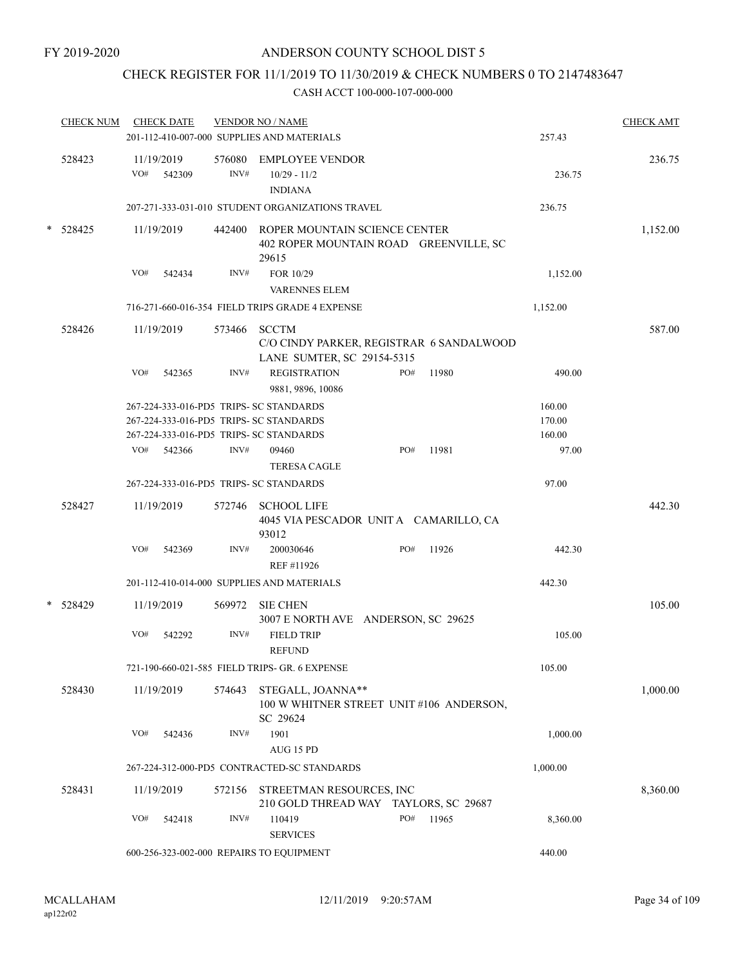# CHECK REGISTER FOR 11/1/2019 TO 11/30/2019 & CHECK NUMBERS 0 TO 2147483647

| <b>CHECK NUM</b> |     | <b>CHECK DATE</b>    |              | <b>VENDOR NO / NAME</b><br>201-112-410-007-000 SUPPLIES AND MATERIALS                                                         |              | 257.43                     | <b>CHECK AMT</b> |
|------------------|-----|----------------------|--------------|-------------------------------------------------------------------------------------------------------------------------------|--------------|----------------------------|------------------|
| 528423           | VO# | 11/19/2019<br>542309 | INV#         | 576080 EMPLOYEE VENDOR<br>$10/29 - 11/2$<br><b>INDIANA</b>                                                                    |              | 236.75                     | 236.75           |
|                  |     |                      |              | 207-271-333-031-010 STUDENT ORGANIZATIONS TRAVEL                                                                              |              | 236.75                     |                  |
| * 528425         |     | 11/19/2019           |              | 442400 ROPER MOUNTAIN SCIENCE CENTER<br>402 ROPER MOUNTAIN ROAD GREENVILLE, SC<br>29615                                       |              |                            | 1,152.00         |
|                  | VO# | 542434               | INV#         | FOR 10/29<br><b>VARENNES ELEM</b>                                                                                             |              | 1,152.00                   |                  |
|                  |     |                      |              | 716-271-660-016-354 FIELD TRIPS GRADE 4 EXPENSE                                                                               |              | 1,152.00                   |                  |
| 528426           |     | 11/19/2019           | 573466 SCCTM | C/O CINDY PARKER, REGISTRAR 6 SANDALWOOD<br>LANE SUMTER, SC 29154-5315                                                        |              |                            | 587.00           |
|                  | VO# | 542365               | INV#         | <b>REGISTRATION</b><br>9881, 9896, 10086                                                                                      | 11980<br>PO# | 490.00                     |                  |
|                  |     |                      |              | 267-224-333-016-PD5 TRIPS- SC STANDARDS<br>267-224-333-016-PD5 TRIPS- SC STANDARDS<br>267-224-333-016-PD5 TRIPS- SC STANDARDS |              | 160.00<br>170.00<br>160.00 |                  |
|                  | VO# | 542366               | INV#         | 09460<br><b>TERESA CAGLE</b>                                                                                                  | PO#<br>11981 | 97.00                      |                  |
|                  |     |                      |              | 267-224-333-016-PD5 TRIPS- SC STANDARDS                                                                                       |              | 97.00                      |                  |
| 528427           |     | 11/19/2019           |              | 572746 SCHOOL LIFE<br>4045 VIA PESCADOR UNITA CAMARILLO, CA<br>93012                                                          |              |                            | 442.30           |
|                  | VO# | 542369               | INV#         | 200030646<br>REF #11926                                                                                                       | PO#<br>11926 | 442.30                     |                  |
|                  |     |                      |              | 201-112-410-014-000 SUPPLIES AND MATERIALS                                                                                    |              | 442.30                     |                  |
| $*$ 528429       |     | 11/19/2019           |              | 569972 SIE CHEN<br>3007 E NORTH AVE ANDERSON, SC 29625                                                                        |              |                            | 105.00           |
|                  | VO# | 542292               | INV#         | <b>FIELD TRIP</b><br><b>REFUND</b>                                                                                            |              | 105.00                     |                  |
|                  |     |                      |              | 721-190-660-021-585 FIELD TRIPS- GR. 6 EXPENSE                                                                                |              | 105.00                     |                  |
| 528430           |     | 11/19/2019           | 574643       | STEGALL, JOANNA**<br>100 W WHITNER STREET UNIT #106 ANDERSON,<br>SC 29624                                                     |              |                            | 1,000.00         |
|                  | VO# | 542436               | INV#         | 1901<br>AUG 15 PD                                                                                                             |              | 1,000.00                   |                  |
|                  |     |                      |              | 267-224-312-000-PD5 CONTRACTED-SC STANDARDS                                                                                   |              | 1,000.00                   |                  |
| 528431           |     | 11/19/2019           | 572156       | STREETMAN RESOURCES, INC<br>210 GOLD THREAD WAY TAYLORS, SC 29687                                                             |              |                            | 8,360.00         |
|                  | VO# | 542418               | INV#         | 110419<br><b>SERVICES</b>                                                                                                     | PO#<br>11965 | 8,360.00                   |                  |
|                  |     |                      |              | 600-256-323-002-000 REPAIRS TO EQUIPMENT                                                                                      |              | 440.00                     |                  |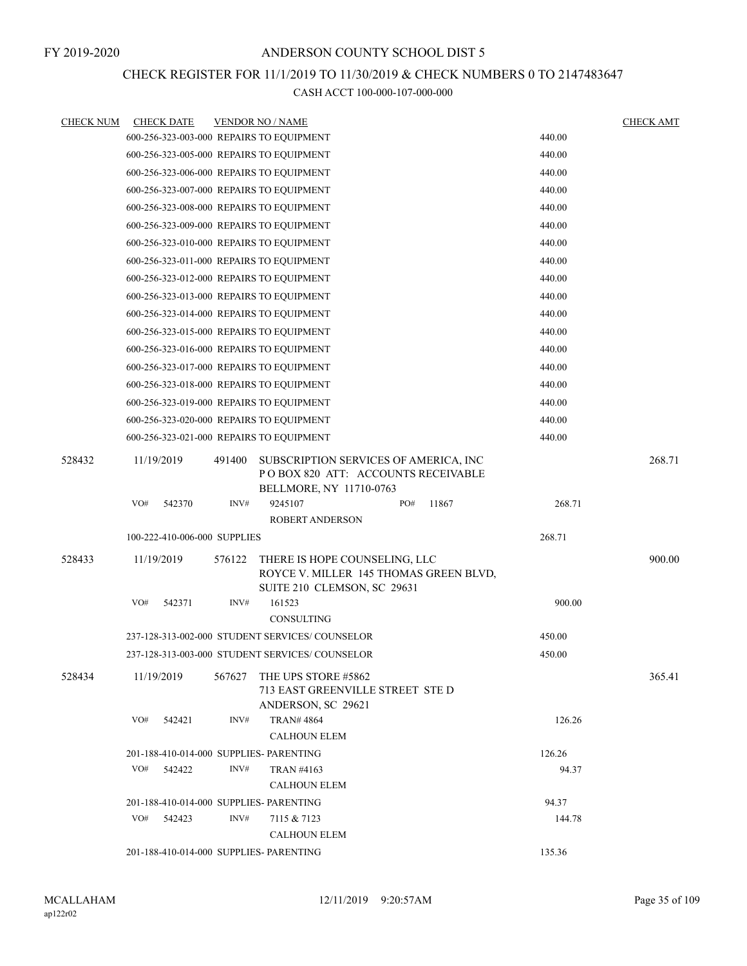# CHECK REGISTER FOR 11/1/2019 TO 11/30/2019 & CHECK NUMBERS 0 TO 2147483647

| <b>CHECK NUM</b> |                                          | <b>CHECK DATE</b>                        |        | <b>VENDOR NO / NAME</b>                                                                                |        |        |        |  |        | <b>CHECK AMT</b> |
|------------------|------------------------------------------|------------------------------------------|--------|--------------------------------------------------------------------------------------------------------|--------|--------|--------|--|--------|------------------|
|                  |                                          |                                          |        | 600-256-323-003-000 REPAIRS TO EQUIPMENT                                                               |        |        |        |  | 440.00 |                  |
|                  |                                          |                                          |        | 600-256-323-005-000 REPAIRS TO EQUIPMENT                                                               |        |        |        |  | 440.00 |                  |
|                  |                                          |                                          |        | 600-256-323-006-000 REPAIRS TO EQUIPMENT                                                               |        |        |        |  | 440.00 |                  |
|                  |                                          |                                          |        | 600-256-323-007-000 REPAIRS TO EQUIPMENT                                                               |        |        |        |  | 440.00 |                  |
|                  |                                          |                                          |        | 600-256-323-008-000 REPAIRS TO EQUIPMENT                                                               |        |        |        |  | 440.00 |                  |
|                  |                                          |                                          |        | 600-256-323-009-000 REPAIRS TO EQUIPMENT                                                               |        |        |        |  | 440.00 |                  |
|                  |                                          |                                          |        | 600-256-323-010-000 REPAIRS TO EQUIPMENT                                                               |        |        |        |  | 440.00 |                  |
|                  |                                          |                                          |        | 600-256-323-011-000 REPAIRS TO EQUIPMENT                                                               |        |        | 440.00 |  |        |                  |
|                  |                                          |                                          |        | 600-256-323-012-000 REPAIRS TO EQUIPMENT                                                               |        |        |        |  | 440.00 |                  |
|                  |                                          |                                          |        | 600-256-323-013-000 REPAIRS TO EQUIPMENT                                                               |        |        |        |  | 440.00 |                  |
|                  |                                          |                                          |        | 600-256-323-014-000 REPAIRS TO EQUIPMENT                                                               |        |        |        |  | 440.00 |                  |
|                  |                                          |                                          |        | 600-256-323-015-000 REPAIRS TO EQUIPMENT                                                               |        |        |        |  | 440.00 |                  |
|                  | 600-256-323-016-000 REPAIRS TO EQUIPMENT |                                          |        |                                                                                                        |        |        |        |  | 440.00 |                  |
|                  | 600-256-323-017-000 REPAIRS TO EQUIPMENT |                                          |        |                                                                                                        |        |        |        |  | 440.00 |                  |
|                  |                                          | 600-256-323-018-000 REPAIRS TO EQUIPMENT |        |                                                                                                        | 440.00 |        |        |  |        |                  |
|                  |                                          | 600-256-323-019-000 REPAIRS TO EQUIPMENT |        |                                                                                                        | 440.00 |        |        |  |        |                  |
|                  |                                          |                                          |        | 600-256-323-020-000 REPAIRS TO EQUIPMENT                                                               |        |        |        |  | 440.00 |                  |
|                  |                                          |                                          |        | 600-256-323-021-000 REPAIRS TO EQUIPMENT                                                               |        |        |        |  | 440.00 |                  |
| 528432           | 11/19/2019                               |                                          | 491400 | SUBSCRIPTION SERVICES OF AMERICA, INC<br>POBOX 820 ATT: ACCOUNTS RECEIVABLE<br>BELLMORE, NY 11710-0763 |        |        |        |  |        | 268.71           |
|                  | VO#                                      | 542370                                   | INV#   | 9245107                                                                                                |        | PO#    | 11867  |  | 268.71 |                  |
|                  |                                          |                                          |        | <b>ROBERT ANDERSON</b>                                                                                 |        |        |        |  |        |                  |
|                  |                                          | 100-222-410-006-000 SUPPLIES             |        |                                                                                                        |        |        |        |  | 268.71 |                  |
| 528433           | 11/19/2019                               |                                          | 576122 | THERE IS HOPE COUNSELING, LLC<br>ROYCE V. MILLER 145 THOMAS GREEN BLVD,<br>SUITE 210 CLEMSON, SC 29631 |        |        |        |  |        | 900.00           |
|                  | VO#                                      | 542371                                   | INV#   | 161523<br>CONSULTING                                                                                   |        |        |        |  | 900.00 |                  |
|                  |                                          |                                          |        | 237-128-313-002-000 STUDENT SERVICES/ COUNSELOR                                                        |        |        |        |  | 450.00 |                  |
|                  |                                          |                                          |        | 237-128-313-003-000 STUDENT SERVICES/COUNSELOR                                                         |        |        |        |  | 450.00 |                  |
| 528434           | 11/19/2019                               |                                          | 567627 | THE UPS STORE #5862<br>713 EAST GREENVILLE STREET STE D<br>ANDERSON, SC 29621                          |        |        |        |  |        | 365.41           |
|                  | VO#                                      | 542421                                   | INV#   | <b>TRAN# 4864</b>                                                                                      |        |        |        |  | 126.26 |                  |
|                  |                                          |                                          |        | <b>CALHOUN ELEM</b>                                                                                    |        |        |        |  |        |                  |
|                  |                                          |                                          |        | 201-188-410-014-000 SUPPLIES- PARENTING                                                                |        |        |        |  | 126.26 |                  |
|                  | VO#                                      | 542422                                   | INV#   | <b>TRAN #4163</b>                                                                                      |        |        |        |  | 94.37  |                  |
|                  | <b>CALHOUN ELEM</b>                      |                                          |        |                                                                                                        |        |        |        |  |        |                  |
|                  |                                          |                                          |        | 201-188-410-014-000 SUPPLIES- PARENTING                                                                |        |        |        |  | 94.37  |                  |
|                  | VO#                                      | 542423                                   | INV#   | 7115 & 7123                                                                                            |        |        |        |  | 144.78 |                  |
|                  |                                          |                                          |        | <b>CALHOUN ELEM</b>                                                                                    |        |        |        |  |        |                  |
|                  |                                          |                                          |        | 201-188-410-014-000 SUPPLIES- PARENTING                                                                |        | 135.36 |        |  |        |                  |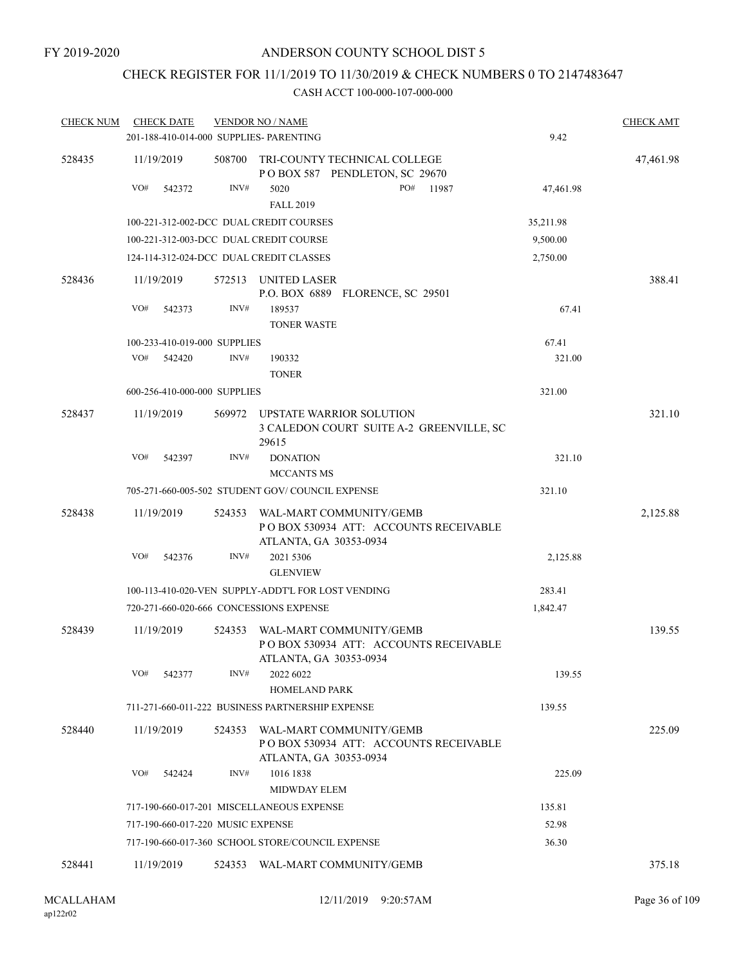# CHECK REGISTER FOR 11/1/2019 TO 11/30/2019 & CHECK NUMBERS 0 TO 2147483647

| <b>CHECK NUM</b> | <b>CHECK DATE</b>                       |        | <b>VENDOR NO / NAME</b>                                                                           |           | <b>CHECK AMT</b> |
|------------------|-----------------------------------------|--------|---------------------------------------------------------------------------------------------------|-----------|------------------|
|                  | 201-188-410-014-000 SUPPLIES- PARENTING |        |                                                                                                   | 9.42      |                  |
| 528435           | 11/19/2019                              | 508700 | TRI-COUNTY TECHNICAL COLLEGE<br>POBOX 587 PENDLETON, SC 29670                                     |           | 47,461.98        |
|                  | VO#<br>542372                           | INV#   | 5020<br>PO#<br>11987<br><b>FALL 2019</b>                                                          | 47,461.98 |                  |
|                  | 100-221-312-002-DCC DUAL CREDIT COURSES |        |                                                                                                   | 35,211.98 |                  |
|                  | 100-221-312-003-DCC DUAL CREDIT COURSE  |        |                                                                                                   | 9,500.00  |                  |
|                  | 124-114-312-024-DCC DUAL CREDIT CLASSES |        |                                                                                                   | 2,750.00  |                  |
| 528436           | 11/19/2019                              |        | 572513 UNITED LASER<br>P.O. BOX 6889 FLORENCE, SC 29501                                           |           | 388.41           |
|                  | VO#<br>542373                           | INV#   | 189537<br><b>TONER WASTE</b>                                                                      | 67.41     |                  |
|                  | 100-233-410-019-000 SUPPLIES            |        |                                                                                                   | 67.41     |                  |
|                  | VO#<br>542420                           | INV#   | 190332                                                                                            | 321.00    |                  |
|                  |                                         |        | <b>TONER</b>                                                                                      |           |                  |
|                  | 600-256-410-000-000 SUPPLIES            |        |                                                                                                   | 321.00    |                  |
| 528437           | 11/19/2019                              | 569972 | UPSTATE WARRIOR SOLUTION<br>3 CALEDON COURT SUITE A-2 GREENVILLE, SC<br>29615                     |           | 321.10           |
|                  | VO#<br>542397                           | INV#   | <b>DONATION</b><br><b>MCCANTS MS</b>                                                              | 321.10    |                  |
|                  |                                         |        | 705-271-660-005-502 STUDENT GOV/COUNCIL EXPENSE                                                   | 321.10    |                  |
| 528438           | 11/19/2019                              | 524353 | WAL-MART COMMUNITY/GEMB<br>POBOX 530934 ATT: ACCOUNTS RECEIVABLE<br>ATLANTA, GA 30353-0934        |           | 2,125.88         |
|                  | VO#<br>542376                           | INV#   | 2021 5306<br><b>GLENVIEW</b>                                                                      | 2,125.88  |                  |
|                  |                                         |        | 100-113-410-020-VEN SUPPLY-ADDT'L FOR LOST VENDING                                                | 283.41    |                  |
|                  | 720-271-660-020-666 CONCESSIONS EXPENSE |        |                                                                                                   | 1,842.47  |                  |
| 528439           | 11/19/2019                              | 524353 | WAL-MART COMMUNITY/GEMB<br>PO BOX 530934 ATT: ACCOUNTS RECEIVABLE<br>ATLANTA, GA 30353-0934       |           | 139.55           |
|                  | VO#<br>542377                           | INV#   | 2022 6022<br><b>HOMELAND PARK</b>                                                                 | 139.55    |                  |
|                  |                                         |        | 711-271-660-011-222 BUSINESS PARTNERSHIP EXPENSE                                                  | 139.55    |                  |
| 528440           | 11/19/2019                              |        | 524353 WAL-MART COMMUNITY/GEMB<br>POBOX 530934 ATT: ACCOUNTS RECEIVABLE<br>ATLANTA, GA 30353-0934 |           | 225.09           |
|                  | VO#<br>542424                           | INV#   | 1016 1838<br>MIDWDAY ELEM                                                                         | 225.09    |                  |
|                  |                                         |        | 717-190-660-017-201 MISCELLANEOUS EXPENSE                                                         | 135.81    |                  |
|                  | 717-190-660-017-220 MUSIC EXPENSE       |        |                                                                                                   | 52.98     |                  |
|                  |                                         |        | 717-190-660-017-360 SCHOOL STORE/COUNCIL EXPENSE                                                  | 36.30     |                  |
| 528441           | 11/19/2019                              |        | 524353 WAL-MART COMMUNITY/GEMB                                                                    |           | 375.18           |
|                  |                                         |        |                                                                                                   |           |                  |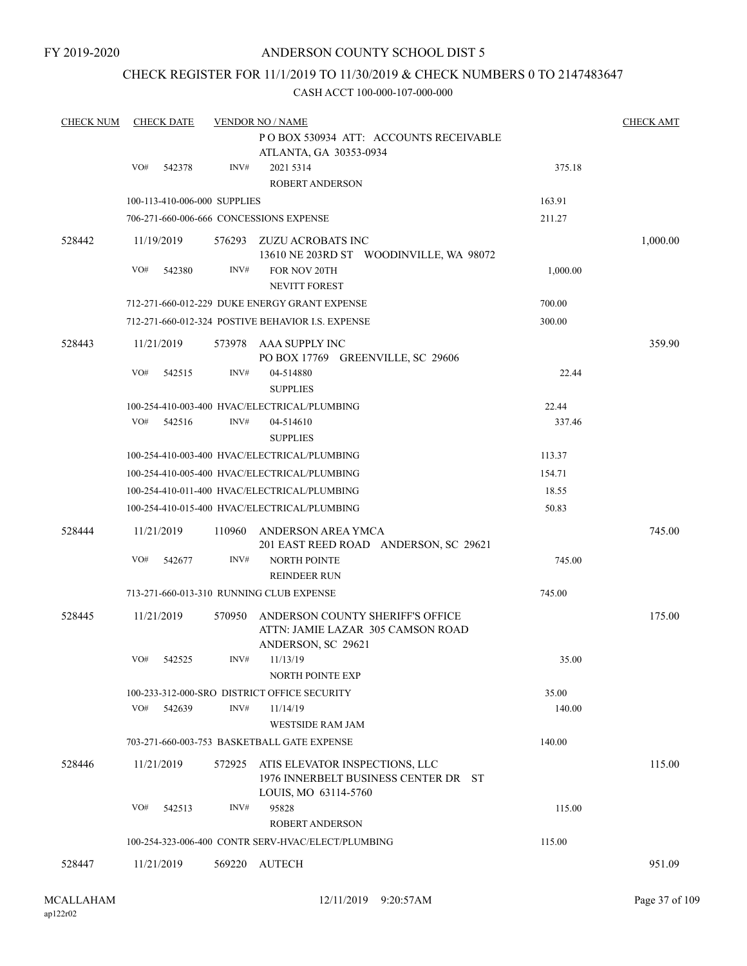### CHECK REGISTER FOR 11/1/2019 TO 11/30/2019 & CHECK NUMBERS 0 TO 2147483647

| <b>CHECK NUM</b> | <b>CHECK DATE</b>            |        | <b>VENDOR NO / NAME</b>                                                                        |          | <b>CHECK AMT</b> |
|------------------|------------------------------|--------|------------------------------------------------------------------------------------------------|----------|------------------|
|                  |                              |        | PO BOX 530934 ATT: ACCOUNTS RECEIVABLE<br>ATLANTA, GA 30353-0934                               |          |                  |
|                  | VO#<br>542378                | INV#   | 2021 5314<br>ROBERT ANDERSON                                                                   | 375.18   |                  |
|                  | 100-113-410-006-000 SUPPLIES |        |                                                                                                | 163.91   |                  |
|                  |                              |        | 706-271-660-006-666 CONCESSIONS EXPENSE                                                        | 211.27   |                  |
| 528442           | 11/19/2019                   | 576293 | ZUZU ACROBATS INC<br>13610 NE 203RD ST WOODINVILLE, WA 98072                                   |          | 1,000.00         |
|                  | VO#<br>542380                | INV#   | FOR NOV 20TH<br><b>NEVITT FOREST</b>                                                           | 1,000.00 |                  |
|                  |                              |        | 712-271-660-012-229 DUKE ENERGY GRANT EXPENSE                                                  | 700.00   |                  |
|                  |                              |        | 712-271-660-012-324 POSTIVE BEHAVIOR I.S. EXPENSE                                              | 300.00   |                  |
| 528443           | 11/21/2019                   |        | 573978 AAA SUPPLY INC<br>PO BOX 17769 GREENVILLE, SC 29606                                     |          | 359.90           |
|                  | VO#<br>542515                | INV#   | 04-514880<br><b>SUPPLIES</b>                                                                   | 22.44    |                  |
|                  |                              |        | 100-254-410-003-400 HVAC/ELECTRICAL/PLUMBING                                                   | 22.44    |                  |
|                  | VO#<br>542516                | INV#   | 04-514610<br><b>SUPPLIES</b>                                                                   | 337.46   |                  |
|                  |                              |        | 100-254-410-003-400 HVAC/ELECTRICAL/PLUMBING                                                   | 113.37   |                  |
|                  |                              |        | 100-254-410-005-400 HVAC/ELECTRICAL/PLUMBING                                                   | 154.71   |                  |
|                  |                              |        | 100-254-410-011-400 HVAC/ELECTRICAL/PLUMBING                                                   | 18.55    |                  |
|                  |                              |        | 100-254-410-015-400 HVAC/ELECTRICAL/PLUMBING                                                   | 50.83    |                  |
| 528444           | 11/21/2019                   | 110960 | ANDERSON AREA YMCA<br>201 EAST REED ROAD ANDERSON, SC 29621                                    |          | 745.00           |
|                  | VO#<br>542677                | INV#   | <b>NORTH POINTE</b><br><b>REINDEER RUN</b>                                                     | 745.00   |                  |
|                  |                              |        | 713-271-660-013-310 RUNNING CLUB EXPENSE                                                       | 745.00   |                  |
| 528445           | 11/21/2019                   | 570950 | ANDERSON COUNTY SHERIFF'S OFFICE<br>ATTN: JAMIE LAZAR 305 CAMSON ROAD<br>ANDERSON, SC 29621    |          | 175.00           |
|                  | VO#<br>542525                | INV#   | 11/13/19<br><b>NORTH POINTE EXP</b>                                                            | 35.00    |                  |
|                  |                              |        | 100-233-312-000-SRO DISTRICT OFFICE SECURITY                                                   | 35.00    |                  |
|                  | VO#<br>542639                | INV#   | 11/14/19<br><b>WESTSIDE RAM JAM</b>                                                            | 140.00   |                  |
|                  |                              |        | 703-271-660-003-753 BASKETBALL GATE EXPENSE                                                    | 140.00   |                  |
| 528446           | 11/21/2019                   | 572925 | ATIS ELEVATOR INSPECTIONS, LLC<br>1976 INNERBELT BUSINESS CENTER DR ST<br>LOUIS, MO 63114-5760 |          | 115.00           |
|                  | VO#<br>542513                | INV#   | 95828<br>ROBERT ANDERSON                                                                       | 115.00   |                  |
|                  |                              |        | 100-254-323-006-400 CONTR SERV-HVAC/ELECT/PLUMBING                                             | 115.00   |                  |
| 528447           | 11/21/2019                   | 569220 | AUTECH                                                                                         |          | 951.09           |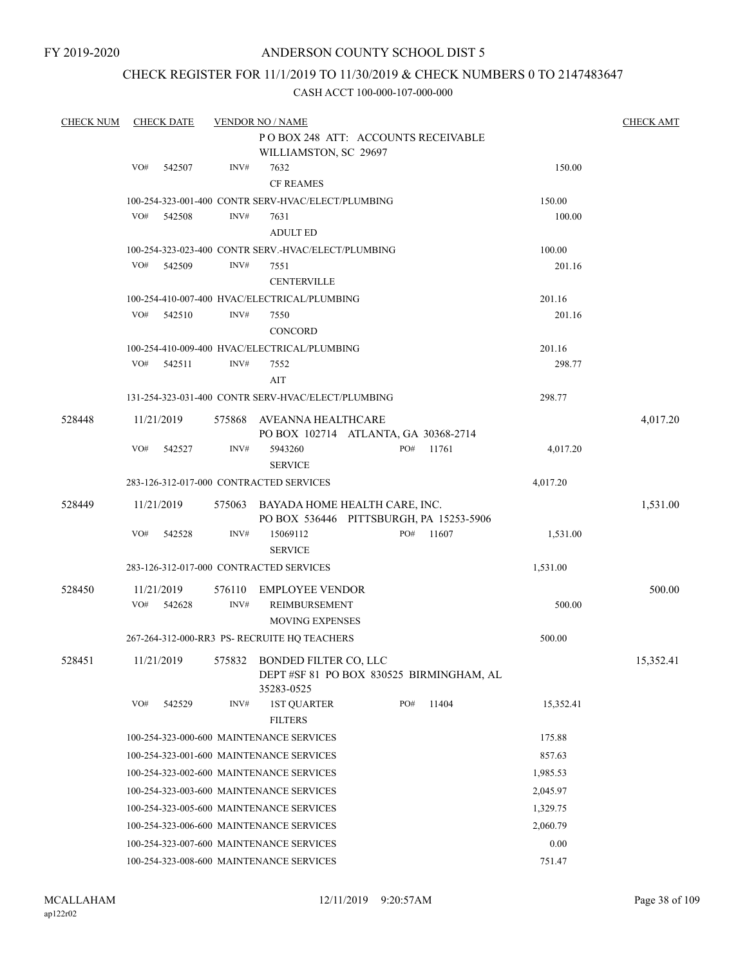### CHECK REGISTER FOR 11/1/2019 TO 11/30/2019 & CHECK NUMBERS 0 TO 2147483647

| <b>CHECK NUM</b> |            | <b>CHECK DATE</b> |        | <b>VENDOR NO / NAME</b>                                                                |        |          |       |                  | <b>CHECK AMT</b> |  |
|------------------|------------|-------------------|--------|----------------------------------------------------------------------------------------|--------|----------|-------|------------------|------------------|--|
|                  |            |                   |        | POBOX 248 ATT: ACCOUNTS RECEIVABLE                                                     |        |          |       |                  |                  |  |
|                  |            |                   |        | WILLIAMSTON, SC 29697                                                                  |        |          |       |                  |                  |  |
|                  | VO#        | 542507            | INV#   | 7632                                                                                   |        |          |       | 150.00           |                  |  |
|                  |            |                   |        | <b>CF REAMES</b>                                                                       |        |          |       |                  |                  |  |
|                  |            |                   |        | 100-254-323-001-400 CONTR SERV-HVAC/ELECT/PLUMBING                                     |        |          |       | 150.00           |                  |  |
|                  | VO#        | 542508            | INV#   | 7631                                                                                   |        | 100.00   |       |                  |                  |  |
|                  |            |                   |        | <b>ADULT ED</b>                                                                        |        |          |       |                  |                  |  |
|                  | VO#        | 542509            | INV#   | 100-254-323-023-400 CONTR SERV.-HVAC/ELECT/PLUMBING<br>7551                            |        |          |       | 100.00<br>201.16 |                  |  |
|                  |            |                   |        | <b>CENTERVILLE</b>                                                                     |        |          |       |                  |                  |  |
|                  |            |                   |        | 100-254-410-007-400 HVAC/ELECTRICAL/PLUMBING                                           | 201.16 |          |       |                  |                  |  |
|                  | VO#        | 542510            | INV#   | 7550                                                                                   |        |          |       | 201.16           |                  |  |
|                  |            |                   |        | <b>CONCORD</b>                                                                         |        |          |       |                  |                  |  |
|                  |            |                   |        | 100-254-410-009-400 HVAC/ELECTRICAL/PLUMBING                                           |        |          |       | 201.16           |                  |  |
|                  | VO#        | 542511            | INV#   | 7552                                                                                   |        |          |       | 298.77           |                  |  |
|                  |            |                   |        | AIT                                                                                    |        |          |       |                  |                  |  |
|                  |            |                   |        | 131-254-323-031-400 CONTR SERV-HVAC/ELECT/PLUMBING                                     |        |          |       | 298.77           |                  |  |
| 528448           | 11/21/2019 |                   | 575868 | AVEANNA HEALTHCARE                                                                     |        |          |       |                  | 4,017.20         |  |
|                  |            |                   |        | PO BOX 102714 ATLANTA, GA 30368-2714                                                   |        |          |       |                  |                  |  |
|                  | VO#        | 542527            | INV#   | 5943260<br><b>SERVICE</b>                                                              |        | PO#      | 11761 | 4,017.20         |                  |  |
|                  |            |                   |        | 283-126-312-017-000 CONTRACTED SERVICES                                                |        |          |       | 4,017.20         |                  |  |
| 528449           | 11/21/2019 |                   | 575063 | BAYADA HOME HEALTH CARE, INC.                                                          |        |          |       |                  | 1,531.00         |  |
|                  |            |                   |        | PO BOX 536446 PITTSBURGH, PA 15253-5906                                                |        |          |       |                  |                  |  |
|                  | VO#        | 542528            | INV#   | 15069112<br><b>SERVICE</b>                                                             |        | PO#      | 11607 | 1,531.00         |                  |  |
|                  |            |                   |        | 283-126-312-017-000 CONTRACTED SERVICES                                                |        |          |       | 1,531.00         |                  |  |
| 528450           | 11/21/2019 |                   | 576110 | EMPLOYEE VENDOR                                                                        |        |          |       |                  | 500.00           |  |
|                  | VO#        | 542628            | INV#   | REIMBURSEMENT                                                                          |        |          |       | 500.00           |                  |  |
|                  |            |                   |        | <b>MOVING EXPENSES</b>                                                                 |        |          |       |                  |                  |  |
|                  |            |                   |        | 267-264-312-000-RR3 PS- RECRUITE HQ TEACHERS                                           |        |          |       | 500.00           |                  |  |
| 528451           | 11/21/2019 |                   |        | 575832 BONDED FILTER CO, LLC<br>DEPT #SF 81 PO BOX 830525 BIRMINGHAM, AL<br>35283-0525 |        |          |       |                  | 15,352.41        |  |
|                  | VO#        | 542529            | INV#   | <b>1ST QUARTER</b><br><b>FILTERS</b>                                                   |        | PO#      | 11404 | 15,352.41        |                  |  |
|                  |            |                   |        | 100-254-323-000-600 MAINTENANCE SERVICES                                               |        |          |       | 175.88           |                  |  |
|                  |            |                   |        | 100-254-323-001-600 MAINTENANCE SERVICES                                               |        |          |       | 857.63           |                  |  |
|                  |            |                   |        | 100-254-323-002-600 MAINTENANCE SERVICES                                               |        |          |       | 1,985.53         |                  |  |
|                  |            |                   |        | 100-254-323-003-600 MAINTENANCE SERVICES                                               |        |          |       | 2,045.97         |                  |  |
|                  |            |                   |        | 100-254-323-005-600 MAINTENANCE SERVICES                                               |        | 1,329.75 |       |                  |                  |  |
|                  |            |                   |        | 100-254-323-006-600 MAINTENANCE SERVICES                                               |        |          |       | 2,060.79         |                  |  |
|                  |            |                   |        | 100-254-323-007-600 MAINTENANCE SERVICES                                               |        |          |       | 0.00             |                  |  |
|                  |            |                   |        | 100-254-323-008-600 MAINTENANCE SERVICES                                               |        |          |       | 751.47           |                  |  |
|                  |            |                   |        |                                                                                        |        |          |       |                  |                  |  |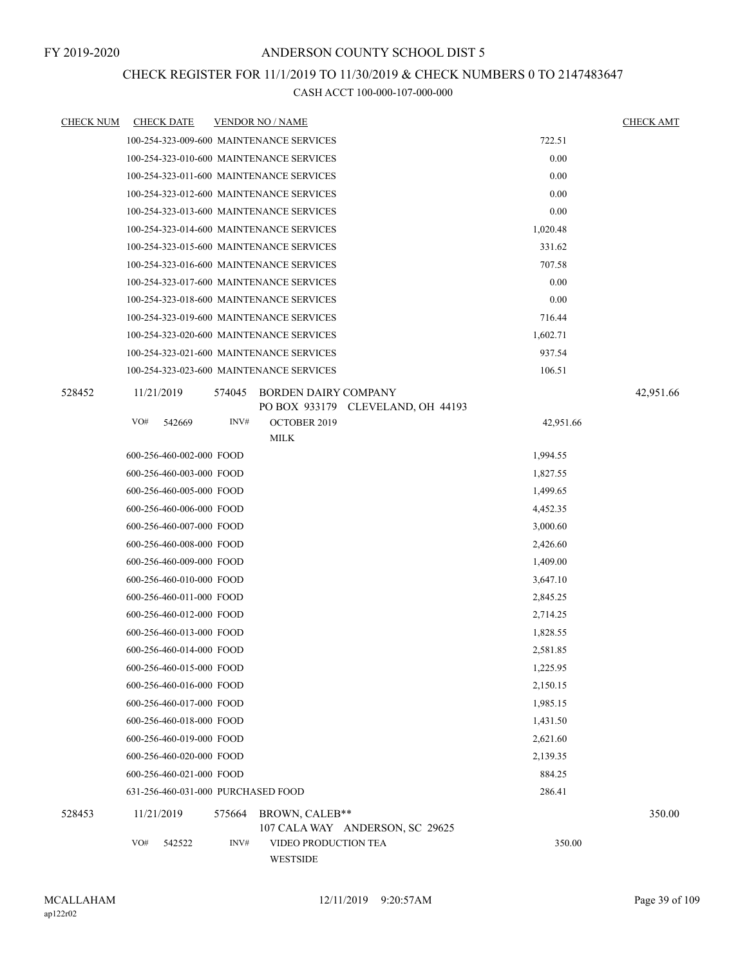### CHECK REGISTER FOR 11/1/2019 TO 11/30/2019 & CHECK NUMBERS 0 TO 2147483647

| <b>CHECK NUM</b> | <b>CHECK DATE</b>                        |        | <b>VENDOR NO / NAME</b>          |                                   |           | <b>CHECK AMT</b> |
|------------------|------------------------------------------|--------|----------------------------------|-----------------------------------|-----------|------------------|
|                  | 100-254-323-009-600 MAINTENANCE SERVICES |        |                                  |                                   | 722.51    |                  |
|                  | 100-254-323-010-600 MAINTENANCE SERVICES |        |                                  |                                   | 0.00      |                  |
|                  | 100-254-323-011-600 MAINTENANCE SERVICES |        |                                  |                                   | 0.00      |                  |
|                  | 100-254-323-012-600 MAINTENANCE SERVICES |        |                                  |                                   | 0.00      |                  |
|                  | 100-254-323-013-600 MAINTENANCE SERVICES |        |                                  |                                   | 0.00      |                  |
|                  | 100-254-323-014-600 MAINTENANCE SERVICES |        |                                  |                                   | 1,020.48  |                  |
|                  | 100-254-323-015-600 MAINTENANCE SERVICES |        |                                  |                                   | 331.62    |                  |
|                  | 100-254-323-016-600 MAINTENANCE SERVICES |        |                                  |                                   | 707.58    |                  |
|                  | 100-254-323-017-600 MAINTENANCE SERVICES |        |                                  |                                   | 0.00      |                  |
|                  | 100-254-323-018-600 MAINTENANCE SERVICES |        |                                  |                                   | 0.00      |                  |
|                  | 100-254-323-019-600 MAINTENANCE SERVICES |        |                                  |                                   | 716.44    |                  |
|                  | 100-254-323-020-600 MAINTENANCE SERVICES |        |                                  |                                   | 1,602.71  |                  |
|                  | 100-254-323-021-600 MAINTENANCE SERVICES |        |                                  |                                   | 937.54    |                  |
|                  | 100-254-323-023-600 MAINTENANCE SERVICES |        |                                  |                                   | 106.51    |                  |
| 528452           | 11/21/2019                               | 574045 | <b>BORDEN DAIRY COMPANY</b>      | PO BOX 933179 CLEVELAND, OH 44193 |           | 42,951.66        |
|                  | VO#<br>542669                            | INV#   | <b>OCTOBER 2019</b>              |                                   | 42,951.66 |                  |
|                  |                                          |        | <b>MILK</b>                      |                                   |           |                  |
|                  | 600-256-460-002-000 FOOD                 |        |                                  |                                   | 1,994.55  |                  |
|                  | 600-256-460-003-000 FOOD                 |        |                                  |                                   | 1,827.55  |                  |
|                  | 600-256-460-005-000 FOOD                 |        |                                  |                                   | 1,499.65  |                  |
|                  | 600-256-460-006-000 FOOD                 |        |                                  |                                   | 4,452.35  |                  |
|                  | 600-256-460-007-000 FOOD                 |        |                                  |                                   | 3,000.60  |                  |
|                  | 600-256-460-008-000 FOOD                 |        |                                  |                                   | 2,426.60  |                  |
|                  | 600-256-460-009-000 FOOD                 |        |                                  |                                   | 1,409.00  |                  |
|                  | 600-256-460-010-000 FOOD                 |        |                                  |                                   | 3,647.10  |                  |
|                  | 600-256-460-011-000 FOOD                 |        |                                  |                                   | 2,845.25  |                  |
|                  | 600-256-460-012-000 FOOD                 |        |                                  |                                   | 2,714.25  |                  |
|                  | 600-256-460-013-000 FOOD                 |        |                                  |                                   | 1,828.55  |                  |
|                  | 600-256-460-014-000 FOOD                 |        |                                  |                                   | 2,581.85  |                  |
|                  | 600-256-460-015-000 FOOD                 |        |                                  |                                   | 1,225.95  |                  |
|                  | 600-256-460-016-000 FOOD                 |        |                                  |                                   | 2,150.15  |                  |
|                  | 600-256-460-017-000 FOOD                 |        |                                  |                                   | 1,985.15  |                  |
|                  | 600-256-460-018-000 FOOD                 |        |                                  |                                   | 1,431.50  |                  |
|                  | 600-256-460-019-000 FOOD                 |        |                                  |                                   | 2,621.60  |                  |
|                  | 600-256-460-020-000 FOOD                 |        |                                  |                                   | 2,139.35  |                  |
|                  | 600-256-460-021-000 FOOD                 |        |                                  |                                   | 884.25    |                  |
|                  | 631-256-460-031-000 PURCHASED FOOD       |        |                                  |                                   | 286.41    |                  |
| 528453           | 11/21/2019                               | 575664 | BROWN, CALEB**                   | 107 CALA WAY ANDERSON, SC 29625   |           | 350.00           |
|                  | VO#<br>542522                            | INV#   | VIDEO PRODUCTION TEA<br>WESTSIDE |                                   | 350.00    |                  |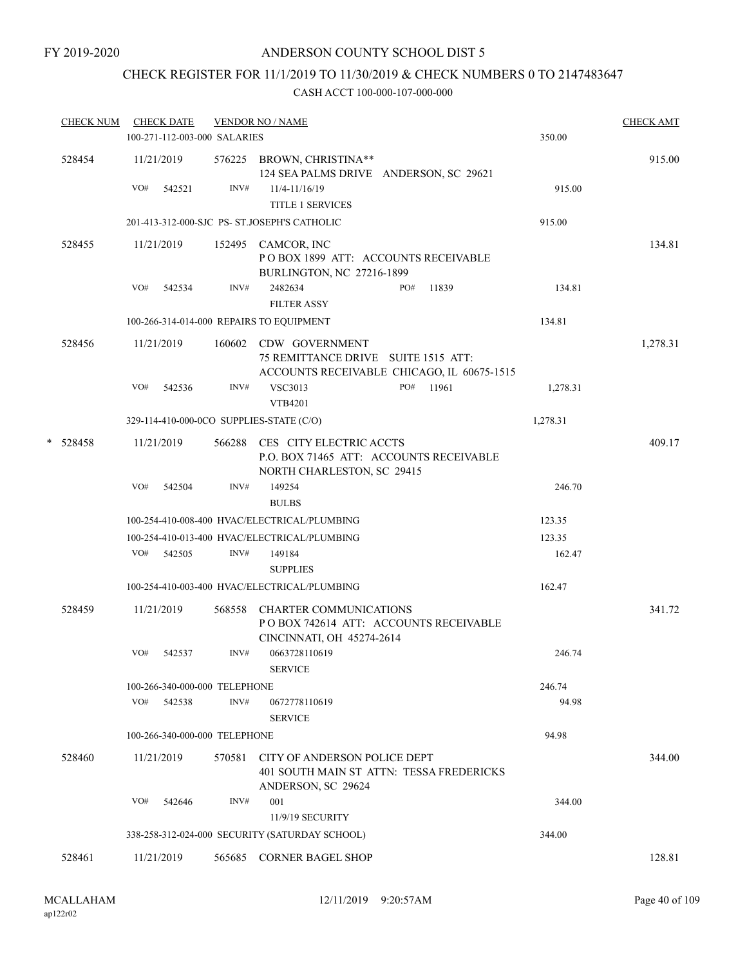# CHECK REGISTER FOR 11/1/2019 TO 11/30/2019 & CHECK NUMBERS 0 TO 2147483647

| <b>CHECK NUM</b> |     | <b>CHECK DATE</b>             |        | <b>VENDOR NO / NAME</b>                                                                                    |          | <b>CHECK AMT</b> |
|------------------|-----|-------------------------------|--------|------------------------------------------------------------------------------------------------------------|----------|------------------|
|                  |     | 100-271-112-003-000 SALARIES  |        |                                                                                                            | 350.00   |                  |
| 528454           |     | 11/21/2019                    |        | 576225 BROWN, CHRISTINA**<br>124 SEA PALMS DRIVE ANDERSON, SC 29621                                        |          | 915.00           |
|                  | VO# | 542521                        | INV#   | 11/4-11/16/19                                                                                              | 915.00   |                  |
|                  |     |                               |        | <b>TITLE 1 SERVICES</b>                                                                                    |          |                  |
|                  |     |                               |        | 201-413-312-000-SJC PS- ST.JOSEPH'S CATHOLIC                                                               | 915.00   |                  |
| 528455           |     | 11/21/2019                    |        | 152495 CAMCOR, INC<br>POBOX 1899 ATT: ACCOUNTS RECEIVABLE<br>BURLINGTON, NC 27216-1899                     |          | 134.81           |
|                  | VO# | 542534                        | INV#   | 2482634<br>PO#<br>11839                                                                                    | 134.81   |                  |
|                  |     |                               |        | <b>FILTER ASSY</b>                                                                                         |          |                  |
|                  |     |                               |        | 100-266-314-014-000 REPAIRS TO EQUIPMENT                                                                   | 134.81   |                  |
| 528456           |     | 11/21/2019                    |        | 160602 CDW GOVERNMENT<br>75 REMITTANCE DRIVE SUITE 1515 ATT:<br>ACCOUNTS RECEIVABLE CHICAGO, IL 60675-1515 |          | 1,278.31         |
|                  | VO# | 542536                        | INV#   | <b>VSC3013</b><br>PO#<br>11961<br><b>VTB4201</b>                                                           | 1,278.31 |                  |
|                  |     |                               |        | 329-114-410-000-0CO SUPPLIES-STATE (C/O)                                                                   | 1,278.31 |                  |
| $* 528458$       |     | 11/21/2019                    |        | 566288 CES CITY ELECTRIC ACCTS<br>P.O. BOX 71465 ATT: ACCOUNTS RECEIVABLE<br>NORTH CHARLESTON, SC 29415    |          | 409.17           |
|                  | VO# | 542504                        | INV#   | 149254<br><b>BULBS</b>                                                                                     | 246.70   |                  |
|                  |     |                               |        | 100-254-410-008-400 HVAC/ELECTRICAL/PLUMBING                                                               | 123.35   |                  |
|                  |     |                               |        | 100-254-410-013-400 HVAC/ELECTRICAL/PLUMBING                                                               | 123.35   |                  |
|                  | VO# | 542505                        | INV#   | 149184<br><b>SUPPLIES</b>                                                                                  | 162.47   |                  |
|                  |     |                               |        | 100-254-410-003-400 HVAC/ELECTRICAL/PLUMBING                                                               | 162.47   |                  |
| 528459           |     | 11/21/2019                    | 568558 | <b>CHARTER COMMUNICATIONS</b><br>PO BOX 742614 ATT: ACCOUNTS RECEIVABLE<br>CINCINNATI, OH 45274-2614       |          | 341.72           |
|                  | VO# | 542537                        | INV#   | 0663728110619<br><b>SERVICE</b>                                                                            | 246.74   |                  |
|                  |     | 100-266-340-000-000 TELEPHONE |        |                                                                                                            | 246.74   |                  |
|                  | VO# | 542538                        | INV#   | 0672778110619<br><b>SERVICE</b>                                                                            | 94.98    |                  |
|                  |     | 100-266-340-000-000 TELEPHONE |        |                                                                                                            | 94.98    |                  |
| 528460           |     |                               |        | CITY OF ANDERSON POLICE DEPT                                                                               |          |                  |
|                  |     | 11/21/2019                    | 570581 | 401 SOUTH MAIN ST ATTN: TESSA FREDERICKS<br>ANDERSON, SC 29624                                             |          | 344.00           |
|                  | VO# | 542646                        | INV#   | 001                                                                                                        | 344.00   |                  |
|                  |     |                               |        | 11/9/19 SECURITY                                                                                           |          |                  |
|                  |     |                               |        | 338-258-312-024-000 SECURITY (SATURDAY SCHOOL)                                                             | 344.00   |                  |
| 528461           |     | 11/21/2019                    |        | 565685 CORNER BAGEL SHOP                                                                                   |          | 128.81           |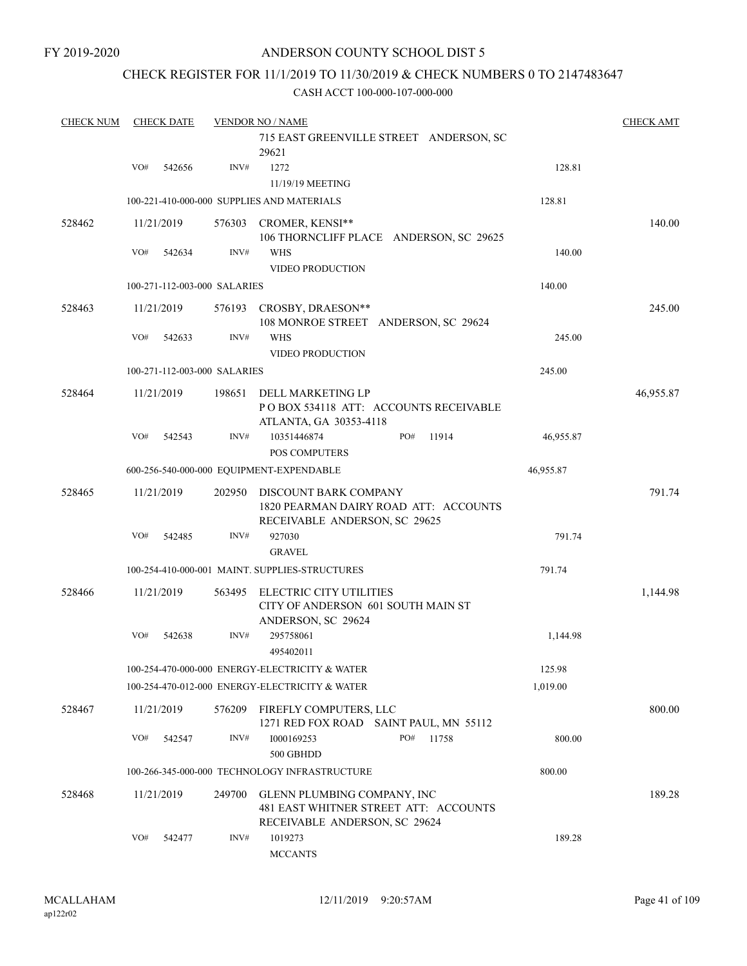### CHECK REGISTER FOR 11/1/2019 TO 11/30/2019 & CHECK NUMBERS 0 TO 2147483647

| <b>CHECK NUM</b> | <b>CHECK DATE</b>            |        | <b>VENDOR NO / NAME</b>                                                                               |                    | <b>CHECK AMT</b> |
|------------------|------------------------------|--------|-------------------------------------------------------------------------------------------------------|--------------------|------------------|
|                  |                              |        | 715 EAST GREENVILLE STREET ANDERSON, SC<br>29621                                                      |                    |                  |
|                  | VO#<br>542656                | INV#   | 1272<br>11/19/19 MEETING                                                                              | 128.81             |                  |
|                  |                              |        | 100-221-410-000-000 SUPPLIES AND MATERIALS                                                            | 128.81             |                  |
| 528462           | 11/21/2019                   | 576303 | <b>CROMER, KENSI**</b><br>106 THORNCLIFF PLACE ANDERSON, SC 29625                                     |                    | 140.00           |
|                  | VO#<br>542634                | INV#   | <b>WHS</b><br><b>VIDEO PRODUCTION</b>                                                                 | 140.00             |                  |
|                  | 100-271-112-003-000 SALARIES |        |                                                                                                       | 140.00             |                  |
| 528463           | 11/21/2019                   | 576193 | CROSBY, DRAESON**<br>108 MONROE STREET ANDERSON, SC 29624                                             |                    | 245.00           |
|                  | VO#<br>542633                | INV#   | <b>WHS</b><br><b>VIDEO PRODUCTION</b>                                                                 | 245.00             |                  |
|                  | 100-271-112-003-000 SALARIES |        |                                                                                                       | 245.00             |                  |
| 528464           | 11/21/2019                   | 198651 | DELL MARKETING LP<br>POBOX 534118 ATT: ACCOUNTS RECEIVABLE<br>ATLANTA, GA 30353-4118                  |                    | 46,955.87        |
|                  | VO#<br>542543                | INV#   | 10351446874<br>PO#<br>POS COMPUTERS                                                                   | 11914<br>46,955.87 |                  |
|                  |                              |        | 600-256-540-000-000 EQUIPMENT-EXPENDABLE                                                              | 46,955.87          |                  |
| 528465           | 11/21/2019                   | 202950 | DISCOUNT BARK COMPANY<br>1820 PEARMAN DAIRY ROAD ATT: ACCOUNTS<br>RECEIVABLE ANDERSON, SC 29625       |                    | 791.74           |
|                  | VO#<br>542485                | INV#   | 927030<br><b>GRAVEL</b>                                                                               | 791.74             |                  |
|                  |                              |        | 100-254-410-000-001 MAINT. SUPPLIES-STRUCTURES                                                        | 791.74             |                  |
| 528466           | 11/21/2019                   | 563495 | ELECTRIC CITY UTILITIES<br>CITY OF ANDERSON 601 SOUTH MAIN ST<br>ANDERSON, SC 29624                   |                    | 1,144.98         |
|                  | VO#<br>542638                | INV#   | 295758061<br>495402011                                                                                | 1,144.98           |                  |
|                  |                              |        | 100-254-470-000-000 ENERGY-ELECTRICITY & WATER                                                        | 125.98             |                  |
|                  |                              |        | 100-254-470-012-000 ENERGY-ELECTRICITY & WATER                                                        | 1,019.00           |                  |
| 528467           | 11/21/2019                   | 576209 | FIREFLY COMPUTERS, LLC<br>1271 RED FOX ROAD SAINT PAUL, MN 55112                                      |                    | 800.00           |
|                  | VO#<br>542547                | INV#   | PO#<br>1000169253<br>500 GBHDD                                                                        | 800.00<br>11758    |                  |
|                  |                              |        | 100-266-345-000-000 TECHNOLOGY INFRASTRUCTURE                                                         | 800.00             |                  |
| 528468           | 11/21/2019                   | 249700 | GLENN PLUMBING COMPANY, INC<br>481 EAST WHITNER STREET ATT: ACCOUNTS<br>RECEIVABLE ANDERSON, SC 29624 |                    | 189.28           |
|                  | VO#<br>542477                | INV#   | 1019273<br><b>MCCANTS</b>                                                                             | 189.28             |                  |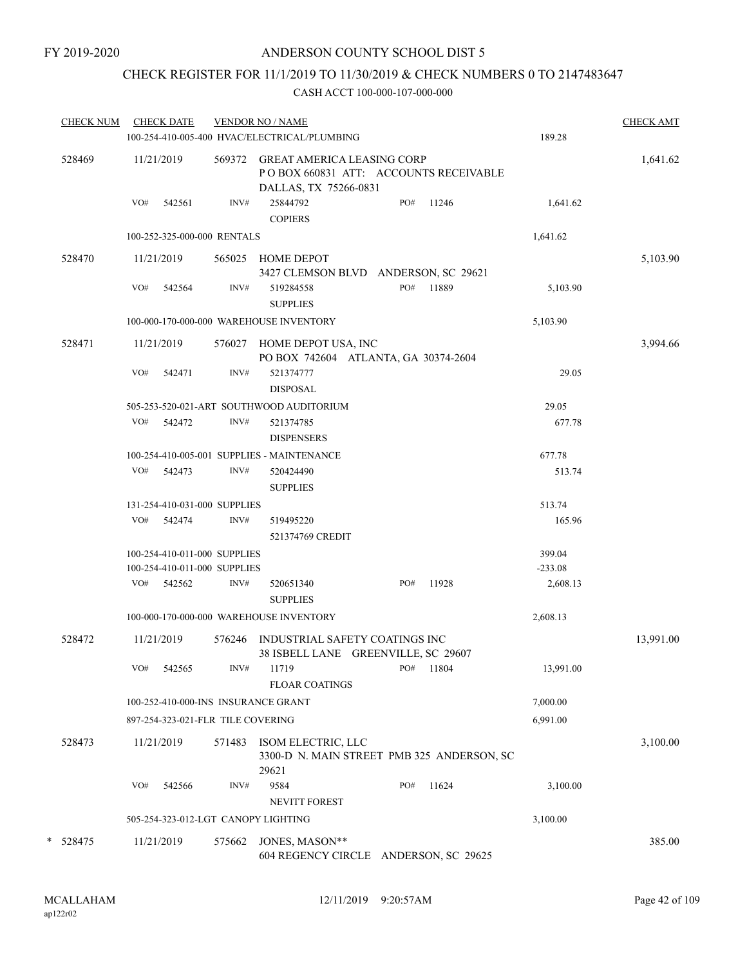### CHECK REGISTER FOR 11/1/2019 TO 11/30/2019 & CHECK NUMBERS 0 TO 2147483647

| <b>CHECK NUM</b> |     | <b>CHECK DATE</b>                                            |        | <b>VENDOR NO / NAME</b><br>100-254-410-005-400 HVAC/ELECTRICAL/PLUMBING                              |     |           | 189.28              | <b>CHECK AMT</b> |
|------------------|-----|--------------------------------------------------------------|--------|------------------------------------------------------------------------------------------------------|-----|-----------|---------------------|------------------|
|                  |     |                                                              |        |                                                                                                      |     |           |                     |                  |
| 528469           |     | 11/21/2019                                                   |        | 569372 GREAT AMERICA LEASING CORP<br>PO BOX 660831 ATT: ACCOUNTS RECEIVABLE<br>DALLAS, TX 75266-0831 |     |           |                     | 1,641.62         |
|                  | VO# | 542561                                                       | INV#   | 25844792<br><b>COPIERS</b>                                                                           | PO# | 11246     | 1,641.62            |                  |
|                  |     | 100-252-325-000-000 RENTALS                                  |        |                                                                                                      |     |           | 1,641.62            |                  |
| 528470           |     | 11/21/2019                                                   |        | 565025 HOME DEPOT<br>3427 CLEMSON BLVD ANDERSON, SC 29621                                            |     |           |                     | 5,103.90         |
|                  | VO# | 542564                                                       | INV#   | 519284558<br><b>SUPPLIES</b>                                                                         |     | PO# 11889 | 5,103.90            |                  |
|                  |     |                                                              |        | 100-000-170-000-000 WAREHOUSE INVENTORY                                                              |     |           | 5,103.90            |                  |
| 528471           |     | 11/21/2019                                                   |        | 576027 HOME DEPOT USA, INC<br>PO BOX 742604 ATLANTA, GA 30374-2604                                   |     |           |                     | 3,994.66         |
|                  | VO# | 542471                                                       | INV#   | 521374777<br><b>DISPOSAL</b>                                                                         |     |           | 29.05               |                  |
|                  |     |                                                              |        | 505-253-520-021-ART SOUTHWOOD AUDITORIUM                                                             |     |           | 29.05               |                  |
|                  |     | VO# 542472                                                   | INV#   | 521374785<br><b>DISPENSERS</b>                                                                       |     |           | 677.78              |                  |
|                  |     |                                                              |        | 100-254-410-005-001 SUPPLIES - MAINTENANCE                                                           |     |           | 677.78              |                  |
|                  |     | VO# 542473                                                   | INV#   | 520424490<br><b>SUPPLIES</b>                                                                         |     |           | 513.74              |                  |
|                  |     | 131-254-410-031-000 SUPPLIES                                 |        |                                                                                                      |     |           | 513.74              |                  |
|                  |     | VO# 542474                                                   | INV#   | 519495220<br>521374769 CREDIT                                                                        |     |           | 165.96              |                  |
|                  |     | 100-254-410-011-000 SUPPLIES<br>100-254-410-011-000 SUPPLIES |        |                                                                                                      |     |           | 399.04<br>$-233.08$ |                  |
|                  |     | VO# 542562                                                   | INV#   | 520651340<br><b>SUPPLIES</b>                                                                         | PO# | 11928     | 2,608.13            |                  |
|                  |     |                                                              |        | 100-000-170-000-000 WAREHOUSE INVENTORY                                                              |     |           | 2,608.13            |                  |
| 528472           |     | 11/21/2019                                                   |        | 576246 INDUSTRIAL SAFETY COATINGS INC<br>38 ISBELL LANE GREENVILLE, SC 29607                         |     |           |                     | 13,991.00        |
|                  | VO# | 542565                                                       | INV#   | 11719<br><b>FLOAR COATINGS</b>                                                                       | PO# | 11804     | 13,991.00           |                  |
|                  |     |                                                              |        | 100-252-410-000-INS INSURANCE GRANT                                                                  |     |           | 7,000.00            |                  |
|                  |     | 897-254-323-021-FLR TILE COVERING                            |        |                                                                                                      |     |           | 6,991.00            |                  |
| 528473           |     | 11/21/2019                                                   | 571483 | ISOM ELECTRIC, LLC<br>3300-D N. MAIN STREET PMB 325 ANDERSON, SC<br>29621                            |     |           |                     | 3,100.00         |
|                  | VO# | 542566                                                       | INV#   | 9584<br><b>NEVITT FOREST</b>                                                                         | PO# | 11624     | 3,100.00            |                  |
|                  |     |                                                              |        | 505-254-323-012-LGT CANOPY LIGHTING                                                                  |     |           | 3,100.00            |                  |
| * 528475         |     | 11/21/2019                                                   | 575662 | JONES, MASON**<br>604 REGENCY CIRCLE ANDERSON, SC 29625                                              |     |           |                     | 385.00           |
|                  |     |                                                              |        |                                                                                                      |     |           |                     |                  |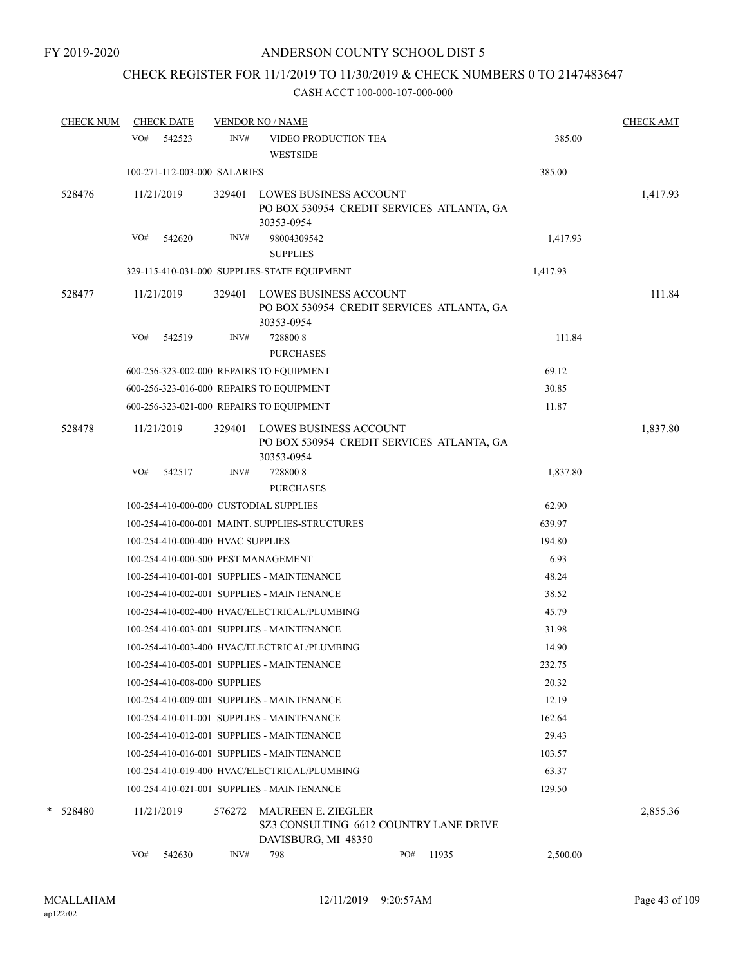# CHECK REGISTER FOR 11/1/2019 TO 11/30/2019 & CHECK NUMBERS 0 TO 2147483647

| <b>CHECK NUM</b> | <b>CHECK DATE</b> |                                        | <b>VENDOR NO / NAME</b>                                                                    |     |       |          | <b>CHECK AMT</b> |
|------------------|-------------------|----------------------------------------|--------------------------------------------------------------------------------------------|-----|-------|----------|------------------|
|                  | VO#<br>542523     | INV#                                   | VIDEO PRODUCTION TEA<br><b>WESTSIDE</b>                                                    |     |       | 385.00   |                  |
|                  |                   | 100-271-112-003-000 SALARIES           |                                                                                            |     |       | 385.00   |                  |
| 528476           | 11/21/2019        |                                        | 329401 LOWES BUSINESS ACCOUNT<br>PO BOX 530954 CREDIT SERVICES ATLANTA, GA<br>30353-0954   |     |       |          | 1,417.93         |
|                  | VO#<br>542620     | INV#                                   | 98004309542<br><b>SUPPLIES</b>                                                             |     |       | 1,417.93 |                  |
|                  |                   |                                        | 329-115-410-031-000 SUPPLIES-STATE EQUIPMENT                                               |     |       | 1,417.93 |                  |
| 528477           | 11/21/2019        | 329401                                 | <b>LOWES BUSINESS ACCOUNT</b><br>PO BOX 530954 CREDIT SERVICES ATLANTA, GA<br>30353-0954   |     |       |          | 111.84           |
|                  | VO#<br>542519     | INV#                                   | 7288008<br><b>PURCHASES</b>                                                                |     |       | 111.84   |                  |
|                  |                   |                                        | 600-256-323-002-000 REPAIRS TO EQUIPMENT                                                   |     |       | 69.12    |                  |
|                  |                   |                                        | 600-256-323-016-000 REPAIRS TO EQUIPMENT                                                   |     |       | 30.85    |                  |
|                  |                   |                                        | 600-256-323-021-000 REPAIRS TO EQUIPMENT                                                   |     |       | 11.87    |                  |
| 528478           | 11/21/2019        | 329401                                 | <b>LOWES BUSINESS ACCOUNT</b><br>PO BOX 530954 CREDIT SERVICES ATLANTA, GA<br>30353-0954   |     |       |          | 1,837.80         |
|                  | VO#<br>542517     | INV#                                   | 7288008<br><b>PURCHASES</b>                                                                |     |       | 1,837.80 |                  |
|                  |                   | 100-254-410-000-000 CUSTODIAL SUPPLIES |                                                                                            |     |       | 62.90    |                  |
|                  |                   |                                        | 100-254-410-000-001 MAINT. SUPPLIES-STRUCTURES                                             |     |       | 639.97   |                  |
|                  |                   | 100-254-410-000-400 HVAC SUPPLIES      |                                                                                            |     |       | 194.80   |                  |
|                  |                   | 100-254-410-000-500 PEST MANAGEMENT    |                                                                                            |     |       | 6.93     |                  |
|                  |                   |                                        | 100-254-410-001-001 SUPPLIES - MAINTENANCE                                                 |     |       | 48.24    |                  |
|                  |                   |                                        | 100-254-410-002-001 SUPPLIES - MAINTENANCE                                                 |     |       | 38.52    |                  |
|                  |                   |                                        | 100-254-410-002-400 HVAC/ELECTRICAL/PLUMBING                                               |     |       | 45.79    |                  |
|                  |                   |                                        | 100-254-410-003-001 SUPPLIES - MAINTENANCE                                                 |     |       | 31.98    |                  |
|                  |                   |                                        | 100-254-410-003-400 HVAC/ELECTRICAL/PLUMBING                                               |     |       | 14.90    |                  |
|                  |                   |                                        | 100-254-410-005-001 SUPPLIES - MAINTENANCE                                                 |     |       | 232.75   |                  |
|                  |                   | 100-254-410-008-000 SUPPLIES           |                                                                                            |     |       | 20.32    |                  |
|                  |                   |                                        | 100-254-410-009-001 SUPPLIES - MAINTENANCE                                                 |     |       | 12.19    |                  |
|                  |                   |                                        | 100-254-410-011-001 SUPPLIES - MAINTENANCE                                                 |     |       | 162.64   |                  |
|                  |                   |                                        | 100-254-410-012-001 SUPPLIES - MAINTENANCE                                                 |     |       | 29.43    |                  |
|                  |                   |                                        | 100-254-410-016-001 SUPPLIES - MAINTENANCE                                                 |     |       | 103.57   |                  |
|                  |                   |                                        | 100-254-410-019-400 HVAC/ELECTRICAL/PLUMBING                                               |     |       | 63.37    |                  |
|                  |                   |                                        | 100-254-410-021-001 SUPPLIES - MAINTENANCE                                                 |     |       | 129.50   |                  |
| * 528480         | 11/21/2019        | 576272                                 | <b>MAUREEN E. ZIEGLER</b><br>SZ3 CONSULTING 6612 COUNTRY LANE DRIVE<br>DAVISBURG, MI 48350 |     |       |          | 2,855.36         |
|                  | VO#<br>542630     | INV#                                   | 798                                                                                        | PO# | 11935 | 2,500.00 |                  |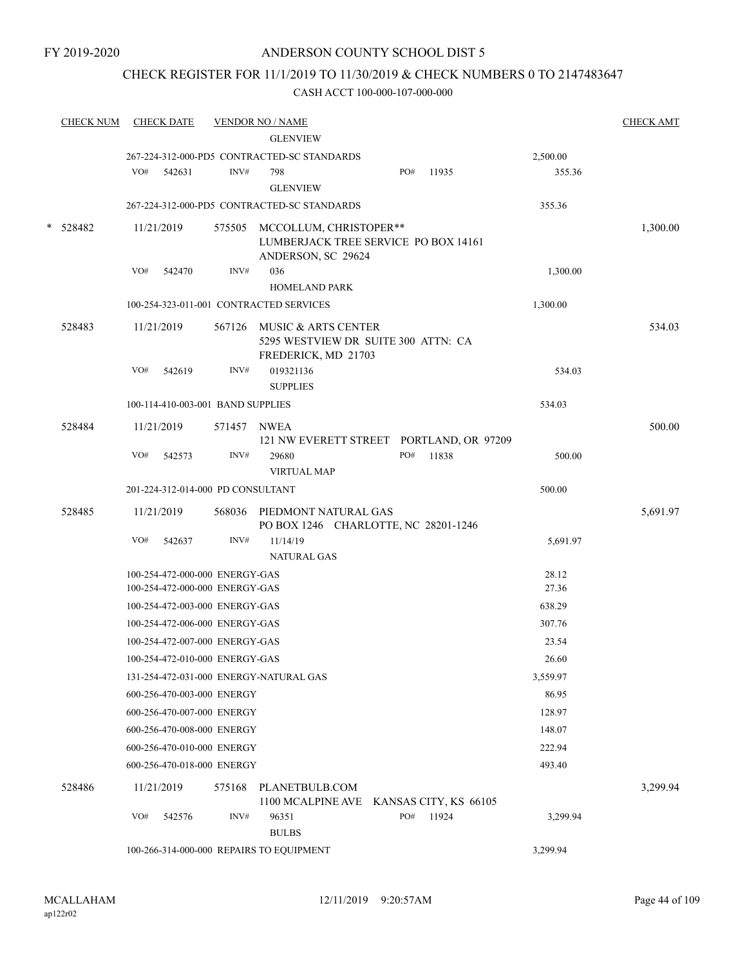### CHECK REGISTER FOR 11/1/2019 TO 11/30/2019 & CHECK NUMBERS 0 TO 2147483647

| <b>CHECK NUM</b> |     | <b>CHECK DATE</b>                 |             | <b>VENDOR NO / NAME</b><br><b>GLENVIEW</b>                                               |     |       |          | <b>CHECK AMT</b> |
|------------------|-----|-----------------------------------|-------------|------------------------------------------------------------------------------------------|-----|-------|----------|------------------|
|                  |     |                                   |             | 267-224-312-000-PD5 CONTRACTED-SC STANDARDS                                              |     |       | 2,500.00 |                  |
|                  | VO# | 542631                            | INV#        | 798                                                                                      | PO# | 11935 | 355.36   |                  |
|                  |     |                                   |             | <b>GLENVIEW</b>                                                                          |     |       |          |                  |
|                  |     |                                   |             | 267-224-312-000-PD5 CONTRACTED-SC STANDARDS                                              |     |       | 355.36   |                  |
| 528482           |     | 11/21/2019                        |             | 575505 MCCOLLUM, CHRISTOPER**                                                            |     |       |          | 1,300.00         |
|                  |     |                                   |             | LUMBERJACK TREE SERVICE PO BOX 14161                                                     |     |       |          |                  |
|                  |     |                                   |             | ANDERSON, SC 29624                                                                       |     |       |          |                  |
|                  | VO# | 542470                            | INV#        | 036<br><b>HOMELAND PARK</b>                                                              |     |       | 1,300.00 |                  |
|                  |     |                                   |             |                                                                                          |     |       |          |                  |
|                  |     |                                   |             | 100-254-323-011-001 CONTRACTED SERVICES                                                  |     |       | 1,300.00 |                  |
| 528483           |     | 11/21/2019                        |             | 567126 MUSIC & ARTS CENTER<br>5295 WESTVIEW DR SUITE 300 ATTN: CA<br>FREDERICK, MD 21703 |     |       |          | 534.03           |
|                  | VO# | 542619                            | INV#        | 019321136<br><b>SUPPLIES</b>                                                             |     |       | 534.03   |                  |
|                  |     | 100-114-410-003-001 BAND SUPPLIES |             |                                                                                          |     |       | 534.03   |                  |
| 528484           |     | 11/21/2019                        | 571457 NWEA |                                                                                          |     |       |          | 500.00           |
|                  |     |                                   |             | 121 NW EVERETT STREET PORTLAND, OR 97209                                                 |     |       |          |                  |
|                  | VO# | 542573                            | INV#        | 29680                                                                                    | PO# | 11838 | 500.00   |                  |
|                  |     |                                   |             | <b>VIRTUAL MAP</b>                                                                       |     |       |          |                  |
|                  |     | 201-224-312-014-000 PD CONSULTANT |             |                                                                                          |     |       | 500.00   |                  |
| 528485           |     | 11/21/2019                        |             | 568036 PIEDMONT NATURAL GAS<br>PO BOX 1246 CHARLOTTE, NC 28201-1246                      |     |       |          | 5,691.97         |
|                  | VO# | 542637                            | INV#        | 11/14/19<br><b>NATURAL GAS</b>                                                           |     |       | 5,691.97 |                  |
|                  |     | 100-254-472-000-000 ENERGY-GAS    |             |                                                                                          |     |       | 28.12    |                  |
|                  |     | 100-254-472-000-000 ENERGY-GAS    |             |                                                                                          |     |       | 27.36    |                  |
|                  |     | 100-254-472-003-000 ENERGY-GAS    |             |                                                                                          |     |       | 638.29   |                  |
|                  |     | 100-254-472-006-000 ENERGY-GAS    |             |                                                                                          |     |       | 307.76   |                  |
|                  |     | 100-254-472-007-000 ENERGY-GAS    |             |                                                                                          |     |       | 23.54    |                  |
|                  |     | 100-254-472-010-000 ENERGY-GAS    |             |                                                                                          |     |       | 26.60    |                  |
|                  |     |                                   |             | 131-254-472-031-000 ENERGY-NATURAL GAS                                                   |     |       | 3,559.97 |                  |
|                  |     | 600-256-470-003-000 ENERGY        |             |                                                                                          |     |       | 86.95    |                  |
|                  |     | 600-256-470-007-000 ENERGY        |             |                                                                                          |     |       | 128.97   |                  |
|                  |     | 600-256-470-008-000 ENERGY        |             |                                                                                          |     |       | 148.07   |                  |
|                  |     | 600-256-470-010-000 ENERGY        |             |                                                                                          |     |       | 222.94   |                  |
|                  |     | 600-256-470-018-000 ENERGY        |             |                                                                                          |     |       | 493.40   |                  |
| 528486           |     | 11/21/2019                        | 575168      | PLANETBULB.COM                                                                           |     |       |          | 3,299.94         |
|                  |     |                                   |             | 1100 MCALPINE AVE KANSAS CITY, KS 66105                                                  |     |       |          |                  |
|                  | VO# | 542576                            | INV#        | 96351<br><b>BULBS</b>                                                                    | PO# | 11924 | 3,299.94 |                  |
|                  |     |                                   |             | 100-266-314-000-000 REPAIRS TO EQUIPMENT                                                 |     |       | 3,299.94 |                  |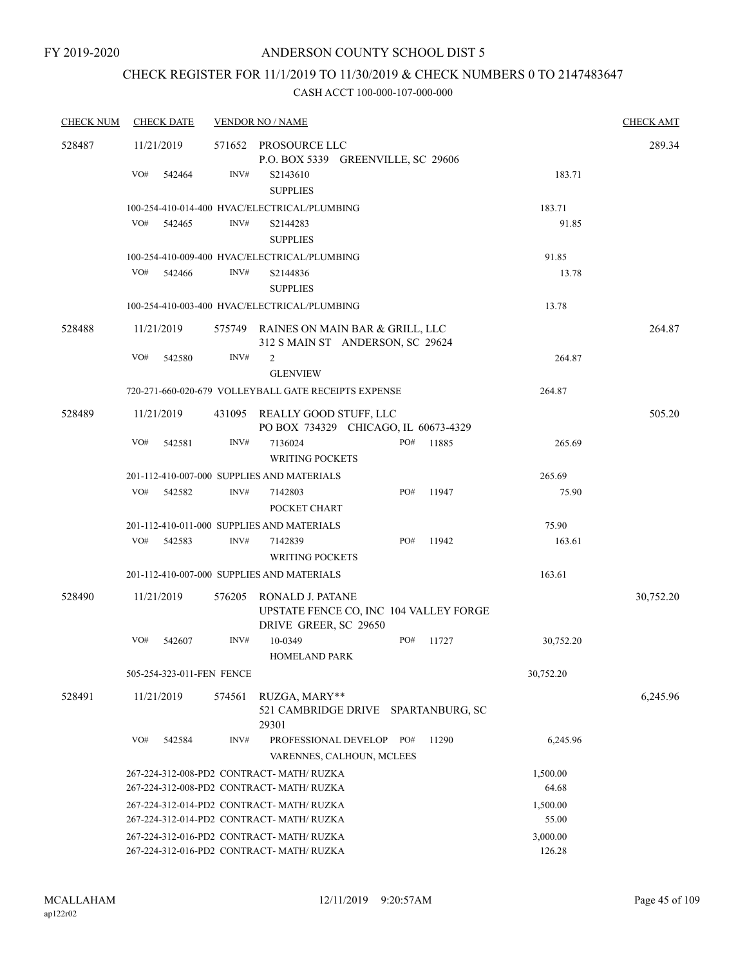# CHECK REGISTER FOR 11/1/2019 TO 11/30/2019 & CHECK NUMBERS 0 TO 2147483647

| <b>CHECK NUM</b> | <b>CHECK DATE</b>                                  |        | <b>VENDOR NO / NAME</b>                                                               |                                        |       |                    | <b>CHECK AMT</b> |  |
|------------------|----------------------------------------------------|--------|---------------------------------------------------------------------------------------|----------------------------------------|-------|--------------------|------------------|--|
| 528487           | 11/21/2019                                         |        | 571652 PROSOURCE LLC                                                                  | P.O. BOX 5339 GREENVILLE, SC 29606     |       |                    | 289.34           |  |
|                  | VO#<br>542464                                      | INV#   | S2143610<br><b>SUPPLIES</b>                                                           |                                        |       | 183.71             |                  |  |
|                  |                                                    |        | 100-254-410-014-400 HVAC/ELECTRICAL/PLUMBING                                          |                                        |       | 183.71             |                  |  |
|                  | VO#<br>542465                                      | INV#   | S2144283<br><b>SUPPLIES</b>                                                           |                                        |       | 91.85              |                  |  |
|                  |                                                    |        | 100-254-410-009-400 HVAC/ELECTRICAL/PLUMBING                                          |                                        |       | 91.85              |                  |  |
|                  | VO#<br>542466                                      | INV#   | S2144836<br><b>SUPPLIES</b>                                                           |                                        |       | 13.78              |                  |  |
|                  |                                                    |        | 100-254-410-003-400 HVAC/ELECTRICAL/PLUMBING                                          |                                        |       | 13.78              |                  |  |
| 528488           | 11/21/2019                                         |        | 575749 RAINES ON MAIN BAR & GRILL, LLC                                                | 312 S MAIN ST ANDERSON, SC 29624       |       |                    | 264.87           |  |
|                  | VO#<br>542580                                      | INV#   | 2                                                                                     |                                        |       | 264.87             |                  |  |
|                  |                                                    |        | <b>GLENVIEW</b>                                                                       |                                        |       |                    |                  |  |
|                  |                                                    |        | 720-271-660-020-679 VOLLEYBALL GATE RECEIPTS EXPENSE                                  |                                        |       | 264.87             |                  |  |
| 528489           | 11/21/2019                                         | 431095 | REALLY GOOD STUFF, LLC                                                                | PO BOX 734329 CHICAGO, IL 60673-4329   |       |                    | 505.20           |  |
|                  | VO#<br>542581                                      | INV#   | 7136024<br><b>WRITING POCKETS</b>                                                     | PO#                                    | 11885 | 265.69             |                  |  |
|                  |                                                    |        | 201-112-410-007-000 SUPPLIES AND MATERIALS                                            |                                        |       | 265.69             |                  |  |
|                  | VO#<br>542582                                      | INV#   | 7142803<br>POCKET CHART                                                               | PO#                                    | 11947 | 75.90              |                  |  |
|                  |                                                    |        | 201-112-410-011-000 SUPPLIES AND MATERIALS                                            |                                        |       | 75.90              |                  |  |
|                  | VO#<br>542583                                      | INV#   | 7142839<br><b>WRITING POCKETS</b>                                                     | PO#                                    | 11942 | 163.61             |                  |  |
|                  |                                                    |        | 201-112-410-007-000 SUPPLIES AND MATERIALS                                            |                                        |       | 163.61             |                  |  |
| 528490           | 11/21/2019                                         | 576205 | RONALD J. PATANE<br>DRIVE GREER, SC 29650                                             | UPSTATE FENCE CO, INC 104 VALLEY FORGE |       |                    | 30,752.20        |  |
|                  | VO#<br>542607                                      | INV#   | 10-0349                                                                               | PO#                                    | 11727 | 30,752.20          |                  |  |
|                  |                                                    |        | <b>HOMELAND PARK</b>                                                                  |                                        |       |                    |                  |  |
|                  | 505-254-323-011-FEN FENCE                          |        |                                                                                       |                                        |       | 30,752.20          |                  |  |
| 528491           | 11/21/2019                                         | 574561 | RUZGA, MARY**<br>29301                                                                | 521 CAMBRIDGE DRIVE SPARTANBURG, SC    |       |                    | 6,245.96         |  |
|                  | VO#<br>542584                                      | INV#   | PROFESSIONAL DEVELOP                                                                  | PO#<br>VARENNES, CALHOUN, MCLEES       | 11290 | 6,245.96           |                  |  |
|                  |                                                    |        | 267-224-312-008-PD2 CONTRACT- MATH/ RUZKA                                             |                                        |       | 1,500.00           |                  |  |
|                  |                                                    |        | 267-224-312-008-PD2 CONTRACT- MATH/ RUZKA                                             |                                        |       | 64.68              |                  |  |
|                  |                                                    |        | 267-224-312-014-PD2 CONTRACT- MATH/RUZKA                                              |                                        |       | 1,500.00           |                  |  |
|                  | 267-224-312-014-PD2 CONTRACT- MATH/ RUZKA<br>55.00 |        |                                                                                       |                                        |       |                    |                  |  |
|                  |                                                    |        | 267-224-312-016-PD2 CONTRACT- MATH/RUZKA<br>267-224-312-016-PD2 CONTRACT- MATH/ RUZKA |                                        |       | 3,000.00<br>126.28 |                  |  |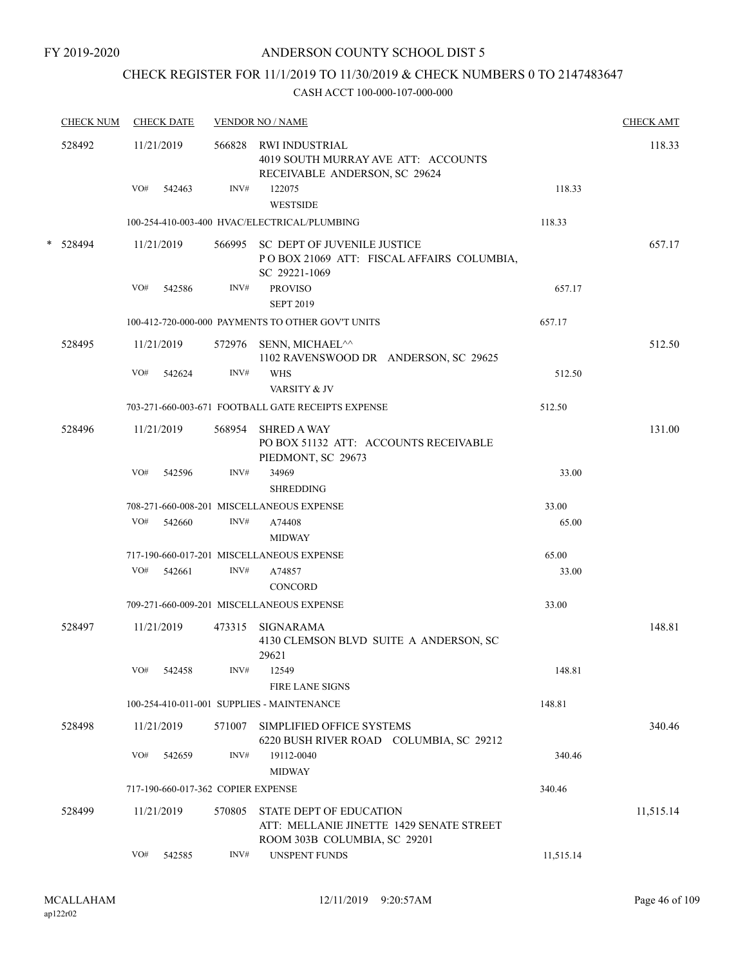# CHECK REGISTER FOR 11/1/2019 TO 11/30/2019 & CHECK NUMBERS 0 TO 2147483647

| <b>CHECK NUM</b> |     | <b>CHECK DATE</b>                  |        | <b>VENDOR NO / NAME</b>                                                                                    |           | <b>CHECK AMT</b> |
|------------------|-----|------------------------------------|--------|------------------------------------------------------------------------------------------------------------|-----------|------------------|
| 528492           |     | 11/21/2019                         |        | 566828 RWI INDUSTRIAL<br>4019 SOUTH MURRAY AVE ATT: ACCOUNTS<br>RECEIVABLE ANDERSON, SC 29624              |           | 118.33           |
|                  | VO# | 542463                             | INV#   | 122075<br><b>WESTSIDE</b>                                                                                  | 118.33    |                  |
|                  |     |                                    |        | 100-254-410-003-400 HVAC/ELECTRICAL/PLUMBING                                                               | 118.33    |                  |
| * 528494         |     | 11/21/2019                         |        | 566995 SC DEPT OF JUVENILE JUSTICE<br>POBOX 21069 ATT: FISCAL AFFAIRS COLUMBIA,<br>SC 29221-1069           |           | 657.17           |
|                  | VO# | 542586                             | INV#   | <b>PROVISO</b>                                                                                             | 657.17    |                  |
|                  |     |                                    |        | <b>SEPT 2019</b>                                                                                           |           |                  |
|                  |     |                                    |        | 100-412-720-000-000 PAYMENTS TO OTHER GOV'T UNITS                                                          | 657.17    |                  |
| 528495           |     | 11/21/2019                         | 572976 | SENN, MICHAEL^^<br>1102 RAVENSWOOD DR ANDERSON, SC 29625                                                   |           | 512.50           |
|                  | VO# | 542624                             | INV#   | <b>WHS</b><br>VARSITY & JV                                                                                 | 512.50    |                  |
|                  |     |                                    |        | 703-271-660-003-671 FOOTBALL GATE RECEIPTS EXPENSE                                                         | 512.50    |                  |
| 528496           |     | 11/21/2019                         | 568954 | <b>SHRED A WAY</b><br>PO BOX 51132 ATT: ACCOUNTS RECEIVABLE<br>PIEDMONT, SC 29673                          |           | 131.00           |
|                  | VO# | 542596                             | INV#   | 34969<br><b>SHREDDING</b>                                                                                  | 33.00     |                  |
|                  |     |                                    |        | 708-271-660-008-201 MISCELLANEOUS EXPENSE                                                                  | 33.00     |                  |
|                  | VO# | 542660                             | INV#   | A74408<br><b>MIDWAY</b>                                                                                    | 65.00     |                  |
|                  |     |                                    |        | 717-190-660-017-201 MISCELLANEOUS EXPENSE                                                                  | 65.00     |                  |
|                  | VO# | 542661                             | INV#   | A74857<br><b>CONCORD</b>                                                                                   | 33.00     |                  |
|                  |     |                                    |        | 709-271-660-009-201 MISCELLANEOUS EXPENSE                                                                  | 33.00     |                  |
| 528497           |     | 11/21/2019                         |        | 473315 SIGNARAMA<br>4130 CLEMSON BLVD SUITE A ANDERSON, SC<br>29621                                        |           | 148.81           |
|                  | VO# | 542458                             | INV#   | 12549<br><b>FIRE LANE SIGNS</b>                                                                            | 148.81    |                  |
|                  |     |                                    |        | 100-254-410-011-001 SUPPLIES - MAINTENANCE                                                                 | 148.81    |                  |
| 528498           |     | 11/21/2019                         | 571007 | SIMPLIFIED OFFICE SYSTEMS<br>6220 BUSH RIVER ROAD COLUMBIA, SC 29212                                       |           | 340.46           |
|                  | VO# | 542659                             | INV#   | 19112-0040                                                                                                 | 340.46    |                  |
|                  |     |                                    |        | <b>MIDWAY</b>                                                                                              |           |                  |
|                  |     | 717-190-660-017-362 COPIER EXPENSE |        |                                                                                                            | 340.46    |                  |
| 528499           |     | 11/21/2019                         | 570805 | <b>STATE DEPT OF EDUCATION</b><br>ATT: MELLANIE JINETTE 1429 SENATE STREET<br>ROOM 303B COLUMBIA, SC 29201 |           | 11,515.14        |
|                  | VO# | 542585                             | INV#   | <b>UNSPENT FUNDS</b>                                                                                       | 11,515.14 |                  |
|                  |     |                                    |        |                                                                                                            |           |                  |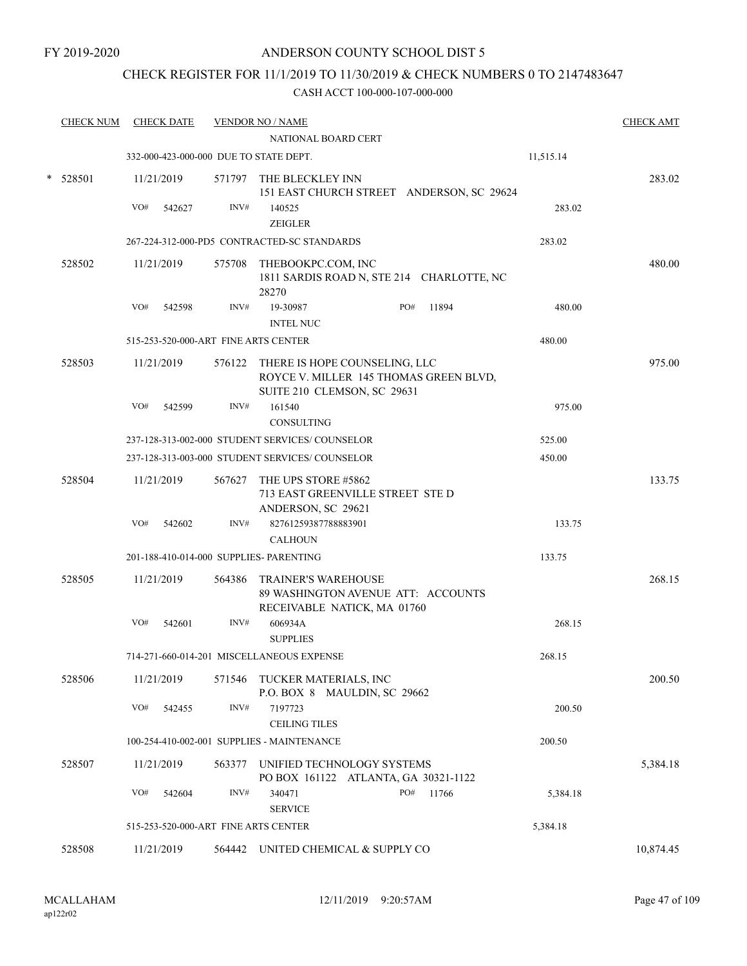### CHECK REGISTER FOR 11/1/2019 TO 11/30/2019 & CHECK NUMBERS 0 TO 2147483647

| <b>CHECK NUM</b> |     | <b>CHECK DATE</b> |        | <b>VENDOR NO / NAME</b><br>NATIONAL BOARD CERT                                                                |     |       |           | <b>CHECK AMT</b> |
|------------------|-----|-------------------|--------|---------------------------------------------------------------------------------------------------------------|-----|-------|-----------|------------------|
|                  |     |                   |        | 332-000-423-000-000 DUE TO STATE DEPT.                                                                        |     |       | 11,515.14 |                  |
| $*$ 528501       |     | 11/21/2019        |        | 571797 THE BLECKLEY INN<br>151 EAST CHURCH STREET ANDERSON, SC 29624                                          |     |       |           | 283.02           |
|                  | VO# | 542627            | INV#   | 140525<br><b>ZEIGLER</b>                                                                                      |     |       | 283.02    |                  |
|                  |     |                   |        | 267-224-312-000-PD5 CONTRACTED-SC STANDARDS                                                                   |     |       | 283.02    |                  |
| 528502           |     | 11/21/2019        |        | 575708 THEBOOKPC.COM, INC<br>1811 SARDIS ROAD N, STE 214 CHARLOTTE, NC<br>28270                               |     |       |           | 480.00           |
|                  | VO# | 542598            | INV#   | 19-30987<br><b>INTEL NUC</b>                                                                                  | PO# | 11894 | 480.00    |                  |
|                  |     |                   |        | 515-253-520-000-ART FINE ARTS CENTER                                                                          |     |       | 480.00    |                  |
| 528503           |     | 11/21/2019        |        | 576122 THERE IS HOPE COUNSELING, LLC<br>ROYCE V. MILLER 145 THOMAS GREEN BLVD,<br>SUITE 210 CLEMSON, SC 29631 |     |       |           | 975.00           |
|                  | VO# | 542599            | INV#   | 161540<br><b>CONSULTING</b>                                                                                   |     |       | 975.00    |                  |
|                  |     |                   |        | 237-128-313-002-000 STUDENT SERVICES/COUNSELOR                                                                |     |       | 525.00    |                  |
|                  |     |                   |        | 237-128-313-003-000 STUDENT SERVICES/ COUNSELOR                                                               |     |       | 450.00    |                  |
| 528504           |     | 11/21/2019        | 567627 | THE UPS STORE #5862<br>713 EAST GREENVILLE STREET STE D<br>ANDERSON, SC 29621                                 |     |       |           | 133.75           |
|                  | VO# | 542602            | INV#   | 82761259387788883901<br><b>CALHOUN</b>                                                                        |     |       | 133.75    |                  |
|                  |     |                   |        | 201-188-410-014-000 SUPPLIES- PARENTING                                                                       |     |       | 133.75    |                  |
| 528505           |     | 11/21/2019        |        | 564386 TRAINER'S WAREHOUSE<br>89 WASHINGTON AVENUE ATT: ACCOUNTS<br>RECEIVABLE NATICK, MA 01760               |     |       |           | 268.15           |
|                  | VO# | 542601            | INV#   | 606934A<br><b>SUPPLIES</b>                                                                                    |     |       | 268.15    |                  |
|                  |     |                   |        | 714-271-660-014-201 MISCELLANEOUS EXPENSE                                                                     |     |       | 268.15    |                  |
| 528506           |     | 11/21/2019        |        | 571546 TUCKER MATERIALS, INC<br>P.O. BOX 8 MAULDIN, SC 29662                                                  |     |       |           | 200.50           |
|                  | VO# | 542455            | INV#   | 7197723<br><b>CEILING TILES</b>                                                                               |     |       | 200.50    |                  |
|                  |     |                   |        | 100-254-410-002-001 SUPPLIES - MAINTENANCE                                                                    |     |       | 200.50    |                  |
| 528507           |     | 11/21/2019        | 563377 | UNIFIED TECHNOLOGY SYSTEMS<br>PO BOX 161122 ATLANTA, GA 30321-1122                                            |     |       |           | 5,384.18         |
|                  | VO# | 542604            | INV#   | 340471<br><b>SERVICE</b>                                                                                      | PO# | 11766 | 5,384.18  |                  |
|                  |     |                   |        | 515-253-520-000-ART FINE ARTS CENTER                                                                          |     |       | 5,384.18  |                  |
| 528508           |     | 11/21/2019        |        | 564442 UNITED CHEMICAL & SUPPLY CO                                                                            |     |       |           | 10,874.45        |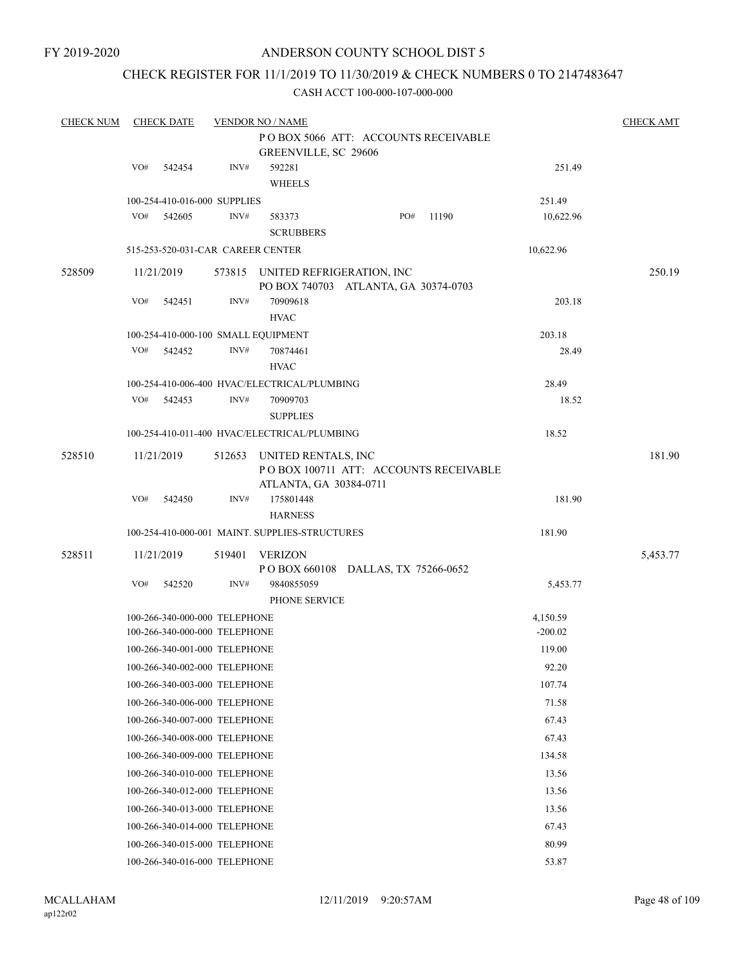### CHECK REGISTER FOR 11/1/2019 TO 11/30/2019 & CHECK NUMBERS 0 TO 2147483647

| <b>CHECK NUM</b> |     | <b>CHECK DATE</b>                                              |        | <b>VENDOR NO / NAME</b>                                                  |     |       |                       | <b>CHECK AMT</b> |
|------------------|-----|----------------------------------------------------------------|--------|--------------------------------------------------------------------------|-----|-------|-----------------------|------------------|
|                  |     |                                                                |        | PO BOX 5066 ATT: ACCOUNTS RECEIVABLE<br>GREENVILLE, SC 29606             |     |       |                       |                  |
|                  | VO# | 542454                                                         | INV#   | 592281<br><b>WHEELS</b>                                                  |     |       | 251.49                |                  |
|                  |     | 100-254-410-016-000 SUPPLIES                                   |        |                                                                          |     |       | 251.49                |                  |
|                  | VO# | 542605                                                         | INV#   | 583373<br><b>SCRUBBERS</b>                                               | PO# | 11190 | 10,622.96             |                  |
|                  |     | 515-253-520-031-CAR CAREER CENTER                              |        |                                                                          |     |       | 10,622.96             |                  |
|                  |     |                                                                |        |                                                                          |     |       |                       |                  |
| 528509           |     | 11/21/2019                                                     |        | 573815 UNITED REFRIGERATION, INC<br>PO BOX 740703 ATLANTA, GA 30374-0703 |     |       |                       | 250.19           |
|                  | VO# | 542451                                                         | INV#   | 70909618<br><b>HVAC</b>                                                  |     |       | 203.18                |                  |
|                  |     |                                                                |        | 100-254-410-000-100 SMALL EQUIPMENT                                      |     |       | 203.18                |                  |
|                  | VO# | 542452                                                         | INV#   | 70874461                                                                 |     |       | 28.49                 |                  |
|                  |     |                                                                |        | <b>HVAC</b>                                                              |     |       |                       |                  |
|                  |     |                                                                |        | 100-254-410-006-400 HVAC/ELECTRICAL/PLUMBING                             |     |       | 28.49                 |                  |
|                  | VO# | 542453                                                         | INV#   | 70909703<br><b>SUPPLIES</b>                                              |     |       | 18.52                 |                  |
|                  |     |                                                                |        | 100-254-410-011-400 HVAC/ELECTRICAL/PLUMBING                             |     |       | 18.52                 |                  |
| 528510           |     | 11/21/2019                                                     | 512653 | UNITED RENTALS, INC                                                      |     |       |                       | 181.90           |
|                  |     |                                                                |        | PO BOX 100711 ATT: ACCOUNTS RECEIVABLE<br>ATLANTA, GA 30384-0711         |     |       |                       |                  |
|                  | VO# | 542450                                                         | INV#   | 175801448<br><b>HARNESS</b>                                              |     |       | 181.90                |                  |
|                  |     |                                                                |        | 100-254-410-000-001 MAINT. SUPPLIES-STRUCTURES                           |     |       | 181.90                |                  |
| 528511           |     | 11/21/2019                                                     | 519401 | <b>VERIZON</b>                                                           |     |       |                       | 5,453.77         |
|                  |     |                                                                |        | POBOX 660108 DALLAS, TX 75266-0652                                       |     |       |                       |                  |
|                  | VO# | 542520                                                         | INV#   | 9840855059<br>PHONE SERVICE                                              |     |       | 5,453.77              |                  |
|                  |     | 100-266-340-000-000 TELEPHONE<br>100-266-340-000-000 TELEPHONE |        |                                                                          |     |       | 4,150.59<br>$-200.02$ |                  |
|                  |     | 100-266-340-001-000 TELEPHONE                                  |        |                                                                          |     |       | 119.00                |                  |
|                  |     | 100-266-340-002-000 TELEPHONE                                  |        |                                                                          |     |       | 92.20                 |                  |
|                  |     | 100-266-340-003-000 TELEPHONE                                  |        |                                                                          |     |       | 107.74                |                  |
|                  |     | 100-266-340-006-000 TELEPHONE                                  |        |                                                                          |     |       | 71.58                 |                  |
|                  |     | 100-266-340-007-000 TELEPHONE                                  |        |                                                                          |     |       | 67.43                 |                  |
|                  |     | 100-266-340-008-000 TELEPHONE                                  |        |                                                                          |     |       | 67.43                 |                  |
|                  |     | 100-266-340-009-000 TELEPHONE                                  |        |                                                                          |     |       | 134.58                |                  |
|                  |     | 100-266-340-010-000 TELEPHONE                                  |        |                                                                          |     |       | 13.56                 |                  |
|                  |     | 100-266-340-012-000 TELEPHONE                                  |        |                                                                          |     |       | 13.56                 |                  |
|                  |     | 100-266-340-013-000 TELEPHONE                                  |        |                                                                          |     |       | 13.56                 |                  |
|                  |     | 100-266-340-014-000 TELEPHONE                                  |        |                                                                          |     |       | 67.43                 |                  |
|                  |     | 100-266-340-015-000 TELEPHONE                                  |        |                                                                          |     |       | 80.99                 |                  |
|                  |     | 100-266-340-016-000 TELEPHONE                                  |        |                                                                          |     |       | 53.87                 |                  |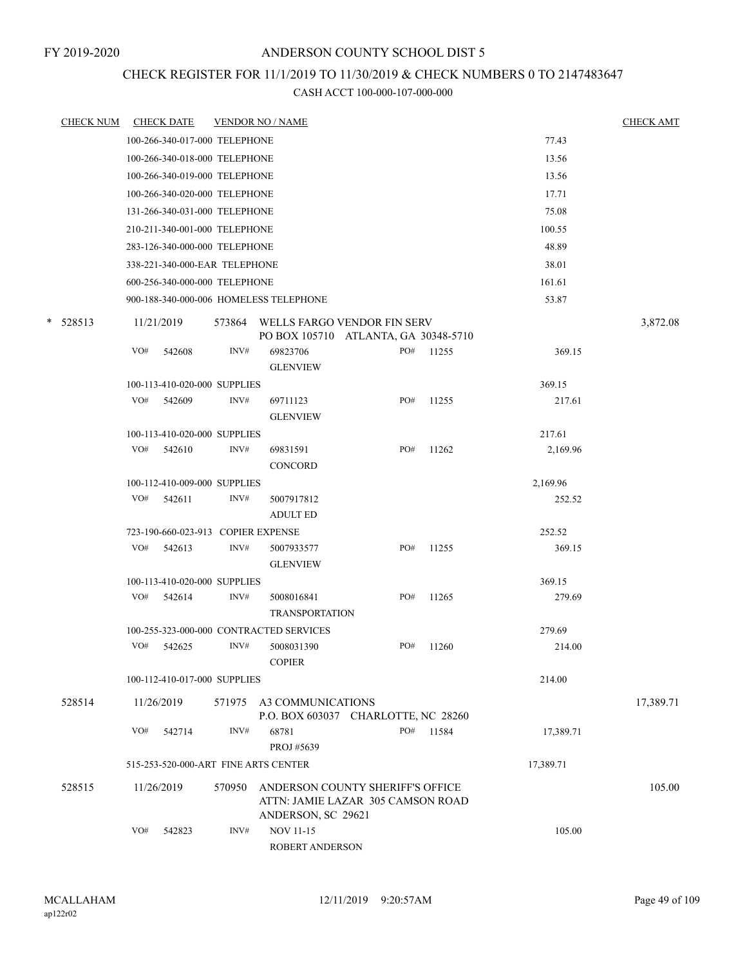### CHECK REGISTER FOR 11/1/2019 TO 11/30/2019 & CHECK NUMBERS 0 TO 2147483647

|   | <b>CHECK NUM</b> |     | <b>CHECK DATE</b>                    |        | <b>VENDOR NO / NAME</b>                                                                     |     |       |           | <b>CHECK AMT</b> |
|---|------------------|-----|--------------------------------------|--------|---------------------------------------------------------------------------------------------|-----|-------|-----------|------------------|
|   |                  |     | 100-266-340-017-000 TELEPHONE        |        |                                                                                             |     |       | 77.43     |                  |
|   |                  |     | 100-266-340-018-000 TELEPHONE        |        |                                                                                             |     |       | 13.56     |                  |
|   |                  |     | 100-266-340-019-000 TELEPHONE        |        |                                                                                             |     |       | 13.56     |                  |
|   |                  |     | 100-266-340-020-000 TELEPHONE        |        |                                                                                             |     |       | 17.71     |                  |
|   |                  |     | 131-266-340-031-000 TELEPHONE        |        |                                                                                             |     |       | 75.08     |                  |
|   |                  |     | 210-211-340-001-000 TELEPHONE        |        |                                                                                             |     |       | 100.55    |                  |
|   |                  |     | 283-126-340-000-000 TELEPHONE        |        |                                                                                             |     |       | 48.89     |                  |
|   |                  |     | 338-221-340-000-EAR TELEPHONE        |        |                                                                                             |     |       | 38.01     |                  |
|   |                  |     | 600-256-340-000-000 TELEPHONE        |        |                                                                                             |     |       | 161.61    |                  |
|   |                  |     |                                      |        | 900-188-340-000-006 HOMELESS TELEPHONE                                                      |     |       | 53.87     |                  |
| * | 528513           |     | 11/21/2019                           |        | 573864 WELLS FARGO VENDOR FIN SERV<br>PO BOX 105710 ATLANTA, GA 30348-5710                  |     |       |           | 3,872.08         |
|   |                  | VO# | 542608                               | INV#   | 69823706<br><b>GLENVIEW</b>                                                                 | PO# | 11255 | 369.15    |                  |
|   |                  |     | 100-113-410-020-000 SUPPLIES         |        |                                                                                             |     |       | 369.15    |                  |
|   |                  | VO# | 542609                               | INV#   | 69711123<br><b>GLENVIEW</b>                                                                 | PO# | 11255 | 217.61    |                  |
|   |                  |     | 100-113-410-020-000 SUPPLIES         |        |                                                                                             |     |       | 217.61    |                  |
|   |                  | VO# | 542610                               | INV#   | 69831591<br><b>CONCORD</b>                                                                  | PO# | 11262 | 2,169.96  |                  |
|   |                  |     | 100-112-410-009-000 SUPPLIES         |        |                                                                                             |     |       | 2,169.96  |                  |
|   |                  | VO# | 542611                               | INV#   | 5007917812<br><b>ADULT ED</b>                                                               |     |       | 252.52    |                  |
|   |                  |     | 723-190-660-023-913 COPIER EXPENSE   |        |                                                                                             |     |       | 252.52    |                  |
|   |                  | VO# | 542613                               | INV#   | 5007933577<br><b>GLENVIEW</b>                                                               | PO# | 11255 | 369.15    |                  |
|   |                  |     | 100-113-410-020-000 SUPPLIES         |        |                                                                                             |     |       | 369.15    |                  |
|   |                  | VO# | 542614                               | INV#   | 5008016841<br><b>TRANSPORTATION</b>                                                         | PO# | 11265 | 279.69    |                  |
|   |                  |     |                                      |        | 100-255-323-000-000 CONTRACTED SERVICES                                                     |     |       | 279.69    |                  |
|   |                  | VO# | 542625                               | INV#   | 5008031390<br><b>COPIER</b>                                                                 | PO# | 11260 | 214.00    |                  |
|   |                  |     | 100-112-410-017-000 SUPPLIES         |        |                                                                                             |     |       | 214.00    |                  |
|   | 528514           |     | 11/26/2019                           |        | 571975 A3 COMMUNICATIONS<br>P.O. BOX 603037 CHARLOTTE, NC 28260                             |     |       |           | 17,389.71        |
|   |                  | VO# | 542714                               | INV#   | 68781<br>PROJ #5639                                                                         | PO# | 11584 | 17,389.71 |                  |
|   |                  |     | 515-253-520-000-ART FINE ARTS CENTER |        |                                                                                             |     |       | 17,389.71 |                  |
|   | 528515           |     | 11/26/2019                           | 570950 | ANDERSON COUNTY SHERIFF'S OFFICE<br>ATTN: JAMIE LAZAR 305 CAMSON ROAD<br>ANDERSON, SC 29621 |     |       |           | 105.00           |
|   |                  | VO# | 542823                               | INV#   | <b>NOV 11-15</b><br>ROBERT ANDERSON                                                         |     |       | 105.00    |                  |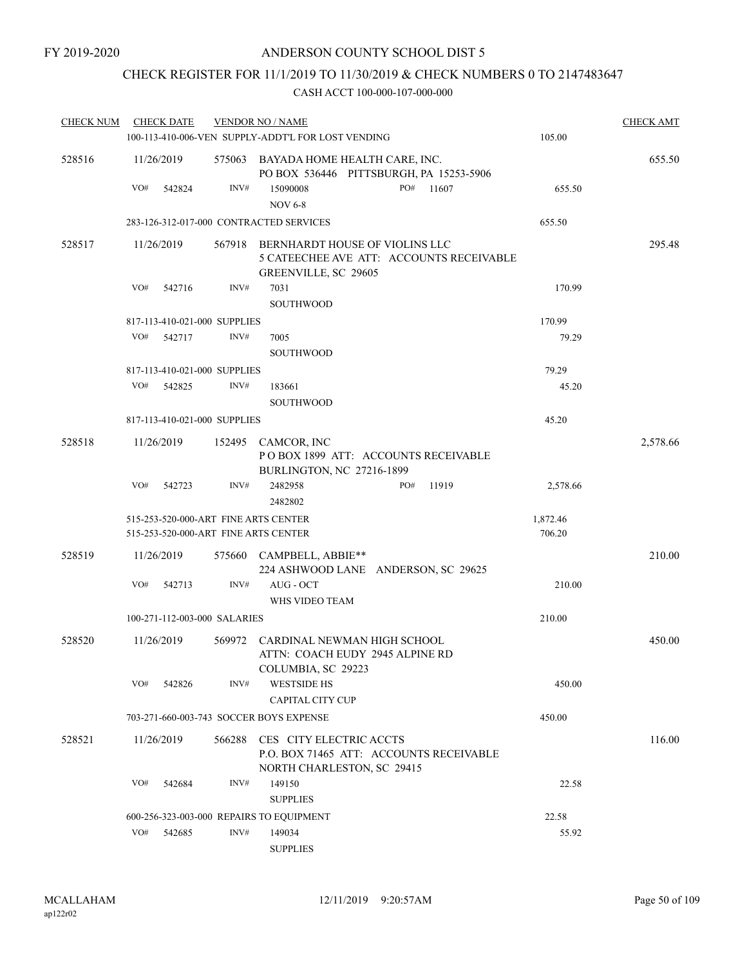# CHECK REGISTER FOR 11/1/2019 TO 11/30/2019 & CHECK NUMBERS 0 TO 2147483647

| <b>CHECK NUM</b> | <b>CHECK DATE</b> |                                                                              | <b>VENDOR NO / NAME</b>                                                                     |                                          |                    | <b>CHECK AMT</b> |
|------------------|-------------------|------------------------------------------------------------------------------|---------------------------------------------------------------------------------------------|------------------------------------------|--------------------|------------------|
|                  |                   |                                                                              | 100-113-410-006-VEN SUPPLY-ADDT'L FOR LOST VENDING                                          |                                          | 105.00             |                  |
| 528516           | 11/26/2019        |                                                                              | 575063 BAYADA HOME HEALTH CARE, INC.                                                        | PO BOX 536446 PITTSBURGH, PA 15253-5906  |                    | 655.50           |
|                  | VO#               | INV#<br>542824                                                               | 15090008<br><b>NOV 6-8</b>                                                                  | PO#<br>11607                             | 655.50             |                  |
|                  |                   | 283-126-312-017-000 CONTRACTED SERVICES                                      |                                                                                             |                                          | 655.50             |                  |
| 528517           | 11/26/2019        |                                                                              | 567918 BERNHARDT HOUSE OF VIOLINS LLC<br>GREENVILLE, SC 29605                               | 5 CATEECHEE AVE ATT: ACCOUNTS RECEIVABLE |                    | 295.48           |
|                  | VO#               | INV#<br>542716                                                               | 7031<br><b>SOUTHWOOD</b>                                                                    |                                          | 170.99             |                  |
|                  |                   | 817-113-410-021-000 SUPPLIES                                                 |                                                                                             |                                          | 170.99             |                  |
|                  | VO#               | 542717<br>INV#                                                               | 7005<br><b>SOUTHWOOD</b>                                                                    |                                          | 79.29              |                  |
|                  |                   | 817-113-410-021-000 SUPPLIES                                                 |                                                                                             |                                          | 79.29              |                  |
|                  | VO#               | 542825<br>INV#                                                               | 183661<br>SOUTHWOOD                                                                         |                                          | 45.20              |                  |
|                  |                   | 817-113-410-021-000 SUPPLIES                                                 |                                                                                             |                                          | 45.20              |                  |
| 528518           | 11/26/2019        |                                                                              | 152495 CAMCOR, INC<br>BURLINGTON, NC 27216-1899                                             | POBOX 1899 ATT: ACCOUNTS RECEIVABLE      |                    | 2,578.66         |
|                  | VO#               | INV#<br>542723                                                               | 2482958<br>2482802                                                                          | 11919<br>PO#                             | 2,578.66           |                  |
|                  |                   | 515-253-520-000-ART FINE ARTS CENTER<br>515-253-520-000-ART FINE ARTS CENTER |                                                                                             |                                          | 1,872.46<br>706.20 |                  |
| 528519           | 11/26/2019        |                                                                              | 575660 CAMPBELL, ABBIE**                                                                    | 224 ASHWOOD LANE ANDERSON, SC 29625      |                    | 210.00           |
|                  | VO#               | 542713<br>INV#                                                               | AUG - OCT<br>WHS VIDEO TEAM                                                                 |                                          | 210.00             |                  |
|                  |                   | 100-271-112-003-000 SALARIES                                                 |                                                                                             |                                          | 210.00             |                  |
| 528520           | 11/26/2019        |                                                                              | 569972 CARDINAL NEWMAN HIGH SCHOOL<br>ATTN: COACH EUDY 2945 ALPINE RD<br>COLUMBIA, SC 29223 |                                          |                    | 450.00           |
|                  | VO#               | 542826<br>INV#                                                               | <b>WESTSIDE HS</b><br>CAPITAL CITY CUP                                                      |                                          | 450.00             |                  |
|                  |                   | 703-271-660-003-743 SOCCER BOYS EXPENSE                                      |                                                                                             |                                          | 450.00             |                  |
| 528521           | 11/26/2019        | 566288                                                                       | CES CITY ELECTRIC ACCTS<br>NORTH CHARLESTON, SC 29415                                       | P.O. BOX 71465 ATT: ACCOUNTS RECEIVABLE  |                    | 116.00           |
|                  | VO#               | INV#<br>542684                                                               | 149150<br><b>SUPPLIES</b>                                                                   |                                          | 22.58              |                  |
|                  |                   | 600-256-323-003-000 REPAIRS TO EQUIPMENT                                     |                                                                                             |                                          | 22.58              |                  |
|                  | VO#               | INV#<br>542685                                                               | 149034<br><b>SUPPLIES</b>                                                                   |                                          | 55.92              |                  |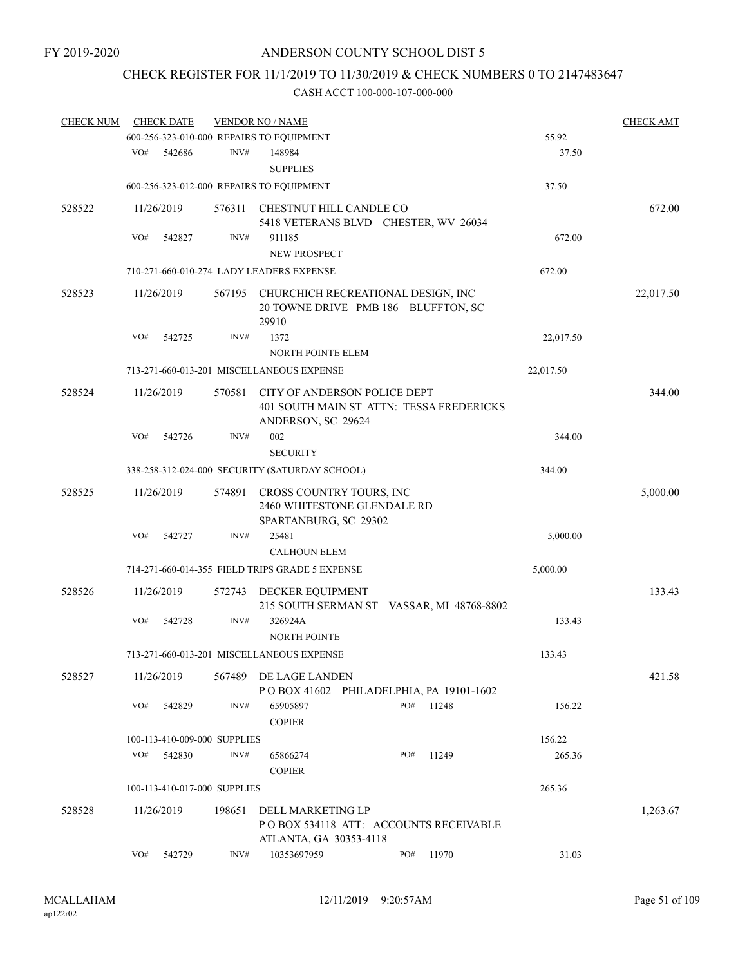# CHECK REGISTER FOR 11/1/2019 TO 11/30/2019 & CHECK NUMBERS 0 TO 2147483647

| <b>CHECK NUM</b> |     | <b>CHECK DATE</b>            |        | <b>VENDOR NO / NAME</b>                                                                   |                                           |           | <b>CHECK AMT</b> |
|------------------|-----|------------------------------|--------|-------------------------------------------------------------------------------------------|-------------------------------------------|-----------|------------------|
|                  |     |                              |        | 600-256-323-010-000 REPAIRS TO EQUIPMENT                                                  |                                           | 55.92     |                  |
|                  | VO# | 542686                       | INV#   | 148984<br><b>SUPPLIES</b>                                                                 |                                           | 37.50     |                  |
|                  |     |                              |        | 600-256-323-012-000 REPAIRS TO EQUIPMENT                                                  |                                           | 37.50     |                  |
|                  |     |                              |        |                                                                                           |                                           |           |                  |
| 528522           |     | 11/26/2019                   | 576311 | CHESTNUT HILL CANDLE CO<br>5418 VETERANS BLVD CHESTER, WV 26034                           |                                           |           | 672.00           |
|                  | VO# | 542827                       | INV#   | 911185<br><b>NEW PROSPECT</b>                                                             |                                           | 672.00    |                  |
|                  |     |                              |        | 710-271-660-010-274 LADY LEADERS EXPENSE                                                  |                                           | 672.00    |                  |
| 528523           |     | 11/26/2019                   |        |                                                                                           |                                           |           |                  |
|                  |     |                              |        | 567195 CHURCHICH RECREATIONAL DESIGN, INC<br>20 TOWNE DRIVE PMB 186 BLUFFTON, SC<br>29910 |                                           |           | 22,017.50        |
|                  | VO# | 542725                       | INV#   | 1372                                                                                      |                                           | 22,017.50 |                  |
|                  |     |                              |        | <b>NORTH POINTE ELEM</b>                                                                  |                                           |           |                  |
|                  |     |                              |        | 713-271-660-013-201 MISCELLANEOUS EXPENSE                                                 |                                           | 22,017.50 |                  |
| 528524           |     | 11/26/2019                   | 570581 | CITY OF ANDERSON POLICE DEPT                                                              |                                           |           | 344.00           |
|                  |     |                              |        | ANDERSON, SC 29624                                                                        | 401 SOUTH MAIN ST ATTN: TESSA FREDERICKS  |           |                  |
|                  | VO# | 542726                       | INV#   | 002<br><b>SECURITY</b>                                                                    |                                           | 344.00    |                  |
|                  |     |                              |        | 338-258-312-024-000 SECURITY (SATURDAY SCHOOL)                                            |                                           | 344.00    |                  |
|                  |     |                              |        |                                                                                           |                                           |           |                  |
| 528525           |     | 11/26/2019                   | 574891 | CROSS COUNTRY TOURS, INC<br>2460 WHITESTONE GLENDALE RD<br>SPARTANBURG, SC 29302          |                                           |           | 5,000.00         |
|                  | VO# | 542727                       | INV#   | 25481                                                                                     |                                           | 5,000.00  |                  |
|                  |     |                              |        | <b>CALHOUN ELEM</b>                                                                       |                                           |           |                  |
|                  |     |                              |        | 714-271-660-014-355 FIELD TRIPS GRADE 5 EXPENSE                                           |                                           | 5,000.00  |                  |
| 528526           |     | 11/26/2019                   | 572743 | DECKER EQUIPMENT                                                                          | 215 SOUTH SERMAN ST VASSAR, MI 48768-8802 |           | 133.43           |
|                  | VO# | 542728                       | INV#   | 326924A<br><b>NORTH POINTE</b>                                                            |                                           | 133.43    |                  |
|                  |     |                              |        | 713-271-660-013-201 MISCELLANEOUS EXPENSE                                                 |                                           | 133.43    |                  |
|                  |     |                              |        |                                                                                           |                                           |           |                  |
| 528527           |     | 11/26/2019                   | 567489 | DE LAGE LANDEN<br>POBOX 41602 PHILADELPHIA, PA 19101-1602                                 |                                           |           | 421.58           |
|                  | VO# | 542829                       | INV#   | 65905897<br><b>COPIER</b>                                                                 | PO#<br>11248                              | 156.22    |                  |
|                  |     | 100-113-410-009-000 SUPPLIES |        |                                                                                           |                                           | 156.22    |                  |
|                  | VO# | 542830                       | INV#   | 65866274<br><b>COPIER</b>                                                                 | PO#<br>11249                              | 265.36    |                  |
|                  |     | 100-113-410-017-000 SUPPLIES |        |                                                                                           |                                           | 265.36    |                  |
| 528528           |     | 11/26/2019                   | 198651 | DELL MARKETING LP                                                                         |                                           |           | 1,263.67         |
|                  |     |                              |        | PO BOX 534118 ATT: ACCOUNTS RECEIVABLE<br>ATLANTA, GA 30353-4118                          |                                           |           |                  |
|                  | VO# | 542729                       | INV#   | 10353697959                                                                               | PO#<br>11970                              | 31.03     |                  |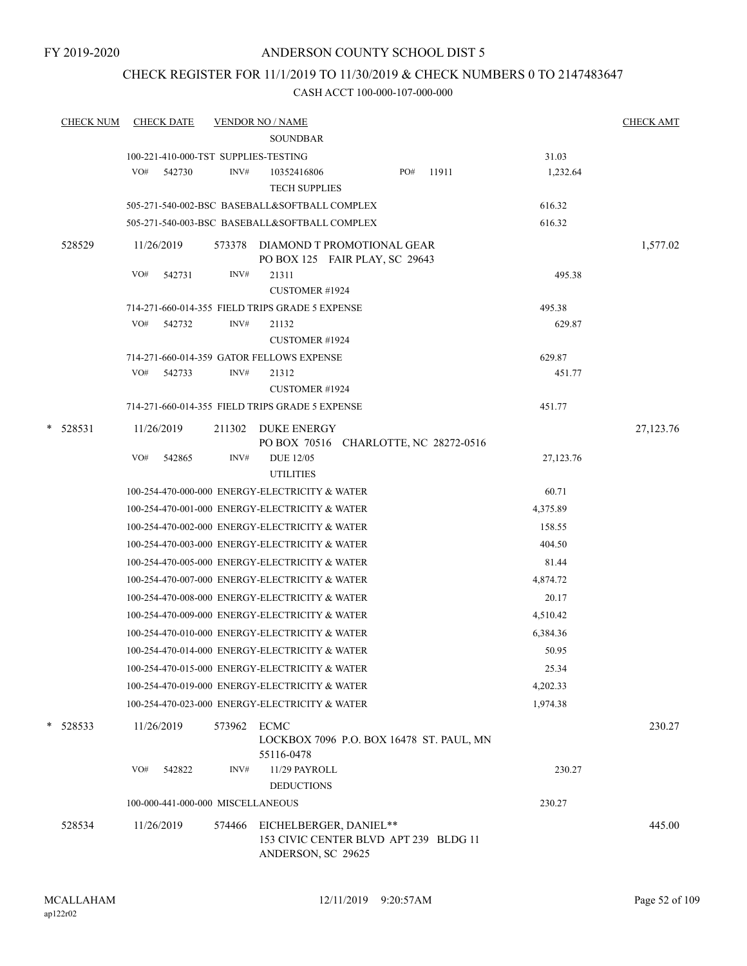#### CHECK REGISTER FOR 11/1/2019 TO 11/30/2019 & CHECK NUMBERS 0 TO 2147483647

| <u>CHECK NUM</u> |            | <b>CHECK DATE</b>                 |        | <b>VENDOR NO / NAME</b>                                                               |     |       |           | <b>CHECK AMT</b> |
|------------------|------------|-----------------------------------|--------|---------------------------------------------------------------------------------------|-----|-------|-----------|------------------|
|                  |            |                                   |        | <b>SOUNDBAR</b>                                                                       |     |       |           |                  |
|                  |            |                                   |        | 100-221-410-000-TST SUPPLIES-TESTING                                                  |     |       | 31.03     |                  |
|                  | VO#        | 542730                            | INV#   | 10352416806<br><b>TECH SUPPLIES</b>                                                   | PO# | 11911 | 1,232.64  |                  |
|                  |            |                                   |        | 505-271-540-002-BSC BASEBALL&SOFTBALL COMPLEX                                         |     |       | 616.32    |                  |
|                  |            |                                   |        | 505-271-540-003-BSC BASEBALL&SOFTBALL COMPLEX                                         |     |       | 616.32    |                  |
| 528529           | 11/26/2019 |                                   | 573378 | DIAMOND T PROMOTIONAL GEAR<br>PO BOX 125 FAIR PLAY, SC 29643                          |     |       |           | 1,577.02         |
|                  | VO#        | 542731                            | INV#   | 21311<br><b>CUSTOMER #1924</b>                                                        |     |       | 495.38    |                  |
|                  |            |                                   |        | 714-271-660-014-355 FIELD TRIPS GRADE 5 EXPENSE                                       |     |       | 495.38    |                  |
|                  | VO#        | 542732                            | INV#   | 21132                                                                                 |     |       | 629.87    |                  |
|                  |            |                                   |        | <b>CUSTOMER #1924</b>                                                                 |     |       |           |                  |
|                  |            |                                   |        | 714-271-660-014-359 GATOR FELLOWS EXPENSE                                             |     |       | 629.87    |                  |
|                  | VO#        | 542733                            | INV#   | 21312<br><b>CUSTOMER #1924</b>                                                        |     |       | 451.77    |                  |
|                  |            |                                   |        | 714-271-660-014-355 FIELD TRIPS GRADE 5 EXPENSE                                       |     |       | 451.77    |                  |
|                  |            |                                   |        |                                                                                       |     |       |           |                  |
| $*$ 528531       | 11/26/2019 |                                   | 211302 | <b>DUKE ENERGY</b><br>PO BOX 70516 CHARLOTTE, NC 28272-0516                           |     |       |           | 27,123.76        |
|                  | VO#        | 542865                            | INV#   | <b>DUE 12/05</b>                                                                      |     |       | 27,123.76 |                  |
|                  |            |                                   |        | <b>UTILITIES</b>                                                                      |     |       |           |                  |
|                  |            |                                   |        | 100-254-470-000-000 ENERGY-ELECTRICITY & WATER                                        |     |       | 60.71     |                  |
|                  |            |                                   |        | 100-254-470-001-000 ENERGY-ELECTRICITY & WATER                                        |     |       | 4,375.89  |                  |
|                  |            |                                   |        | 100-254-470-002-000 ENERGY-ELECTRICITY & WATER                                        |     |       | 158.55    |                  |
|                  |            |                                   |        | 100-254-470-003-000 ENERGY-ELECTRICITY & WATER                                        |     |       | 404.50    |                  |
|                  |            |                                   |        | 100-254-470-005-000 ENERGY-ELECTRICITY & WATER                                        |     |       | 81.44     |                  |
|                  |            |                                   |        | 100-254-470-007-000 ENERGY-ELECTRICITY & WATER                                        |     |       | 4,874.72  |                  |
|                  |            |                                   |        | 100-254-470-008-000 ENERGY-ELECTRICITY & WATER                                        |     |       | 20.17     |                  |
|                  |            |                                   |        | 100-254-470-009-000 ENERGY-ELECTRICITY & WATER                                        |     |       | 4,510.42  |                  |
|                  |            |                                   |        | 100-254-470-010-000 ENERGY-ELECTRICITY & WATER                                        |     |       | 6,384.36  |                  |
|                  |            |                                   |        | 100-254-470-014-000 ENERGY-ELECTRICITY & WATER                                        |     |       | 50.95     |                  |
|                  |            |                                   |        | 100-254-470-015-000 ENERGY-ELECTRICITY & WATER                                        |     |       | 25.34     |                  |
|                  |            |                                   |        | 100-254-470-019-000 ENERGY-ELECTRICITY & WATER                                        |     |       | 4,202.33  |                  |
|                  |            |                                   |        | 100-254-470-023-000 ENERGY-ELECTRICITY & WATER                                        |     |       | 1,974.38  |                  |
| *<br>528533      | 11/26/2019 |                                   | 573962 | <b>ECMC</b><br>LOCKBOX 7096 P.O. BOX 16478 ST. PAUL, MN<br>55116-0478                 |     |       |           | 230.27           |
|                  | VO#        | 542822                            | INV#   | 11/29 PAYROLL<br><b>DEDUCTIONS</b>                                                    |     |       | 230.27    |                  |
|                  |            | 100-000-441-000-000 MISCELLANEOUS |        |                                                                                       |     |       | 230.27    |                  |
| 528534           | 11/26/2019 |                                   | 574466 | EICHELBERGER, DANIEL**<br>153 CIVIC CENTER BLVD APT 239 BLDG 11<br>ANDERSON, SC 29625 |     |       |           | 445.00           |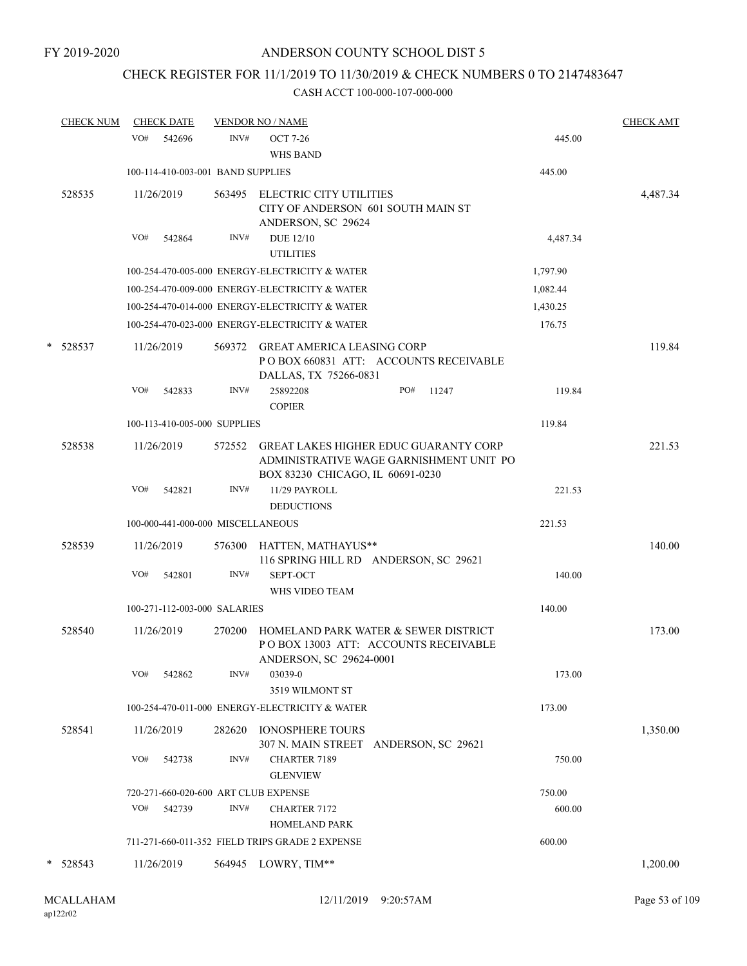# CHECK REGISTER FOR 11/1/2019 TO 11/30/2019 & CHECK NUMBERS 0 TO 2147483647

| <b>CHECK NUM</b> |     | <b>CHECK DATE</b>                 |        | <b>VENDOR NO / NAME</b>                                                                    |                                                                                         |          | <b>CHECK AMT</b> |
|------------------|-----|-----------------------------------|--------|--------------------------------------------------------------------------------------------|-----------------------------------------------------------------------------------------|----------|------------------|
|                  | VO# | 542696                            | INV#   | <b>OCT 7-26</b><br><b>WHS BAND</b>                                                         |                                                                                         | 445.00   |                  |
|                  |     | 100-114-410-003-001 BAND SUPPLIES |        |                                                                                            |                                                                                         | 445.00   |                  |
| 528535           |     | 11/26/2019                        | 563495 | <b>ELECTRIC CITY UTILITIES</b><br>CITY OF ANDERSON 601 SOUTH MAIN ST<br>ANDERSON, SC 29624 |                                                                                         |          | 4,487.34         |
|                  | VO# | 542864                            | INV#   | <b>DUE 12/10</b><br><b>UTILITIES</b>                                                       |                                                                                         | 4,487.34 |                  |
|                  |     |                                   |        | 100-254-470-005-000 ENERGY-ELECTRICITY & WATER                                             |                                                                                         | 1,797.90 |                  |
|                  |     |                                   |        | 100-254-470-009-000 ENERGY-ELECTRICITY & WATER                                             |                                                                                         | 1,082.44 |                  |
|                  |     |                                   |        | 100-254-470-014-000 ENERGY-ELECTRICITY & WATER                                             |                                                                                         | 1,430.25 |                  |
|                  |     |                                   |        | 100-254-470-023-000 ENERGY-ELECTRICITY & WATER                                             |                                                                                         | 176.75   |                  |
| * 528537         |     | 11/26/2019                        | 569372 | <b>GREAT AMERICA LEASING CORP</b><br>DALLAS, TX 75266-0831                                 | PO BOX 660831 ATT: ACCOUNTS RECEIVABLE                                                  |          | 119.84           |
|                  | VO# | 542833                            | INV#   | 25892208<br><b>COPIER</b>                                                                  | PO#<br>11247                                                                            | 119.84   |                  |
|                  |     | 100-113-410-005-000 SUPPLIES      |        |                                                                                            |                                                                                         | 119.84   |                  |
| 528538           |     | 11/26/2019                        | 572552 | BOX 83230 CHICAGO, IL 60691-0230                                                           | <b>GREAT LAKES HIGHER EDUC GUARANTY CORP</b><br>ADMINISTRATIVE WAGE GARNISHMENT UNIT PO |          | 221.53           |
|                  | VO# | 542821                            | INV#   | 11/29 PAYROLL<br><b>DEDUCTIONS</b>                                                         |                                                                                         | 221.53   |                  |
|                  |     | 100-000-441-000-000 MISCELLANEOUS |        |                                                                                            |                                                                                         | 221.53   |                  |
| 528539           |     | 11/26/2019                        | 576300 | HATTEN, MATHAYUS**                                                                         | 116 SPRING HILL RD ANDERSON, SC 29621                                                   |          | 140.00           |
|                  | VO# | 542801                            | INV#   | SEPT-OCT<br>WHS VIDEO TEAM                                                                 |                                                                                         | 140.00   |                  |
|                  |     | 100-271-112-003-000 SALARIES      |        |                                                                                            |                                                                                         | 140.00   |                  |
| 528540           |     | 11/26/2019                        | 270200 | ANDERSON, SC 29624-0001                                                                    | HOMELAND PARK WATER & SEWER DISTRICT<br>POBOX 13003 ATT: ACCOUNTS RECEIVABLE            |          | 173.00           |
|                  | VO# | 542862                            | INV#   | 03039-0<br>3519 WILMONT ST                                                                 |                                                                                         | 173.00   |                  |
|                  |     |                                   |        | 100-254-470-011-000 ENERGY-ELECTRICITY & WATER                                             |                                                                                         | 173.00   |                  |
| 528541           |     | 11/26/2019                        |        | 282620 IONOSPHERE TOURS                                                                    | 307 N. MAIN STREET ANDERSON, SC 29621                                                   |          | 1,350.00         |
|                  | VO# | 542738                            | INV#   | <b>CHARTER 7189</b><br><b>GLENVIEW</b>                                                     |                                                                                         | 750.00   |                  |
|                  |     |                                   |        | 720-271-660-020-600 ART CLUB EXPENSE                                                       |                                                                                         | 750.00   |                  |
|                  | VO# | 542739                            | INV#   | <b>CHARTER 7172</b><br><b>HOMELAND PARK</b>                                                |                                                                                         | 600.00   |                  |
|                  |     |                                   |        | 711-271-660-011-352 FIELD TRIPS GRADE 2 EXPENSE                                            |                                                                                         | 600.00   |                  |
| $*$ 528543       |     | 11/26/2019                        |        | 564945 LOWRY, TIM**                                                                        |                                                                                         |          | 1,200.00         |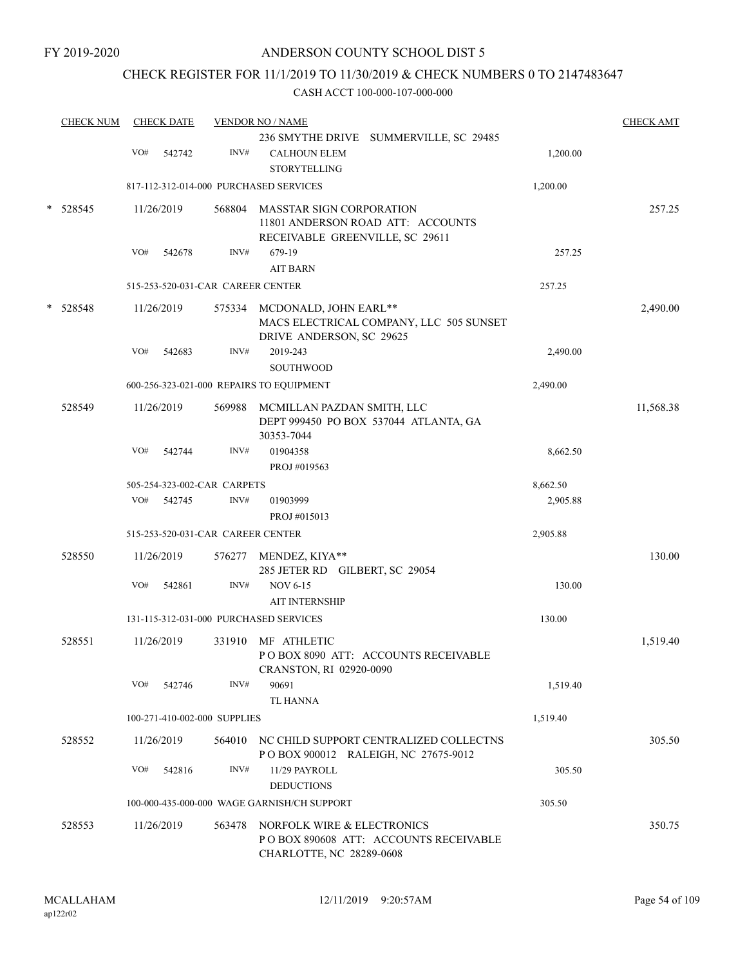### CHECK REGISTER FOR 11/1/2019 TO 11/30/2019 & CHECK NUMBERS 0 TO 2147483647

|        | <b>CHECK NUM</b> |     | <b>CHECK DATE</b> |                                   | <b>VENDOR NO / NAME</b>                                                                             |          | <b>CHECK AMT</b> |
|--------|------------------|-----|-------------------|-----------------------------------|-----------------------------------------------------------------------------------------------------|----------|------------------|
|        |                  | VO# | 542742            | INV#                              | 236 SMYTHE DRIVE SUMMERVILLE, SC 29485<br><b>CALHOUN ELEM</b><br><b>STORYTELLING</b>                | 1,200.00 |                  |
|        |                  |     |                   |                                   | 817-112-312-014-000 PURCHASED SERVICES                                                              | 1,200.00 |                  |
|        | $*$ 528545       |     | 11/26/2019        | 568804                            | MASSTAR SIGN CORPORATION<br>11801 ANDERSON ROAD ATT: ACCOUNTS                                       |          | 257.25           |
|        |                  | VO# | 542678            | INV#                              | RECEIVABLE GREENVILLE, SC 29611<br>679-19<br><b>AIT BARN</b>                                        | 257.25   |                  |
|        |                  |     |                   | 515-253-520-031-CAR CAREER CENTER |                                                                                                     | 257.25   |                  |
| $\ast$ | 528548           |     | 11/26/2019        |                                   | 575334 MCDONALD, JOHN EARL**<br>MACS ELECTRICAL COMPANY, LLC 505 SUNSET<br>DRIVE ANDERSON, SC 29625 |          | 2,490.00         |
|        |                  | VO# | 542683            | INV#                              | 2019-243<br>SOUTHWOOD                                                                               | 2,490.00 |                  |
|        |                  |     |                   |                                   | 600-256-323-021-000 REPAIRS TO EQUIPMENT                                                            | 2,490.00 |                  |
|        | 528549           |     | 11/26/2019        |                                   | 569988 MCMILLAN PAZDAN SMITH, LLC<br>DEPT 999450 PO BOX 537044 ATLANTA, GA<br>30353-7044            |          | 11,568.38        |
|        |                  | VO# | 542744            | INV#                              | 01904358<br>PROJ #019563                                                                            | 8,662.50 |                  |
|        |                  |     |                   | 505-254-323-002-CAR CARPETS       |                                                                                                     | 8,662.50 |                  |
|        |                  | VO# | 542745            | INV#                              | 01903999<br>PROJ #015013                                                                            | 2,905.88 |                  |
|        |                  |     |                   | 515-253-520-031-CAR CAREER CENTER |                                                                                                     | 2,905.88 |                  |
|        | 528550           |     | 11/26/2019        |                                   | 576277 MENDEZ, KIYA**<br>285 JETER RD GILBERT, SC 29054                                             |          | 130.00           |
|        |                  | VO# | 542861            | INV#                              | <b>NOV 6-15</b><br><b>AIT INTERNSHIP</b>                                                            | 130.00   |                  |
|        |                  |     |                   |                                   | 131-115-312-031-000 PURCHASED SERVICES                                                              | 130.00   |                  |
|        | 528551           |     | 11/26/2019        | 331910                            | MF ATHLETIC<br>PO BOX 8090 ATT: ACCOUNTS RECEIVABLE<br>CRANSTON, RI 02920-0090                      |          | 1,519.40         |
|        |                  | VO# | 542746            | INV#                              | 90691<br><b>TL HANNA</b>                                                                            | 1,519.40 |                  |
|        |                  |     |                   | 100-271-410-002-000 SUPPLIES      |                                                                                                     | 1,519.40 |                  |
|        | 528552           |     | 11/26/2019        | 564010                            | NC CHILD SUPPORT CENTRALIZED COLLECTNS<br>P O BOX 900012 RALEIGH, NC 27675-9012                     |          | 305.50           |
|        |                  | VO# | 542816            | INV#                              | 11/29 PAYROLL<br><b>DEDUCTIONS</b>                                                                  | 305.50   |                  |
|        |                  |     |                   |                                   | 100-000-435-000-000 WAGE GARNISH/CH SUPPORT                                                         | 305.50   |                  |
|        | 528553           |     | 11/26/2019        | 563478                            | NORFOLK WIRE & ELECTRONICS<br>PO BOX 890608 ATT: ACCOUNTS RECEIVABLE<br>CHARLOTTE, NC 28289-0608    |          | 350.75           |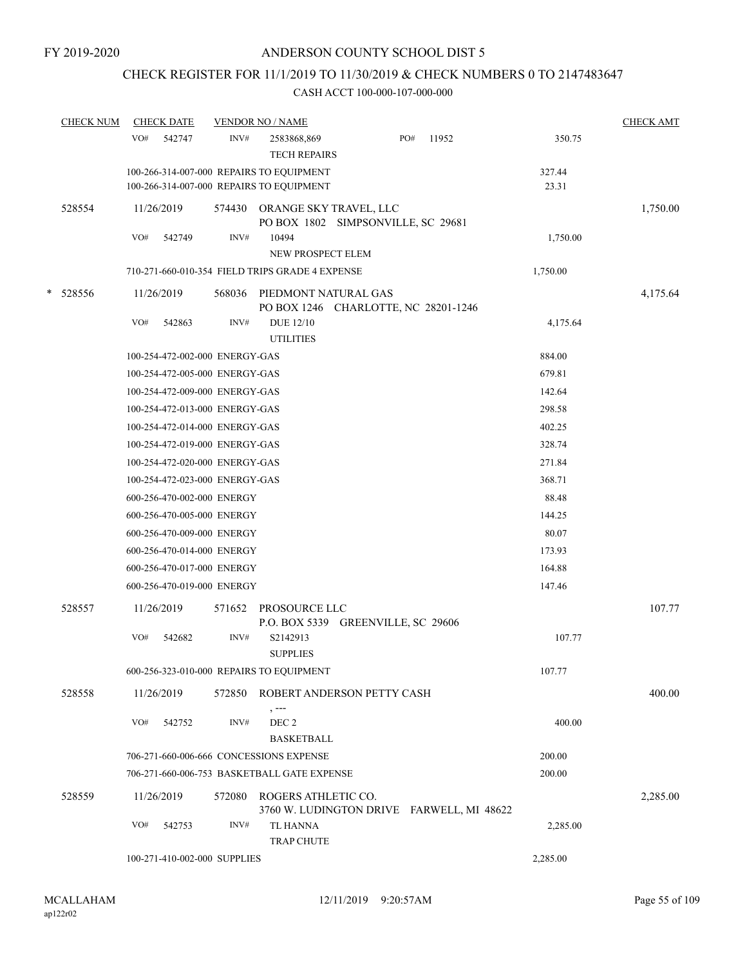# CHECK REGISTER FOR 11/1/2019 TO 11/30/2019 & CHECK NUMBERS 0 TO 2147483647

|   | <b>CHECK NUM</b> | <b>CHECK DATE</b>                                                                    |        | <b>VENDOR NO / NAME</b>              |                                           |     |       |                 | <b>CHECK AMT</b> |
|---|------------------|--------------------------------------------------------------------------------------|--------|--------------------------------------|-------------------------------------------|-----|-------|-----------------|------------------|
|   |                  | VO#<br>542747                                                                        | INV#   | 2583868,869<br><b>TECH REPAIRS</b>   |                                           | PO# | 11952 | 350.75          |                  |
|   |                  | 100-266-314-007-000 REPAIRS TO EQUIPMENT<br>100-266-314-007-000 REPAIRS TO EQUIPMENT |        |                                      |                                           |     |       | 327.44<br>23.31 |                  |
|   | 528554           | 11/26/2019                                                                           | 574430 | ORANGE SKY TRAVEL, LLC               | PO BOX 1802 SIMPSONVILLE, SC 29681        |     |       |                 | 1,750.00         |
|   |                  | VO#<br>542749                                                                        | INV#   | 10494<br>NEW PROSPECT ELEM           |                                           |     |       | 1,750.00        |                  |
|   |                  | 710-271-660-010-354 FIELD TRIPS GRADE 4 EXPENSE                                      |        |                                      |                                           |     |       | 1,750.00        |                  |
| * | 528556           | 11/26/2019                                                                           | 568036 | PIEDMONT NATURAL GAS                 | PO BOX 1246 CHARLOTTE, NC 28201-1246      |     |       |                 | 4,175.64         |
|   |                  | VO#<br>542863                                                                        | INV#   | <b>DUE 12/10</b><br><b>UTILITIES</b> |                                           |     |       | 4,175.64        |                  |
|   |                  | 100-254-472-002-000 ENERGY-GAS                                                       |        |                                      |                                           |     |       | 884.00          |                  |
|   |                  | 100-254-472-005-000 ENERGY-GAS                                                       |        |                                      |                                           |     |       | 679.81          |                  |
|   |                  | 100-254-472-009-000 ENERGY-GAS                                                       |        |                                      |                                           |     |       | 142.64          |                  |
|   |                  | 100-254-472-013-000 ENERGY-GAS                                                       |        |                                      |                                           |     |       | 298.58          |                  |
|   |                  | 100-254-472-014-000 ENERGY-GAS                                                       |        |                                      |                                           |     |       | 402.25          |                  |
|   |                  | 100-254-472-019-000 ENERGY-GAS                                                       |        |                                      |                                           |     |       | 328.74          |                  |
|   |                  | 100-254-472-020-000 ENERGY-GAS                                                       |        |                                      |                                           |     |       | 271.84          |                  |
|   |                  | 100-254-472-023-000 ENERGY-GAS                                                       |        |                                      |                                           |     |       | 368.71          |                  |
|   |                  | 600-256-470-002-000 ENERGY                                                           |        |                                      |                                           |     |       | 88.48           |                  |
|   |                  | 600-256-470-005-000 ENERGY                                                           |        |                                      |                                           |     |       | 144.25          |                  |
|   |                  | 600-256-470-009-000 ENERGY                                                           |        |                                      |                                           |     |       | 80.07           |                  |
|   |                  | 600-256-470-014-000 ENERGY                                                           |        |                                      |                                           |     |       | 173.93          |                  |
|   |                  | 600-256-470-017-000 ENERGY                                                           |        |                                      |                                           |     |       | 164.88          |                  |
|   |                  | 600-256-470-019-000 ENERGY                                                           |        |                                      |                                           |     |       | 147.46          |                  |
|   | 528557           | 11/26/2019                                                                           | 571652 | PROSOURCE LLC                        | P.O. BOX 5339 GREENVILLE, SC 29606        |     |       |                 | 107.77           |
|   |                  | VO#<br>542682                                                                        | INV#   | S2142913<br><b>SUPPLIES</b>          |                                           |     |       | 107.77          |                  |
|   |                  | 600-256-323-010-000 REPAIRS TO EQUIPMENT                                             |        |                                      |                                           |     |       | 107.77          |                  |
|   | 528558           | 11/26/2019                                                                           |        | $, -- -$                             | 572850 ROBERT ANDERSON PETTY CASH         |     |       |                 | 400.00           |
|   |                  | VO#<br>542752                                                                        | INV#   | DEC 2<br><b>BASKETBALL</b>           |                                           |     |       | 400.00          |                  |
|   |                  | 706-271-660-006-666 CONCESSIONS EXPENSE                                              |        |                                      |                                           |     |       | 200.00          |                  |
|   |                  | 706-271-660-006-753 BASKETBALL GATE EXPENSE                                          |        |                                      |                                           |     |       | 200.00          |                  |
|   | 528559           | 11/26/2019                                                                           | 572080 | ROGERS ATHLETIC CO.                  | 3760 W. LUDINGTON DRIVE FARWELL, MI 48622 |     |       |                 | 2,285.00         |
|   |                  | VO#<br>542753                                                                        | INV#   | TL HANNA<br><b>TRAP CHUTE</b>        |                                           |     |       | 2,285.00        |                  |
|   |                  | 100-271-410-002-000 SUPPLIES                                                         |        |                                      |                                           |     |       | 2,285.00        |                  |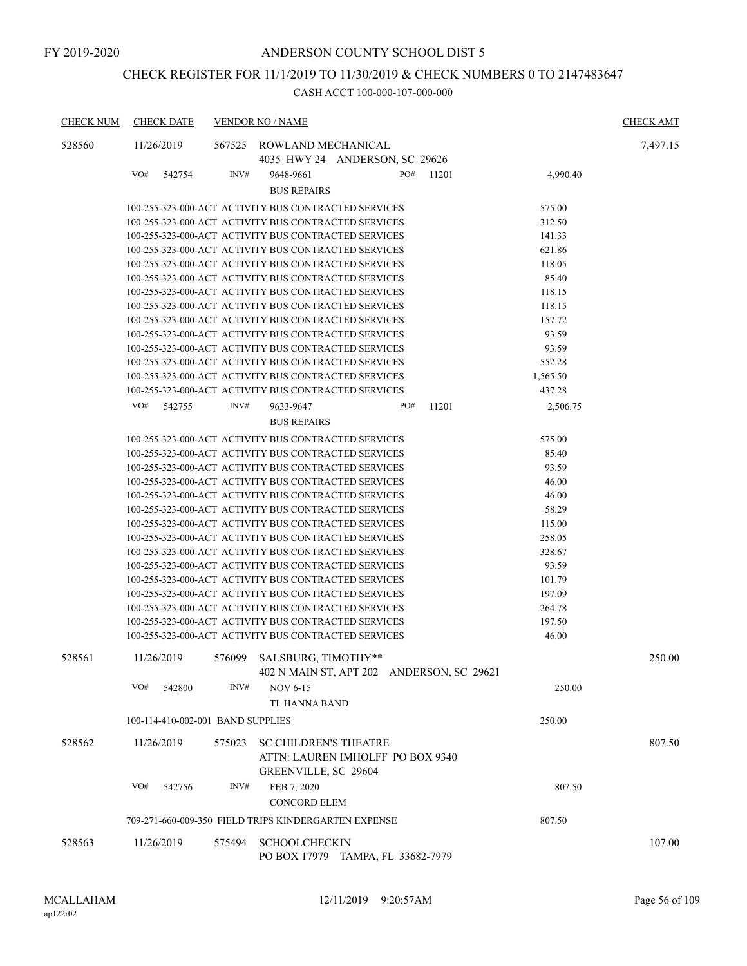# CHECK REGISTER FOR 11/1/2019 TO 11/30/2019 & CHECK NUMBERS 0 TO 2147483647

| <b>CHECK NUM</b> |            | <b>CHECK DATE</b>                 |        | <b>VENDOR NO / NAME</b>                              |     |       |          | <b>CHECK AMT</b> |
|------------------|------------|-----------------------------------|--------|------------------------------------------------------|-----|-------|----------|------------------|
| 528560           | 11/26/2019 |                                   | 567525 | ROWLAND MECHANICAL                                   |     |       |          | 7,497.15         |
|                  |            |                                   |        | 4035 HWY 24 ANDERSON, SC 29626                       |     |       |          |                  |
|                  | VO#        | 542754                            | INV#   | 9648-9661                                            | PO# | 11201 | 4,990.40 |                  |
|                  |            |                                   |        | <b>BUS REPAIRS</b>                                   |     |       |          |                  |
|                  |            |                                   |        | 100-255-323-000-ACT ACTIVITY BUS CONTRACTED SERVICES |     |       | 575.00   |                  |
|                  |            |                                   |        | 100-255-323-000-ACT ACTIVITY BUS CONTRACTED SERVICES |     |       | 312.50   |                  |
|                  |            |                                   |        | 100-255-323-000-ACT ACTIVITY BUS CONTRACTED SERVICES |     |       | 141.33   |                  |
|                  |            |                                   |        | 100-255-323-000-ACT ACTIVITY BUS CONTRACTED SERVICES |     |       | 621.86   |                  |
|                  |            |                                   |        | 100-255-323-000-ACT ACTIVITY BUS CONTRACTED SERVICES |     |       | 118.05   |                  |
|                  |            |                                   |        | 100-255-323-000-ACT ACTIVITY BUS CONTRACTED SERVICES |     |       | 85.40    |                  |
|                  |            |                                   |        | 100-255-323-000-ACT ACTIVITY BUS CONTRACTED SERVICES |     |       | 118.15   |                  |
|                  |            |                                   |        | 100-255-323-000-ACT ACTIVITY BUS CONTRACTED SERVICES |     |       | 118.15   |                  |
|                  |            |                                   |        | 100-255-323-000-ACT ACTIVITY BUS CONTRACTED SERVICES |     |       | 157.72   |                  |
|                  |            |                                   |        | 100-255-323-000-ACT ACTIVITY BUS CONTRACTED SERVICES |     |       | 93.59    |                  |
|                  |            |                                   |        | 100-255-323-000-ACT ACTIVITY BUS CONTRACTED SERVICES |     |       | 93.59    |                  |
|                  |            |                                   |        | 100-255-323-000-ACT ACTIVITY BUS CONTRACTED SERVICES |     |       | 552.28   |                  |
|                  |            |                                   |        | 100-255-323-000-ACT ACTIVITY BUS CONTRACTED SERVICES |     |       | 1,565.50 |                  |
|                  |            |                                   |        | 100-255-323-000-ACT ACTIVITY BUS CONTRACTED SERVICES |     |       | 437.28   |                  |
|                  | VO#        | 542755                            | INV#   | 9633-9647                                            | PO# | 11201 | 2,506.75 |                  |
|                  |            |                                   |        | <b>BUS REPAIRS</b>                                   |     |       |          |                  |
|                  |            |                                   |        | 100-255-323-000-ACT ACTIVITY BUS CONTRACTED SERVICES |     |       | 575.00   |                  |
|                  |            |                                   |        | 100-255-323-000-ACT ACTIVITY BUS CONTRACTED SERVICES |     |       | 85.40    |                  |
|                  |            |                                   |        | 100-255-323-000-ACT ACTIVITY BUS CONTRACTED SERVICES |     |       | 93.59    |                  |
|                  |            |                                   |        | 100-255-323-000-ACT ACTIVITY BUS CONTRACTED SERVICES |     |       | 46.00    |                  |
|                  |            |                                   |        | 100-255-323-000-ACT ACTIVITY BUS CONTRACTED SERVICES |     |       | 46.00    |                  |
|                  |            |                                   |        | 100-255-323-000-ACT ACTIVITY BUS CONTRACTED SERVICES |     |       | 58.29    |                  |
|                  |            |                                   |        | 100-255-323-000-ACT ACTIVITY BUS CONTRACTED SERVICES |     |       | 115.00   |                  |
|                  |            |                                   |        | 100-255-323-000-ACT ACTIVITY BUS CONTRACTED SERVICES |     |       | 258.05   |                  |
|                  |            |                                   |        | 100-255-323-000-ACT ACTIVITY BUS CONTRACTED SERVICES |     |       | 328.67   |                  |
|                  |            |                                   |        | 100-255-323-000-ACT ACTIVITY BUS CONTRACTED SERVICES |     |       | 93.59    |                  |
|                  |            |                                   |        | 100-255-323-000-ACT ACTIVITY BUS CONTRACTED SERVICES |     |       | 101.79   |                  |
|                  |            |                                   |        | 100-255-323-000-ACT ACTIVITY BUS CONTRACTED SERVICES |     |       | 197.09   |                  |
|                  |            |                                   |        | 100-255-323-000-ACT ACTIVITY BUS CONTRACTED SERVICES |     |       | 264.78   |                  |
|                  |            |                                   |        | 100-255-323-000-ACT ACTIVITY BUS CONTRACTED SERVICES |     |       | 197.50   |                  |
|                  |            |                                   |        | 100-255-323-000-ACT ACTIVITY BUS CONTRACTED SERVICES |     |       | 46.00    |                  |
| 528561           | 11/26/2019 |                                   | 576099 | SALSBURG, TIMOTHY**                                  |     |       |          | 250.00           |
|                  |            |                                   |        | 402 N MAIN ST, APT 202 ANDERSON, SC 29621            |     |       |          |                  |
|                  | VO#        | 542800                            | INV#   | <b>NOV 6-15</b>                                      |     |       | 250.00   |                  |
|                  |            |                                   |        | TL HANNA BAND                                        |     |       |          |                  |
|                  |            | 100-114-410-002-001 BAND SUPPLIES |        |                                                      |     |       | 250.00   |                  |
| 528562           | 11/26/2019 |                                   | 575023 | <b>SC CHILDREN'S THEATRE</b>                         |     |       |          | 807.50           |
|                  |            |                                   |        | ATTN: LAUREN IMHOLFF PO BOX 9340                     |     |       |          |                  |
|                  |            |                                   |        | <b>GREENVILLE, SC 29604</b>                          |     |       |          |                  |
|                  | VO#        | 542756                            | INV#   | FEB 7, 2020                                          |     |       | 807.50   |                  |
|                  |            |                                   |        | <b>CONCORD ELEM</b>                                  |     |       |          |                  |
|                  |            |                                   |        |                                                      |     |       |          |                  |
|                  |            |                                   |        | 709-271-660-009-350 FIELD TRIPS KINDERGARTEN EXPENSE |     |       | 807.50   |                  |
| 528563           | 11/26/2019 |                                   | 575494 | <b>SCHOOLCHECKIN</b>                                 |     |       |          | 107.00           |
|                  |            |                                   |        | PO BOX 17979 TAMPA, FL 33682-7979                    |     |       |          |                  |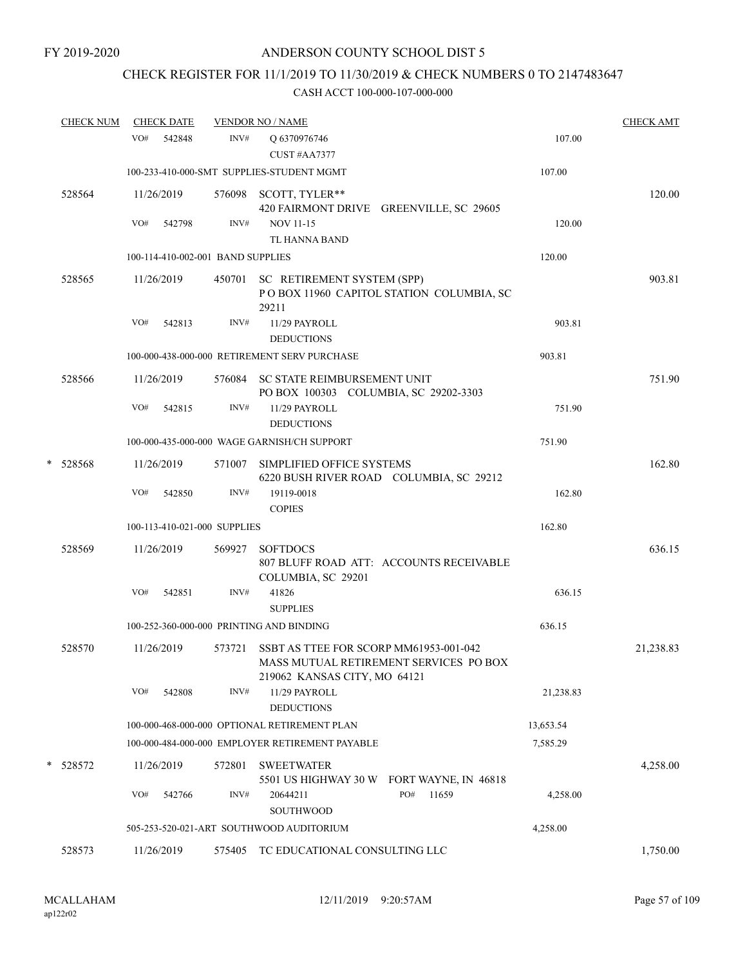### CHECK REGISTER FOR 11/1/2019 TO 11/30/2019 & CHECK NUMBERS 0 TO 2147483647

|   | <b>CHECK NUM</b> |     | <b>CHECK DATE</b> |                                   | <b>VENDOR NO / NAME</b>                                                                                          |           | <b>CHECK AMT</b> |
|---|------------------|-----|-------------------|-----------------------------------|------------------------------------------------------------------------------------------------------------------|-----------|------------------|
|   |                  | VO# | 542848            | INV#                              | O 6370976746<br>CUST#AA7377                                                                                      | 107.00    |                  |
|   |                  |     |                   |                                   | 100-233-410-000-SMT SUPPLIES-STUDENT MGMT                                                                        | 107.00    |                  |
|   | 528564           |     | 11/26/2019        |                                   | 576098 SCOTT, TYLER**<br>420 FAIRMONT DRIVE GREENVILLE, SC 29605                                                 |           | 120.00           |
|   |                  | VO# | 542798            | INV#                              | <b>NOV 11-15</b><br>TL HANNA BAND                                                                                | 120.00    |                  |
|   |                  |     |                   | 100-114-410-002-001 BAND SUPPLIES |                                                                                                                  | 120.00    |                  |
|   | 528565           |     | 11/26/2019        | 450701                            | SC RETIREMENT SYSTEM (SPP)<br>POBOX 11960 CAPITOL STATION COLUMBIA, SC<br>29211                                  |           | 903.81           |
|   |                  | VO# | 542813            | INV#                              | 11/29 PAYROLL<br><b>DEDUCTIONS</b>                                                                               | 903.81    |                  |
|   |                  |     |                   |                                   | 100-000-438-000-000 RETIREMENT SERV PURCHASE                                                                     | 903.81    |                  |
|   | 528566           |     | 11/26/2019        |                                   | 576084 SC STATE REIMBURSEMENT UNIT<br>PO BOX 100303 COLUMBIA, SC 29202-3303                                      |           | 751.90           |
|   |                  | VO# | 542815            | INV#                              | 11/29 PAYROLL<br><b>DEDUCTIONS</b>                                                                               | 751.90    |                  |
|   |                  |     |                   |                                   | 100-000-435-000-000 WAGE GARNISH/CH SUPPORT                                                                      | 751.90    |                  |
| * | 528568           |     | 11/26/2019        | 571007                            | SIMPLIFIED OFFICE SYSTEMS<br>6220 BUSH RIVER ROAD COLUMBIA, SC 29212                                             |           | 162.80           |
|   |                  | VO# | 542850            | INV#                              | 19119-0018<br><b>COPIES</b>                                                                                      | 162.80    |                  |
|   |                  |     |                   | 100-113-410-021-000 SUPPLIES      |                                                                                                                  | 162.80    |                  |
|   | 528569           |     | 11/26/2019        | 569927                            | <b>SOFTDOCS</b><br>807 BLUFF ROAD ATT: ACCOUNTS RECEIVABLE<br>COLUMBIA, SC 29201                                 |           | 636.15           |
|   |                  | VO# | 542851            | INV#                              | 41826<br><b>SUPPLIES</b>                                                                                         | 636.15    |                  |
|   |                  |     |                   |                                   | 100-252-360-000-000 PRINTING AND BINDING                                                                         | 636.15    |                  |
|   | 528570           |     | 11/26/2019        | 573721                            | SSBT AS TTEE FOR SCORP MM61953-001-042<br>MASS MUTUAL RETIREMENT SERVICES PO BOX<br>219062 KANSAS CITY, MO 64121 |           | 21,238.83        |
|   |                  | VO# | 542808            | INV#                              | 11/29 PAYROLL<br><b>DEDUCTIONS</b>                                                                               | 21,238.83 |                  |
|   |                  |     |                   |                                   | 100-000-468-000-000 OPTIONAL RETIREMENT PLAN                                                                     | 13,653.54 |                  |
|   |                  |     |                   |                                   | 100-000-484-000-000 EMPLOYER RETIREMENT PAYABLE                                                                  | 7,585.29  |                  |
|   | * 528572         |     | 11/26/2019        | 572801                            | <b>SWEETWATER</b><br>5501 US HIGHWAY 30 W FORT WAYNE, IN 46818                                                   |           | 4,258.00         |
|   |                  | VO# | 542766            | INV#                              | PO#<br>11659<br>20644211<br><b>SOUTHWOOD</b>                                                                     | 4,258.00  |                  |
|   |                  |     |                   |                                   | 505-253-520-021-ART SOUTHWOOD AUDITORIUM                                                                         | 4,258.00  |                  |
|   | 528573           |     | 11/26/2019        | 575405                            | TC EDUCATIONAL CONSULTING LLC                                                                                    |           | 1,750.00         |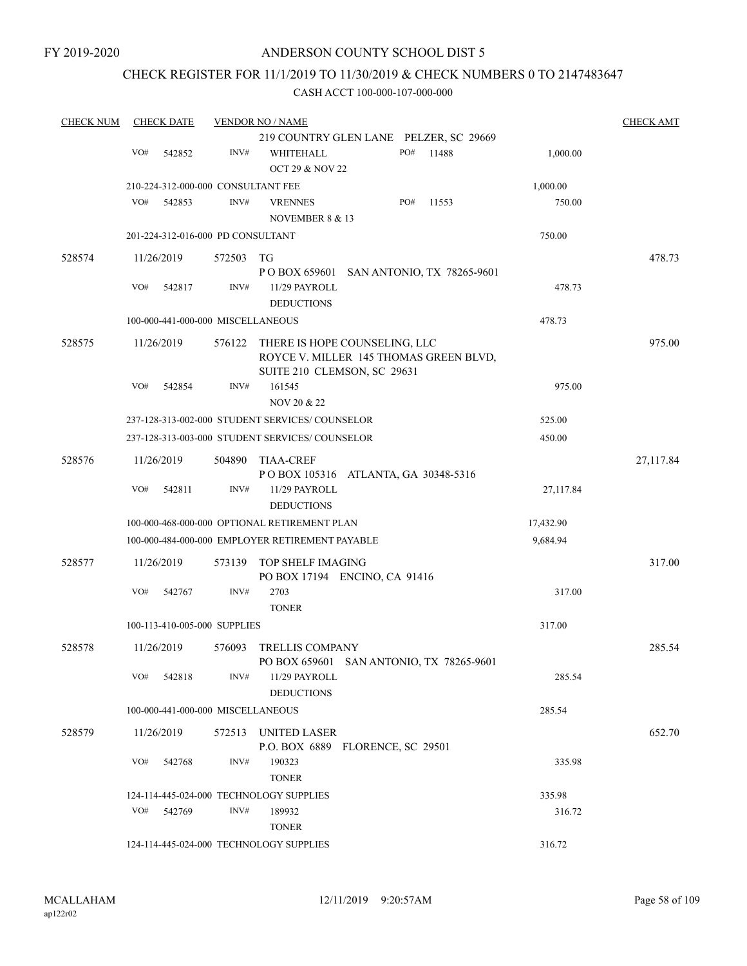FY 2019-2020

### ANDERSON COUNTY SCHOOL DIST 5

### CHECK REGISTER FOR 11/1/2019 TO 11/30/2019 & CHECK NUMBERS 0 TO 2147483647

| <b>CHECK NUM</b> | <b>CHECK DATE</b><br><b>VENDOR NO / NAME</b> |        |                                                                                                        |     |       |           |           |  |
|------------------|----------------------------------------------|--------|--------------------------------------------------------------------------------------------------------|-----|-------|-----------|-----------|--|
|                  |                                              |        | 219 COUNTRY GLEN LANE PELZER, SC 29669                                                                 |     |       |           |           |  |
|                  | VO#<br>542852                                | INV#   | WHITEHALL<br><b>OCT 29 &amp; NOV 22</b>                                                                | PO# | 11488 | 1,000.00  |           |  |
|                  | 210-224-312-000-000 CONSULTANT FEE           |        |                                                                                                        |     |       | 1,000.00  |           |  |
|                  | VO#<br>542853                                | INV#   | <b>VRENNES</b><br>NOVEMBER 8 & 13                                                                      | PO# | 11553 | 750.00    |           |  |
|                  | 201-224-312-016-000 PD CONSULTANT            |        |                                                                                                        |     |       | 750.00    |           |  |
| 528574           | 11/26/2019                                   | 572503 | TG                                                                                                     |     |       |           | 478.73    |  |
|                  |                                              |        | P O BOX 659601 SAN ANTONIO, TX 78265-9601                                                              |     |       |           |           |  |
|                  | VO#<br>542817                                | INV#   | 11/29 PAYROLL<br><b>DEDUCTIONS</b>                                                                     |     |       | 478.73    |           |  |
|                  | 100-000-441-000-000 MISCELLANEOUS            |        |                                                                                                        |     |       | 478.73    |           |  |
| 528575           | 11/26/2019                                   | 576122 | THERE IS HOPE COUNSELING, LLC<br>ROYCE V. MILLER 145 THOMAS GREEN BLVD,<br>SUITE 210 CLEMSON, SC 29631 |     |       |           | 975.00    |  |
|                  | VO#<br>542854                                | INV#   | 161545<br>NOV 20 & 22                                                                                  |     |       | 975.00    |           |  |
|                  |                                              |        | 237-128-313-002-000 STUDENT SERVICES/COUNSELOR                                                         |     |       | 525.00    |           |  |
|                  |                                              |        | 237-128-313-003-000 STUDENT SERVICES/ COUNSELOR                                                        |     |       | 450.00    |           |  |
| 528576           | 11/26/2019<br>504890                         |        | <b>TIAA-CREF</b><br>POBOX 105316 ATLANTA, GA 30348-5316                                                |     |       |           | 27,117.84 |  |
|                  | VO#<br>542811                                | INV#   | 11/29 PAYROLL<br><b>DEDUCTIONS</b>                                                                     |     |       | 27,117.84 |           |  |
|                  |                                              |        | 100-000-468-000-000 OPTIONAL RETIREMENT PLAN                                                           |     |       | 17,432.90 |           |  |
|                  |                                              |        | 100-000-484-000-000 EMPLOYER RETIREMENT PAYABLE                                                        |     |       | 9,684.94  |           |  |
| 528577           | 11/26/2019                                   | 573139 | TOP SHELF IMAGING<br>PO BOX 17194 ENCINO, CA 91416                                                     |     |       |           | 317.00    |  |
|                  | VO#<br>542767                                | INV#   | 2703<br><b>TONER</b>                                                                                   |     |       | 317.00    |           |  |
|                  | 100-113-410-005-000 SUPPLIES                 |        |                                                                                                        |     |       | 317.00    |           |  |
| 528578           | 11/26/2019                                   | 576093 | <b>TRELLIS COMPANY</b><br>PO BOX 659601 SAN ANTONIO, TX 78265-9601                                     |     |       |           | 285.54    |  |
|                  | VO#<br>542818                                | INV#   | 11/29 PAYROLL<br><b>DEDUCTIONS</b>                                                                     |     |       | 285.54    |           |  |
|                  | 100-000-441-000-000 MISCELLANEOUS            |        |                                                                                                        |     |       | 285.54    |           |  |
| 528579           | 11/26/2019                                   |        | 572513 UNITED LASER<br>P.O. BOX 6889 FLORENCE, SC 29501                                                |     |       |           | 652.70    |  |
|                  | VO#<br>542768                                | INV#   | 190323<br><b>TONER</b>                                                                                 |     |       | 335.98    |           |  |
|                  |                                              |        | 124-114-445-024-000 TECHNOLOGY SUPPLIES                                                                |     |       | 335.98    |           |  |
|                  | VO#<br>542769                                | INV#   | 189932<br><b>TONER</b>                                                                                 |     |       | 316.72    |           |  |
|                  |                                              |        | 124-114-445-024-000 TECHNOLOGY SUPPLIES                                                                |     |       | 316.72    |           |  |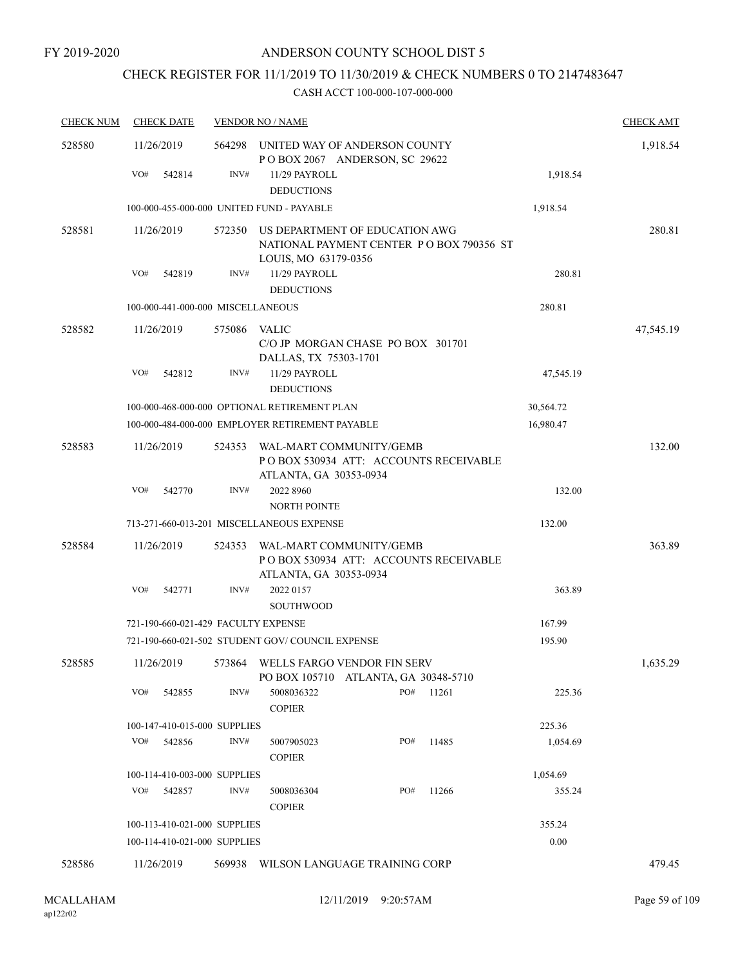# CHECK REGISTER FOR 11/1/2019 TO 11/30/2019 & CHECK NUMBERS 0 TO 2147483647

| <b>CHECK NUM</b> | <b>CHECK DATE</b>                         |        | <b>VENDOR NO / NAME</b>                                                                            | <b>CHECK AMT</b> |
|------------------|-------------------------------------------|--------|----------------------------------------------------------------------------------------------------|------------------|
| 528580           | 11/26/2019                                | 564298 | UNITED WAY OF ANDERSON COUNTY<br>POBOX 2067 ANDERSON, SC 29622                                     | 1,918.54         |
|                  | VO#<br>542814                             | INV#   | 11/29 PAYROLL<br><b>DEDUCTIONS</b>                                                                 | 1,918.54         |
|                  | 100-000-455-000-000 UNITED FUND - PAYABLE |        | 1,918.54                                                                                           |                  |
| 528581           | 11/26/2019                                | 572350 | US DEPARTMENT OF EDUCATION AWG<br>NATIONAL PAYMENT CENTER PO BOX 790356 ST<br>LOUIS, MO 63179-0356 | 280.81           |
|                  | VO#<br>542819                             | INV#   | 11/29 PAYROLL<br><b>DEDUCTIONS</b>                                                                 | 280.81           |
|                  | 100-000-441-000-000 MISCELLANEOUS         |        | 280.81                                                                                             |                  |
| 528582           | 11/26/2019                                | 575086 | VALIC<br>C/O JP MORGAN CHASE PO BOX 301701<br>DALLAS, TX 75303-1701                                | 47,545.19        |
|                  | VO#<br>542812                             | INV#   | 11/29 PAYROLL<br>47,545.19<br><b>DEDUCTIONS</b>                                                    |                  |
|                  |                                           |        | 100-000-468-000-000 OPTIONAL RETIREMENT PLAN<br>30,564.72                                          |                  |
|                  |                                           |        | 100-000-484-000-000 EMPLOYER RETIREMENT PAYABLE<br>16,980.47                                       |                  |
| 528583           | 11/26/2019                                | 524353 | WAL-MART COMMUNITY/GEMB<br>PO BOX 530934 ATT: ACCOUNTS RECEIVABLE<br>ATLANTA, GA 30353-0934        | 132.00           |
|                  | VO#<br>542770                             | INV#   | 2022 8960<br><b>NORTH POINTE</b>                                                                   | 132.00           |
|                  |                                           |        | 713-271-660-013-201 MISCELLANEOUS EXPENSE<br>132.00                                                |                  |
| 528584           | 11/26/2019                                | 524353 | WAL-MART COMMUNITY/GEMB<br>PO BOX 530934 ATT: ACCOUNTS RECEIVABLE<br>ATLANTA, GA 30353-0934        | 363.89           |
|                  | VO#<br>542771                             | INV#   | 2022 0157<br><b>SOUTHWOOD</b>                                                                      | 363.89           |
|                  | 721-190-660-021-429 FACULTY EXPENSE       |        | 167.99                                                                                             |                  |
|                  |                                           |        | 721-190-660-021-502 STUDENT GOV/COUNCIL EXPENSE<br>195.90                                          |                  |
| 528585           |                                           |        | 11/26/2019 573864 WELLS FARGO VENDOR FIN SERV<br>PO BOX 105710 ATLANTA, GA 30348-5710              | 1,635.29         |
|                  | VO#<br>542855                             | INV#   | PO#<br>5008036322<br>11261<br><b>COPIER</b>                                                        | 225.36           |
|                  | 100-147-410-015-000 SUPPLIES              |        | 225.36                                                                                             |                  |
|                  | VO#<br>542856                             | INV#   | PO#<br>11485<br>5007905023<br><b>COPIER</b>                                                        | 1,054.69         |
|                  | 100-114-410-003-000 SUPPLIES              |        | 1,054.69                                                                                           |                  |
|                  | VO#<br>542857                             | INV#   | 5008036304<br>PO#<br>11266<br><b>COPIER</b>                                                        | 355.24           |
|                  | 100-113-410-021-000 SUPPLIES              |        | 355.24                                                                                             |                  |
|                  | 100-114-410-021-000 SUPPLIES              |        | 0.00                                                                                               |                  |
| 528586           | 11/26/2019                                |        | 569938 WILSON LANGUAGE TRAINING CORP                                                               | 479.45           |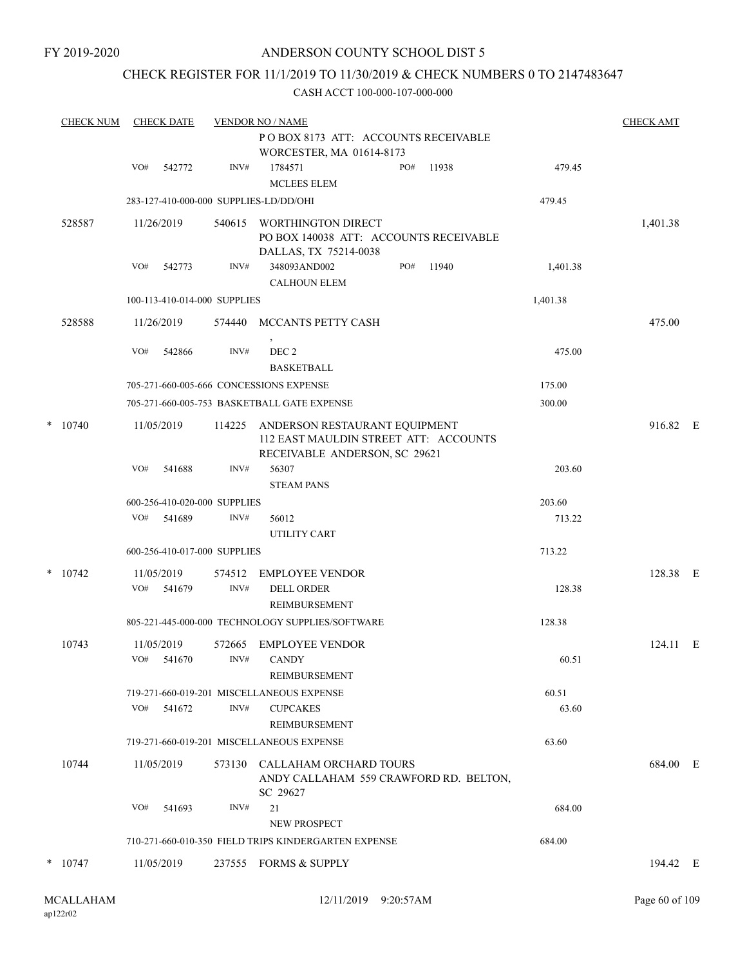FY 2019-2020

# ANDERSON COUNTY SCHOOL DIST 5

# CHECK REGISTER FOR 11/1/2019 TO 11/30/2019 & CHECK NUMBERS 0 TO 2147483647

|   | <b>CHECK NUM</b> |     | <b>CHECK DATE</b>        |                              | <b>CHECK AMT</b>                                                                                        |     |       |          |          |  |
|---|------------------|-----|--------------------------|------------------------------|---------------------------------------------------------------------------------------------------------|-----|-------|----------|----------|--|
|   |                  |     |                          |                              | POBOX 8173 ATT: ACCOUNTS RECEIVABLE<br>WORCESTER, MA 01614-8173                                         |     |       |          |          |  |
|   |                  | VO# | 542772                   | INV#                         | 1784571<br><b>MCLEES ELEM</b>                                                                           | PO# | 11938 | 479.45   |          |  |
|   |                  |     |                          |                              | 283-127-410-000-000 SUPPLIES-LD/DD/OHI                                                                  |     |       | 479.45   |          |  |
|   | 528587           |     | 11/26/2019               | 540615                       | WORTHINGTON DIRECT<br>PO BOX 140038 ATT: ACCOUNTS RECEIVABLE<br>DALLAS, TX 75214-0038                   |     |       |          | 1,401.38 |  |
|   |                  | VO# | 542773                   | INV#                         | 348093AND002<br>CALHOUN ELEM                                                                            | PO# | 11940 | 1,401.38 |          |  |
|   |                  |     |                          | 100-113-410-014-000 SUPPLIES |                                                                                                         |     |       | 1,401.38 |          |  |
|   | 528588           |     | 11/26/2019               |                              | 574440 MCCANTS PETTY CASH                                                                               |     |       |          | 475.00   |  |
|   |                  | VO# | 542866                   | INV#                         | DEC <sub>2</sub><br><b>BASKETBALL</b>                                                                   |     |       | 475.00   |          |  |
|   |                  |     |                          |                              | 705-271-660-005-666 CONCESSIONS EXPENSE                                                                 |     |       | 175.00   |          |  |
|   |                  |     |                          |                              | 705-271-660-005-753 BASKETBALL GATE EXPENSE                                                             |     |       | 300.00   |          |  |
| * | 10740            |     | 11/05/2019               | 114225                       | ANDERSON RESTAURANT EQUIPMENT<br>112 EAST MAULDIN STREET ATT: ACCOUNTS<br>RECEIVABLE ANDERSON, SC 29621 |     |       |          | 916.82 E |  |
|   |                  | VO# | 541688                   | INV#                         | 56307<br><b>STEAM PANS</b>                                                                              |     |       | 203.60   |          |  |
|   |                  |     |                          | 600-256-410-020-000 SUPPLIES |                                                                                                         |     |       | 203.60   |          |  |
|   |                  | VO# | 541689                   | INV#                         | 56012<br>UTILITY CART                                                                                   |     |       | 713.22   |          |  |
|   |                  |     |                          | 600-256-410-017-000 SUPPLIES |                                                                                                         |     |       | 713.22   |          |  |
|   | $*$ 10742        |     | 11/05/2019               | 574512                       | <b>EMPLOYEE VENDOR</b>                                                                                  |     |       |          | 128.38 E |  |
|   |                  | VO# | 541679                   | INV#                         | <b>DELL ORDER</b><br>REIMBURSEMENT                                                                      |     |       | 128.38   |          |  |
|   |                  |     |                          |                              | 805-221-445-000-000 TECHNOLOGY SUPPLIES/SOFTWARE                                                        |     |       | 128.38   |          |  |
|   | 10743            |     | 11/05/2019<br>VO# 541670 | 572665<br>INV#               | <b>EMPLOYEE VENDOR</b><br>CANDY                                                                         |     |       | 60.51    | 124.11 E |  |
|   |                  |     |                          |                              | REIMBURSEMENT<br>719-271-660-019-201 MISCELLANEOUS EXPENSE                                              |     |       | 60.51    |          |  |
|   |                  | VO# | 541672                   | INV#                         | <b>CUPCAKES</b><br><b>REIMBURSEMENT</b>                                                                 |     |       | 63.60    |          |  |
|   |                  |     |                          |                              | 719-271-660-019-201 MISCELLANEOUS EXPENSE                                                               |     |       | 63.60    |          |  |
|   | 10744            |     | 11/05/2019               |                              | 573130 CALLAHAM ORCHARD TOURS<br>ANDY CALLAHAM 559 CRAWFORD RD. BELTON,<br>SC 29627                     |     |       |          | 684.00 E |  |
|   |                  | VO# | 541693                   | INV#                         | 21<br>NEW PROSPECT                                                                                      |     |       | 684.00   |          |  |
|   |                  |     |                          |                              | 710-271-660-010-350 FIELD TRIPS KINDERGARTEN EXPENSE                                                    |     |       | 684.00   |          |  |
|   | $*$ 10747        |     | 11/05/2019               |                              | 237555 FORMS & SUPPLY                                                                                   |     |       |          | 194.42 E |  |
|   |                  |     |                          |                              |                                                                                                         |     |       |          |          |  |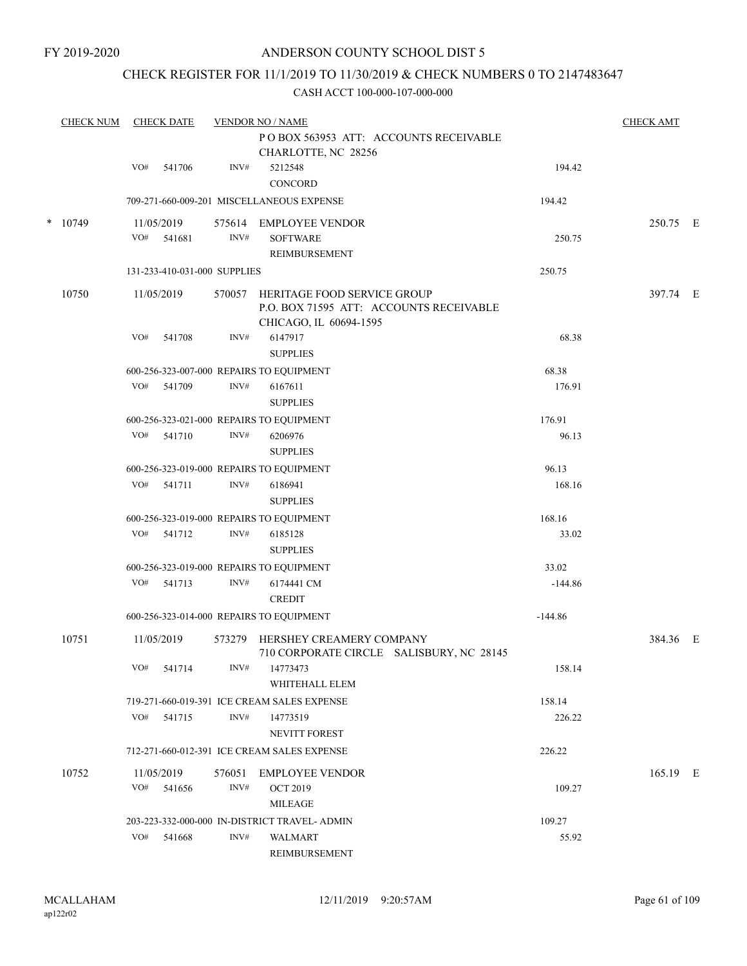### CHECK REGISTER FOR 11/1/2019 TO 11/30/2019 & CHECK NUMBERS 0 TO 2147483647

| <b>CHECK NUM</b> |     | <b>CHECK DATE</b>            |        | <b>VENDOR NO / NAME</b>                                                                          |           | <b>CHECK AMT</b> |  |
|------------------|-----|------------------------------|--------|--------------------------------------------------------------------------------------------------|-----------|------------------|--|
|                  |     |                              |        | POBOX 563953 ATT: ACCOUNTS RECEIVABLE<br>CHARLOTTE, NC 28256                                     |           |                  |  |
|                  | VO# | 541706                       | INV#   | 5212548<br>CONCORD                                                                               | 194.42    |                  |  |
|                  |     |                              |        | 709-271-660-009-201 MISCELLANEOUS EXPENSE                                                        | 194.42    |                  |  |
| $*$ 10749        |     | 11/05/2019                   |        | 575614 EMPLOYEE VENDOR                                                                           |           | 250.75 E         |  |
|                  | VO# | 541681                       | INV#   | <b>SOFTWARE</b>                                                                                  | 250.75    |                  |  |
|                  |     |                              |        | <b>REIMBURSEMENT</b>                                                                             |           |                  |  |
|                  |     | 131-233-410-031-000 SUPPLIES |        |                                                                                                  | 250.75    |                  |  |
| 10750            |     | 11/05/2019                   | 570057 | HERITAGE FOOD SERVICE GROUP<br>P.O. BOX 71595 ATT: ACCOUNTS RECEIVABLE<br>CHICAGO, IL 60694-1595 |           | 397.74 E         |  |
|                  | VO# | 541708                       | INV#   | 6147917                                                                                          | 68.38     |                  |  |
|                  |     |                              |        | <b>SUPPLIES</b>                                                                                  |           |                  |  |
|                  |     |                              |        | 600-256-323-007-000 REPAIRS TO EQUIPMENT                                                         | 68.38     |                  |  |
|                  |     | VO# 541709                   | INV#   | 6167611<br><b>SUPPLIES</b>                                                                       | 176.91    |                  |  |
|                  |     |                              |        | 600-256-323-021-000 REPAIRS TO EQUIPMENT                                                         | 176.91    |                  |  |
|                  |     | VO# 541710                   | INV#   | 6206976<br><b>SUPPLIES</b>                                                                       | 96.13     |                  |  |
|                  |     |                              |        | 600-256-323-019-000 REPAIRS TO EQUIPMENT                                                         | 96.13     |                  |  |
|                  | VO# | 541711                       | INV#   | 6186941<br><b>SUPPLIES</b>                                                                       | 168.16    |                  |  |
|                  |     |                              |        | 600-256-323-019-000 REPAIRS TO EQUIPMENT                                                         | 168.16    |                  |  |
|                  |     | VO# 541712                   | INV#   | 6185128<br><b>SUPPLIES</b>                                                                       | 33.02     |                  |  |
|                  |     |                              |        | 600-256-323-019-000 REPAIRS TO EQUIPMENT                                                         | 33.02     |                  |  |
|                  | VO# | 541713                       | INV#   | 6174441 CM<br><b>CREDIT</b>                                                                      | $-144.86$ |                  |  |
|                  |     |                              |        | 600-256-323-014-000 REPAIRS TO EQUIPMENT                                                         | $-144.86$ |                  |  |
| 10751            |     | 11/05/2019                   | 573279 | HERSHEY CREAMERY COMPANY<br>710 CORPORATE CIRCLE SALISBURY, NC 28145                             |           | 384.36 E         |  |
|                  | VO# | 541714                       | INV#   | 14773473<br>WHITEHALL ELEM                                                                       | 158.14    |                  |  |
|                  |     |                              |        | 719-271-660-019-391 ICE CREAM SALES EXPENSE                                                      | 158.14    |                  |  |
|                  | VO# | 541715                       | INV#   | 14773519<br>NEVITT FOREST                                                                        | 226.22    |                  |  |
|                  |     |                              |        | 712-271-660-012-391 ICE CREAM SALES EXPENSE                                                      | 226.22    |                  |  |
| 10752            |     | 11/05/2019                   | 576051 | <b>EMPLOYEE VENDOR</b>                                                                           |           | 165.19 E         |  |
|                  | VO# | 541656                       | INV#   | <b>OCT 2019</b>                                                                                  | 109.27    |                  |  |
|                  |     |                              |        | <b>MILEAGE</b>                                                                                   |           |                  |  |
|                  |     |                              |        | 203-223-332-000-000 IN-DISTRICT TRAVEL- ADMIN                                                    | 109.27    |                  |  |
|                  | VO# | 541668                       | INV#   | WALMART                                                                                          | 55.92     |                  |  |
|                  |     |                              |        | REIMBURSEMENT                                                                                    |           |                  |  |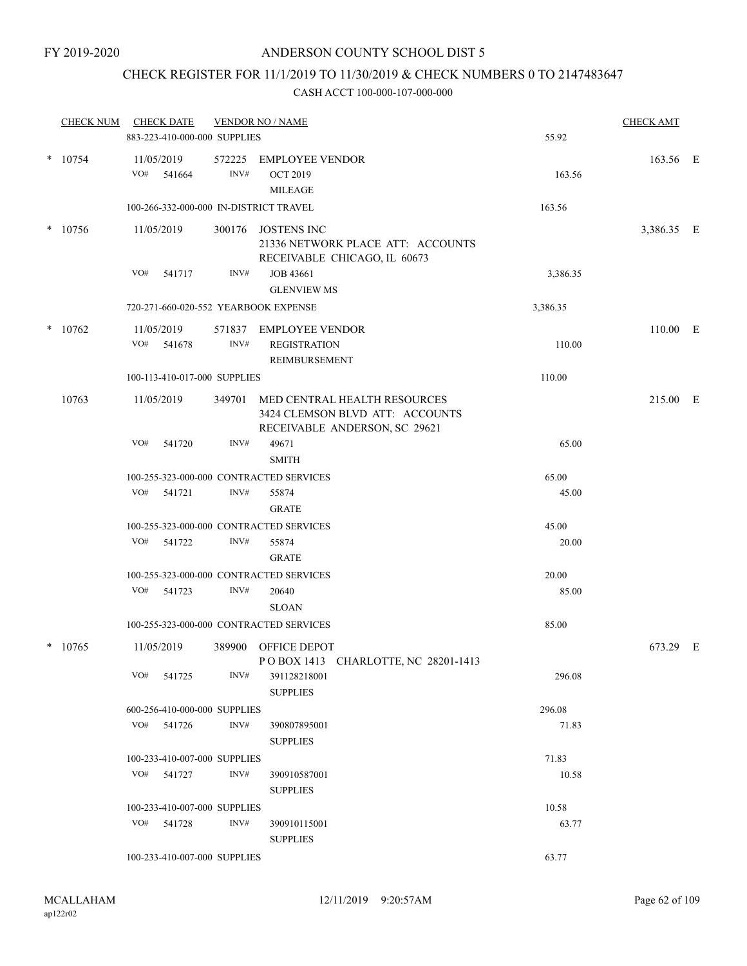### CHECK REGISTER FOR 11/1/2019 TO 11/30/2019 & CHECK NUMBERS 0 TO 2147483647

|        | <b>CHECK NUM</b> |     | <b>CHECK DATE</b><br>883-223-410-000-000 SUPPLIES |        | <b>VENDOR NO / NAME</b>                                                                          | 55.92    | <b>CHECK AMT</b> |  |
|--------|------------------|-----|---------------------------------------------------|--------|--------------------------------------------------------------------------------------------------|----------|------------------|--|
|        |                  |     |                                                   |        |                                                                                                  |          |                  |  |
|        | $* 10754$        | VO# | 11/05/2019<br>541664                              | INV#   | 572225 EMPLOYEE VENDOR<br><b>OCT 2019</b><br><b>MILEAGE</b>                                      | 163.56   | 163.56 E         |  |
|        |                  |     |                                                   |        | 100-266-332-000-000 IN-DISTRICT TRAVEL                                                           | 163.56   |                  |  |
|        | $*$ 10756        |     | 11/05/2019                                        |        | 300176 JOSTENS INC<br>21336 NETWORK PLACE ATT: ACCOUNTS<br>RECEIVABLE CHICAGO, IL 60673          |          | 3,386.35 E       |  |
|        |                  | VO# | 541717                                            | INV#   | JOB 43661<br><b>GLENVIEW MS</b>                                                                  | 3,386.35 |                  |  |
|        |                  |     |                                                   |        | 720-271-660-020-552 YEARBOOK EXPENSE                                                             | 3,386.35 |                  |  |
| $\ast$ | 10762            |     | 11/05/2019<br>VO# 541678                          | INV#   | 571837 EMPLOYEE VENDOR<br><b>REGISTRATION</b><br>REIMBURSEMENT                                   | 110.00   | 110.00 E         |  |
|        |                  |     | 100-113-410-017-000 SUPPLIES                      |        |                                                                                                  | 110.00   |                  |  |
|        | 10763            |     | 11/05/2019                                        | 349701 | MED CENTRAL HEALTH RESOURCES<br>3424 CLEMSON BLVD ATT: ACCOUNTS<br>RECEIVABLE ANDERSON, SC 29621 |          | 215.00 E         |  |
|        |                  | VO# | 541720                                            | INV#   | 49671<br><b>SMITH</b>                                                                            | 65.00    |                  |  |
|        |                  |     |                                                   |        | 100-255-323-000-000 CONTRACTED SERVICES                                                          | 65.00    |                  |  |
|        |                  | VO# | 541721                                            | INV#   | 55874<br><b>GRATE</b>                                                                            | 45.00    |                  |  |
|        |                  |     |                                                   |        | 100-255-323-000-000 CONTRACTED SERVICES                                                          | 45.00    |                  |  |
|        |                  | VO# | 541722                                            | INV#   | 55874<br><b>GRATE</b>                                                                            | 20.00    |                  |  |
|        |                  |     |                                                   |        | 100-255-323-000-000 CONTRACTED SERVICES                                                          | 20.00    |                  |  |
|        |                  | VO# | 541723                                            | INV#   | 20640<br><b>SLOAN</b>                                                                            | 85.00    |                  |  |
|        |                  |     |                                                   |        | 100-255-323-000-000 CONTRACTED SERVICES                                                          | 85.00    |                  |  |
|        | $*$ 10765        |     | 11/05/2019                                        | 389900 | <b>OFFICE DEPOT</b><br>POBOX 1413 CHARLOTTE, NC 28201-1413                                       |          | 673.29 E         |  |
|        |                  |     | VO# 541725                                        | INV#   | 391128218001<br><b>SUPPLIES</b>                                                                  | 296.08   |                  |  |
|        |                  |     | 600-256-410-000-000 SUPPLIES                      |        |                                                                                                  | 296.08   |                  |  |
|        |                  |     | VO# 541726                                        | INV#   | 390807895001<br><b>SUPPLIES</b>                                                                  | 71.83    |                  |  |
|        |                  |     | 100-233-410-007-000 SUPPLIES                      |        |                                                                                                  | 71.83    |                  |  |
|        |                  |     | VO# 541727                                        | INV#   | 390910587001<br><b>SUPPLIES</b>                                                                  | 10.58    |                  |  |
|        |                  |     | 100-233-410-007-000 SUPPLIES                      |        |                                                                                                  | 10.58    |                  |  |
|        |                  |     | VO# 541728                                        | INV#   | 390910115001<br><b>SUPPLIES</b>                                                                  | 63.77    |                  |  |
|        |                  |     | 100-233-410-007-000 SUPPLIES                      |        |                                                                                                  | 63.77    |                  |  |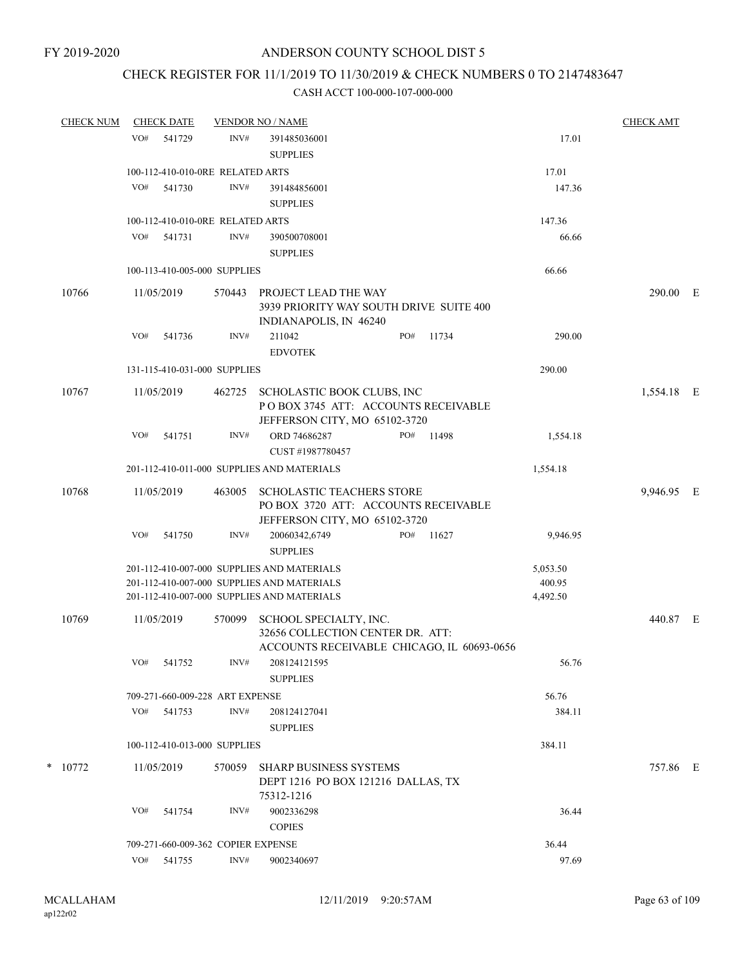### CHECK REGISTER FOR 11/1/2019 TO 11/30/2019 & CHECK NUMBERS 0 TO 2147483647

| <b>CHECK NUM</b> |     | <b>CHECK DATE</b> |                                    | <b>VENDOR NO / NAME</b>                                                                                                                |     |       |                                | <b>CHECK AMT</b> |  |
|------------------|-----|-------------------|------------------------------------|----------------------------------------------------------------------------------------------------------------------------------------|-----|-------|--------------------------------|------------------|--|
|                  | VO# | 541729            | INV#                               | 391485036001                                                                                                                           |     |       | 17.01                          |                  |  |
|                  |     |                   |                                    | <b>SUPPLIES</b>                                                                                                                        |     |       |                                |                  |  |
|                  |     |                   | 100-112-410-010-0RE RELATED ARTS   |                                                                                                                                        |     |       | 17.01                          |                  |  |
|                  | VO# | 541730            | INV#                               | 391484856001<br><b>SUPPLIES</b>                                                                                                        |     |       | 147.36                         |                  |  |
|                  |     |                   | 100-112-410-010-0RE RELATED ARTS   |                                                                                                                                        |     |       | 147.36                         |                  |  |
|                  | VO# | 541731            | INV#                               | 390500708001<br><b>SUPPLIES</b>                                                                                                        |     |       | 66.66                          |                  |  |
|                  |     |                   | 100-113-410-005-000 SUPPLIES       |                                                                                                                                        |     |       | 66.66                          |                  |  |
| 10766            |     | 11/05/2019        | 570443                             | PROJECT LEAD THE WAY<br>3939 PRIORITY WAY SOUTH DRIVE SUITE 400<br>INDIANAPOLIS, IN 46240                                              |     |       |                                | 290.00 E         |  |
|                  | VO# | 541736            | INV#                               | 211042<br><b>EDVOTEK</b>                                                                                                               | PO# | 11734 | 290.00                         |                  |  |
|                  |     |                   | 131-115-410-031-000 SUPPLIES       |                                                                                                                                        |     |       | 290.00                         |                  |  |
| 10767            |     | 11/05/2019        |                                    | 462725 SCHOLASTIC BOOK CLUBS, INC<br>POBOX 3745 ATT: ACCOUNTS RECEIVABLE<br>JEFFERSON CITY, MO 65102-3720                              |     |       |                                | 1,554.18 E       |  |
|                  | VO# | 541751            | INV#                               | ORD 74686287<br>CUST #1987780457                                                                                                       | PO# | 11498 | 1,554.18                       |                  |  |
|                  |     |                   |                                    | 201-112-410-011-000 SUPPLIES AND MATERIALS                                                                                             |     |       | 1,554.18                       |                  |  |
| 10768            |     | 11/05/2019        | 463005                             | <b>SCHOLASTIC TEACHERS STORE</b><br>PO BOX 3720 ATT: ACCOUNTS RECEIVABLE<br>JEFFERSON CITY, MO 65102-3720                              |     |       |                                | 9,946.95 E       |  |
|                  | VO# | 541750            | INV#                               | 20060342,6749<br><b>SUPPLIES</b>                                                                                                       | PO# | 11627 | 9,946.95                       |                  |  |
|                  |     |                   |                                    | 201-112-410-007-000 SUPPLIES AND MATERIALS<br>201-112-410-007-000 SUPPLIES AND MATERIALS<br>201-112-410-007-000 SUPPLIES AND MATERIALS |     |       | 5,053.50<br>400.95<br>4,492.50 |                  |  |
| 10769            |     | 11/05/2019        | 570099                             | SCHOOL SPECIALTY, INC.<br>32656 COLLECTION CENTER DR. ATT:<br>ACCOUNTS RECEIVABLE CHICAGO, IL 60693-0656                               |     |       |                                | 440.87 E         |  |
|                  |     | VO# 541752        |                                    | INV# 208124121595<br><b>SUPPLIES</b>                                                                                                   |     |       | 56.76                          |                  |  |
|                  |     |                   | 709-271-660-009-228 ART EXPENSE    |                                                                                                                                        |     |       | 56.76                          |                  |  |
|                  |     | VO# 541753        | INV#                               | 208124127041<br><b>SUPPLIES</b>                                                                                                        |     |       | 384.11                         |                  |  |
|                  |     |                   | 100-112-410-013-000 SUPPLIES       |                                                                                                                                        |     |       | 384.11                         |                  |  |
| $*$ 10772        |     | 11/05/2019        | 570059                             | <b>SHARP BUSINESS SYSTEMS</b><br>DEPT 1216 PO BOX 121216 DALLAS, TX<br>75312-1216                                                      |     |       |                                | 757.86 E         |  |
|                  | VO# | 541754            | INV#                               | 9002336298<br><b>COPIES</b>                                                                                                            |     |       | 36.44                          |                  |  |
|                  |     |                   | 709-271-660-009-362 COPIER EXPENSE |                                                                                                                                        |     |       | 36.44                          |                  |  |
|                  |     | VO# 541755        | INV#                               | 9002340697                                                                                                                             |     |       | 97.69                          |                  |  |
|                  |     |                   |                                    |                                                                                                                                        |     |       |                                |                  |  |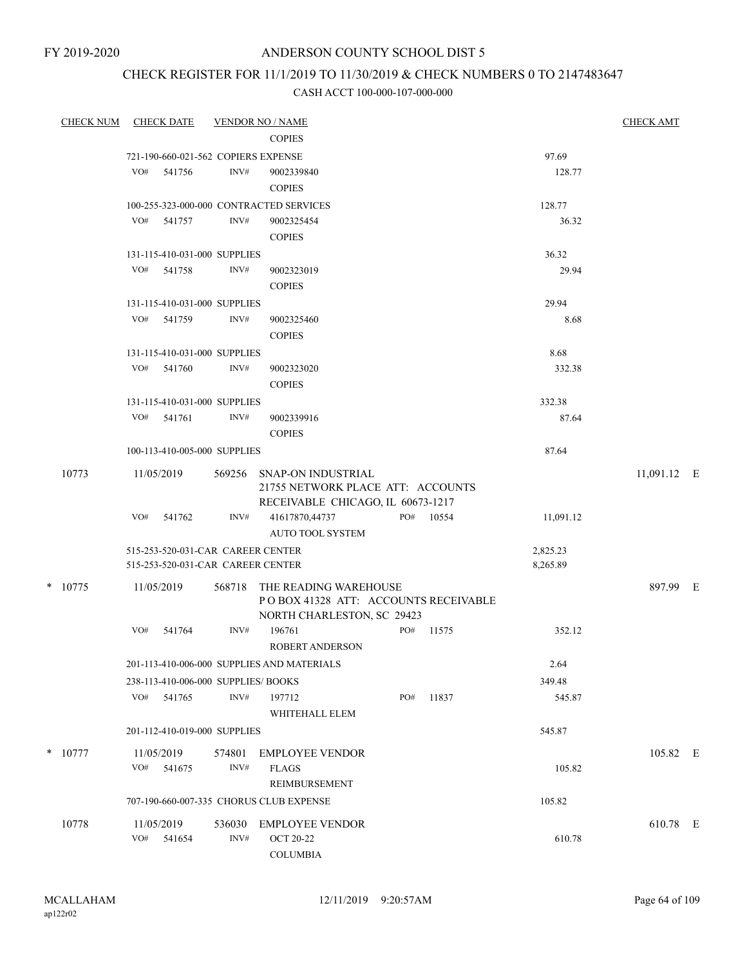FY 2019-2020

### ANDERSON COUNTY SCHOOL DIST 5

# CHECK REGISTER FOR 11/1/2019 TO 11/30/2019 & CHECK NUMBERS 0 TO 2147483647

| <b>CHECK NUM</b> | <b>CHECK DATE</b>                                                      |                | <b>VENDOR NO / NAME</b>                                                                             |     |           |                      | <b>CHECK AMT</b> |  |
|------------------|------------------------------------------------------------------------|----------------|-----------------------------------------------------------------------------------------------------|-----|-----------|----------------------|------------------|--|
|                  |                                                                        |                | <b>COPIES</b>                                                                                       |     |           |                      |                  |  |
|                  | 721-190-660-021-562 COPIERS EXPENSE                                    |                |                                                                                                     |     |           | 97.69                |                  |  |
|                  | VO#<br>541756                                                          | INV#           | 9002339840<br><b>COPIES</b>                                                                         |     |           | 128.77               |                  |  |
|                  | 100-255-323-000-000 CONTRACTED SERVICES                                |                |                                                                                                     |     |           | 128.77               |                  |  |
|                  | VO# 541757                                                             | INV#           | 9002325454<br><b>COPIES</b>                                                                         |     |           | 36.32                |                  |  |
|                  | 131-115-410-031-000 SUPPLIES                                           |                |                                                                                                     |     |           | 36.32                |                  |  |
|                  | VO#<br>541758                                                          | INV#           | 9002323019<br><b>COPIES</b>                                                                         |     |           | 29.94                |                  |  |
|                  | 131-115-410-031-000 SUPPLIES                                           |                |                                                                                                     |     |           | 29.94                |                  |  |
|                  | VO#<br>541759                                                          | INV#           | 9002325460<br><b>COPIES</b>                                                                         |     |           | 8.68                 |                  |  |
|                  | 131-115-410-031-000 SUPPLIES                                           |                |                                                                                                     |     |           | 8.68                 |                  |  |
|                  | VO# 541760                                                             | INV#           | 9002323020<br><b>COPIES</b>                                                                         |     |           | 332.38               |                  |  |
|                  | 131-115-410-031-000 SUPPLIES                                           |                |                                                                                                     |     |           | 332.38               |                  |  |
|                  | VO#<br>541761                                                          | INV#           | 9002339916<br><b>COPIES</b>                                                                         |     |           | 87.64                |                  |  |
|                  | 100-113-410-005-000 SUPPLIES                                           |                |                                                                                                     |     |           | 87.64                |                  |  |
| 10773            | 11/05/2019                                                             |                | 569256 SNAP-ON INDUSTRIAL<br>21755 NETWORK PLACE ATT: ACCOUNTS<br>RECEIVABLE CHICAGO, IL 60673-1217 |     |           |                      | 11,091.12 E      |  |
|                  | VO#<br>541762                                                          | INV#           | 41617870,44737<br><b>AUTO TOOL SYSTEM</b>                                                           |     | PO# 10554 | 11,091.12            |                  |  |
|                  | 515-253-520-031-CAR CAREER CENTER<br>515-253-520-031-CAR CAREER CENTER |                |                                                                                                     |     |           | 2,825.23<br>8,265.89 |                  |  |
| $*$ 10775        | 11/05/2019                                                             | 568718         | THE READING WAREHOUSE<br>POBOX 41328 ATT: ACCOUNTS RECEIVABLE<br>NORTH CHARLESTON, SC 29423         |     |           |                      | 897.99 E         |  |
|                  | VO#<br>541764                                                          | INV#           | 196761<br><b>ROBERT ANDERSON</b>                                                                    | PO# | 11575     | 352.12               |                  |  |
|                  |                                                                        |                | 201-113-410-006-000 SUPPLIES AND MATERIALS                                                          |     |           | 2.64                 |                  |  |
|                  | 238-113-410-006-000 SUPPLIES/BOOKS                                     |                |                                                                                                     |     |           | 349.48               |                  |  |
|                  | VO# 541765                                                             | INV#           | 197712<br>WHITEHALL ELEM                                                                            | PO# | 11837     | 545.87               |                  |  |
|                  | 201-112-410-019-000 SUPPLIES                                           |                |                                                                                                     |     |           | 545.87               |                  |  |
| $*$ 10777        | 11/05/2019<br>VO#<br>541675                                            | 574801<br>INV# | <b>EMPLOYEE VENDOR</b><br><b>FLAGS</b><br>REIMBURSEMENT                                             |     |           | 105.82               | 105.82 E         |  |
|                  | 707-190-660-007-335 CHORUS CLUB EXPENSE                                |                |                                                                                                     |     |           | 105.82               |                  |  |
| 10778            | 11/05/2019<br>VO#<br>541654                                            | 536030<br>INV# | <b>EMPLOYEE VENDOR</b><br>OCT 20-22<br><b>COLUMBIA</b>                                              |     |           | 610.78               | 610.78 E         |  |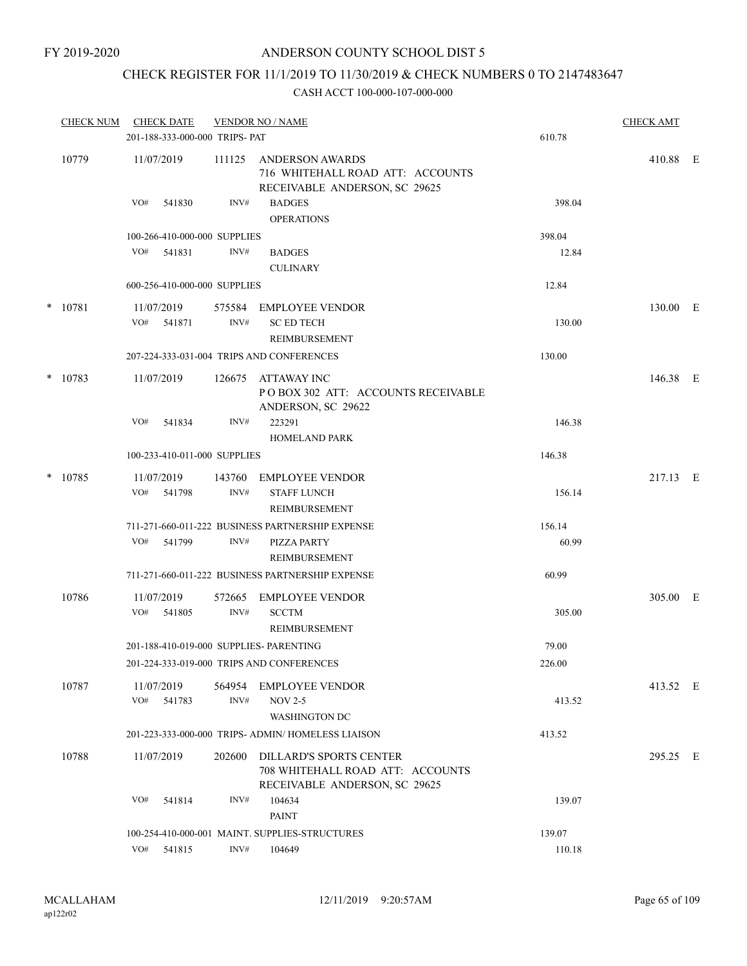### CHECK REGISTER FOR 11/1/2019 TO 11/30/2019 & CHECK NUMBERS 0 TO 2147483647

|       | <b>CHECK NUM</b> | <b>CHECK DATE</b><br>201-188-333-000-000 TRIPS- PAT |                | <b>VENDOR NO / NAME</b>                                                                             | 610.78 | <b>CHECK AMT</b> |  |  |
|-------|------------------|-----------------------------------------------------|----------------|-----------------------------------------------------------------------------------------------------|--------|------------------|--|--|
| 10779 |                  | 11/07/2019                                          | 111125         | ANDERSON AWARDS<br>716 WHITEHALL ROAD ATT: ACCOUNTS<br>RECEIVABLE ANDERSON, SC 29625                |        | 410.88 E         |  |  |
|       |                  | VO#<br>541830                                       | INV#           | <b>BADGES</b><br><b>OPERATIONS</b>                                                                  | 398.04 |                  |  |  |
|       |                  | 100-266-410-000-000 SUPPLIES                        |                |                                                                                                     | 398.04 |                  |  |  |
|       |                  | VO# 541831                                          | INV#           | <b>BADGES</b><br><b>CULINARY</b>                                                                    | 12.84  |                  |  |  |
|       |                  | 600-256-410-000-000 SUPPLIES                        |                |                                                                                                     | 12.84  |                  |  |  |
|       | $*$ 10781        | 11/07/2019<br>VO#<br>541871                         | 575584<br>INV# | EMPLOYEE VENDOR<br><b>SC ED TECH</b><br>REIMBURSEMENT                                               | 130.00 | 130.00 E         |  |  |
|       |                  |                                                     |                | 207-224-333-031-004 TRIPS AND CONFERENCES                                                           | 130.00 |                  |  |  |
|       | $*$ 10783        | 11/07/2019                                          | 126675         | ATTAWAY INC<br>POBOX 302 ATT: ACCOUNTS RECEIVABLE<br>ANDERSON, SC 29622                             |        | 146.38 E         |  |  |
|       |                  | VO#<br>541834                                       | INV#           | 223291<br><b>HOMELAND PARK</b>                                                                      | 146.38 |                  |  |  |
|       |                  | 100-233-410-011-000 SUPPLIES                        |                |                                                                                                     | 146.38 |                  |  |  |
|       | $*$ 10785        | 11/07/2019                                          | 143760         | EMPLOYEE VENDOR                                                                                     |        | 217.13 E         |  |  |
|       |                  | VO#<br>541798                                       | INV#           | <b>STAFF LUNCH</b><br>REIMBURSEMENT                                                                 | 156.14 |                  |  |  |
|       |                  |                                                     |                | 711-271-660-011-222 BUSINESS PARTNERSHIP EXPENSE                                                    | 156.14 |                  |  |  |
|       |                  | VO#<br>541799                                       | INV#           | PIZZA PARTY<br>REIMBURSEMENT                                                                        | 60.99  |                  |  |  |
|       |                  |                                                     |                | 711-271-660-011-222 BUSINESS PARTNERSHIP EXPENSE                                                    | 60.99  |                  |  |  |
|       | 10786            | 11/07/2019<br>VO# 541805                            | 572665<br>INV# | <b>EMPLOYEE VENDOR</b><br><b>SCCTM</b>                                                              | 305.00 | 305.00 E         |  |  |
|       |                  |                                                     |                | <b>REIMBURSEMENT</b>                                                                                |        |                  |  |  |
|       |                  | 201-188-410-019-000 SUPPLIES- PARENTING             |                |                                                                                                     | 79.00  |                  |  |  |
|       |                  |                                                     |                | 201-224-333-019-000 TRIPS AND CONFERENCES                                                           | 226.00 |                  |  |  |
|       | 10787            | 11/07/2019<br>VO#<br>541783                         | 564954<br>INV# | <b>EMPLOYEE VENDOR</b><br><b>NOV 2-5</b>                                                            | 413.52 | 413.52 E         |  |  |
|       |                  |                                                     |                | <b>WASHINGTON DC</b>                                                                                |        |                  |  |  |
|       |                  |                                                     |                | 201-223-333-000-000 TRIPS- ADMIN/HOMELESS LIAISON                                                   | 413.52 |                  |  |  |
|       | 10788            | 11/07/2019                                          | 202600         | <b>DILLARD'S SPORTS CENTER</b><br>708 WHITEHALL ROAD ATT: ACCOUNTS<br>RECEIVABLE ANDERSON, SC 29625 |        | 295.25 E         |  |  |
|       |                  | VO#<br>541814                                       | INV#           | 104634<br><b>PAINT</b>                                                                              | 139.07 |                  |  |  |
|       |                  |                                                     |                | 100-254-410-000-001 MAINT. SUPPLIES-STRUCTURES                                                      | 139.07 |                  |  |  |
|       |                  | VO# 541815                                          | INV#           | 104649                                                                                              | 110.18 |                  |  |  |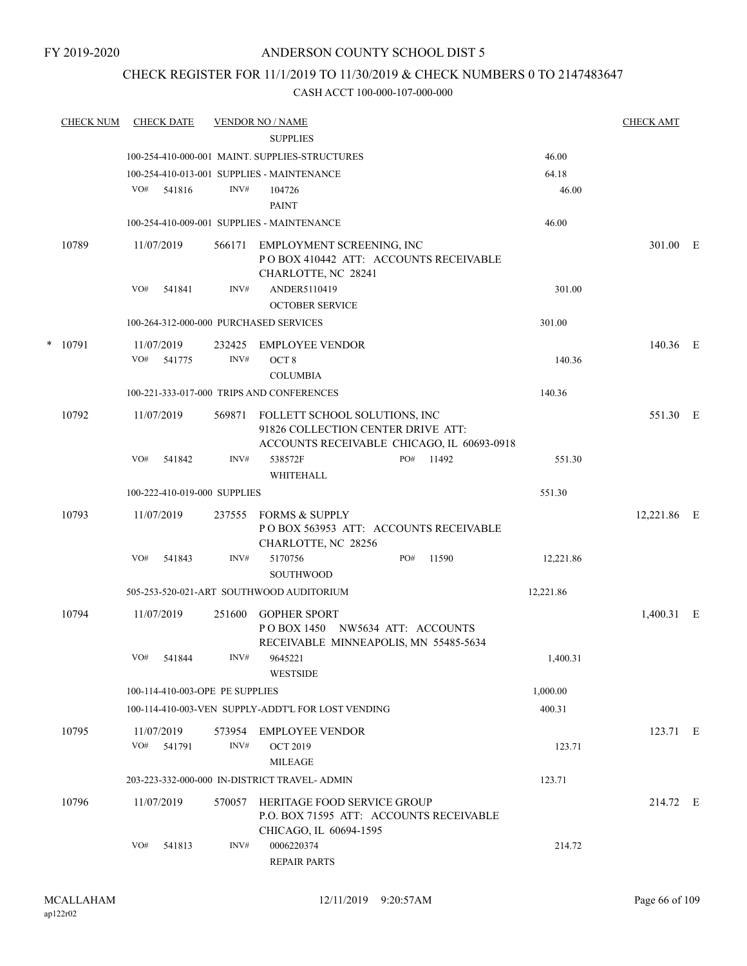### CHECK REGISTER FOR 11/1/2019 TO 11/30/2019 & CHECK NUMBERS 0 TO 2147483647

|   | <b>CHECK NUM</b> | <b>CHECK DATE</b>                      |        | <b>VENDOR NO / NAME</b>                                                                                           |     |       |           | <b>CHECK AMT</b> |  |
|---|------------------|----------------------------------------|--------|-------------------------------------------------------------------------------------------------------------------|-----|-------|-----------|------------------|--|
|   |                  |                                        |        | <b>SUPPLIES</b>                                                                                                   |     |       |           |                  |  |
|   |                  |                                        |        | 100-254-410-000-001 MAINT. SUPPLIES-STRUCTURES                                                                    |     |       | 46.00     |                  |  |
|   |                  |                                        |        | 100-254-410-013-001 SUPPLIES - MAINTENANCE                                                                        |     |       | 64.18     |                  |  |
|   |                  | VO#<br>541816                          | INV#   | 104726                                                                                                            |     |       | 46.00     |                  |  |
|   |                  |                                        |        | <b>PAINT</b>                                                                                                      |     |       |           |                  |  |
|   |                  |                                        |        | 100-254-410-009-001 SUPPLIES - MAINTENANCE                                                                        |     |       | 46.00     |                  |  |
|   | 10789            | 11/07/2019                             | 566171 | EMPLOYMENT SCREENING, INC<br>POBOX 410442 ATT: ACCOUNTS RECEIVABLE<br>CHARLOTTE, NC 28241                         |     |       |           | 301.00 E         |  |
|   |                  | VO#<br>541841                          | INV#   | ANDER5110419                                                                                                      |     |       | 301.00    |                  |  |
|   |                  |                                        |        | <b>OCTOBER SERVICE</b>                                                                                            |     |       |           |                  |  |
|   |                  | 100-264-312-000-000 PURCHASED SERVICES |        |                                                                                                                   |     |       | 301.00    |                  |  |
| * | 10791            | 11/07/2019                             | 232425 | EMPLOYEE VENDOR                                                                                                   |     |       |           | 140.36 E         |  |
|   |                  | VO#<br>541775                          | INV#   | OCT <sub>8</sub>                                                                                                  |     |       | 140.36    |                  |  |
|   |                  |                                        |        | <b>COLUMBIA</b>                                                                                                   |     |       |           |                  |  |
|   |                  |                                        |        | 100-221-333-017-000 TRIPS AND CONFERENCES                                                                         |     |       | 140.36    |                  |  |
|   | 10792            | 11/07/2019                             | 569871 | FOLLETT SCHOOL SOLUTIONS, INC<br>91826 COLLECTION CENTER DRIVE ATT:<br>ACCOUNTS RECEIVABLE CHICAGO, IL 60693-0918 |     |       |           | 551.30 E         |  |
|   |                  | VO#<br>541842                          | INV#   | 538572F<br>WHITEHALL                                                                                              | PO# | 11492 | 551.30    |                  |  |
|   |                  | 100-222-410-019-000 SUPPLIES           |        |                                                                                                                   |     |       | 551.30    |                  |  |
|   | 10793            | 11/07/2019                             | 237555 | FORMS & SUPPLY<br>POBOX 563953 ATT: ACCOUNTS RECEIVABLE<br>CHARLOTTE, NC 28256                                    |     |       |           | 12,221.86 E      |  |
|   |                  | VO#<br>541843                          | INV#   | 5170756<br><b>SOUTHWOOD</b>                                                                                       | PO# | 11590 | 12,221.86 |                  |  |
|   |                  |                                        |        | 505-253-520-021-ART SOUTHWOOD AUDITORIUM                                                                          |     |       | 12,221.86 |                  |  |
|   | 10794            | 11/07/2019                             | 251600 | <b>GOPHER SPORT</b><br>POBOX 1450 NW5634 ATT: ACCOUNTS<br>RECEIVABLE MINNEAPOLIS, MN 55485-5634                   |     |       |           | 1,400.31 E       |  |
|   |                  | VO#<br>541844                          | INV#   | 9645221<br><b>WESTSIDE</b>                                                                                        |     |       | 1,400.31  |                  |  |
|   |                  | 100-114-410-003-OPE PE SUPPLIES        |        |                                                                                                                   |     |       | 1,000.00  |                  |  |
|   |                  |                                        |        | 100-114-410-003-VEN SUPPLY-ADDT'L FOR LOST VENDING                                                                |     |       | 400.31    |                  |  |
|   | 10795            | 11/07/2019                             |        | 573954 EMPLOYEE VENDOR                                                                                            |     |       |           | 123.71 E         |  |
|   |                  | VO# 541791                             | INV#   | <b>OCT 2019</b><br><b>MILEAGE</b>                                                                                 |     |       | 123.71    |                  |  |
|   |                  |                                        |        | 203-223-332-000-000 IN-DISTRICT TRAVEL-ADMIN                                                                      |     |       | 123.71    |                  |  |
|   | 10796            | 11/07/2019                             | 570057 | HERITAGE FOOD SERVICE GROUP<br>P.O. BOX 71595 ATT: ACCOUNTS RECEIVABLE<br>CHICAGO, IL 60694-1595                  |     |       |           | 214.72 E         |  |
|   |                  | VO#<br>541813                          | INV#   | 0006220374<br><b>REPAIR PARTS</b>                                                                                 |     |       | 214.72    |                  |  |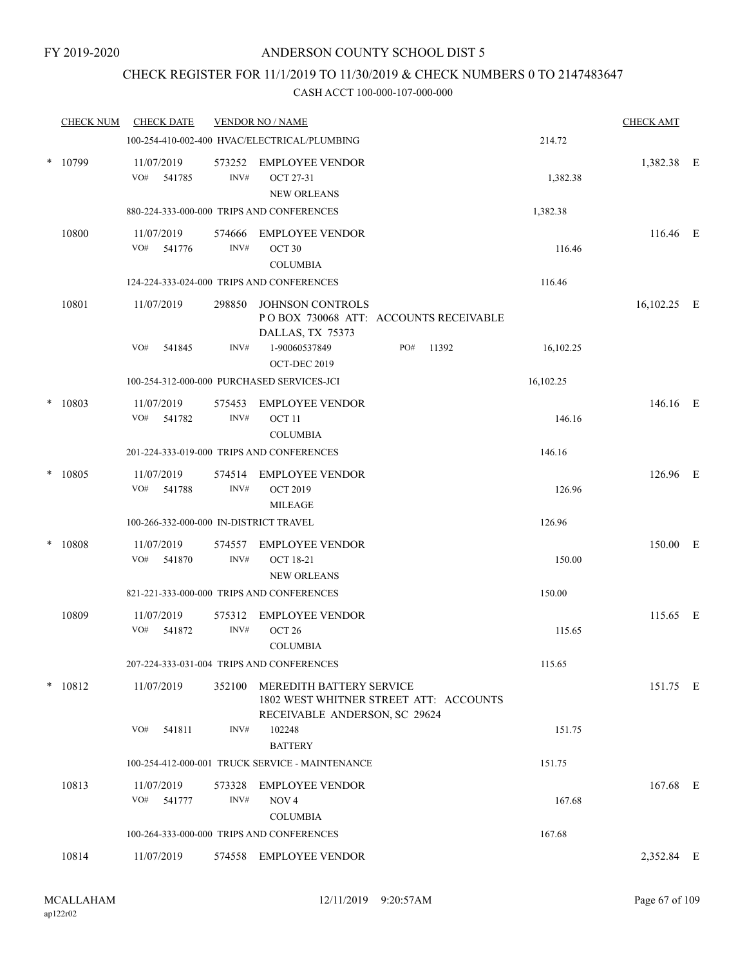### CHECK REGISTER FOR 11/1/2019 TO 11/30/2019 & CHECK NUMBERS 0 TO 2147483647

|        | <b>CHECK NUM</b> | <b>CHECK DATE</b>                      |                | <b>VENDOR NO / NAME</b>                                                                             |     |       |           | <b>CHECK AMT</b> |  |
|--------|------------------|----------------------------------------|----------------|-----------------------------------------------------------------------------------------------------|-----|-------|-----------|------------------|--|
|        |                  |                                        |                | 100-254-410-002-400 HVAC/ELECTRICAL/PLUMBING                                                        |     |       | 214.72    |                  |  |
| *      | 10799            | 11/07/2019<br>VO# 541785               | 573252<br>INV# | <b>EMPLOYEE VENDOR</b><br><b>OCT 27-31</b><br><b>NEW ORLEANS</b>                                    |     |       | 1,382.38  | 1,382.38 E       |  |
|        |                  |                                        |                | 880-224-333-000-000 TRIPS AND CONFERENCES                                                           |     |       | 1,382.38  |                  |  |
|        | 10800            | 11/07/2019<br>VO#<br>541776            | 574666<br>INV# | EMPLOYEE VENDOR<br>OCT <sub>30</sub><br><b>COLUMBIA</b>                                             |     |       | 116.46    | 116.46 E         |  |
|        |                  |                                        |                | 124-224-333-024-000 TRIPS AND CONFERENCES                                                           |     |       | 116.46    |                  |  |
|        | 10801            | 11/07/2019                             | 298850         | JOHNSON CONTROLS<br>POBOX 730068 ATT: ACCOUNTS RECEIVABLE<br>DALLAS, TX 75373                       |     |       |           | $16,102.25$ E    |  |
|        |                  | VO#<br>541845                          | INV#           | 1-90060537849<br>OCT-DEC 2019                                                                       | PO# | 11392 | 16,102.25 |                  |  |
|        |                  |                                        |                | 100-254-312-000-000 PURCHASED SERVICES-JCI                                                          |     |       | 16,102.25 |                  |  |
| $\ast$ | 10803            | 11/07/2019<br>VO# 541782               | 575453<br>INV# | <b>EMPLOYEE VENDOR</b><br>OCT <sub>11</sub><br><b>COLUMBIA</b>                                      |     |       | 146.16    | 146.16 E         |  |
|        |                  |                                        |                | 201-224-333-019-000 TRIPS AND CONFERENCES                                                           |     |       | 146.16    |                  |  |
| $\ast$ | 10805            | 11/07/2019<br>VO#<br>541788            | 574514<br>INV# | <b>EMPLOYEE VENDOR</b><br><b>OCT 2019</b><br><b>MILEAGE</b>                                         |     |       | 126.96    | 126.96 E         |  |
|        |                  | 100-266-332-000-000 IN-DISTRICT TRAVEL |                |                                                                                                     |     |       | 126.96    |                  |  |
| $\ast$ | 10808            | 11/07/2019<br>VO# 541870               | 574557<br>INV# | <b>EMPLOYEE VENDOR</b><br><b>OCT 18-21</b><br><b>NEW ORLEANS</b>                                    |     |       | 150.00    | 150.00 E         |  |
|        |                  |                                        |                | 821-221-333-000-000 TRIPS AND CONFERENCES                                                           |     |       | 150.00    |                  |  |
|        | 10809            | 11/07/2019<br>VO#<br>541872            | 575312<br>INV# | <b>EMPLOYEE VENDOR</b><br>OCT <sub>26</sub><br><b>COLUMBIA</b>                                      |     |       | 115.65    | 115.65 E         |  |
|        |                  |                                        |                | 207-224-333-031-004 TRIPS AND CONFERENCES                                                           |     |       | 115.65    |                  |  |
|        | $* 10812$        | 11/07/2019                             | 352100         | MEREDITH BATTERY SERVICE<br>1802 WEST WHITNER STREET ATT: ACCOUNTS<br>RECEIVABLE ANDERSON, SC 29624 |     |       |           | 151.75 E         |  |
|        |                  | VO#<br>541811                          | INV#           | 102248<br><b>BATTERY</b>                                                                            |     |       | 151.75    |                  |  |
|        |                  |                                        |                | 100-254-412-000-001 TRUCK SERVICE - MAINTENANCE                                                     |     |       | 151.75    |                  |  |
|        | 10813            | 11/07/2019<br>VO#<br>541777            | 573328<br>INV# | <b>EMPLOYEE VENDOR</b><br>NOV <sub>4</sub><br><b>COLUMBIA</b>                                       |     |       | 167.68    | 167.68 E         |  |
|        |                  |                                        |                | 100-264-333-000-000 TRIPS AND CONFERENCES                                                           |     |       | 167.68    |                  |  |
|        | 10814            | 11/07/2019                             |                | 574558 EMPLOYEE VENDOR                                                                              |     |       |           | 2,352.84 E       |  |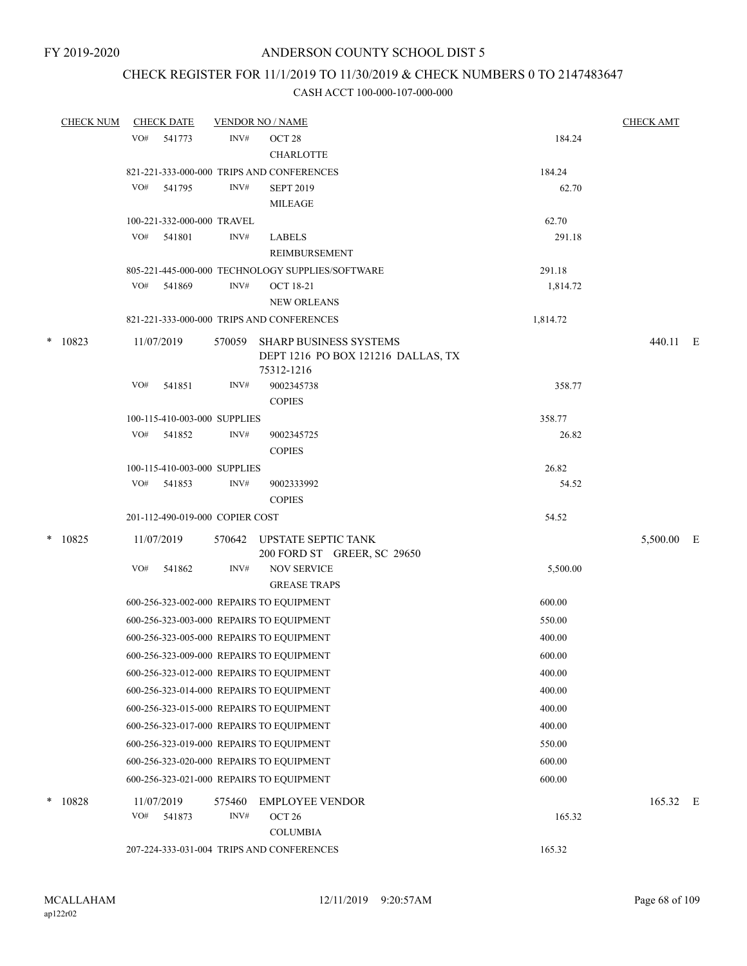# CHECK REGISTER FOR 11/1/2019 TO 11/30/2019 & CHECK NUMBERS 0 TO 2147483647

|        | <b>CHECK NUM</b> |     | <b>CHECK DATE</b> |                                 | <b>VENDOR NO / NAME</b>                                                    |          | <b>CHECK AMT</b> |   |
|--------|------------------|-----|-------------------|---------------------------------|----------------------------------------------------------------------------|----------|------------------|---|
|        |                  | VO# | 541773            | INV#                            | OCT <sub>28</sub>                                                          | 184.24   |                  |   |
|        |                  |     |                   |                                 | <b>CHARLOTTE</b>                                                           |          |                  |   |
|        |                  |     |                   |                                 | 821-221-333-000-000 TRIPS AND CONFERENCES                                  | 184.24   |                  |   |
|        |                  | VO# | 541795            | INV#                            | <b>SEPT 2019</b>                                                           | 62.70    |                  |   |
|        |                  |     |                   |                                 | MILEAGE                                                                    |          |                  |   |
|        |                  |     |                   | 100-221-332-000-000 TRAVEL      |                                                                            | 62.70    |                  |   |
|        |                  |     | VO# 541801        | INV#                            | <b>LABELS</b>                                                              | 291.18   |                  |   |
|        |                  |     |                   |                                 | REIMBURSEMENT                                                              |          |                  |   |
|        |                  |     |                   |                                 | 805-221-445-000-000 TECHNOLOGY SUPPLIES/SOFTWARE                           | 291.18   |                  |   |
|        |                  | VO# | 541869            | INV#                            | <b>OCT 18-21</b>                                                           | 1,814.72 |                  |   |
|        |                  |     |                   |                                 | <b>NEW ORLEANS</b>                                                         |          |                  |   |
|        |                  |     |                   |                                 | 821-221-333-000-000 TRIPS AND CONFERENCES                                  | 1,814.72 |                  |   |
| $\ast$ | 10823            |     | 11/07/2019        | 570059                          | SHARP BUSINESS SYSTEMS<br>DEPT 1216 PO BOX 121216 DALLAS, TX<br>75312-1216 |          | 440.11 E         |   |
|        |                  | VO# | 541851            | INV#                            | 9002345738                                                                 | 358.77   |                  |   |
|        |                  |     |                   |                                 | <b>COPIES</b>                                                              |          |                  |   |
|        |                  |     |                   | 100-115-410-003-000 SUPPLIES    |                                                                            | 358.77   |                  |   |
|        |                  | VO# | 541852            | INV#                            | 9002345725                                                                 | 26.82    |                  |   |
|        |                  |     |                   |                                 | <b>COPIES</b>                                                              |          |                  |   |
|        |                  |     |                   | 100-115-410-003-000 SUPPLIES    |                                                                            | 26.82    |                  |   |
|        |                  | VO# | 541853            | INV#                            | 9002333992                                                                 | 54.52    |                  |   |
|        |                  |     |                   |                                 | <b>COPIES</b>                                                              |          |                  |   |
|        |                  |     |                   | 201-112-490-019-000 COPIER COST |                                                                            | 54.52    |                  |   |
| $\ast$ | 10825            |     | 11/07/2019        |                                 | 570642 UPSTATE SEPTIC TANK<br>200 FORD ST GREER, SC 29650                  |          | 5,500.00         | E |
|        |                  | VO# | 541862            | INV#                            | <b>NOV SERVICE</b>                                                         | 5,500.00 |                  |   |
|        |                  |     |                   |                                 | <b>GREASE TRAPS</b>                                                        |          |                  |   |
|        |                  |     |                   |                                 | 600-256-323-002-000 REPAIRS TO EQUIPMENT                                   | 600.00   |                  |   |
|        |                  |     |                   |                                 | 600-256-323-003-000 REPAIRS TO EQUIPMENT                                   | 550.00   |                  |   |
|        |                  |     |                   |                                 | 600-256-323-005-000 REPAIRS TO EQUIPMENT                                   | 400.00   |                  |   |
|        |                  |     |                   |                                 | 600-256-323-009-000 REPAIRS TO EQUIPMENT                                   | 600.00   |                  |   |
|        |                  |     |                   |                                 | 600-256-323-012-000 REPAIRS TO EQUIPMENT                                   | 400.00   |                  |   |
|        |                  |     |                   |                                 | 600-256-323-014-000 REPAIRS TO EQUIPMENT                                   | 400.00   |                  |   |
|        |                  |     |                   |                                 | 600-256-323-015-000 REPAIRS TO EQUIPMENT                                   | 400.00   |                  |   |
|        |                  |     |                   |                                 |                                                                            |          |                  |   |
|        |                  |     |                   |                                 | 600-256-323-017-000 REPAIRS TO EQUIPMENT                                   | 400.00   |                  |   |
|        |                  |     |                   |                                 | 600-256-323-019-000 REPAIRS TO EQUIPMENT                                   | 550.00   |                  |   |
|        |                  |     |                   |                                 | 600-256-323-020-000 REPAIRS TO EQUIPMENT                                   | 600.00   |                  |   |
|        |                  |     |                   |                                 | 600-256-323-021-000 REPAIRS TO EQUIPMENT                                   | 600.00   |                  |   |
| $\ast$ | 10828            |     | 11/07/2019        | 575460                          | <b>EMPLOYEE VENDOR</b>                                                     |          | 165.32 E         |   |
|        |                  | VO# | 541873            | INV#                            | OCT <sub>26</sub>                                                          | 165.32   |                  |   |
|        |                  |     |                   |                                 | <b>COLUMBIA</b>                                                            |          |                  |   |
|        |                  |     |                   |                                 | 207-224-333-031-004 TRIPS AND CONFERENCES                                  | 165.32   |                  |   |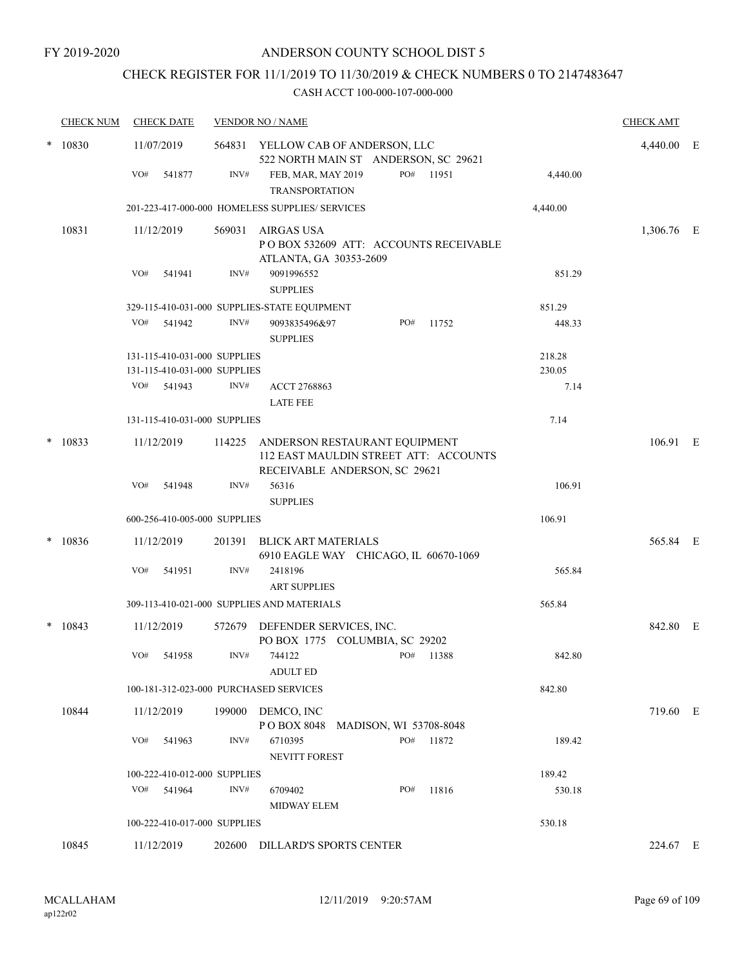# CHECK REGISTER FOR 11/1/2019 TO 11/30/2019 & CHECK NUMBERS 0 TO 2147483647

|        | <b>CHECK NUM</b> | <b>CHECK DATE</b>                      |        | <b>VENDOR NO / NAME</b>                                                                                        |          | <b>CHECK AMT</b> |  |
|--------|------------------|----------------------------------------|--------|----------------------------------------------------------------------------------------------------------------|----------|------------------|--|
| *      | 10830            | 11/07/2019                             |        | 564831 YELLOW CAB OF ANDERSON, LLC<br>522 NORTH MAIN ST ANDERSON, SC 29621                                     |          | 4,440.00 E       |  |
|        |                  | VO#<br>541877                          | INV#   | PO# 11951<br>FEB, MAR, MAY 2019<br><b>TRANSPORTATION</b>                                                       | 4,440.00 |                  |  |
|        |                  |                                        |        | 201-223-417-000-000 HOMELESS SUPPLIES/ SERVICES                                                                | 4,440.00 |                  |  |
|        | 10831            | 11/12/2019                             | 569031 | AIRGAS USA<br>PO BOX 532609 ATT: ACCOUNTS RECEIVABLE<br>ATLANTA, GA 30353-2609                                 |          | 1,306.76 E       |  |
|        |                  | VO#<br>541941                          | INV#   | 9091996552<br><b>SUPPLIES</b>                                                                                  | 851.29   |                  |  |
|        |                  |                                        |        | 329-115-410-031-000 SUPPLIES-STATE EQUIPMENT                                                                   | 851.29   |                  |  |
|        |                  | VO#<br>541942                          | INV#   | 9093835496&97<br>PO#<br>11752<br><b>SUPPLIES</b>                                                               | 448.33   |                  |  |
|        |                  | 131-115-410-031-000 SUPPLIES           |        |                                                                                                                | 218.28   |                  |  |
|        |                  | 131-115-410-031-000 SUPPLIES           |        |                                                                                                                | 230.05   |                  |  |
|        |                  | VO# 541943                             | INV#   | ACCT 2768863<br><b>LATE FEE</b>                                                                                | 7.14     |                  |  |
|        |                  | 131-115-410-031-000 SUPPLIES           |        |                                                                                                                | 7.14     |                  |  |
| $\ast$ | 10833            | 11/12/2019                             |        | 114225 ANDERSON RESTAURANT EQUIPMENT<br>112 EAST MAULDIN STREET ATT: ACCOUNTS<br>RECEIVABLE ANDERSON, SC 29621 |          | 106.91 E         |  |
|        |                  | VO#<br>541948                          | INV#   | 56316<br><b>SUPPLIES</b>                                                                                       | 106.91   |                  |  |
|        |                  | 600-256-410-005-000 SUPPLIES           |        |                                                                                                                | 106.91   |                  |  |
| $\ast$ | 10836            | 11/12/2019                             |        | 201391 BLICK ART MATERIALS<br>6910 EAGLE WAY CHICAGO, IL 60670-1069                                            |          | 565.84 E         |  |
|        |                  | VO#<br>541951                          | INV#   | 2418196<br><b>ART SUPPLIES</b>                                                                                 | 565.84   |                  |  |
|        |                  |                                        |        | 309-113-410-021-000 SUPPLIES AND MATERIALS                                                                     | 565.84   |                  |  |
|        | $* 10843$        | 11/12/2019                             |        | 572679 DEFENDER SERVICES, INC.<br>PO BOX 1775 COLUMBIA, SC 29202                                               |          | 842.80 E         |  |
|        |                  | VO#<br>541958                          | INV#   | 744122<br>PO# 11388<br><b>ADULT ED</b>                                                                         | 842.80   |                  |  |
|        |                  | 100-181-312-023-000 PURCHASED SERVICES |        |                                                                                                                | 842.80   |                  |  |
|        | 10844            | 11/12/2019                             | 199000 | DEMCO, INC<br>POBOX 8048 MADISON, WI 53708-8048                                                                |          | 719.60 E         |  |
|        |                  | VO#<br>541963                          | INV#   | 6710395<br>PO# 11872<br>NEVITT FOREST                                                                          | 189.42   |                  |  |
|        |                  | 100-222-410-012-000 SUPPLIES           |        |                                                                                                                | 189.42   |                  |  |
|        |                  | VO# 541964                             | INV#   | PO#<br>11816<br>6709402<br><b>MIDWAY ELEM</b>                                                                  | 530.18   |                  |  |
|        |                  | 100-222-410-017-000 SUPPLIES           |        |                                                                                                                | 530.18   |                  |  |
|        | 10845            | 11/12/2019                             | 202600 | <b>DILLARD'S SPORTS CENTER</b>                                                                                 |          | 224.67 E         |  |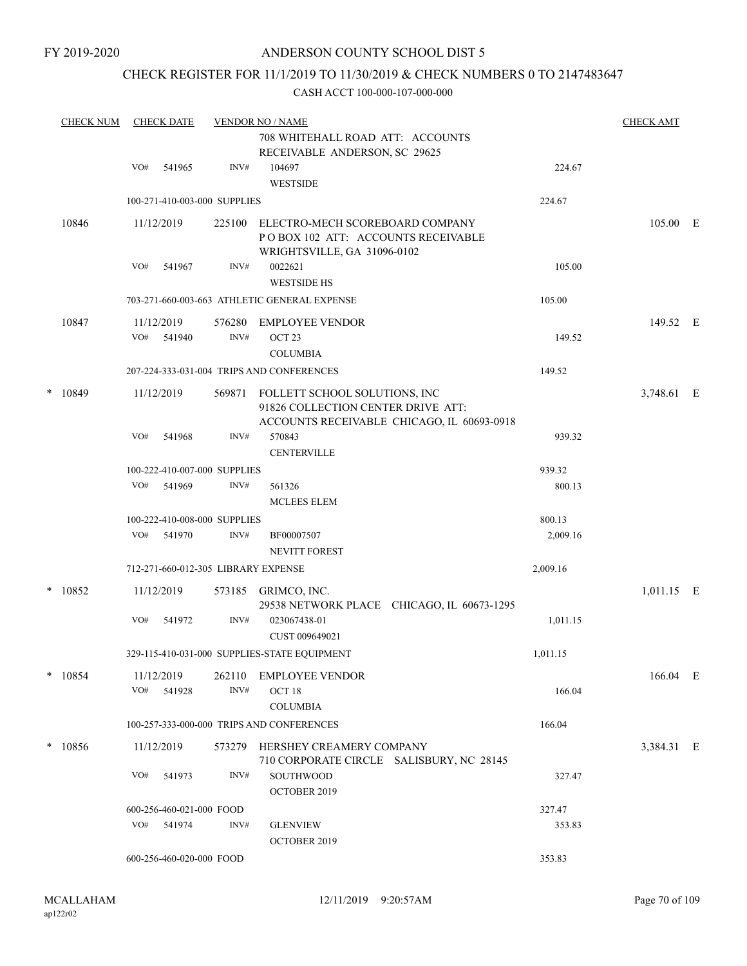### CHECK REGISTER FOR 11/1/2019 TO 11/30/2019 & CHECK NUMBERS 0 TO 2147483647

|   | <b>CHECK NUM</b> |                          | <b>CHECK DATE</b>        |                              | <b>CHECK AMT</b><br><b>VENDOR NO / NAME</b>                                                                       |          |            |  |  |
|---|------------------|--------------------------|--------------------------|------------------------------|-------------------------------------------------------------------------------------------------------------------|----------|------------|--|--|
|   |                  |                          |                          |                              | 708 WHITEHALL ROAD ATT: ACCOUNTS<br>RECEIVABLE ANDERSON, SC 29625                                                 |          |            |  |  |
|   |                  | VO#                      | 541965                   | INV#                         | 104697                                                                                                            | 224.67   |            |  |  |
|   |                  |                          |                          |                              | <b>WESTSIDE</b>                                                                                                   |          |            |  |  |
|   |                  |                          |                          | 100-271-410-003-000 SUPPLIES |                                                                                                                   | 224.67   |            |  |  |
|   | 10846            |                          | 11/12/2019               | 225100                       | ELECTRO-MECH SCOREBOARD COMPANY<br>POBOX 102 ATT: ACCOUNTS RECEIVABLE<br>WRIGHTSVILLE, GA 31096-0102              |          | 105.00 E   |  |  |
|   |                  | VO#                      | 541967                   | INV#                         | 0022621<br><b>WESTSIDE HS</b>                                                                                     | 105.00   |            |  |  |
|   |                  |                          |                          |                              | 703-271-660-003-663 ATHLETIC GENERAL EXPENSE                                                                      | 105.00   |            |  |  |
|   | 10847            |                          | 11/12/2019               | 576280                       | EMPLOYEE VENDOR                                                                                                   |          | 149.52 E   |  |  |
|   |                  | VO#                      | 541940                   | INV#                         | OCT <sub>23</sub>                                                                                                 | 149.52   |            |  |  |
|   |                  |                          |                          |                              | <b>COLUMBIA</b>                                                                                                   |          |            |  |  |
|   |                  |                          |                          |                              | 207-224-333-031-004 TRIPS AND CONFERENCES                                                                         | 149.52   |            |  |  |
| * | 10849            |                          | 11/12/2019               | 569871                       | FOLLETT SCHOOL SOLUTIONS, INC<br>91826 COLLECTION CENTER DRIVE ATT:<br>ACCOUNTS RECEIVABLE CHICAGO, IL 60693-0918 |          | 3,748.61 E |  |  |
|   |                  | VO#                      | 541968                   | INV#                         | 570843<br><b>CENTERVILLE</b>                                                                                      | 939.32   |            |  |  |
|   |                  |                          |                          | 100-222-410-007-000 SUPPLIES |                                                                                                                   | 939.32   |            |  |  |
|   |                  | VO#                      | 541969                   | INV#                         | 561326                                                                                                            | 800.13   |            |  |  |
|   |                  |                          |                          |                              | <b>MCLEES ELEM</b>                                                                                                |          |            |  |  |
|   |                  |                          |                          | 100-222-410-008-000 SUPPLIES |                                                                                                                   | 800.13   |            |  |  |
|   |                  | VO#                      | 541970                   | INV#                         | BF00007507                                                                                                        | 2,009.16 |            |  |  |
|   |                  |                          |                          |                              | <b>NEVITT FOREST</b>                                                                                              |          |            |  |  |
|   |                  |                          |                          |                              | 712-271-660-012-305 LIBRARY EXPENSE                                                                               | 2,009.16 |            |  |  |
| * | 10852            |                          | 11/12/2019               |                              | 573185 GRIMCO, INC.<br>29538 NETWORK PLACE CHICAGO, IL 60673-1295                                                 |          | 1,011.15 E |  |  |
|   |                  | VO#                      | 541972                   | INV#                         | 023067438-01<br>CUST 009649021                                                                                    | 1,011.15 |            |  |  |
|   |                  |                          |                          |                              | 329-115-410-031-000 SUPPLIES-STATE EQUIPMENT                                                                      | 1,011.15 |            |  |  |
|   | $*$ 10854        | VO#                      | 11/12/2019<br>541928     | 262110<br>INV#               | <b>EMPLOYEE VENDOR</b><br>OCT <sub>18</sub><br><b>COLUMBIA</b>                                                    | 166.04   | 166.04 E   |  |  |
|   |                  |                          |                          |                              | 100-257-333-000-000 TRIPS AND CONFERENCES                                                                         | 166.04   |            |  |  |
|   |                  |                          |                          |                              |                                                                                                                   |          |            |  |  |
|   | $*$ 10856        |                          | 11/12/2019               |                              | 573279 HERSHEY CREAMERY COMPANY<br>710 CORPORATE CIRCLE SALISBURY, NC 28145                                       |          | 3,384.31 E |  |  |
|   |                  | VO#                      | 541973                   | INV#                         | SOUTHWOOD<br>OCTOBER 2019                                                                                         | 327.47   |            |  |  |
|   |                  |                          | 600-256-460-021-000 FOOD |                              |                                                                                                                   | 327.47   |            |  |  |
|   |                  |                          | VO# 541974               | INV#                         | <b>GLENVIEW</b><br>OCTOBER 2019                                                                                   | 353.83   |            |  |  |
|   |                  | 600-256-460-020-000 FOOD |                          |                              | 353.83                                                                                                            |          |            |  |  |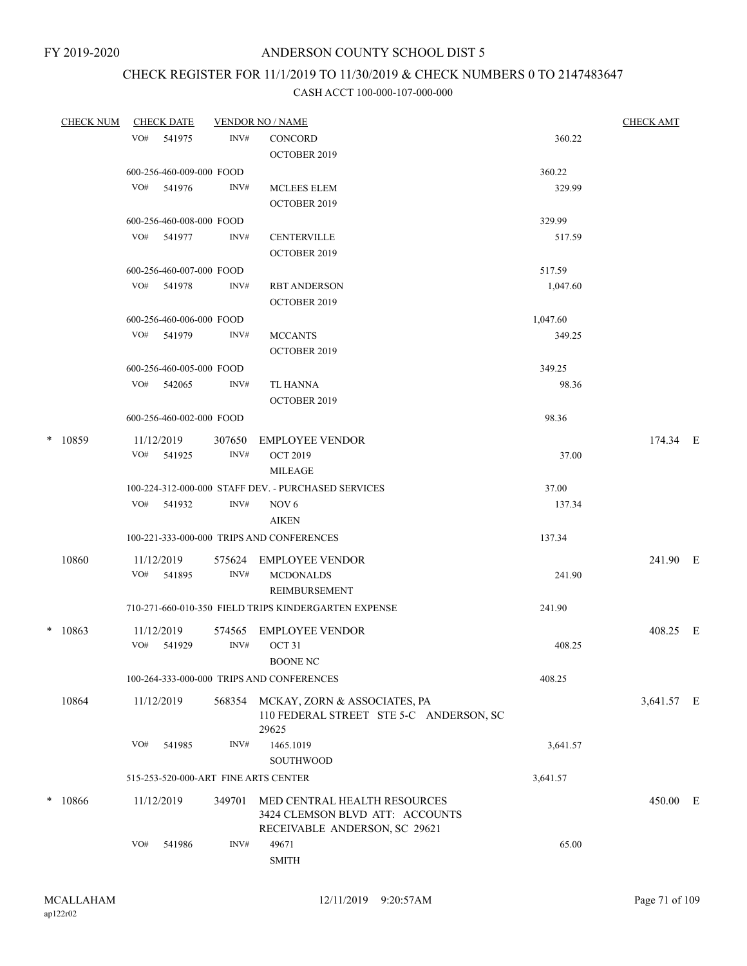# CHECK REGISTER FOR 11/1/2019 TO 11/30/2019 & CHECK NUMBERS 0 TO 2147483647

|   | <u>CHECK NUM</u> |     | <b>CHECK DATE</b>        |        | <b>VENDOR NO / NAME</b>                              |          | <b>CHECK AMT</b> |  |
|---|------------------|-----|--------------------------|--------|------------------------------------------------------|----------|------------------|--|
|   |                  |     | VO# 541975               | INV#   | <b>CONCORD</b>                                       | 360.22   |                  |  |
|   |                  |     |                          |        | OCTOBER 2019                                         |          |                  |  |
|   |                  |     | 600-256-460-009-000 FOOD |        |                                                      | 360.22   |                  |  |
|   |                  |     | VO# 541976               | INV#   | <b>MCLEES ELEM</b>                                   | 329.99   |                  |  |
|   |                  |     |                          |        | <b>OCTOBER 2019</b>                                  |          |                  |  |
|   |                  |     | 600-256-460-008-000 FOOD |        |                                                      | 329.99   |                  |  |
|   |                  |     | VO# 541977               | INV#   | <b>CENTERVILLE</b>                                   | 517.59   |                  |  |
|   |                  |     |                          |        | <b>OCTOBER 2019</b>                                  |          |                  |  |
|   |                  |     | 600-256-460-007-000 FOOD |        |                                                      | 517.59   |                  |  |
|   |                  |     | VO# 541978               | INV#   | <b>RBT ANDERSON</b>                                  | 1,047.60 |                  |  |
|   |                  |     |                          |        | <b>OCTOBER 2019</b>                                  |          |                  |  |
|   |                  |     | 600-256-460-006-000 FOOD |        |                                                      | 1,047.60 |                  |  |
|   |                  |     | VO# 541979               | INV#   | <b>MCCANTS</b>                                       | 349.25   |                  |  |
|   |                  |     |                          |        | <b>OCTOBER 2019</b>                                  |          |                  |  |
|   |                  |     | 600-256-460-005-000 FOOD |        |                                                      | 349.25   |                  |  |
|   |                  |     | VO# 542065               | INV#   | TL HANNA                                             | 98.36    |                  |  |
|   |                  |     |                          |        | <b>OCTOBER 2019</b>                                  |          |                  |  |
|   |                  |     | 600-256-460-002-000 FOOD |        |                                                      | 98.36    |                  |  |
|   | * 10859          |     | 11/12/2019               | 307650 | <b>EMPLOYEE VENDOR</b>                               |          | 174.34 E         |  |
|   |                  |     | VO# 541925               | INV#   | <b>OCT 2019</b>                                      | 37.00    |                  |  |
|   |                  |     |                          |        | <b>MILEAGE</b>                                       |          |                  |  |
|   |                  |     |                          |        | 100-224-312-000-000 STAFF DEV. - PURCHASED SERVICES  | 37.00    |                  |  |
|   |                  |     | VO# 541932               | INV#   | NOV <sub>6</sub>                                     | 137.34   |                  |  |
|   |                  |     |                          |        | <b>AIKEN</b>                                         |          |                  |  |
|   |                  |     |                          |        | 100-221-333-000-000 TRIPS AND CONFERENCES            | 137.34   |                  |  |
|   | 10860            |     | 11/12/2019               |        | 575624 EMPLOYEE VENDOR                               |          | 241.90 E         |  |
|   |                  | VO# | 541895                   | INV#   | <b>MCDONALDS</b>                                     | 241.90   |                  |  |
|   |                  |     |                          |        | REIMBURSEMENT                                        |          |                  |  |
|   |                  |     |                          |        | 710-271-660-010-350 FIELD TRIPS KINDERGARTEN EXPENSE | 241.90   |                  |  |
|   | $* 10863$        |     | 11/12/2019               | 574565 | <b>EMPLOYEE VENDOR</b>                               |          | 408.25 E         |  |
|   |                  |     | VO# 541929               | INV#   | OCT 31                                               | 408.25   |                  |  |
|   |                  |     |                          |        | BOONE NC                                             |          |                  |  |
|   |                  |     |                          |        | 100-264-333-000-000 TRIPS AND CONFERENCES            | 408.25   |                  |  |
|   | 10864            |     | 11/12/2019               | 568354 | MCKAY, ZORN & ASSOCIATES, PA                         |          | 3,641.57 E       |  |
|   |                  |     |                          |        | 110 FEDERAL STREET STE 5-C ANDERSON, SC              |          |                  |  |
|   |                  | VO# | 541985                   | INV#   | 29625<br>1465.1019                                   | 3,641.57 |                  |  |
|   |                  |     |                          |        | SOUTHWOOD                                            |          |                  |  |
|   |                  |     |                          |        |                                                      |          |                  |  |
|   |                  |     |                          |        | 515-253-520-000-ART FINE ARTS CENTER                 | 3,641.57 |                  |  |
| * | 10866            |     | 11/12/2019               | 349701 | MED CENTRAL HEALTH RESOURCES                         |          | 450.00 E         |  |
|   |                  |     |                          |        | 3424 CLEMSON BLVD ATT: ACCOUNTS                      |          |                  |  |
|   |                  | VO# | 541986                   | INV#   | RECEIVABLE ANDERSON, SC 29621<br>49671               | 65.00    |                  |  |
|   |                  |     |                          |        | <b>SMITH</b>                                         |          |                  |  |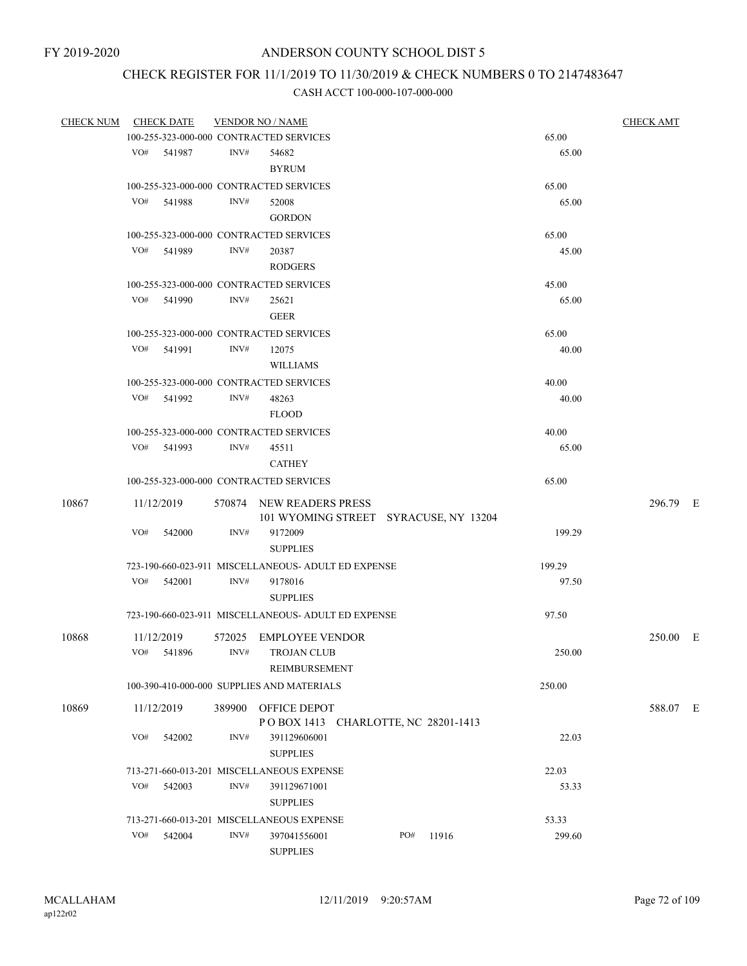# CHECK REGISTER FOR 11/1/2019 TO 11/30/2019 & CHECK NUMBERS 0 TO 2147483647

| <b>CHECK NUM</b> |     | <b>CHECK DATE</b> |        | <b>VENDOR NO / NAME</b>                                           |     |       |        | <b>CHECK AMT</b> |  |
|------------------|-----|-------------------|--------|-------------------------------------------------------------------|-----|-------|--------|------------------|--|
|                  |     |                   |        | 100-255-323-000-000 CONTRACTED SERVICES                           |     |       | 65.00  |                  |  |
|                  |     | VO# 541987        | INV#   | 54682                                                             |     |       | 65.00  |                  |  |
|                  |     |                   |        | <b>BYRUM</b>                                                      |     |       |        |                  |  |
|                  |     |                   |        | 100-255-323-000-000 CONTRACTED SERVICES                           |     |       | 65.00  |                  |  |
|                  | VO# | 541988            | INV#   | 52008                                                             |     |       | 65.00  |                  |  |
|                  |     |                   |        |                                                                   |     |       |        |                  |  |
|                  |     |                   |        | <b>GORDON</b>                                                     |     |       |        |                  |  |
|                  |     |                   |        | 100-255-323-000-000 CONTRACTED SERVICES                           |     |       | 65.00  |                  |  |
|                  |     | VO# 541989        | INV#   | 20387                                                             |     |       | 45.00  |                  |  |
|                  |     |                   |        | <b>RODGERS</b>                                                    |     |       |        |                  |  |
|                  |     |                   |        | 100-255-323-000-000 CONTRACTED SERVICES                           |     |       | 45.00  |                  |  |
|                  | VO# | 541990            | INV#   | 25621                                                             |     |       | 65.00  |                  |  |
|                  |     |                   |        | <b>GEER</b>                                                       |     |       |        |                  |  |
|                  |     |                   |        | 100-255-323-000-000 CONTRACTED SERVICES                           |     |       | 65.00  |                  |  |
|                  |     | VO# 541991        | INV#   | 12075                                                             |     |       | 40.00  |                  |  |
|                  |     |                   |        | <b>WILLIAMS</b>                                                   |     |       |        |                  |  |
|                  |     |                   |        | 100-255-323-000-000 CONTRACTED SERVICES                           |     |       | 40.00  |                  |  |
|                  |     | VO# 541992        | INV#   | 48263                                                             |     |       | 40.00  |                  |  |
|                  |     |                   |        | <b>FLOOD</b>                                                      |     |       |        |                  |  |
|                  |     |                   |        |                                                                   |     |       |        |                  |  |
|                  |     |                   |        | 100-255-323-000-000 CONTRACTED SERVICES                           |     |       | 40.00  |                  |  |
|                  |     | VO# 541993        | INV#   | 45511                                                             |     |       | 65.00  |                  |  |
|                  |     |                   |        | <b>CATHEY</b>                                                     |     |       |        |                  |  |
|                  |     |                   |        | 100-255-323-000-000 CONTRACTED SERVICES                           |     |       | 65.00  |                  |  |
| 10867            |     | 11/12/2019        |        | 570874 NEW READERS PRESS<br>101 WYOMING STREET SYRACUSE, NY 13204 |     |       |        | 296.79 E         |  |
|                  | VO# | 542000            | INV#   | 9172009                                                           |     |       | 199.29 |                  |  |
|                  |     |                   |        | <b>SUPPLIES</b>                                                   |     |       |        |                  |  |
|                  |     |                   |        | 723-190-660-023-911 MISCELLANEOUS- ADULT ED EXPENSE               |     |       | 199.29 |                  |  |
|                  | VO# | 542001            | INV#   | 9178016                                                           |     |       | 97.50  |                  |  |
|                  |     |                   |        | <b>SUPPLIES</b>                                                   |     |       |        |                  |  |
|                  |     |                   |        | 723-190-660-023-911 MISCELLANEOUS- ADULT ED EXPENSE               |     |       | 97.50  |                  |  |
|                  |     |                   |        |                                                                   |     |       |        |                  |  |
| 10868            |     | 11/12/2019        | 572025 | <b>EMPLOYEE VENDOR</b>                                            |     |       |        | 250.00 E         |  |
|                  |     | VO# 541896        | INV#   | <b>TROJAN CLUB</b>                                                |     |       | 250.00 |                  |  |
|                  |     |                   |        | REIMBURSEMENT                                                     |     |       |        |                  |  |
|                  |     |                   |        | 100-390-410-000-000 SUPPLIES AND MATERIALS                        |     |       | 250.00 |                  |  |
| 10869            |     | 11/12/2019        | 389900 | OFFICE DEPOT                                                      |     |       |        | 588.07 E         |  |
|                  |     |                   |        | POBOX 1413 CHARLOTTE, NC 28201-1413                               |     |       |        |                  |  |
|                  | VO# | 542002            | INV#   | 391129606001                                                      |     |       | 22.03  |                  |  |
|                  |     |                   |        | <b>SUPPLIES</b>                                                   |     |       |        |                  |  |
|                  |     |                   |        | 713-271-660-013-201 MISCELLANEOUS EXPENSE                         |     |       | 22.03  |                  |  |
|                  | VO# | 542003            | INV#   | 391129671001                                                      |     |       | 53.33  |                  |  |
|                  |     |                   |        | <b>SUPPLIES</b>                                                   |     |       |        |                  |  |
|                  |     |                   |        |                                                                   |     |       |        |                  |  |
|                  |     |                   |        | 713-271-660-013-201 MISCELLANEOUS EXPENSE                         |     |       | 53.33  |                  |  |
|                  | VO# | 542004            | INV#   | 397041556001<br><b>SUPPLIES</b>                                   | PO# | 11916 | 299.60 |                  |  |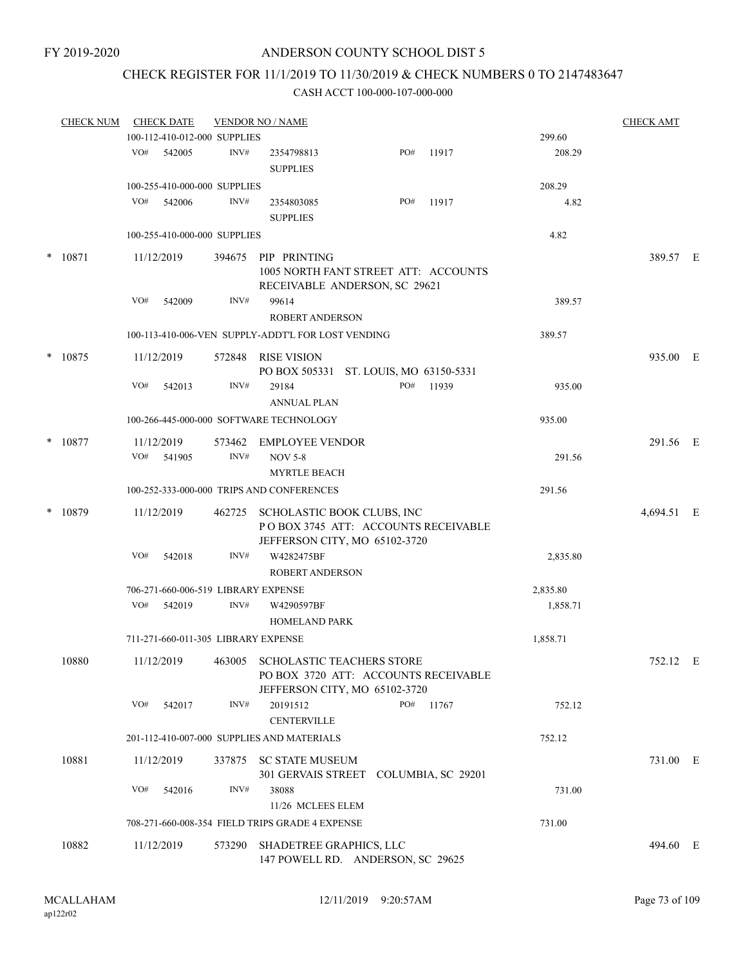### CHECK REGISTER FOR 11/1/2019 TO 11/30/2019 & CHECK NUMBERS 0 TO 2147483647

|        | <b>CHECK NUM</b> |     | <b>CHECK DATE</b> |                                     | <b>VENDOR NO / NAME</b>                                                                                              |     |           |          | <b>CHECK AMT</b> |  |
|--------|------------------|-----|-------------------|-------------------------------------|----------------------------------------------------------------------------------------------------------------------|-----|-----------|----------|------------------|--|
|        |                  |     |                   | 100-112-410-012-000 SUPPLIES        |                                                                                                                      |     |           | 299.60   |                  |  |
|        |                  | VO# | 542005            | INV#                                | 2354798813<br><b>SUPPLIES</b>                                                                                        | PO# | 11917     | 208.29   |                  |  |
|        |                  |     |                   | 100-255-410-000-000 SUPPLIES        |                                                                                                                      |     |           | 208.29   |                  |  |
|        |                  | VO# | 542006            | INV#                                | 2354803085                                                                                                           | PO# | 11917     | 4.82     |                  |  |
|        |                  |     |                   |                                     | <b>SUPPLIES</b>                                                                                                      |     |           |          |                  |  |
|        |                  |     |                   | 100-255-410-000-000 SUPPLIES        |                                                                                                                      |     |           | 4.82     |                  |  |
|        | * 10871          |     | 11/12/2019        |                                     | 394675 PIP PRINTING                                                                                                  |     |           |          | 389.57 E         |  |
|        |                  |     |                   |                                     | 1005 NORTH FANT STREET ATT: ACCOUNTS<br>RECEIVABLE ANDERSON, SC 29621                                                |     |           |          |                  |  |
|        |                  | VO# | 542009            | INV#                                | 99614<br><b>ROBERT ANDERSON</b>                                                                                      |     |           | 389.57   |                  |  |
|        |                  |     |                   |                                     | 100-113-410-006-VEN SUPPLY-ADDT'L FOR LOST VENDING                                                                   |     |           | 389.57   |                  |  |
| $\ast$ | 10875            |     | 11/12/2019        | 572848                              | <b>RISE VISION</b>                                                                                                   |     |           |          | 935.00 E         |  |
|        |                  |     |                   |                                     | PO BOX 505331 ST. LOUIS, MO 63150-5331                                                                               |     |           |          |                  |  |
|        |                  | VO# | 542013            | INV#                                | 29184<br><b>ANNUAL PLAN</b>                                                                                          | PO# | 11939     | 935.00   |                  |  |
|        |                  |     |                   |                                     | 100-266-445-000-000 SOFTWARE TECHNOLOGY                                                                              |     |           | 935.00   |                  |  |
| $\ast$ | 10877            |     | 11/12/2019        |                                     | 573462 EMPLOYEE VENDOR                                                                                               |     |           |          | 291.56 E         |  |
|        |                  |     | VO# 541905        | INV#                                | <b>NOV 5-8</b><br><b>MYRTLE BEACH</b>                                                                                |     |           | 291.56   |                  |  |
|        |                  |     |                   |                                     | 100-252-333-000-000 TRIPS AND CONFERENCES                                                                            |     |           | 291.56   |                  |  |
| $\ast$ | 10879            |     | 11/12/2019        |                                     | 462725 SCHOLASTIC BOOK CLUBS, INC<br>POBOX 3745 ATT: ACCOUNTS RECEIVABLE                                             |     |           |          | 4,694.51 E       |  |
|        |                  | VO# | 542018            | INV#                                | JEFFERSON CITY, MO 65102-3720<br>W4282475BF                                                                          |     |           | 2,835.80 |                  |  |
|        |                  |     |                   |                                     | <b>ROBERT ANDERSON</b>                                                                                               |     |           |          |                  |  |
|        |                  |     |                   | 706-271-660-006-519 LIBRARY EXPENSE |                                                                                                                      |     |           | 2,835.80 |                  |  |
|        |                  | VO# | 542019            | INV#                                | W4290597BF                                                                                                           |     |           | 1,858.71 |                  |  |
|        |                  |     |                   |                                     | <b>HOMELAND PARK</b>                                                                                                 |     |           |          |                  |  |
|        |                  |     |                   | 711-271-660-011-305 LIBRARY EXPENSE |                                                                                                                      |     |           | 1,858.71 |                  |  |
|        | 10880            |     |                   |                                     | 11/12/2019 463005 SCHOLASTIC TEACHERS STORE<br>PO BOX 3720 ATT: ACCOUNTS RECEIVABLE<br>JEFFERSON CITY, MO 65102-3720 |     |           |          | 752.12 E         |  |
|        |                  | VO# | 542017            | INV#                                | 20191512<br><b>CENTERVILLE</b>                                                                                       |     | PO# 11767 | 752.12   |                  |  |
|        |                  |     |                   |                                     | 201-112-410-007-000 SUPPLIES AND MATERIALS                                                                           |     |           | 752.12   |                  |  |
|        | 10881            |     | 11/12/2019        |                                     | 337875 SC STATE MUSEUM                                                                                               |     |           |          | 731.00 E         |  |
|        |                  |     |                   |                                     | 301 GERVAIS STREET COLUMBIA, SC 29201                                                                                |     |           |          |                  |  |
|        |                  | VO# | 542016            | INV#                                | 38088<br>11/26 MCLEES ELEM                                                                                           |     |           | 731.00   |                  |  |
|        |                  |     |                   |                                     | 708-271-660-008-354 FIELD TRIPS GRADE 4 EXPENSE                                                                      |     |           | 731.00   |                  |  |
|        |                  |     |                   |                                     |                                                                                                                      |     |           |          |                  |  |
|        | 10882            |     | 11/12/2019        |                                     | 573290 SHADETREE GRAPHICS, LLC<br>147 POWELL RD. ANDERSON, SC 29625                                                  |     |           |          | 494.60 E         |  |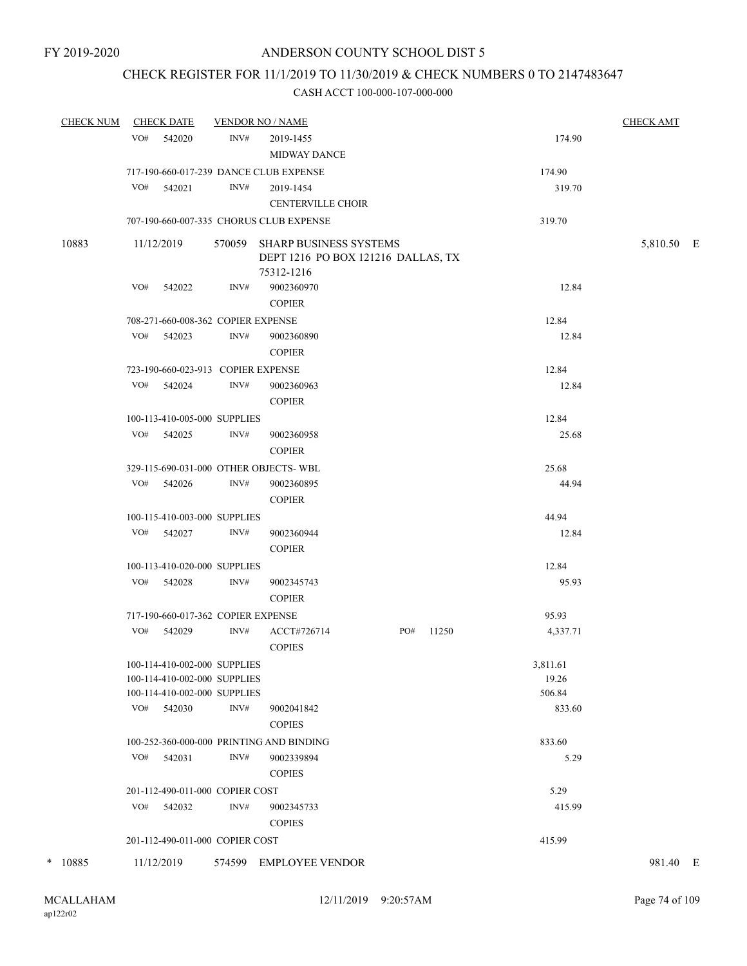## CHECK REGISTER FOR 11/1/2019 TO 11/30/2019 & CHECK NUMBERS 0 TO 2147483647

| <b>CHECK NUM</b> | <b>CHECK DATE</b>                                                                            |      | <b>VENDOR NO / NAME</b>                                             |     |       |                             | <b>CHECK AMT</b> |
|------------------|----------------------------------------------------------------------------------------------|------|---------------------------------------------------------------------|-----|-------|-----------------------------|------------------|
|                  | VO#<br>542020                                                                                | INV# | 2019-1455<br><b>MIDWAY DANCE</b>                                    |     |       | 174.90                      |                  |
|                  | 717-190-660-017-239 DANCE CLUB EXPENSE                                                       |      |                                                                     |     |       | 174.90                      |                  |
|                  | VO#<br>542021                                                                                | INV# | 2019-1454                                                           |     |       | 319.70                      |                  |
|                  |                                                                                              |      | <b>CENTERVILLE CHOIR</b>                                            |     |       |                             |                  |
|                  |                                                                                              |      | 707-190-660-007-335 CHORUS CLUB EXPENSE                             |     |       | 319.70                      |                  |
| 10883            | 11/12/2019                                                                                   |      | 570059 SHARP BUSINESS SYSTEMS<br>DEPT 1216 PO BOX 121216 DALLAS, TX |     |       |                             | 5,810.50 E       |
|                  | VO#<br>542022                                                                                | INV# | 75312-1216<br>9002360970<br><b>COPIER</b>                           |     |       | 12.84                       |                  |
|                  | 708-271-660-008-362 COPIER EXPENSE                                                           |      |                                                                     |     |       | 12.84                       |                  |
|                  | VO# 542023                                                                                   | INV# | 9002360890<br><b>COPIER</b>                                         |     |       | 12.84                       |                  |
|                  | 723-190-660-023-913 COPIER EXPENSE                                                           |      |                                                                     |     |       | 12.84                       |                  |
|                  | VO# 542024                                                                                   | INV# | 9002360963<br><b>COPIER</b>                                         |     |       | 12.84                       |                  |
|                  | 100-113-410-005-000 SUPPLIES                                                                 |      |                                                                     |     |       | 12.84                       |                  |
|                  | VO# 542025                                                                                   | INV# | 9002360958<br><b>COPIER</b>                                         |     |       | 25.68                       |                  |
|                  | 329-115-690-031-000 OTHER OBJECTS-WBL                                                        |      |                                                                     |     |       | 25.68                       |                  |
|                  | VO# 542026                                                                                   | INV# | 9002360895<br><b>COPIER</b>                                         |     |       | 44.94                       |                  |
|                  | 100-115-410-003-000 SUPPLIES                                                                 |      |                                                                     |     |       | 44.94                       |                  |
|                  | VO# 542027                                                                                   | INV# | 9002360944<br><b>COPIER</b>                                         |     |       | 12.84                       |                  |
|                  | 100-113-410-020-000 SUPPLIES                                                                 |      |                                                                     |     |       | 12.84                       |                  |
|                  | VO# 542028                                                                                   | INV# | 9002345743<br><b>COPIER</b>                                         |     |       | 95.93                       |                  |
|                  | 717-190-660-017-362 COPIER EXPENSE                                                           |      |                                                                     |     |       | 95.93                       |                  |
|                  | VO#<br>542029                                                                                | INV# | ACCT#726714<br><b>COPIES</b>                                        | PO# | 11250 | 4,337.71                    |                  |
|                  | 100-114-410-002-000 SUPPLIES<br>100-114-410-002-000 SUPPLIES<br>100-114-410-002-000 SUPPLIES |      |                                                                     |     |       | 3,811.61<br>19.26<br>506.84 |                  |
|                  | VO#<br>542030                                                                                | INV# | 9002041842<br><b>COPIES</b>                                         |     |       | 833.60                      |                  |
|                  |                                                                                              |      | 100-252-360-000-000 PRINTING AND BINDING                            |     |       | 833.60                      |                  |
|                  | VO# 542031                                                                                   | INV# | 9002339894<br><b>COPIES</b>                                         |     |       | 5.29                        |                  |
|                  | 201-112-490-011-000 COPIER COST                                                              |      |                                                                     |     |       | 5.29                        |                  |
|                  | VO#<br>542032                                                                                | INV# | 9002345733<br><b>COPIES</b>                                         |     |       | 415.99                      |                  |
|                  | 201-112-490-011-000 COPIER COST                                                              |      |                                                                     |     |       | 415.99                      |                  |
| * 10885          | 11/12/2019                                                                                   |      | 574599 EMPLOYEE VENDOR                                              |     |       |                             | 981.40 E         |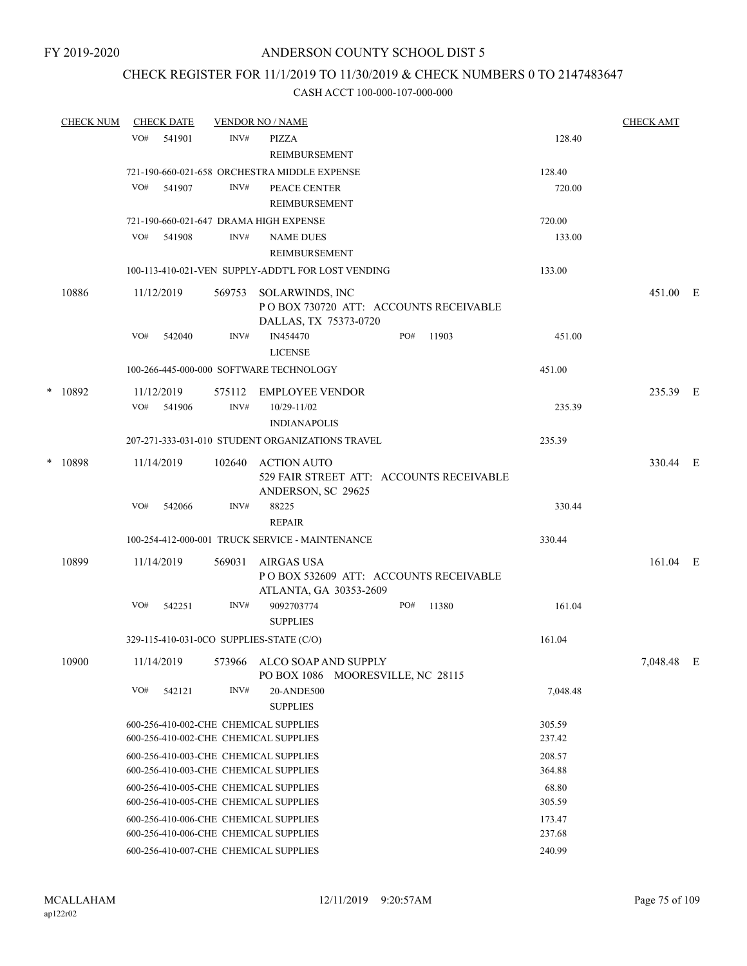## CHECK REGISTER FOR 11/1/2019 TO 11/30/2019 & CHECK NUMBERS 0 TO 2147483647

|        | <b>CHECK NUM</b> |     | <b>CHECK DATE</b> |        | <b>VENDOR NO / NAME</b>                                                            |                       |     |       |          | <b>CHECK AMT</b> |  |
|--------|------------------|-----|-------------------|--------|------------------------------------------------------------------------------------|-----------------------|-----|-------|----------|------------------|--|
|        |                  | VO# | 541901            | INV#   | PIZZA                                                                              |                       |     |       | 128.40   |                  |  |
|        |                  |     |                   |        | REIMBURSEMENT                                                                      |                       |     |       |          |                  |  |
|        |                  |     |                   |        | 721-190-660-021-658 ORCHESTRA MIDDLE EXPENSE                                       |                       |     |       | 128.40   |                  |  |
|        |                  | VO# | 541907            | INV#   | PEACE CENTER                                                                       |                       |     |       | 720.00   |                  |  |
|        |                  |     |                   |        | REIMBURSEMENT                                                                      |                       |     |       |          |                  |  |
|        |                  |     |                   |        | 721-190-660-021-647 DRAMA HIGH EXPENSE                                             |                       |     |       | 720.00   |                  |  |
|        |                  | VO# | 541908            | INV#   | <b>NAME DUES</b>                                                                   |                       |     |       | 133.00   |                  |  |
|        |                  |     |                   |        | REIMBURSEMENT                                                                      |                       |     |       |          |                  |  |
|        |                  |     |                   |        | 100-113-410-021-VEN SUPPLY-ADDT'L FOR LOST VENDING                                 |                       |     |       | 133.00   |                  |  |
|        | 10886            |     | 11/12/2019        | 569753 | SOLARWINDS, INC<br>PO BOX 730720 ATT: ACCOUNTS RECEIVABLE<br>DALLAS, TX 75373-0720 |                       |     |       |          | 451.00 E         |  |
|        |                  | VO# | 542040            | INV#   | IN454470<br><b>LICENSE</b>                                                         |                       | PO# | 11903 | 451.00   |                  |  |
|        |                  |     |                   |        | 100-266-445-000-000 SOFTWARE TECHNOLOGY                                            |                       |     |       | 451.00   |                  |  |
| $\ast$ | 10892            |     | 11/12/2019        | 575112 | EMPLOYEE VENDOR                                                                    |                       |     |       |          | 235.39 E         |  |
|        |                  | VO# | 541906            | INV#   | 10/29-11/02                                                                        |                       |     |       | 235.39   |                  |  |
|        |                  |     |                   |        | <b>INDIANAPOLIS</b>                                                                |                       |     |       |          |                  |  |
|        |                  |     |                   |        | 207-271-333-031-010 STUDENT ORGANIZATIONS TRAVEL                                   |                       |     |       | 235.39   |                  |  |
|        | * 10898          |     | 11/14/2019        | 102640 | ACTION AUTO                                                                        |                       |     |       |          | 330.44 E         |  |
|        |                  |     |                   |        | 529 FAIR STREET ATT: ACCOUNTS RECEIVABLE<br>ANDERSON, SC 29625                     |                       |     |       |          |                  |  |
|        |                  | VO# | 542066            | INV#   | 88225<br><b>REPAIR</b>                                                             |                       |     |       | 330.44   |                  |  |
|        |                  |     |                   |        | 100-254-412-000-001 TRUCK SERVICE - MAINTENANCE                                    |                       |     |       | 330.44   |                  |  |
|        | 10899            |     | 11/14/2019        | 569031 | AIRGAS USA                                                                         |                       |     |       |          | 161.04 E         |  |
|        |                  |     |                   |        | POBOX 532609 ATT: ACCOUNTS RECEIVABLE<br>ATLANTA, GA 30353-2609                    |                       |     |       |          |                  |  |
|        |                  | VO# | 542251            | INV#   | 9092703774<br><b>SUPPLIES</b>                                                      |                       | PO# | 11380 | 161.04   |                  |  |
|        |                  |     |                   |        | 329-115-410-031-0CO SUPPLIES-STATE (C/O)                                           |                       |     |       | 161.04   |                  |  |
|        | 10900            |     | 11/14/2019        |        | 573966 ALCO SOAP AND SUPPLY<br>PO BOX 1086                                         | MOORESVILLE, NC 28115 |     |       |          | 7,048.48 E       |  |
|        |                  | VO# | 542121            | INV#   | 20-ANDE500<br><b>SUPPLIES</b>                                                      |                       |     |       | 7,048.48 |                  |  |
|        |                  |     |                   |        | 600-256-410-002-CHE CHEMICAL SUPPLIES                                              |                       |     |       | 305.59   |                  |  |
|        |                  |     |                   |        | 600-256-410-002-CHE CHEMICAL SUPPLIES                                              |                       |     |       | 237.42   |                  |  |
|        |                  |     |                   |        | 600-256-410-003-CHE CHEMICAL SUPPLIES                                              |                       |     |       | 208.57   |                  |  |
|        |                  |     |                   |        | 600-256-410-003-CHE CHEMICAL SUPPLIES                                              |                       |     |       | 364.88   |                  |  |
|        |                  |     |                   |        | 600-256-410-005-CHE CHEMICAL SUPPLIES                                              |                       |     |       | 68.80    |                  |  |
|        |                  |     |                   |        | 600-256-410-005-CHE CHEMICAL SUPPLIES                                              |                       |     |       | 305.59   |                  |  |
|        |                  |     |                   |        | 600-256-410-006-CHE CHEMICAL SUPPLIES                                              |                       |     |       | 173.47   |                  |  |
|        |                  |     |                   |        | 600-256-410-006-CHE CHEMICAL SUPPLIES                                              |                       |     |       | 237.68   |                  |  |
|        |                  |     |                   |        | 600-256-410-007-CHE CHEMICAL SUPPLIES                                              |                       |     |       | 240.99   |                  |  |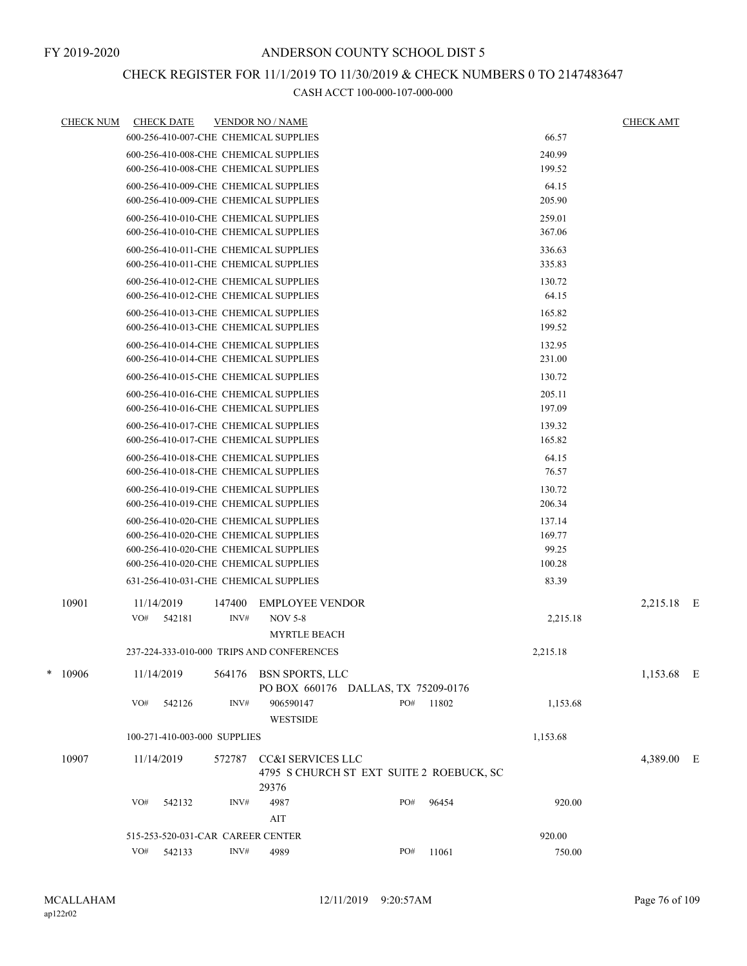# CHECK REGISTER FOR 11/1/2019 TO 11/30/2019 & CHECK NUMBERS 0 TO 2147483647

| <b>CHECK NUM</b> |            | <b>CHECK DATE</b>                 |                | <b>VENDOR NO / NAME</b>                   |     |       |          | <b>CHECK AMT</b> |  |
|------------------|------------|-----------------------------------|----------------|-------------------------------------------|-----|-------|----------|------------------|--|
|                  |            |                                   |                | 600-256-410-007-CHE CHEMICAL SUPPLIES     |     |       | 66.57    |                  |  |
|                  |            |                                   |                | 600-256-410-008-CHE CHEMICAL SUPPLIES     |     |       | 240.99   |                  |  |
|                  |            |                                   |                | 600-256-410-008-CHE CHEMICAL SUPPLIES     |     |       | 199.52   |                  |  |
|                  |            |                                   |                | 600-256-410-009-CHE CHEMICAL SUPPLIES     |     |       | 64.15    |                  |  |
|                  |            |                                   |                | 600-256-410-009-CHE CHEMICAL SUPPLIES     |     |       | 205.90   |                  |  |
|                  |            |                                   |                | 600-256-410-010-CHE CHEMICAL SUPPLIES     |     |       | 259.01   |                  |  |
|                  |            |                                   |                | 600-256-410-010-CHE CHEMICAL SUPPLIES     |     |       | 367.06   |                  |  |
|                  |            |                                   |                | 600-256-410-011-CHE CHEMICAL SUPPLIES     |     |       | 336.63   |                  |  |
|                  |            |                                   |                | 600-256-410-011-CHE CHEMICAL SUPPLIES     |     |       | 335.83   |                  |  |
|                  |            |                                   |                | 600-256-410-012-CHE CHEMICAL SUPPLIES     |     |       | 130.72   |                  |  |
|                  |            |                                   |                | 600-256-410-012-CHE CHEMICAL SUPPLIES     |     |       | 64.15    |                  |  |
|                  |            |                                   |                | 600-256-410-013-CHE CHEMICAL SUPPLIES     |     |       | 165.82   |                  |  |
|                  |            |                                   |                | 600-256-410-013-CHE CHEMICAL SUPPLIES     |     |       | 199.52   |                  |  |
|                  |            |                                   |                | 600-256-410-014-CHE CHEMICAL SUPPLIES     |     |       | 132.95   |                  |  |
|                  |            |                                   |                | 600-256-410-014-CHE CHEMICAL SUPPLIES     |     |       | 231.00   |                  |  |
|                  |            |                                   |                | 600-256-410-015-CHE CHEMICAL SUPPLIES     |     |       | 130.72   |                  |  |
|                  |            |                                   |                | 600-256-410-016-CHE CHEMICAL SUPPLIES     |     |       | 205.11   |                  |  |
|                  |            |                                   |                | 600-256-410-016-CHE CHEMICAL SUPPLIES     |     |       | 197.09   |                  |  |
|                  |            |                                   |                | 600-256-410-017-CHE CHEMICAL SUPPLIES     |     |       | 139.32   |                  |  |
|                  |            |                                   |                | 600-256-410-017-CHE CHEMICAL SUPPLIES     |     |       | 165.82   |                  |  |
|                  |            |                                   |                | 600-256-410-018-CHE CHEMICAL SUPPLIES     |     |       | 64.15    |                  |  |
|                  |            |                                   |                | 600-256-410-018-CHE CHEMICAL SUPPLIES     |     |       | 76.57    |                  |  |
|                  |            |                                   |                | 600-256-410-019-CHE CHEMICAL SUPPLIES     |     |       | 130.72   |                  |  |
|                  |            |                                   |                | 600-256-410-019-CHE CHEMICAL SUPPLIES     |     |       | 206.34   |                  |  |
|                  |            |                                   |                | 600-256-410-020-CHE CHEMICAL SUPPLIES     |     |       | 137.14   |                  |  |
|                  |            |                                   |                | 600-256-410-020-CHE CHEMICAL SUPPLIES     |     |       | 169.77   |                  |  |
|                  |            |                                   |                | 600-256-410-020-CHE CHEMICAL SUPPLIES     |     |       | 99.25    |                  |  |
|                  |            |                                   |                | 600-256-410-020-CHE CHEMICAL SUPPLIES     |     |       | 100.28   |                  |  |
|                  |            |                                   |                | 631-256-410-031-CHE CHEMICAL SUPPLIES     |     |       | 83.39    |                  |  |
| 10901            | 11/14/2019 |                                   | 147400         | <b>EMPLOYEE VENDOR</b>                    |     |       |          | 2,215.18 E       |  |
|                  | VO#        | 542181                            | INV#           | <b>NOV 5-8</b>                            |     |       | 2,215.18 |                  |  |
|                  |            |                                   |                | <b>MYRTLE BEACH</b>                       |     |       |          |                  |  |
|                  |            |                                   |                | 237-224-333-010-000 TRIPS AND CONFERENCES |     |       | 2,215.18 |                  |  |
| $*10906$         | 11/14/2019 |                                   | 564176         | BSN SPORTS, LLC                           |     |       |          | 1,153.68 E       |  |
|                  |            |                                   |                | PO BOX 660176 DALLAS, TX 75209-0176       |     |       |          |                  |  |
|                  | VO#        | 542126                            | INV#           | 906590147                                 | PO# | 11802 | 1,153.68 |                  |  |
|                  |            |                                   |                | <b>WESTSIDE</b>                           |     |       |          |                  |  |
|                  |            | 100-271-410-003-000 SUPPLIES      |                |                                           |     |       | 1,153.68 |                  |  |
| 10907            | 11/14/2019 |                                   | 572787         | CC&I SERVICES LLC                         |     |       |          | 4,389.00 E       |  |
|                  |            |                                   |                | 4795 S CHURCH ST EXT SUITE 2 ROEBUCK, SC  |     |       |          |                  |  |
|                  |            |                                   |                | 29376                                     |     |       |          |                  |  |
|                  | VO#        | 542132                            | INV#           | 4987                                      | PO# | 96454 | 920.00   |                  |  |
|                  |            |                                   |                | AIT                                       |     |       |          |                  |  |
|                  |            | 515-253-520-031-CAR CAREER CENTER |                |                                           |     |       | 920.00   |                  |  |
|                  | VO#        | 542133                            | $\text{INV}\#$ | 4989                                      | PO# | 11061 | 750.00   |                  |  |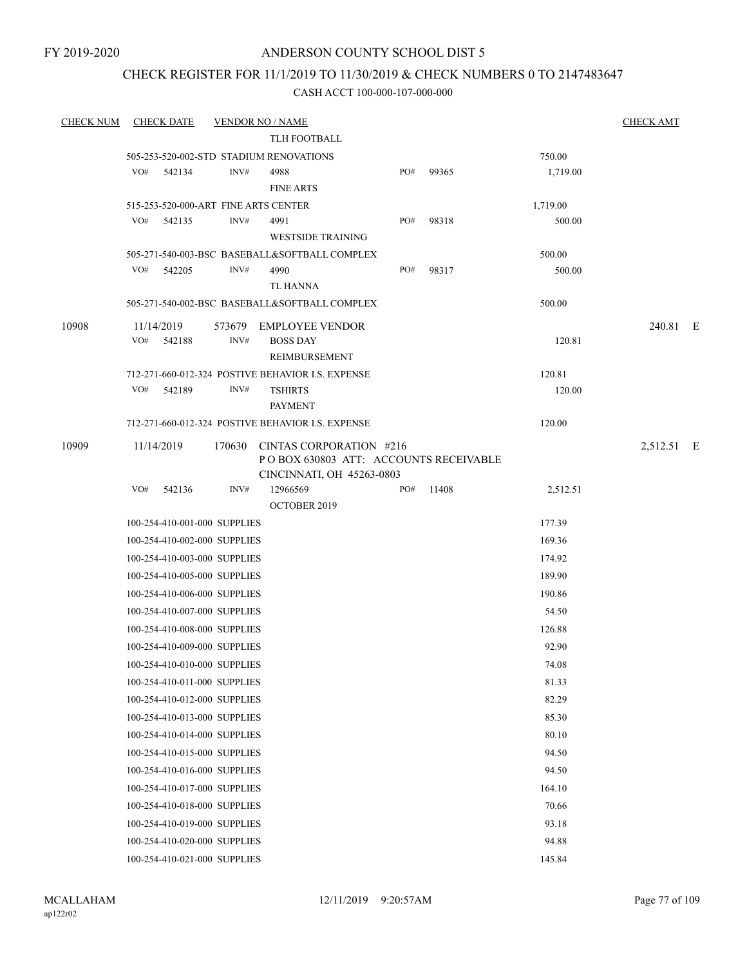### CHECK REGISTER FOR 11/1/2019 TO 11/30/2019 & CHECK NUMBERS 0 TO 2147483647

| <b>CHECK NUM</b> | <b>CHECK DATE</b>                       |      | <b>VENDOR NO / NAME</b>                                                  |     |       |                  | <b>CHECK AMT</b> |  |
|------------------|-----------------------------------------|------|--------------------------------------------------------------------------|-----|-------|------------------|------------------|--|
|                  |                                         |      | TLH FOOTBALL                                                             |     |       |                  |                  |  |
|                  | 505-253-520-002-STD STADIUM RENOVATIONS |      |                                                                          |     |       | 750.00           |                  |  |
|                  | VO#<br>542134                           | INV# | 4988                                                                     | PO# | 99365 | 1,719.00         |                  |  |
|                  |                                         |      | <b>FINE ARTS</b>                                                         |     |       |                  |                  |  |
|                  | 515-253-520-000-ART FINE ARTS CENTER    |      |                                                                          |     |       | 1,719.00         |                  |  |
|                  | VO#<br>542135                           | INV# | 4991                                                                     | PO# | 98318 | 500.00           |                  |  |
|                  |                                         |      | <b>WESTSIDE TRAINING</b>                                                 |     |       |                  |                  |  |
|                  |                                         |      | 505-271-540-003-BSC BASEBALL&SOFTBALL COMPLEX                            |     |       | 500.00           |                  |  |
|                  | VO#<br>542205                           | INV# | 4990                                                                     | PO# | 98317 | 500.00           |                  |  |
|                  |                                         |      | TL HANNA                                                                 |     |       |                  |                  |  |
|                  |                                         |      | 505-271-540-002-BSC BASEBALL&SOFTBALL COMPLEX                            |     |       | 500.00           |                  |  |
| 10908            | 11/14/2019                              |      | 573679 EMPLOYEE VENDOR                                                   |     |       |                  | 240.81 E         |  |
|                  | VO#<br>542188                           | INV# | <b>BOSS DAY</b>                                                          |     |       | 120.81           |                  |  |
|                  |                                         |      | <b>REIMBURSEMENT</b>                                                     |     |       |                  |                  |  |
|                  | VO#<br>542189                           | INV# | 712-271-660-012-324 POSTIVE BEHAVIOR I.S. EXPENSE                        |     |       | 120.81<br>120.00 |                  |  |
|                  |                                         |      | <b>TSHIRTS</b><br><b>PAYMENT</b>                                         |     |       |                  |                  |  |
|                  |                                         |      | 712-271-660-012-324 POSTIVE BEHAVIOR I.S. EXPENSE                        |     |       | 120.00           |                  |  |
|                  |                                         |      |                                                                          |     |       |                  |                  |  |
| 10909            | 11/14/2019                              |      | 170630 CINTAS CORPORATION #216<br>PO BOX 630803 ATT: ACCOUNTS RECEIVABLE |     |       |                  | 2,512.51 E       |  |
|                  |                                         |      | CINCINNATI, OH 45263-0803                                                |     |       |                  |                  |  |
|                  | VO#<br>542136                           | INV# | 12966569                                                                 | PO# | 11408 | 2,512.51         |                  |  |
|                  |                                         |      | <b>OCTOBER 2019</b>                                                      |     |       |                  |                  |  |
|                  | 100-254-410-001-000 SUPPLIES            |      |                                                                          |     |       | 177.39           |                  |  |
|                  | 100-254-410-002-000 SUPPLIES            |      |                                                                          |     |       | 169.36           |                  |  |
|                  | 100-254-410-003-000 SUPPLIES            |      |                                                                          |     |       | 174.92           |                  |  |
|                  | 100-254-410-005-000 SUPPLIES            |      |                                                                          |     |       | 189.90           |                  |  |
|                  | 100-254-410-006-000 SUPPLIES            |      |                                                                          |     |       | 190.86           |                  |  |
|                  | 100-254-410-007-000 SUPPLIES            |      |                                                                          |     |       | 54.50            |                  |  |
|                  | 100-254-410-008-000 SUPPLIES            |      |                                                                          |     |       | 126.88           |                  |  |
|                  | 100-254-410-009-000 SUPPLIES            |      |                                                                          |     |       | 92.90            |                  |  |
|                  | 100-254-410-010-000 SUPPLIES            |      |                                                                          |     |       | 74.08            |                  |  |
|                  | 100-254-410-011-000 SUPPLIES            |      |                                                                          |     |       | 81.33            |                  |  |
|                  | 100-254-410-012-000 SUPPLIES            |      |                                                                          |     |       | 82.29            |                  |  |
|                  | 100-254-410-013-000 SUPPLIES            |      |                                                                          |     |       | 85.30            |                  |  |
|                  | 100-254-410-014-000 SUPPLIES            |      |                                                                          |     |       | 80.10            |                  |  |
|                  | 100-254-410-015-000 SUPPLIES            |      |                                                                          |     |       | 94.50            |                  |  |
|                  | 100-254-410-016-000 SUPPLIES            |      |                                                                          |     |       | 94.50            |                  |  |
|                  | 100-254-410-017-000 SUPPLIES            |      |                                                                          |     |       | 164.10           |                  |  |
|                  | 100-254-410-018-000 SUPPLIES            |      |                                                                          |     |       | 70.66            |                  |  |
|                  | 100-254-410-019-000 SUPPLIES            |      |                                                                          |     |       | 93.18            |                  |  |
|                  | 100-254-410-020-000 SUPPLIES            |      |                                                                          |     |       | 94.88            |                  |  |
|                  | 100-254-410-021-000 SUPPLIES            |      |                                                                          |     |       | 145.84           |                  |  |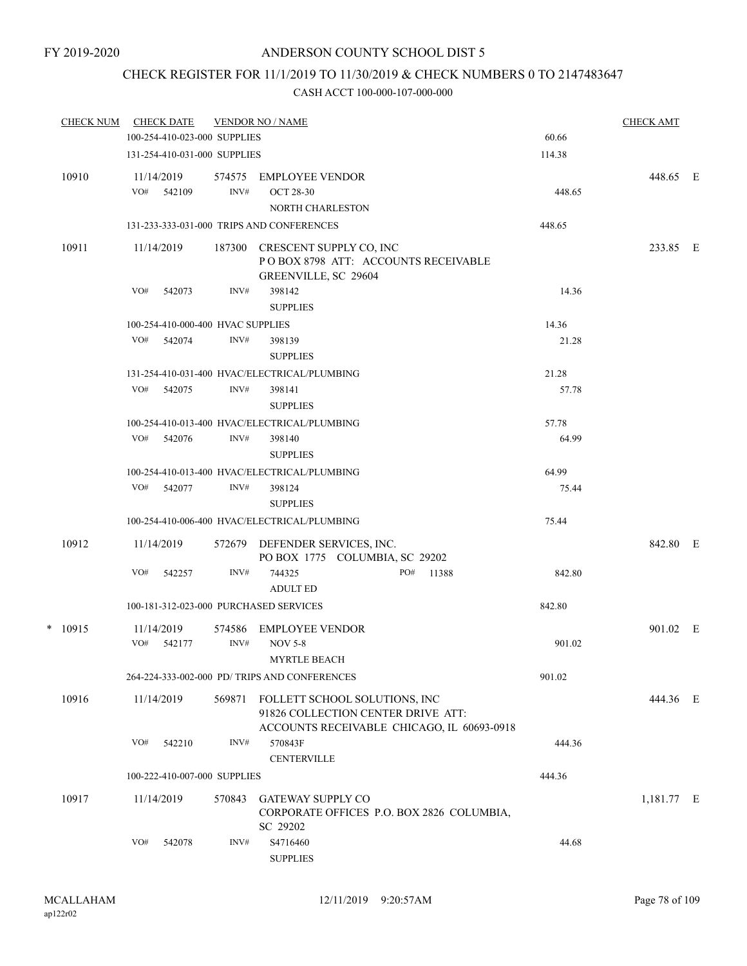### CHECK REGISTER FOR 11/1/2019 TO 11/30/2019 & CHECK NUMBERS 0 TO 2147483647

| <b>CHECK NUM</b> |     | <b>CHECK DATE</b>                 |                | <b>VENDOR NO / NAME</b>                                              |                                                                                  |        | <b>CHECK AMT</b> |  |
|------------------|-----|-----------------------------------|----------------|----------------------------------------------------------------------|----------------------------------------------------------------------------------|--------|------------------|--|
|                  |     | 100-254-410-023-000 SUPPLIES      |                |                                                                      |                                                                                  | 60.66  |                  |  |
|                  |     | 131-254-410-031-000 SUPPLIES      |                |                                                                      |                                                                                  | 114.38 |                  |  |
| 10910            | VO# | 11/14/2019                        | 574575<br>INV# | <b>EMPLOYEE VENDOR</b>                                               |                                                                                  |        | 448.65 E         |  |
|                  |     | 542109                            |                | <b>OCT 28-30</b>                                                     |                                                                                  | 448.65 |                  |  |
|                  |     |                                   |                | <b>NORTH CHARLESTON</b><br>131-233-333-031-000 TRIPS AND CONFERENCES |                                                                                  | 448.65 |                  |  |
|                  |     |                                   |                |                                                                      |                                                                                  |        |                  |  |
| 10911            |     | 11/14/2019                        | 187300         | CRESCENT SUPPLY CO, INC<br>GREENVILLE, SC 29604                      | POBOX 8798 ATT: ACCOUNTS RECEIVABLE                                              |        | 233.85 E         |  |
|                  | VO# | 542073                            | INV#           | 398142<br><b>SUPPLIES</b>                                            |                                                                                  | 14.36  |                  |  |
|                  |     | 100-254-410-000-400 HVAC SUPPLIES |                |                                                                      |                                                                                  | 14.36  |                  |  |
|                  | VO# | 542074                            | INV#           | 398139                                                               |                                                                                  | 21.28  |                  |  |
|                  |     |                                   |                | <b>SUPPLIES</b>                                                      |                                                                                  |        |                  |  |
|                  |     |                                   |                | 131-254-410-031-400 HVAC/ELECTRICAL/PLUMBING                         |                                                                                  | 21.28  |                  |  |
|                  | VO# | 542075                            | INV#           | 398141                                                               |                                                                                  | 57.78  |                  |  |
|                  |     |                                   |                | <b>SUPPLIES</b>                                                      |                                                                                  |        |                  |  |
|                  |     |                                   |                | 100-254-410-013-400 HVAC/ELECTRICAL/PLUMBING                         |                                                                                  | 57.78  |                  |  |
|                  | VO# | 542076                            | INV#           | 398140                                                               |                                                                                  | 64.99  |                  |  |
|                  |     |                                   |                | <b>SUPPLIES</b>                                                      |                                                                                  |        |                  |  |
|                  |     |                                   |                | 100-254-410-013-400 HVAC/ELECTRICAL/PLUMBING                         |                                                                                  | 64.99  |                  |  |
|                  | VO# | 542077                            | INV#           | 398124                                                               |                                                                                  | 75.44  |                  |  |
|                  |     |                                   |                | <b>SUPPLIES</b>                                                      |                                                                                  |        |                  |  |
|                  |     |                                   |                | 100-254-410-006-400 HVAC/ELECTRICAL/PLUMBING                         |                                                                                  | 75.44  |                  |  |
| 10912            |     | 11/14/2019                        |                | 572679 DEFENDER SERVICES, INC.<br>PO BOX 1775 COLUMBIA, SC 29202     |                                                                                  |        | 842.80 E         |  |
|                  | VO# | 542257                            | INV#           | 744325<br><b>ADULT ED</b>                                            | PO# 11388                                                                        | 842.80 |                  |  |
|                  |     |                                   |                | 100-181-312-023-000 PURCHASED SERVICES                               |                                                                                  | 842.80 |                  |  |
| $*$ 10915        |     | 11/14/2019                        | 574586         | <b>EMPLOYEE VENDOR</b>                                               |                                                                                  |        | 901.02 E         |  |
|                  | VO# | 542177                            | INV#           | <b>NOV 5-8</b><br><b>MYRTLE BEACH</b>                                |                                                                                  | 901.02 |                  |  |
|                  |     |                                   |                | 264-224-333-002-000 PD/ TRIPS AND CONFERENCES                        |                                                                                  | 901.02 |                  |  |
| 10916            |     | 11/14/2019                        | 569871         | FOLLETT SCHOOL SOLUTIONS, INC                                        | 91826 COLLECTION CENTER DRIVE ATT:<br>ACCOUNTS RECEIVABLE CHICAGO, IL 60693-0918 |        | 444.36 E         |  |
|                  | VO# | 542210                            | INV#           | 570843F<br><b>CENTERVILLE</b>                                        |                                                                                  | 444.36 |                  |  |
|                  |     | 100-222-410-007-000 SUPPLIES      |                |                                                                      |                                                                                  | 444.36 |                  |  |
| 10917            |     | 11/14/2019                        | 570843         | GATEWAY SUPPLY CO<br>SC 29202                                        | CORPORATE OFFICES P.O. BOX 2826 COLUMBIA,                                        |        | 1,181.77 E       |  |
|                  | VO# | 542078                            | INV#           | S4716460<br><b>SUPPLIES</b>                                          |                                                                                  | 44.68  |                  |  |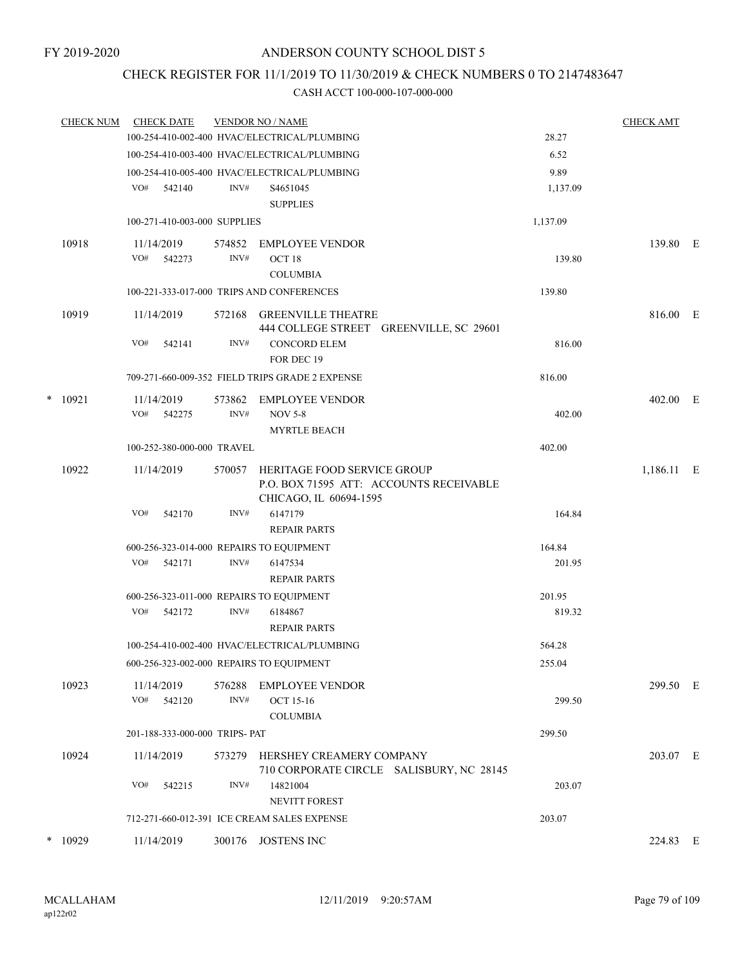### CHECK REGISTER FOR 11/1/2019 TO 11/30/2019 & CHECK NUMBERS 0 TO 2147483647

|   | <b>CHECK NUM</b> | <b>CHECK DATE</b> |                                |        | <b>VENDOR NO / NAME</b>                         |          | <b>CHECK AMT</b> |  |
|---|------------------|-------------------|--------------------------------|--------|-------------------------------------------------|----------|------------------|--|
|   |                  |                   |                                |        | 100-254-410-002-400 HVAC/ELECTRICAL/PLUMBING    | 28.27    |                  |  |
|   |                  |                   |                                |        | 100-254-410-003-400 HVAC/ELECTRICAL/PLUMBING    | 6.52     |                  |  |
|   |                  |                   |                                |        | 100-254-410-005-400 HVAC/ELECTRICAL/PLUMBING    | 9.89     |                  |  |
|   |                  | VO#               | 542140                         | INV#   | S <sub>465</sub> 1045                           | 1,137.09 |                  |  |
|   |                  |                   |                                |        | <b>SUPPLIES</b>                                 |          |                  |  |
|   |                  |                   | 100-271-410-003-000 SUPPLIES   |        |                                                 | 1,137.09 |                  |  |
|   | 10918            | 11/14/2019        |                                |        | 574852 EMPLOYEE VENDOR                          |          | 139.80 E         |  |
|   |                  | VO# 542273        |                                | INV#   | OCT <sub>18</sub>                               | 139.80   |                  |  |
|   |                  |                   |                                |        | <b>COLUMBIA</b>                                 |          |                  |  |
|   |                  |                   |                                |        | 100-221-333-017-000 TRIPS AND CONFERENCES       | 139.80   |                  |  |
|   | 10919            | 11/14/2019        |                                |        | 572168 GREENVILLE THEATRE                       |          | 816.00 E         |  |
|   |                  |                   |                                |        | 444 COLLEGE STREET GREENVILLE, SC 29601         |          |                  |  |
|   |                  | VO#               | 542141                         | INV#   | <b>CONCORD ELEM</b>                             | 816.00   |                  |  |
|   |                  |                   |                                |        | FOR DEC 19                                      |          |                  |  |
|   |                  |                   |                                |        | 709-271-660-009-352 FIELD TRIPS GRADE 2 EXPENSE | 816.00   |                  |  |
| * | 10921            | 11/14/2019        |                                | 573862 | <b>EMPLOYEE VENDOR</b>                          |          | 402.00 E         |  |
|   |                  | VO# 542275        |                                | INV#   | <b>NOV 5-8</b>                                  | 402.00   |                  |  |
|   |                  |                   |                                |        | <b>MYRTLE BEACH</b>                             |          |                  |  |
|   |                  |                   | 100-252-380-000-000 TRAVEL     |        |                                                 | 402.00   |                  |  |
|   | 10922            | 11/14/2019        |                                | 570057 | HERITAGE FOOD SERVICE GROUP                     |          | 1,186.11 E       |  |
|   |                  |                   |                                |        | P.O. BOX 71595 ATT: ACCOUNTS RECEIVABLE         |          |                  |  |
|   |                  |                   |                                |        | CHICAGO, IL 60694-1595                          |          |                  |  |
|   |                  | VO#               | 542170                         | INV#   | 6147179                                         | 164.84   |                  |  |
|   |                  |                   |                                |        | <b>REPAIR PARTS</b>                             |          |                  |  |
|   |                  |                   |                                |        | 600-256-323-014-000 REPAIRS TO EQUIPMENT        | 164.84   |                  |  |
|   |                  | VO#               | 542171                         | INV#   | 6147534                                         | 201.95   |                  |  |
|   |                  |                   |                                |        | <b>REPAIR PARTS</b>                             |          |                  |  |
|   |                  | VO#               |                                | INV#   | 600-256-323-011-000 REPAIRS TO EQUIPMENT        | 201.95   |                  |  |
|   |                  |                   | 542172                         |        | 6184867<br><b>REPAIR PARTS</b>                  | 819.32   |                  |  |
|   |                  |                   |                                |        | 100-254-410-002-400 HVAC/ELECTRICAL/PLUMBING    | 564.28   |                  |  |
|   |                  |                   |                                |        |                                                 |          |                  |  |
|   |                  |                   |                                |        | 600-256-323-002-000 REPAIRS TO EQUIPMENT        | 255.04   |                  |  |
|   | 10923            | 11/14/2019        |                                | 576288 | <b>EMPLOYEE VENDOR</b>                          |          | 299.50 E         |  |
|   |                  | VO#               | 542120                         | INV#   | OCT 15-16                                       | 299.50   |                  |  |
|   |                  |                   |                                |        | <b>COLUMBIA</b>                                 |          |                  |  |
|   |                  |                   | 201-188-333-000-000 TRIPS- PAT |        |                                                 | 299.50   |                  |  |
|   | 10924            | 11/14/2019        |                                | 573279 | HERSHEY CREAMERY COMPANY                        |          | 203.07 E         |  |
|   |                  |                   |                                |        | 710 CORPORATE CIRCLE SALISBURY, NC 28145        |          |                  |  |
|   |                  | VO#               | 542215                         | INV#   | 14821004                                        | 203.07   |                  |  |
|   |                  |                   |                                |        | <b>NEVITT FOREST</b>                            |          |                  |  |
|   |                  |                   |                                |        | 712-271-660-012-391 ICE CREAM SALES EXPENSE     | 203.07   |                  |  |
|   | $*$ 10929        | 11/14/2019        |                                |        | 300176 JOSTENS INC                              |          | 224.83 E         |  |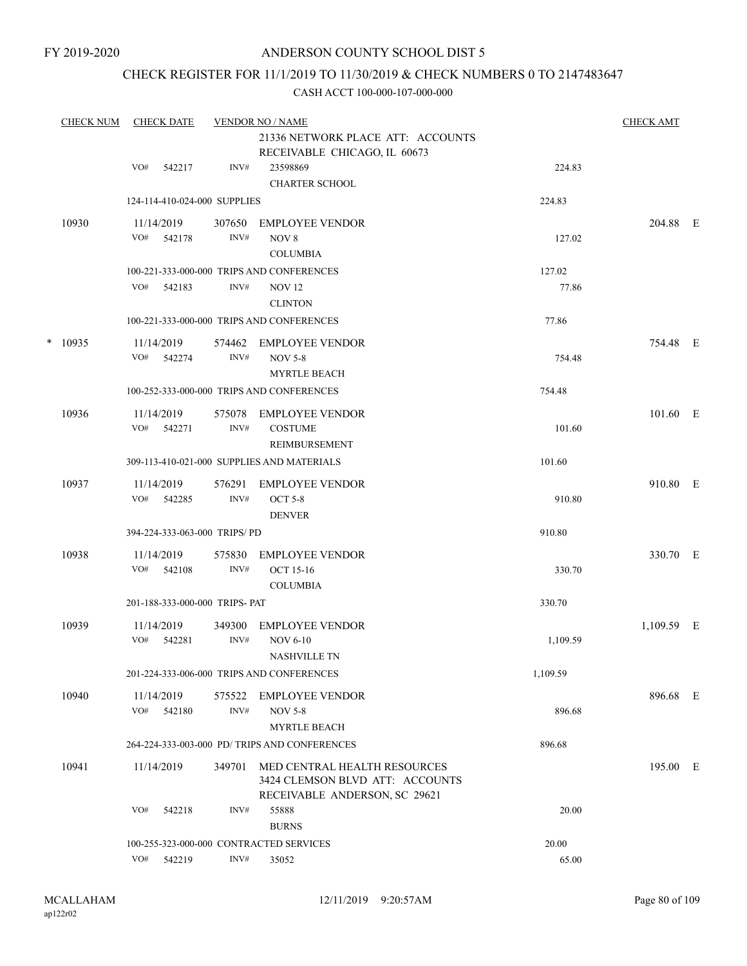### CHECK REGISTER FOR 11/1/2019 TO 11/30/2019 & CHECK NUMBERS 0 TO 2147483647

|   | <b>CHECK NUM</b> | <b>CHECK DATE</b>                       |                | <b>VENDOR NO / NAME</b><br>21336 NETWORK PLACE ATT: ACCOUNTS                                     |                 | <b>CHECK AMT</b> |  |
|---|------------------|-----------------------------------------|----------------|--------------------------------------------------------------------------------------------------|-----------------|------------------|--|
|   |                  | VO#<br>542217                           | INV#           | RECEIVABLE CHICAGO, IL 60673<br>23598869<br><b>CHARTER SCHOOL</b>                                | 224.83          |                  |  |
|   |                  | 124-114-410-024-000 SUPPLIES            |                |                                                                                                  | 224.83          |                  |  |
|   | 10930            | 11/14/2019<br>VO#<br>542178             | 307650<br>INV# | <b>EMPLOYEE VENDOR</b><br>NOV 8<br><b>COLUMBIA</b>                                               | 127.02          | 204.88 E         |  |
|   |                  | VO#<br>542183                           | INV#           | 100-221-333-000-000 TRIPS AND CONFERENCES<br><b>NOV 12</b><br><b>CLINTON</b>                     | 127.02<br>77.86 |                  |  |
|   |                  |                                         |                | 100-221-333-000-000 TRIPS AND CONFERENCES                                                        | 77.86           |                  |  |
| * | 10935            | 11/14/2019<br>VO#<br>542274             | 574462<br>INV# | <b>EMPLOYEE VENDOR</b><br><b>NOV 5-8</b><br><b>MYRTLE BEACH</b>                                  | 754.48          | 754.48 E         |  |
|   |                  |                                         |                | 100-252-333-000-000 TRIPS AND CONFERENCES                                                        | 754.48          |                  |  |
|   | 10936            | 11/14/2019<br>VO#<br>542271             | 575078<br>INV# | <b>EMPLOYEE VENDOR</b><br><b>COSTUME</b><br><b>REIMBURSEMENT</b>                                 | 101.60          | 101.60 E         |  |
|   |                  |                                         |                | 309-113-410-021-000 SUPPLIES AND MATERIALS                                                       | 101.60          |                  |  |
|   | 10937            | 11/14/2019<br>VO#<br>542285             | 576291<br>INV# | <b>EMPLOYEE VENDOR</b><br><b>OCT 5-8</b><br><b>DENVER</b>                                        | 910.80          | 910.80 E         |  |
|   |                  | 394-224-333-063-000 TRIPS/PD            |                |                                                                                                  | 910.80          |                  |  |
|   | 10938            | 11/14/2019<br>VO#<br>542108             | 575830<br>INV# | <b>EMPLOYEE VENDOR</b><br>OCT 15-16<br><b>COLUMBIA</b>                                           | 330.70          | 330.70 E         |  |
|   |                  | 201-188-333-000-000 TRIPS- PAT          |                |                                                                                                  | 330.70          |                  |  |
|   | 10939            | 11/14/2019<br>VO#<br>542281             | 349300<br>INV# | <b>EMPLOYEE VENDOR</b><br><b>NOV 6-10</b><br><b>NASHVILLE TN</b>                                 | 1,109.59        | 1,109.59 E       |  |
|   |                  |                                         |                | 201-224-333-006-000 TRIPS AND CONFERENCES                                                        | 1,109.59        |                  |  |
|   | 10940            | 11/14/2019<br>VO#<br>542180             | 575522<br>INV# | EMPLOYEE VENDOR<br><b>NOV 5-8</b><br><b>MYRTLE BEACH</b>                                         | 896.68          | 896.68 E         |  |
|   |                  |                                         |                | 264-224-333-003-000 PD/ TRIPS AND CONFERENCES                                                    | 896.68          |                  |  |
|   | 10941            | 11/14/2019                              | 349701         | MED CENTRAL HEALTH RESOURCES<br>3424 CLEMSON BLVD ATT: ACCOUNTS<br>RECEIVABLE ANDERSON, SC 29621 |                 | 195.00 E         |  |
|   |                  | VO#<br>542218                           | INV#           | 55888<br><b>BURNS</b>                                                                            | 20.00           |                  |  |
|   |                  | 100-255-323-000-000 CONTRACTED SERVICES |                |                                                                                                  | 20.00           |                  |  |
|   |                  | VO#<br>542219                           | INV#           | 35052                                                                                            | 65.00           |                  |  |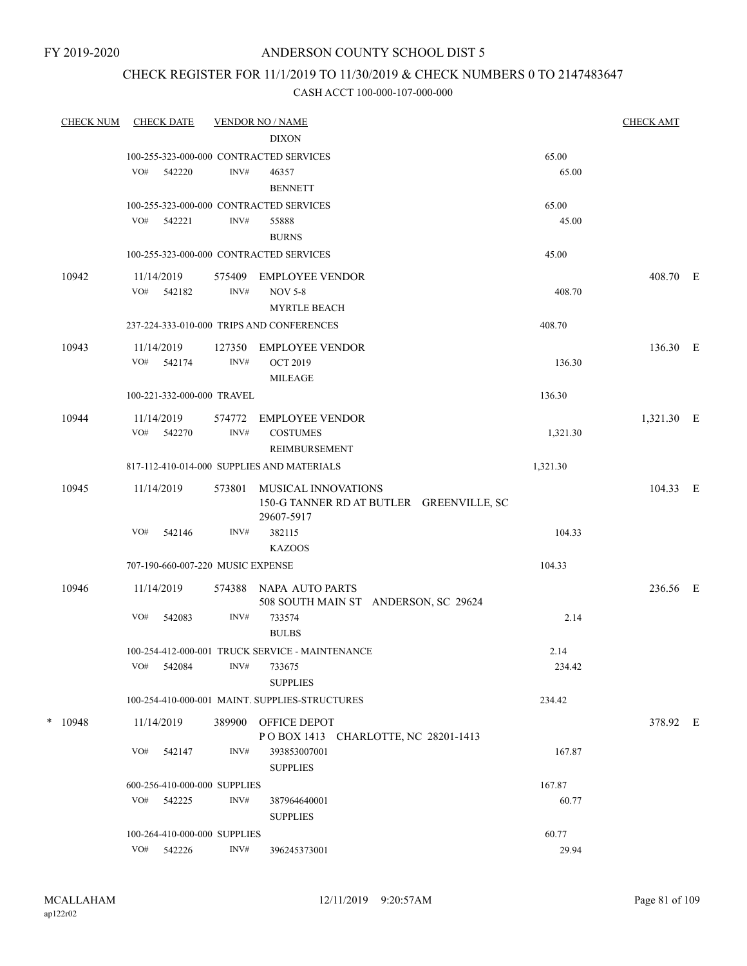## CHECK REGISTER FOR 11/1/2019 TO 11/30/2019 & CHECK NUMBERS 0 TO 2147483647

| <b>CHECK NUM</b> |     | <b>CHECK DATE</b>                 |        | <b>VENDOR NO / NAME</b>                                 |          | <b>CHECK AMT</b> |  |
|------------------|-----|-----------------------------------|--------|---------------------------------------------------------|----------|------------------|--|
|                  |     |                                   |        | <b>DIXON</b>                                            |          |                  |  |
|                  |     |                                   |        | 100-255-323-000-000 CONTRACTED SERVICES                 | 65.00    |                  |  |
|                  | VO# | 542220                            | INV#   | 46357<br><b>BENNETT</b>                                 | 65.00    |                  |  |
|                  |     |                                   |        | 100-255-323-000-000 CONTRACTED SERVICES                 | 65.00    |                  |  |
|                  |     | VO# 542221                        | INV#   | 55888                                                   | 45.00    |                  |  |
|                  |     |                                   |        | <b>BURNS</b>                                            |          |                  |  |
|                  |     |                                   |        | 100-255-323-000-000 CONTRACTED SERVICES                 | 45.00    |                  |  |
| 10942            |     | 11/14/2019                        | 575409 | <b>EMPLOYEE VENDOR</b>                                  |          | 408.70 E         |  |
|                  |     | VO# 542182                        | INV#   | <b>NOV 5-8</b>                                          | 408.70   |                  |  |
|                  |     |                                   |        | <b>MYRTLE BEACH</b>                                     |          |                  |  |
|                  |     |                                   |        | 237-224-333-010-000 TRIPS AND CONFERENCES               | 408.70   |                  |  |
| 10943            |     | 11/14/2019                        | 127350 | <b>EMPLOYEE VENDOR</b>                                  |          | 136.30 E         |  |
|                  | VO# | 542174                            | INV#   | <b>OCT 2019</b>                                         | 136.30   |                  |  |
|                  |     |                                   |        | <b>MILEAGE</b>                                          |          |                  |  |
|                  |     | 100-221-332-000-000 TRAVEL        |        |                                                         | 136.30   |                  |  |
| 10944            |     | 11/14/2019                        | 574772 | <b>EMPLOYEE VENDOR</b>                                  |          | 1,321.30 E       |  |
|                  |     | VO# 542270                        | INV#   | <b>COSTUMES</b>                                         | 1,321.30 |                  |  |
|                  |     |                                   |        | REIMBURSEMENT                                           |          |                  |  |
|                  |     |                                   |        | 817-112-410-014-000 SUPPLIES AND MATERIALS              | 1,321.30 |                  |  |
| 10945            |     | 11/14/2019                        | 573801 | MUSICAL INNOVATIONS                                     |          | 104.33 E         |  |
|                  |     |                                   |        | 150-G TANNER RD AT BUTLER GREENVILLE, SC                |          |                  |  |
|                  | VO# | 542146                            | INV#   | 29607-5917<br>382115                                    | 104.33   |                  |  |
|                  |     |                                   |        | <b>KAZOOS</b>                                           |          |                  |  |
|                  |     | 707-190-660-007-220 MUSIC EXPENSE |        |                                                         | 104.33   |                  |  |
|                  |     |                                   |        |                                                         |          |                  |  |
| 10946            |     | 11/14/2019                        | 574388 | NAPA AUTO PARTS<br>508 SOUTH MAIN ST ANDERSON, SC 29624 |          | 236.56 E         |  |
|                  | VO# | 542083                            | INV#   | 733574                                                  | 2.14     |                  |  |
|                  |     |                                   |        | <b>BULBS</b>                                            |          |                  |  |
|                  |     |                                   |        | 100-254-412-000-001 TRUCK SERVICE - MAINTENANCE         | 2.14     |                  |  |
|                  | VO# | 542084                            | INV#   | 733675                                                  | 234.42   |                  |  |
|                  |     |                                   |        | <b>SUPPLIES</b>                                         |          |                  |  |
|                  |     |                                   |        | 100-254-410-000-001 MAINT. SUPPLIES-STRUCTURES          | 234.42   |                  |  |
| $*$ 10948        |     | 11/14/2019                        | 389900 | OFFICE DEPOT                                            |          | 378.92 E         |  |
|                  |     |                                   |        | POBOX 1413 CHARLOTTE, NC 28201-1413                     |          |                  |  |
|                  | VO# | 542147                            | INV#   | 393853007001                                            | 167.87   |                  |  |
|                  |     |                                   |        | <b>SUPPLIES</b>                                         |          |                  |  |
|                  |     | 600-256-410-000-000 SUPPLIES      |        |                                                         | 167.87   |                  |  |
|                  |     | VO# 542225                        | INV#   | 387964640001                                            | 60.77    |                  |  |
|                  |     |                                   |        | <b>SUPPLIES</b>                                         |          |                  |  |
|                  |     | 100-264-410-000-000 SUPPLIES      |        |                                                         | 60.77    |                  |  |
|                  | VO# | 542226                            | INV#   | 396245373001                                            | 29.94    |                  |  |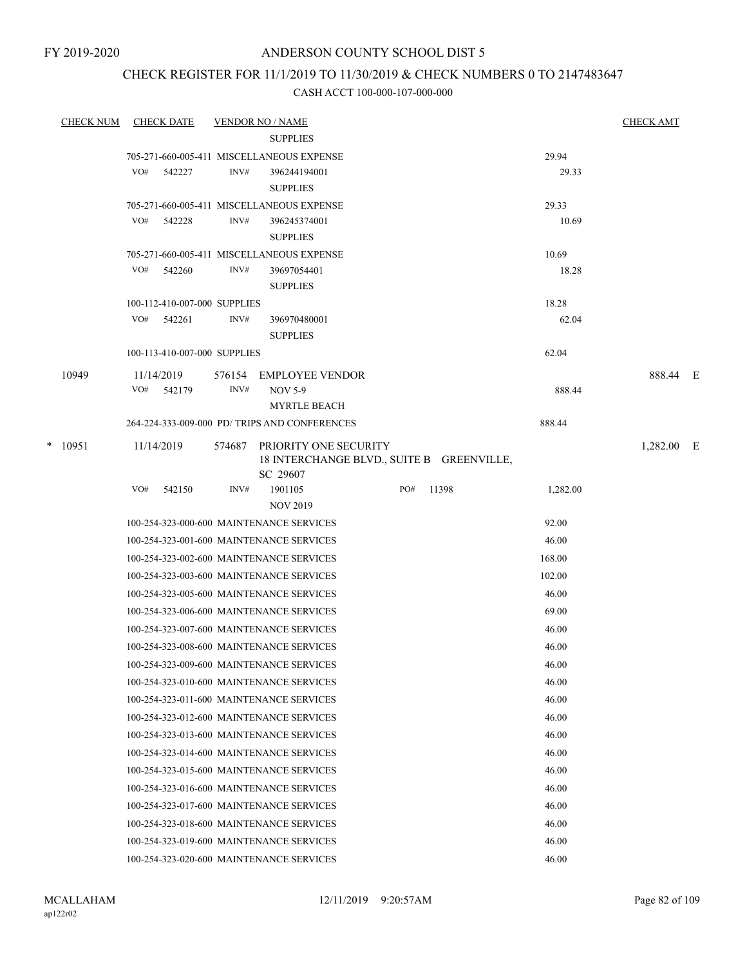# CHECK REGISTER FOR 11/1/2019 TO 11/30/2019 & CHECK NUMBERS 0 TO 2147483647

| <b>CHECK NUM</b> | <b>CHECK DATE</b> |                              |                | <b>VENDOR NO / NAME</b>                                                        |     |       |          | <b>CHECK AMT</b> |  |
|------------------|-------------------|------------------------------|----------------|--------------------------------------------------------------------------------|-----|-------|----------|------------------|--|
|                  |                   |                              |                | <b>SUPPLIES</b>                                                                |     |       |          |                  |  |
|                  |                   |                              |                | 705-271-660-005-411 MISCELLANEOUS EXPENSE                                      |     |       | 29.94    |                  |  |
|                  | VO#               | 542227                       | INV#           | 396244194001<br><b>SUPPLIES</b>                                                |     |       | 29.33    |                  |  |
|                  |                   |                              |                | 705-271-660-005-411 MISCELLANEOUS EXPENSE                                      |     |       | 29.33    |                  |  |
|                  | VO#               | 542228                       | INV#           | 396245374001<br><b>SUPPLIES</b>                                                |     |       | 10.69    |                  |  |
|                  |                   |                              |                | 705-271-660-005-411 MISCELLANEOUS EXPENSE                                      |     |       | 10.69    |                  |  |
|                  | VO#               | 542260                       | INV#           | 39697054401<br><b>SUPPLIES</b>                                                 |     |       | 18.28    |                  |  |
|                  |                   | 100-112-410-007-000 SUPPLIES |                |                                                                                |     |       | 18.28    |                  |  |
|                  | VO#               | 542261                       | INV#           | 396970480001<br><b>SUPPLIES</b>                                                |     |       | 62.04    |                  |  |
|                  |                   | 100-113-410-007-000 SUPPLIES |                |                                                                                |     |       | 62.04    |                  |  |
| 10949            | 11/14/2019<br>VO# | 542179                       | 576154<br>INV# | <b>EMPLOYEE VENDOR</b><br><b>NOV 5-9</b><br><b>MYRTLE BEACH</b>                |     |       | 888.44   | 888.44 E         |  |
|                  |                   |                              |                | 264-224-333-009-000 PD/ TRIPS AND CONFERENCES                                  |     |       | 888.44   |                  |  |
| $*$ 10951        | 11/14/2019        |                              | 574687         | PRIORITY ONE SECURITY<br>18 INTERCHANGE BLVD., SUITE B GREENVILLE,<br>SC 29607 |     |       |          | 1,282.00 E       |  |
|                  | VO#               | 542150                       | INV#           | 1901105                                                                        | PO# | 11398 | 1,282.00 |                  |  |
|                  |                   |                              |                | <b>NOV 2019</b>                                                                |     |       |          |                  |  |
|                  |                   |                              |                | 100-254-323-000-600 MAINTENANCE SERVICES                                       |     |       | 92.00    |                  |  |
|                  |                   |                              |                | 100-254-323-001-600 MAINTENANCE SERVICES                                       |     |       | 46.00    |                  |  |
|                  |                   |                              |                | 100-254-323-002-600 MAINTENANCE SERVICES                                       |     |       | 168.00   |                  |  |
|                  |                   |                              |                | 100-254-323-003-600 MAINTENANCE SERVICES                                       |     |       | 102.00   |                  |  |
|                  |                   |                              |                | 100-254-323-005-600 MAINTENANCE SERVICES                                       |     |       | 46.00    |                  |  |
|                  |                   |                              |                | 100-254-323-006-600 MAINTENANCE SERVICES                                       |     |       | 69.00    |                  |  |
|                  |                   |                              |                | 100-254-323-007-600 MAINTENANCE SERVICES                                       |     |       | 46.00    |                  |  |
|                  |                   |                              |                | 100-254-323-008-600 MAINTENANCE SERVICES                                       |     |       | 46.00    |                  |  |
|                  |                   |                              |                | 100-254-323-009-600 MAINTENANCE SERVICES                                       |     |       | 46.00    |                  |  |
|                  |                   |                              |                | 100-254-323-010-600 MAINTENANCE SERVICES                                       |     |       | 46.00    |                  |  |
|                  |                   |                              |                | 100-254-323-011-600 MAINTENANCE SERVICES                                       |     |       | 46.00    |                  |  |
|                  |                   |                              |                | 100-254-323-012-600 MAINTENANCE SERVICES                                       |     |       | 46.00    |                  |  |
|                  |                   |                              |                | 100-254-323-013-600 MAINTENANCE SERVICES                                       |     |       | 46.00    |                  |  |
|                  |                   |                              |                | 100-254-323-014-600 MAINTENANCE SERVICES                                       |     |       | 46.00    |                  |  |
|                  |                   |                              |                | 100-254-323-015-600 MAINTENANCE SERVICES                                       |     |       | 46.00    |                  |  |
|                  |                   |                              |                | 100-254-323-016-600 MAINTENANCE SERVICES                                       |     |       | 46.00    |                  |  |
|                  |                   |                              |                | 100-254-323-017-600 MAINTENANCE SERVICES                                       |     |       | 46.00    |                  |  |
|                  |                   |                              |                | 100-254-323-018-600 MAINTENANCE SERVICES                                       |     |       | 46.00    |                  |  |
|                  |                   |                              |                | 100-254-323-019-600 MAINTENANCE SERVICES                                       |     |       | 46.00    |                  |  |
|                  |                   |                              |                | 100-254-323-020-600 MAINTENANCE SERVICES                                       |     |       | 46.00    |                  |  |
|                  |                   |                              |                |                                                                                |     |       |          |                  |  |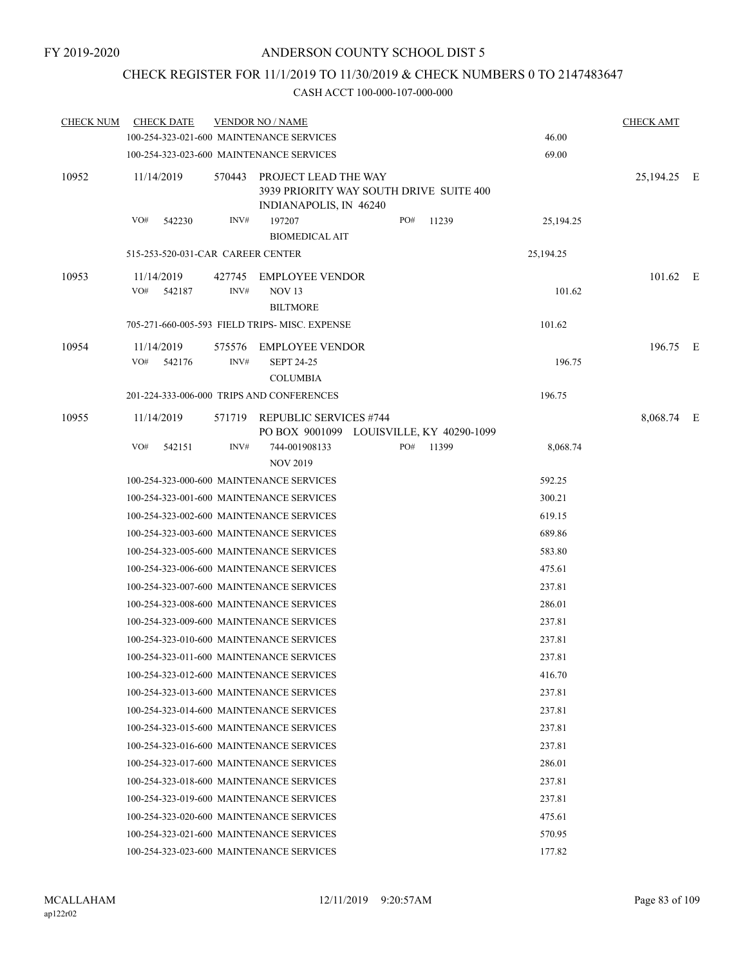### CHECK REGISTER FOR 11/1/2019 TO 11/30/2019 & CHECK NUMBERS 0 TO 2147483647

| <b>CHECK NUM</b> | <b>CHECK DATE</b>                 |                | <b>VENDOR NO / NAME</b>                                                                   |     |       |           | <b>CHECK AMT</b> |  |
|------------------|-----------------------------------|----------------|-------------------------------------------------------------------------------------------|-----|-------|-----------|------------------|--|
|                  |                                   |                | 100-254-323-021-600 MAINTENANCE SERVICES                                                  |     |       | 46.00     |                  |  |
|                  |                                   |                | 100-254-323-023-600 MAINTENANCE SERVICES                                                  |     |       | 69.00     |                  |  |
| 10952            | 11/14/2019                        | 570443         | PROJECT LEAD THE WAY<br>3939 PRIORITY WAY SOUTH DRIVE SUITE 400<br>INDIANAPOLIS, IN 46240 |     |       |           | 25,194.25 E      |  |
|                  | VO#<br>542230                     | INV#           | 197207<br><b>BIOMEDICAL AIT</b>                                                           | PO# | 11239 | 25,194.25 |                  |  |
|                  | 515-253-520-031-CAR CAREER CENTER |                |                                                                                           |     |       | 25,194.25 |                  |  |
| 10953            | 11/14/2019<br>VO#<br>542187       | 427745<br>INV# | <b>EMPLOYEE VENDOR</b><br><b>NOV 13</b><br><b>BILTMORE</b>                                |     |       | 101.62    | $101.62$ E       |  |
|                  |                                   |                | 705-271-660-005-593 FIELD TRIPS- MISC. EXPENSE                                            |     |       | 101.62    |                  |  |
| 10954            | 11/14/2019<br>VO#<br>542176       | 575576<br>INV# | <b>EMPLOYEE VENDOR</b><br><b>SEPT 24-25</b><br><b>COLUMBIA</b>                            |     |       | 196.75    | 196.75 E         |  |
|                  |                                   |                | 201-224-333-006-000 TRIPS AND CONFERENCES                                                 |     |       | 196.75    |                  |  |
| 10955            | 11/14/2019                        |                | 571719 REPUBLIC SERVICES #744<br>PO BOX 9001099 LOUISVILLE, KY 40290-1099                 |     |       |           | 8,068.74 E       |  |
|                  | VO#<br>542151                     | INV#           | 744-001908133<br><b>NOV 2019</b>                                                          | PO# | 11399 | 8,068.74  |                  |  |
|                  |                                   |                | 100-254-323-000-600 MAINTENANCE SERVICES                                                  |     |       | 592.25    |                  |  |
|                  |                                   |                | 100-254-323-001-600 MAINTENANCE SERVICES                                                  |     |       | 300.21    |                  |  |
|                  |                                   |                | 100-254-323-002-600 MAINTENANCE SERVICES                                                  |     |       | 619.15    |                  |  |
|                  |                                   |                | 100-254-323-003-600 MAINTENANCE SERVICES                                                  |     |       | 689.86    |                  |  |
|                  |                                   |                | 100-254-323-005-600 MAINTENANCE SERVICES                                                  |     |       | 583.80    |                  |  |
|                  |                                   |                | 100-254-323-006-600 MAINTENANCE SERVICES                                                  |     |       | 475.61    |                  |  |
|                  |                                   |                | 100-254-323-007-600 MAINTENANCE SERVICES                                                  |     |       | 237.81    |                  |  |
|                  |                                   |                | 100-254-323-008-600 MAINTENANCE SERVICES                                                  |     |       | 286.01    |                  |  |
|                  |                                   |                | 100-254-323-009-600 MAINTENANCE SERVICES                                                  |     |       | 237.81    |                  |  |
|                  |                                   |                | 100-254-323-010-600 MAINTENANCE SERVICES                                                  |     |       | 237.81    |                  |  |
|                  |                                   |                | 100-254-323-011-600 MAINTENANCE SERVICES                                                  |     |       | 237.81    |                  |  |
|                  |                                   |                | 100-254-323-012-600 MAINTENANCE SERVICES                                                  |     |       | 416.70    |                  |  |
|                  |                                   |                | 100-254-323-013-600 MAINTENANCE SERVICES                                                  |     |       | 237.81    |                  |  |
|                  |                                   |                | 100-254-323-014-600 MAINTENANCE SERVICES                                                  |     |       | 237.81    |                  |  |
|                  |                                   |                | 100-254-323-015-600 MAINTENANCE SERVICES                                                  |     |       | 237.81    |                  |  |
|                  |                                   |                | 100-254-323-016-600 MAINTENANCE SERVICES                                                  |     |       | 237.81    |                  |  |
|                  |                                   |                | 100-254-323-017-600 MAINTENANCE SERVICES                                                  |     |       | 286.01    |                  |  |
|                  |                                   |                | 100-254-323-018-600 MAINTENANCE SERVICES                                                  |     |       | 237.81    |                  |  |
|                  |                                   |                | 100-254-323-019-600 MAINTENANCE SERVICES                                                  |     |       | 237.81    |                  |  |
|                  |                                   |                | 100-254-323-020-600 MAINTENANCE SERVICES                                                  |     |       | 475.61    |                  |  |
|                  |                                   |                | 100-254-323-021-600 MAINTENANCE SERVICES                                                  |     |       | 570.95    |                  |  |
|                  |                                   |                | 100-254-323-023-600 MAINTENANCE SERVICES                                                  |     |       | 177.82    |                  |  |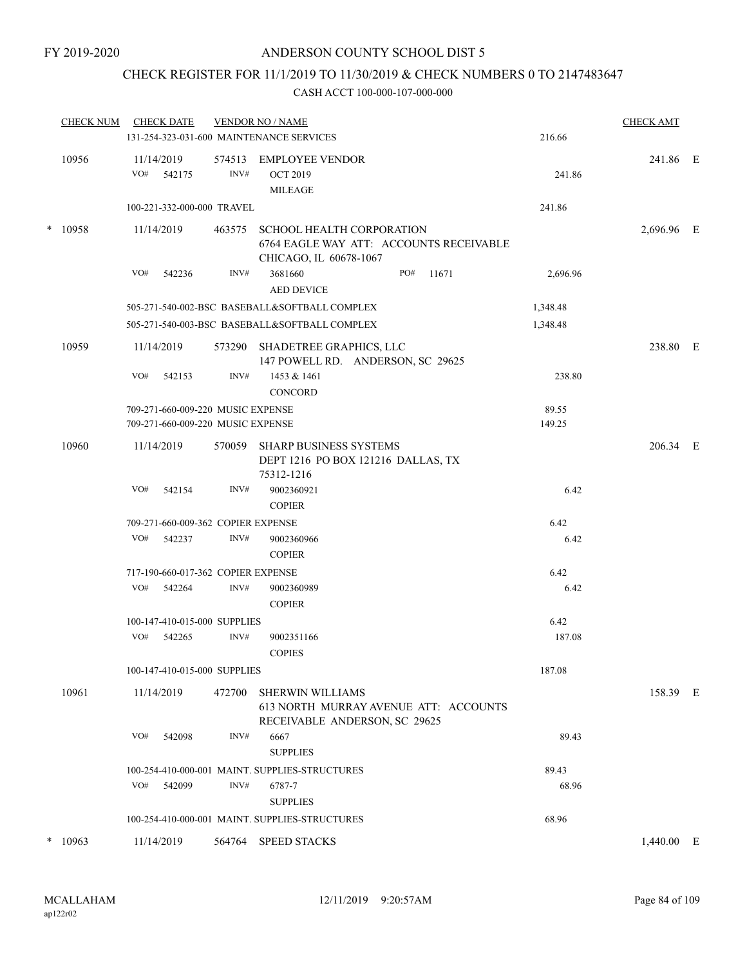# CHECK REGISTER FOR 11/1/2019 TO 11/30/2019 & CHECK NUMBERS 0 TO 2147483647

|        | <b>CHECK NUM</b> | <b>CHECK DATE</b>                  |                | <b>VENDOR NO / NAME</b><br>131-254-323-031-600 MAINTENANCE SERVICES                                   | 216.66   | <b>CHECK AMT</b> |  |
|--------|------------------|------------------------------------|----------------|-------------------------------------------------------------------------------------------------------|----------|------------------|--|
|        | 10956            | 11/14/2019<br>VO#<br>542175        | 574513<br>INV# | <b>EMPLOYEE VENDOR</b><br><b>OCT 2019</b>                                                             | 241.86   | 241.86 E         |  |
|        |                  | 100-221-332-000-000 TRAVEL         |                | <b>MILEAGE</b>                                                                                        | 241.86   |                  |  |
|        | * 10958          | 11/14/2019                         | 463575         | <b>SCHOOL HEALTH CORPORATION</b><br>6764 EAGLE WAY ATT: ACCOUNTS RECEIVABLE<br>CHICAGO, IL 60678-1067 |          | 2,696.96 E       |  |
|        |                  | VO#<br>542236                      | INV#           | 3681660<br>PO#<br>11671<br><b>AED DEVICE</b>                                                          | 2,696.96 |                  |  |
|        |                  |                                    |                | 505-271-540-002-BSC BASEBALL&SOFTBALL COMPLEX                                                         | 1,348.48 |                  |  |
|        |                  |                                    |                | 505-271-540-003-BSC BASEBALL&SOFTBALL COMPLEX                                                         | 1,348.48 |                  |  |
|        | 10959            | 11/14/2019                         | 573290         | SHADETREE GRAPHICS, LLC<br>147 POWELL RD. ANDERSON, SC 29625                                          |          | 238.80 E         |  |
|        |                  | VO#<br>542153                      | INV#           | 1453 & 1461<br><b>CONCORD</b>                                                                         | 238.80   |                  |  |
|        |                  | 709-271-660-009-220 MUSIC EXPENSE  |                |                                                                                                       | 89.55    |                  |  |
|        |                  | 709-271-660-009-220 MUSIC EXPENSE  |                |                                                                                                       | 149.25   |                  |  |
|        | 10960            | 11/14/2019                         | 570059         | SHARP BUSINESS SYSTEMS<br>DEPT 1216 PO BOX 121216 DALLAS, TX<br>75312-1216                            |          | 206.34 E         |  |
|        |                  | VO#<br>542154                      | INV#           | 9002360921<br><b>COPIER</b>                                                                           | 6.42     |                  |  |
|        |                  | 709-271-660-009-362 COPIER EXPENSE |                |                                                                                                       | 6.42     |                  |  |
|        |                  | VO#<br>542237                      | INV#           | 9002360966<br><b>COPIER</b>                                                                           | 6.42     |                  |  |
|        |                  | 717-190-660-017-362 COPIER EXPENSE |                |                                                                                                       | 6.42     |                  |  |
|        |                  | VO#<br>542264                      | INV#           | 9002360989<br><b>COPIER</b>                                                                           | 6.42     |                  |  |
|        |                  | 100-147-410-015-000 SUPPLIES       |                |                                                                                                       | 6.42     |                  |  |
|        |                  | VO#<br>542265                      | INV#           | 9002351166<br><b>COPIES</b>                                                                           | 187.08   |                  |  |
|        |                  | 100-147-410-015-000 SUPPLIES       |                |                                                                                                       | 187.08   |                  |  |
|        | 10961            | 11/14/2019                         | 472700         | <b>SHERWIN WILLIAMS</b><br>613 NORTH MURRAY AVENUE ATT: ACCOUNTS<br>RECEIVABLE ANDERSON, SC 29625     |          | 158.39 E         |  |
|        |                  | VO#<br>542098                      | INV#           | 6667<br><b>SUPPLIES</b>                                                                               | 89.43    |                  |  |
|        |                  |                                    |                | 100-254-410-000-001 MAINT. SUPPLIES-STRUCTURES                                                        | 89.43    |                  |  |
|        |                  | VO#<br>542099                      | INV#           | 6787-7<br><b>SUPPLIES</b>                                                                             | 68.96    |                  |  |
|        |                  |                                    |                | 100-254-410-000-001 MAINT. SUPPLIES-STRUCTURES                                                        | 68.96    |                  |  |
| $\ast$ | 10963            | 11/14/2019                         | 564764         | <b>SPEED STACKS</b>                                                                                   |          | $1,440.00$ E     |  |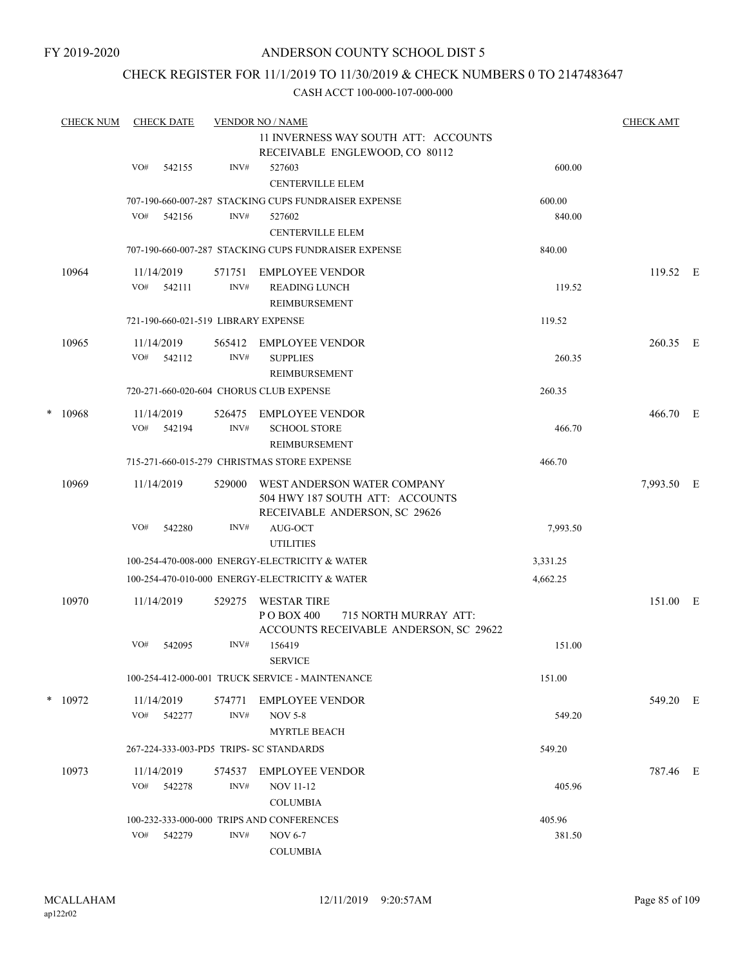### CHECK REGISTER FOR 11/1/2019 TO 11/30/2019 & CHECK NUMBERS 0 TO 2147483647

|   | <b>CHECK NUM</b> |                                                                        | <b>CHECK DATE</b> |                | <b>VENDOR NO / NAME</b>                                                                             |          | <b>CHECK AMT</b> |  |
|---|------------------|------------------------------------------------------------------------|-------------------|----------------|-----------------------------------------------------------------------------------------------------|----------|------------------|--|
|   |                  | 11 INVERNESS WAY SOUTH ATT: ACCOUNTS<br>RECEIVABLE ENGLEWOOD, CO 80112 |                   |                |                                                                                                     |          |                  |  |
|   |                  | VO#                                                                    | 542155            | INV#           | 527603<br><b>CENTERVILLE ELEM</b>                                                                   | 600.00   |                  |  |
|   |                  |                                                                        |                   |                | 707-190-660-007-287 STACKING CUPS FUNDRAISER EXPENSE                                                | 600.00   |                  |  |
|   |                  | VO#                                                                    | 542156            | INV#           | 527602<br><b>CENTERVILLE ELEM</b>                                                                   | 840.00   |                  |  |
|   |                  |                                                                        |                   |                | 707-190-660-007-287 STACKING CUPS FUNDRAISER EXPENSE                                                | 840.00   |                  |  |
|   | 10964            | 11/14/2019<br>VO#                                                      | 542111            | 571751<br>INV# | EMPLOYEE VENDOR<br><b>READING LUNCH</b><br>REIMBURSEMENT                                            | 119.52   | 119.52 E         |  |
|   |                  |                                                                        |                   |                | 721-190-660-021-519 LIBRARY EXPENSE                                                                 | 119.52   |                  |  |
|   | 10965            | 11/14/2019<br>VO#                                                      | 542112            | 565412<br>INV# | <b>EMPLOYEE VENDOR</b><br><b>SUPPLIES</b><br>REIMBURSEMENT                                          | 260.35   | 260.35 E         |  |
|   |                  |                                                                        |                   |                | 720-271-660-020-604 CHORUS CLUB EXPENSE                                                             | 260.35   |                  |  |
| * | 10968            | 11/14/2019<br>VO#                                                      | 542194            | 526475<br>INV# | <b>EMPLOYEE VENDOR</b><br><b>SCHOOL STORE</b>                                                       | 466.70   | 466.70 E         |  |
|   |                  |                                                                        |                   |                | <b>REIMBURSEMENT</b>                                                                                |          |                  |  |
|   |                  |                                                                        |                   |                | 715-271-660-015-279 CHRISTMAS STORE EXPENSE                                                         | 466.70   |                  |  |
|   | 10969            | 11/14/2019                                                             |                   | 529000         | WEST ANDERSON WATER COMPANY<br>504 HWY 187 SOUTH ATT: ACCOUNTS<br>RECEIVABLE ANDERSON, SC 29626     |          | 7,993.50 E       |  |
|   |                  | VO#                                                                    | 542280            | INV#           | AUG-OCT<br><b>UTILITIES</b>                                                                         | 7,993.50 |                  |  |
|   |                  |                                                                        |                   |                | 100-254-470-008-000 ENERGY-ELECTRICITY & WATER                                                      | 3,331.25 |                  |  |
|   |                  |                                                                        |                   |                | 100-254-470-010-000 ENERGY-ELECTRICITY & WATER                                                      | 4,662.25 |                  |  |
|   | 10970            | 11/14/2019                                                             |                   | 529275         | <b>WESTAR TIRE</b><br>PO BOX 400<br>715 NORTH MURRAY ATT:<br>ACCOUNTS RECEIVABLE ANDERSON, SC 29622 |          | 151.00 E         |  |
|   |                  | VO#                                                                    | 542095            | INV#           | 156419<br><b>SERVICE</b>                                                                            | 151.00   |                  |  |
|   |                  |                                                                        |                   |                | 100-254-412-000-001 TRUCK SERVICE - MAINTENANCE                                                     | 151.00   |                  |  |
|   | $*$ 10972        | 11/14/2019<br>VO#                                                      | 542277            | 574771<br>INV# | <b>EMPLOYEE VENDOR</b><br><b>NOV 5-8</b>                                                            | 549.20   | 549.20 E         |  |
|   |                  |                                                                        |                   |                | <b>MYRTLE BEACH</b>                                                                                 |          |                  |  |
|   |                  |                                                                        |                   |                | 267-224-333-003-PD5 TRIPS- SC STANDARDS                                                             | 549.20   |                  |  |
|   | 10973            | 11/14/2019                                                             |                   | 574537         | <b>EMPLOYEE VENDOR</b>                                                                              |          | 787.46 E         |  |
|   |                  | VO#                                                                    | 542278            | INV#           | <b>NOV 11-12</b><br><b>COLUMBIA</b>                                                                 | 405.96   |                  |  |
|   |                  |                                                                        |                   |                | 100-232-333-000-000 TRIPS AND CONFERENCES                                                           | 405.96   |                  |  |
|   |                  | VO#                                                                    | 542279            | INV#           | <b>NOV 6-7</b><br><b>COLUMBIA</b>                                                                   | 381.50   |                  |  |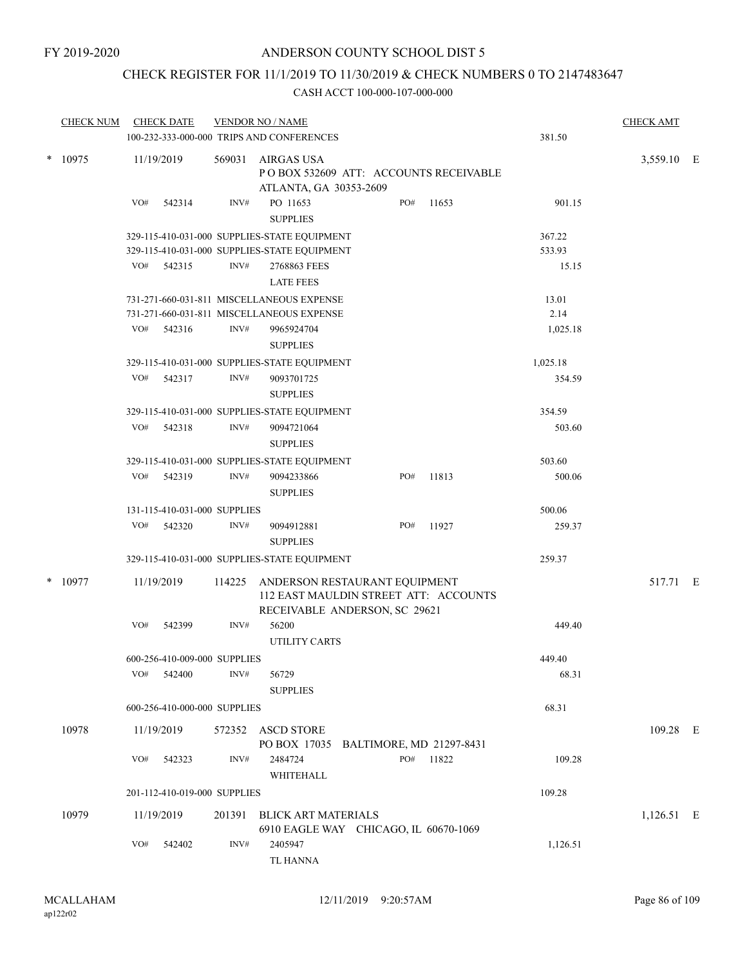# CHECK REGISTER FOR 11/1/2019 TO 11/30/2019 & CHECK NUMBERS 0 TO 2147483647

| <b>CHECK NUM</b> |     | <b>CHECK DATE</b>            |        | <b>VENDOR NO / NAME</b><br>100-232-333-000-000 TRIPS AND CONFERENCES                 |     |     |       | 381.50   | <b>CHECK AMT</b> |  |
|------------------|-----|------------------------------|--------|--------------------------------------------------------------------------------------|-----|-----|-------|----------|------------------|--|
| $*$ 10975        |     | 11/19/2019                   | 569031 | <b>AIRGAS USA</b><br>POBOX 532609 ATT: ACCOUNTS RECEIVABLE<br>ATLANTA, GA 30353-2609 |     |     |       |          | 3,559.10 E       |  |
|                  | VO# | 542314                       | INV#   | PO 11653<br><b>SUPPLIES</b>                                                          | PO# |     | 11653 | 901.15   |                  |  |
|                  |     |                              |        | 329-115-410-031-000 SUPPLIES-STATE EQUIPMENT                                         |     |     |       | 367.22   |                  |  |
|                  |     |                              |        | 329-115-410-031-000 SUPPLIES-STATE EQUIPMENT                                         |     |     |       | 533.93   |                  |  |
|                  | VO# | 542315                       | INV#   | 2768863 FEES<br><b>LATE FEES</b>                                                     |     |     |       | 15.15    |                  |  |
|                  |     |                              |        | 731-271-660-031-811 MISCELLANEOUS EXPENSE                                            |     |     |       | 13.01    |                  |  |
|                  |     |                              |        | 731-271-660-031-811 MISCELLANEOUS EXPENSE                                            |     |     |       | 2.14     |                  |  |
|                  |     | VO# 542316                   | INV#   | 9965924704<br><b>SUPPLIES</b>                                                        |     |     |       | 1,025.18 |                  |  |
|                  |     |                              |        | 329-115-410-031-000 SUPPLIES-STATE EQUIPMENT                                         |     |     |       | 1,025.18 |                  |  |
|                  | VO# | 542317                       | INV#   | 9093701725<br><b>SUPPLIES</b>                                                        |     |     |       | 354.59   |                  |  |
|                  |     |                              |        | 329-115-410-031-000 SUPPLIES-STATE EQUIPMENT                                         |     |     |       | 354.59   |                  |  |
|                  | VO# | 542318                       | INV#   | 9094721064<br><b>SUPPLIES</b>                                                        |     |     |       | 503.60   |                  |  |
|                  |     |                              |        | 329-115-410-031-000 SUPPLIES-STATE EQUIPMENT                                         |     |     |       | 503.60   |                  |  |
|                  |     | VO# 542319                   | INV#   | 9094233866<br><b>SUPPLIES</b>                                                        | PO# |     | 11813 | 500.06   |                  |  |
|                  |     | 131-115-410-031-000 SUPPLIES |        |                                                                                      |     |     |       | 500.06   |                  |  |
|                  | VO# | 542320                       | INV#   | 9094912881<br><b>SUPPLIES</b>                                                        | PO# |     | 11927 | 259.37   |                  |  |
|                  |     |                              |        | 329-115-410-031-000 SUPPLIES-STATE EQUIPMENT                                         |     |     |       | 259.37   |                  |  |
| $*$ 10977        |     | 11/19/2019                   | 114225 | ANDERSON RESTAURANT EQUIPMENT<br>112 EAST MAULDIN STREET ATT: ACCOUNTS               |     |     |       |          | 517.71 E         |  |
|                  |     |                              |        | RECEIVABLE ANDERSON, SC 29621                                                        |     |     |       |          |                  |  |
|                  | VO# | 542399                       | INV#   | 56200<br><b>UTILITY CARTS</b>                                                        |     |     |       | 449.40   |                  |  |
|                  |     | 600-256-410-009-000 SUPPLIES |        |                                                                                      |     |     |       | 449.40   |                  |  |
|                  | VO# | 542400                       | INV#   | 56729<br><b>SUPPLIES</b>                                                             |     |     |       | 68.31    |                  |  |
|                  |     | 600-256-410-000-000 SUPPLIES |        |                                                                                      |     |     |       | 68.31    |                  |  |
| 10978            |     | 11/19/2019                   | 572352 | <b>ASCD STORE</b>                                                                    |     |     |       |          | 109.28 E         |  |
|                  | VO# | 542323                       | INV#   | PO BOX 17035 BALTIMORE, MD 21297-8431<br>2484724<br>WHITEHALL                        |     | PO# | 11822 | 109.28   |                  |  |
|                  |     | 201-112-410-019-000 SUPPLIES |        |                                                                                      |     |     |       | 109.28   |                  |  |
| 10979            |     | 11/19/2019                   | 201391 | <b>BLICK ART MATERIALS</b><br>6910 EAGLE WAY CHICAGO, IL 60670-1069                  |     |     |       |          | 1,126.51 E       |  |
|                  | VO# | 542402                       | INV#   | 2405947<br>TL HANNA                                                                  |     |     |       | 1,126.51 |                  |  |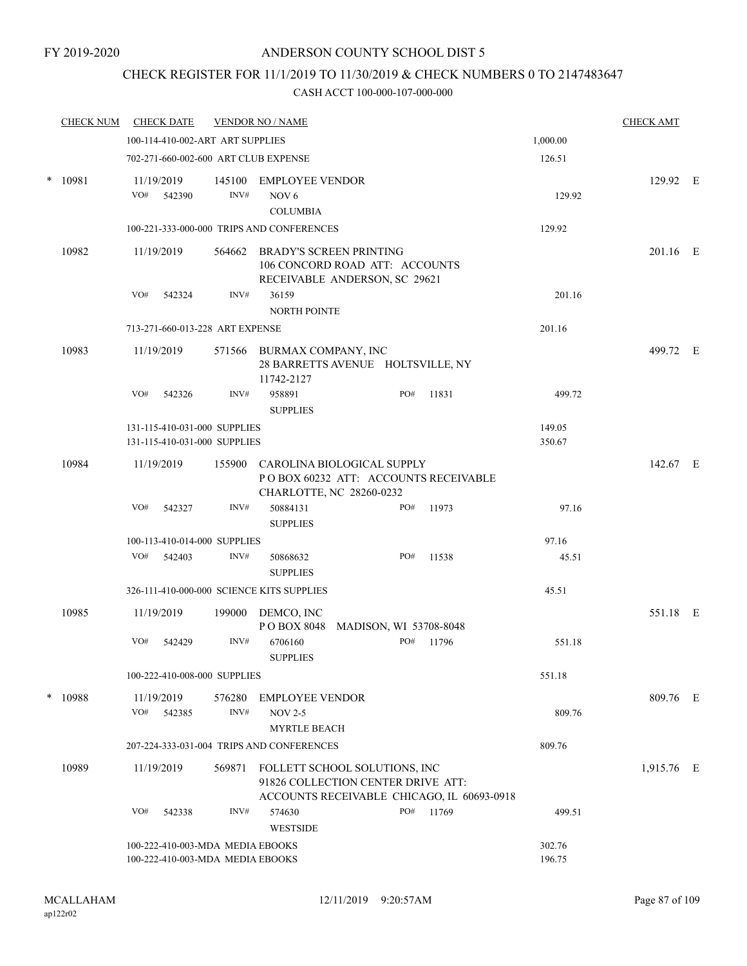### CHECK REGISTER FOR 11/1/2019 TO 11/30/2019 & CHECK NUMBERS 0 TO 2147483647

|        | <b>CHECK NUM</b>                | <b>CHECK DATE</b>                                                    |                | <b>VENDOR NO / NAME</b>                                                                                           |                        |       |                  | <b>CHECK AMT</b> |  |
|--------|---------------------------------|----------------------------------------------------------------------|----------------|-------------------------------------------------------------------------------------------------------------------|------------------------|-------|------------------|------------------|--|
|        |                                 | 100-114-410-002-ART ART SUPPLIES                                     |                |                                                                                                                   |                        |       | 1,000.00         |                  |  |
|        |                                 | 702-271-660-002-600 ART CLUB EXPENSE                                 |                |                                                                                                                   |                        |       | 126.51           |                  |  |
| $\ast$ | 10981                           | 11/19/2019<br>VO#<br>542390                                          | INV#           | 145100 EMPLOYEE VENDOR<br>NOV <sub>6</sub>                                                                        |                        |       | 129.92           | 129.92 E         |  |
|        |                                 |                                                                      |                | <b>COLUMBIA</b>                                                                                                   |                        |       |                  |                  |  |
|        |                                 |                                                                      |                | 100-221-333-000-000 TRIPS AND CONFERENCES                                                                         |                        |       | 129.92           |                  |  |
|        | 10982                           | 11/19/2019                                                           | 564662         | <b>BRADY'S SCREEN PRINTING</b><br>106 CONCORD ROAD ATT: ACCOUNTS<br>RECEIVABLE ANDERSON, SC 29621                 |                        |       |                  | 201.16 E         |  |
|        |                                 | VO#<br>542324                                                        | INV#           | 36159<br><b>NORTH POINTE</b>                                                                                      |                        |       | 201.16           |                  |  |
|        | 713-271-660-013-228 ART EXPENSE |                                                                      |                | 201.16                                                                                                            |                        |       |                  |                  |  |
|        | 10983                           | 11/19/2019                                                           |                | 571566 BURMAX COMPANY, INC<br>28 BARRETTS AVENUE HOLTSVILLE, NY<br>11742-2127                                     |                        |       |                  | 499.72 E         |  |
|        |                                 | VO#<br>542326                                                        | INV#           | 958891<br><b>SUPPLIES</b>                                                                                         | PO#                    | 11831 | 499.72           |                  |  |
|        |                                 | 131-115-410-031-000 SUPPLIES<br>131-115-410-031-000 SUPPLIES         |                |                                                                                                                   |                        |       | 149.05<br>350.67 |                  |  |
| 10984  |                                 | 11/19/2019                                                           |                | 155900 CAROLINA BIOLOGICAL SUPPLY<br>POBOX 60232 ATT: ACCOUNTS RECEIVABLE<br>CHARLOTTE, NC 28260-0232             |                        |       |                  | 142.67 E         |  |
|        |                                 | VO#<br>542327                                                        | INV#           | 50884131<br><b>SUPPLIES</b>                                                                                       | PO#                    | 11973 | 97.16            |                  |  |
|        |                                 | 100-113-410-014-000 SUPPLIES                                         |                |                                                                                                                   |                        |       | 97.16            |                  |  |
|        |                                 | VO#<br>542403                                                        | INV#           | 50868632<br><b>SUPPLIES</b>                                                                                       | PO#                    | 11538 | 45.51            |                  |  |
|        |                                 | 326-111-410-000-000 SCIENCE KITS SUPPLIES                            |                |                                                                                                                   |                        |       | 45.51            |                  |  |
|        | 10985                           | 11/19/2019                                                           |                | 199000 DEMCO, INC<br>PO BOX 8048                                                                                  | MADISON, WI 53708-8048 |       |                  | 551.18 E         |  |
|        |                                 | VO#<br>542429                                                        | INV#           | 6706160<br><b>SUPPLIES</b>                                                                                        | PO#                    | 11796 | 551.18           |                  |  |
|        |                                 | 100-222-410-008-000 SUPPLIES                                         |                |                                                                                                                   |                        |       | 551.18           |                  |  |
| $\ast$ | 10988                           | 11/19/2019<br>VO#<br>542385                                          | 576280<br>INV# | <b>EMPLOYEE VENDOR</b><br><b>NOV 2-5</b><br><b>MYRTLE BEACH</b>                                                   |                        |       | 809.76           | 809.76 E         |  |
|        |                                 |                                                                      |                | 207-224-333-031-004 TRIPS AND CONFERENCES                                                                         |                        |       | 809.76           |                  |  |
|        | 10989                           | 11/19/2019                                                           | 569871         | FOLLETT SCHOOL SOLUTIONS, INC<br>91826 COLLECTION CENTER DRIVE ATT:<br>ACCOUNTS RECEIVABLE CHICAGO, IL 60693-0918 |                        |       |                  | 1,915.76 E       |  |
|        |                                 | VO#<br>542338                                                        | INV#           | 574630<br><b>WESTSIDE</b>                                                                                         | PO#                    | 11769 | 499.51           |                  |  |
|        |                                 | 100-222-410-003-MDA MEDIA EBOOKS<br>100-222-410-003-MDA MEDIA EBOOKS |                | 302.76<br>196.75                                                                                                  |                        |       |                  |                  |  |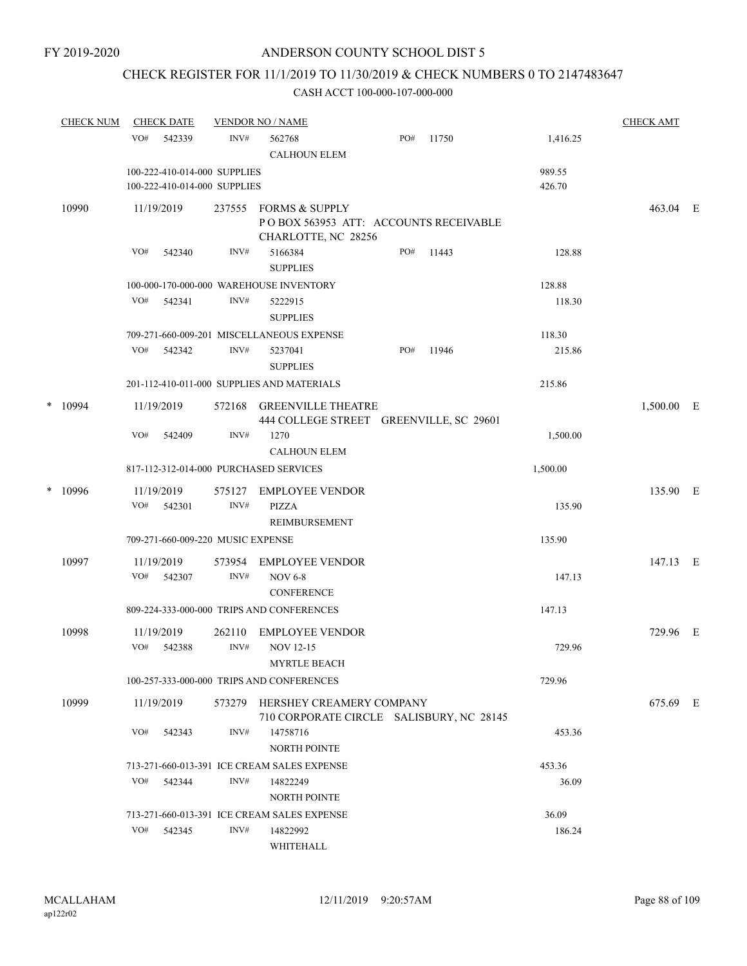# CHECK REGISTER FOR 11/1/2019 TO 11/30/2019 & CHECK NUMBERS 0 TO 2147483647

|   | <b>CHECK NUM</b> | <b>CHECK DATE</b>           |                                                              | <b>VENDOR NO / NAME</b>                                                     |     |       |                  | <b>CHECK AMT</b> |  |
|---|------------------|-----------------------------|--------------------------------------------------------------|-----------------------------------------------------------------------------|-----|-------|------------------|------------------|--|
|   |                  | VO#<br>542339               | INV#                                                         | 562768<br><b>CALHOUN ELEM</b>                                               | PO# | 11750 | 1,416.25         |                  |  |
|   |                  |                             | 100-222-410-014-000 SUPPLIES<br>100-222-410-014-000 SUPPLIES |                                                                             |     |       | 989.55<br>426.70 |                  |  |
|   | 10990            | 11/19/2019                  | 237555                                                       | <b>FORMS &amp; SUPPLY</b><br>POBOX 563953 ATT: ACCOUNTS RECEIVABLE          |     |       |                  | 463.04 E         |  |
|   |                  | VO#<br>542340               | INV#                                                         | CHARLOTTE, NC 28256<br>5166384<br><b>SUPPLIES</b>                           | PO# | 11443 | 128.88           |                  |  |
|   |                  |                             |                                                              | 100-000-170-000-000 WAREHOUSE INVENTORY                                     |     |       | 128.88           |                  |  |
|   |                  | VO#<br>542341               | INV#                                                         | 5222915<br><b>SUPPLIES</b>                                                  |     |       | 118.30           |                  |  |
|   |                  |                             |                                                              | 709-271-660-009-201 MISCELLANEOUS EXPENSE                                   |     |       | 118.30           |                  |  |
|   |                  | VO#<br>542342               | INV#                                                         | 5237041<br><b>SUPPLIES</b>                                                  | PO# | 11946 | 215.86           |                  |  |
|   |                  |                             |                                                              | 201-112-410-011-000 SUPPLIES AND MATERIALS                                  |     |       | 215.86           |                  |  |
|   | $*$ 10994        | 11/19/2019                  | 572168                                                       | <b>GREENVILLE THEATRE</b><br>444 COLLEGE STREET GREENVILLE, SC 29601        |     |       |                  | 1,500.00 E       |  |
|   |                  | VO#<br>542409               | INV#                                                         | 1270<br><b>CALHOUN ELEM</b>                                                 |     |       | 1,500.00         |                  |  |
|   |                  |                             |                                                              | 817-112-312-014-000 PURCHASED SERVICES                                      |     |       | 1,500.00         |                  |  |
| * | 10996            | 11/19/2019<br>VO#<br>542301 | 575127<br>INV#                                               | EMPLOYEE VENDOR<br>PIZZA                                                    |     |       | 135.90           | 135.90 E         |  |
|   |                  |                             |                                                              | <b>REIMBURSEMENT</b>                                                        |     |       |                  |                  |  |
|   |                  |                             | 709-271-660-009-220 MUSIC EXPENSE                            |                                                                             |     |       | 135.90           |                  |  |
|   | 10997            | 11/19/2019                  | 573954                                                       | <b>EMPLOYEE VENDOR</b>                                                      |     |       |                  | 147.13 E         |  |
|   |                  | VO#<br>542307               | INV#                                                         | <b>NOV 6-8</b><br><b>CONFERENCE</b>                                         |     |       | 147.13           |                  |  |
|   |                  |                             |                                                              | 809-224-333-000-000 TRIPS AND CONFERENCES                                   |     |       | 147.13           |                  |  |
|   | 10998            | 11/19/2019<br>VO#<br>542388 | 262110<br>INV#                                               | <b>EMPLOYEE VENDOR</b><br><b>NOV 12-15</b>                                  |     |       | 729.96           | 729.96 E         |  |
|   |                  |                             |                                                              | <b>MYRTLE BEACH</b>                                                         |     |       |                  |                  |  |
|   |                  |                             |                                                              | 100-257-333-000-000 TRIPS AND CONFERENCES                                   |     |       | 729.96           |                  |  |
|   | 10999            | 11/19/2019                  |                                                              | 573279 HERSHEY CREAMERY COMPANY<br>710 CORPORATE CIRCLE SALISBURY, NC 28145 |     |       |                  | 675.69 E         |  |
|   |                  | VO#<br>542343               | INV#                                                         | 14758716<br>NORTH POINTE                                                    |     |       | 453.36           |                  |  |
|   |                  |                             |                                                              | 713-271-660-013-391 ICE CREAM SALES EXPENSE                                 |     |       | 453.36           |                  |  |
|   |                  | VO#<br>542344               | INV#                                                         | 14822249<br><b>NORTH POINTE</b>                                             |     |       | 36.09            |                  |  |
|   |                  |                             |                                                              | 713-271-660-013-391 ICE CREAM SALES EXPENSE                                 |     |       | 36.09            |                  |  |
|   |                  | VO#<br>542345               | INV#                                                         | 14822992<br>WHITEHALL                                                       |     |       | 186.24           |                  |  |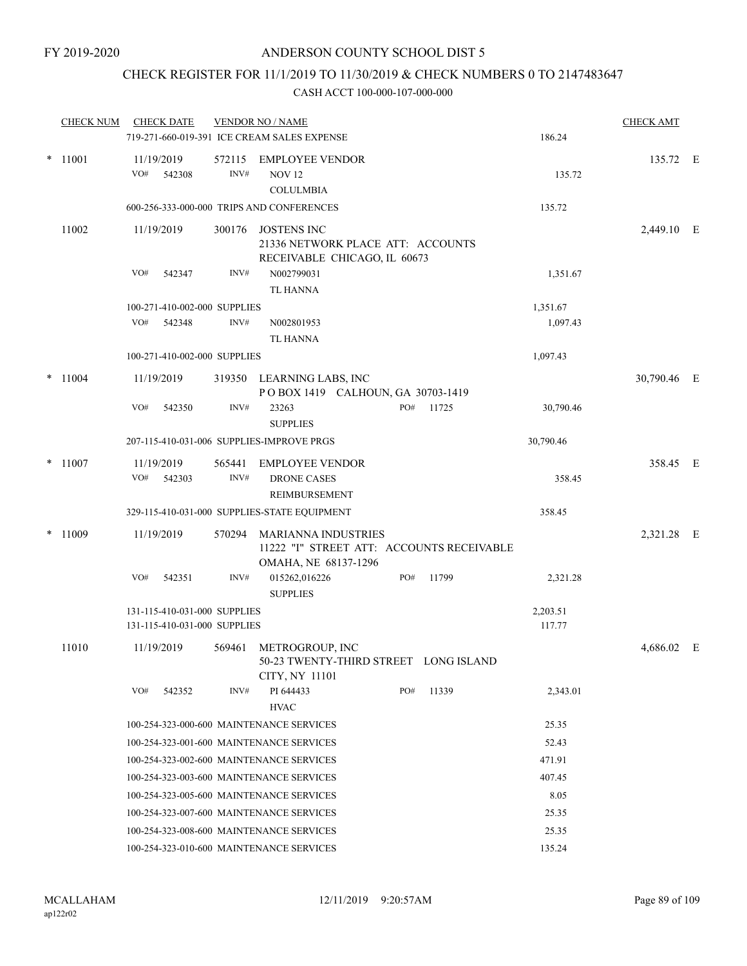## CHECK REGISTER FOR 11/1/2019 TO 11/30/2019 & CHECK NUMBERS 0 TO 2147483647

| <b>CHECK NUM</b> |     | <b>CHECK DATE</b> |                                                              | <b>VENDOR NO / NAME</b>                                 |     |       |                    | <b>CHECK AMT</b> |  |
|------------------|-----|-------------------|--------------------------------------------------------------|---------------------------------------------------------|-----|-------|--------------------|------------------|--|
|                  |     |                   |                                                              | 719-271-660-019-391 ICE CREAM SALES EXPENSE             |     |       | 186.24             |                  |  |
| $*$ 11001        |     | 11/19/2019        | 572115                                                       | <b>EMPLOYEE VENDOR</b>                                  |     |       |                    | 135.72 E         |  |
|                  | VO# | 542308            | INV#                                                         | <b>NOV 12</b>                                           |     |       | 135.72             |                  |  |
|                  |     |                   |                                                              | <b>COLULMBIA</b>                                        |     |       |                    |                  |  |
|                  |     |                   |                                                              | 600-256-333-000-000 TRIPS AND CONFERENCES               |     |       | 135.72             |                  |  |
| 11002            |     | 11/19/2019        | 300176                                                       | <b>JOSTENS INC</b>                                      |     |       |                    | 2,449.10 E       |  |
|                  |     |                   |                                                              | 21336 NETWORK PLACE ATT: ACCOUNTS                       |     |       |                    |                  |  |
|                  |     |                   |                                                              | RECEIVABLE CHICAGO, IL 60673                            |     |       |                    |                  |  |
|                  | VO# | 542347            | INV#                                                         | N002799031                                              |     |       | 1,351.67           |                  |  |
|                  |     |                   |                                                              | <b>TL HANNA</b>                                         |     |       |                    |                  |  |
|                  | VO# | 542348            | 100-271-410-002-000 SUPPLIES<br>INV#                         |                                                         |     |       | 1,351.67           |                  |  |
|                  |     |                   |                                                              | N002801953<br><b>TL HANNA</b>                           |     |       | 1,097.43           |                  |  |
|                  |     |                   | 100-271-410-002-000 SUPPLIES                                 |                                                         |     |       | 1,097.43           |                  |  |
|                  |     |                   |                                                              |                                                         |     |       |                    |                  |  |
| $*$ 11004        |     | 11/19/2019        | 319350                                                       | LEARNING LABS, INC<br>POBOX 1419 CALHOUN, GA 30703-1419 |     |       |                    | 30,790.46 E      |  |
|                  | VO# | 542350            | INV#                                                         | 23263                                                   | PO# | 11725 | 30,790.46          |                  |  |
|                  |     |                   |                                                              | <b>SUPPLIES</b>                                         |     |       |                    |                  |  |
|                  |     |                   |                                                              | 207-115-410-031-006 SUPPLIES-IMPROVE PRGS               |     |       | 30,790.46          |                  |  |
| $*$ 11007        |     | 11/19/2019        | 565441                                                       | <b>EMPLOYEE VENDOR</b>                                  |     |       |                    | 358.45 E         |  |
|                  | VO# | 542303            | INV#                                                         | <b>DRONE CASES</b>                                      |     |       | 358.45             |                  |  |
|                  |     |                   |                                                              | REIMBURSEMENT                                           |     |       |                    |                  |  |
|                  |     |                   |                                                              | 329-115-410-031-000 SUPPLIES-STATE EQUIPMENT            |     |       | 358.45             |                  |  |
| $*$ 11009        |     | 11/19/2019        | 570294                                                       | <b>MARIANNA INDUSTRIES</b>                              |     |       |                    | 2,321.28 E       |  |
|                  |     |                   |                                                              | 11222 "I" STREET ATT: ACCOUNTS RECEIVABLE               |     |       |                    |                  |  |
|                  |     |                   |                                                              | OMAHA, NE 68137-1296                                    |     |       |                    |                  |  |
|                  | VO# | 542351            | INV#                                                         | 015262,016226                                           | PO# | 11799 | 2,321.28           |                  |  |
|                  |     |                   |                                                              | <b>SUPPLIES</b>                                         |     |       |                    |                  |  |
|                  |     |                   | 131-115-410-031-000 SUPPLIES<br>131-115-410-031-000 SUPPLIES |                                                         |     |       | 2,203.51<br>117.77 |                  |  |
|                  |     |                   |                                                              |                                                         |     |       |                    |                  |  |
| 11010            |     | 11/19/2019        |                                                              | 569461 METROGROUP, INC                                  |     |       |                    | $4,686.02$ E     |  |
|                  |     |                   |                                                              | 50-23 TWENTY-THIRD STREET LONG ISLAND<br>CITY, NY 11101 |     |       |                    |                  |  |
|                  | VO# | 542352            | INV#                                                         | PI 644433                                               | PO# | 11339 | 2,343.01           |                  |  |
|                  |     |                   |                                                              | <b>HVAC</b>                                             |     |       |                    |                  |  |
|                  |     |                   |                                                              | 100-254-323-000-600 MAINTENANCE SERVICES                |     |       | 25.35              |                  |  |
|                  |     |                   |                                                              | 100-254-323-001-600 MAINTENANCE SERVICES                |     |       | 52.43              |                  |  |
|                  |     |                   |                                                              | 100-254-323-002-600 MAINTENANCE SERVICES                |     |       | 471.91             |                  |  |
|                  |     |                   |                                                              | 100-254-323-003-600 MAINTENANCE SERVICES                |     |       | 407.45             |                  |  |
|                  |     |                   |                                                              | 100-254-323-005-600 MAINTENANCE SERVICES                |     |       | 8.05               |                  |  |
|                  |     |                   |                                                              | 100-254-323-007-600 MAINTENANCE SERVICES                |     |       | 25.35              |                  |  |
|                  |     |                   |                                                              | 100-254-323-008-600 MAINTENANCE SERVICES                |     |       | 25.35              |                  |  |
|                  |     |                   |                                                              | 100-254-323-010-600 MAINTENANCE SERVICES                |     |       | 135.24             |                  |  |
|                  |     |                   |                                                              |                                                         |     |       |                    |                  |  |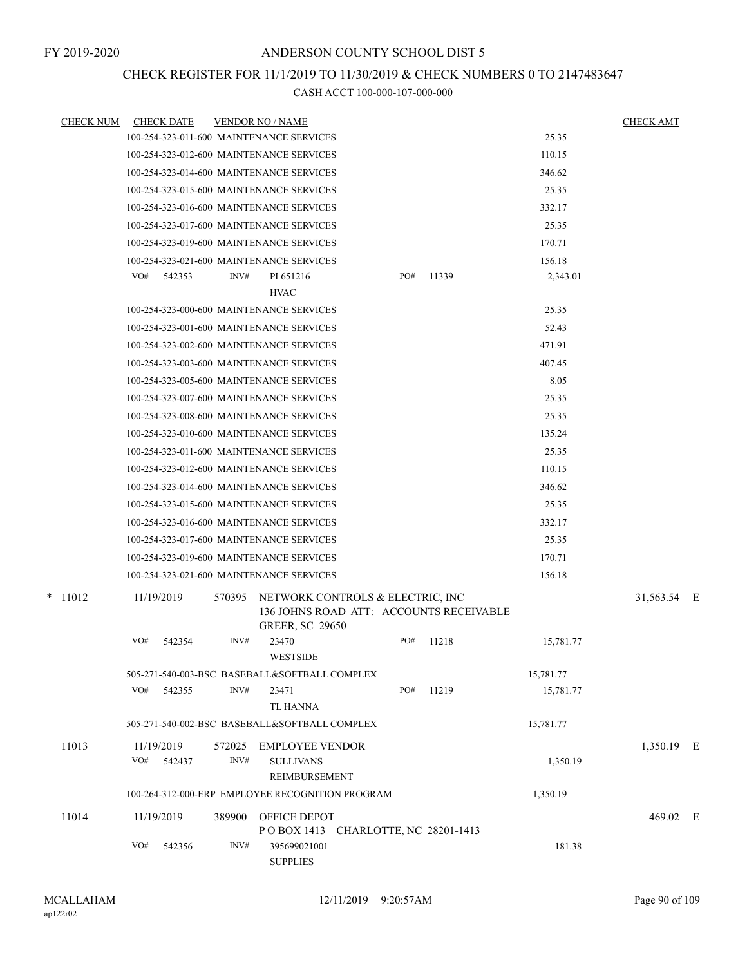## CHECK REGISTER FOR 11/1/2019 TO 11/30/2019 & CHECK NUMBERS 0 TO 2147483647

| <b>CHECK NUM</b> | <b>CHECK DATE</b>                        |        | <b>VENDOR NO / NAME</b>                                                                               |     |       |           | <b>CHECK AMT</b> |  |
|------------------|------------------------------------------|--------|-------------------------------------------------------------------------------------------------------|-----|-------|-----------|------------------|--|
|                  | 100-254-323-011-600 MAINTENANCE SERVICES |        |                                                                                                       |     |       | 25.35     |                  |  |
|                  | 100-254-323-012-600 MAINTENANCE SERVICES |        |                                                                                                       |     |       | 110.15    |                  |  |
|                  | 100-254-323-014-600 MAINTENANCE SERVICES |        |                                                                                                       |     |       | 346.62    |                  |  |
|                  | 100-254-323-015-600 MAINTENANCE SERVICES |        |                                                                                                       |     |       | 25.35     |                  |  |
|                  | 100-254-323-016-600 MAINTENANCE SERVICES |        |                                                                                                       |     |       | 332.17    |                  |  |
|                  | 100-254-323-017-600 MAINTENANCE SERVICES |        |                                                                                                       |     |       | 25.35     |                  |  |
|                  | 100-254-323-019-600 MAINTENANCE SERVICES |        |                                                                                                       |     |       | 170.71    |                  |  |
|                  | 100-254-323-021-600 MAINTENANCE SERVICES |        |                                                                                                       |     |       | 156.18    |                  |  |
|                  | VO#<br>542353                            | INV#   | PI 651216                                                                                             | PO# | 11339 | 2,343.01  |                  |  |
|                  |                                          |        | <b>HVAC</b>                                                                                           |     |       |           |                  |  |
|                  | 100-254-323-000-600 MAINTENANCE SERVICES |        |                                                                                                       |     |       | 25.35     |                  |  |
|                  | 100-254-323-001-600 MAINTENANCE SERVICES |        |                                                                                                       |     |       | 52.43     |                  |  |
|                  | 100-254-323-002-600 MAINTENANCE SERVICES |        |                                                                                                       |     |       | 471.91    |                  |  |
|                  | 100-254-323-003-600 MAINTENANCE SERVICES |        |                                                                                                       |     |       | 407.45    |                  |  |
|                  | 100-254-323-005-600 MAINTENANCE SERVICES |        |                                                                                                       |     |       | 8.05      |                  |  |
|                  | 100-254-323-007-600 MAINTENANCE SERVICES |        |                                                                                                       |     |       | 25.35     |                  |  |
|                  | 100-254-323-008-600 MAINTENANCE SERVICES |        |                                                                                                       |     |       | 25.35     |                  |  |
|                  | 100-254-323-010-600 MAINTENANCE SERVICES |        |                                                                                                       |     |       | 135.24    |                  |  |
|                  | 100-254-323-011-600 MAINTENANCE SERVICES |        |                                                                                                       |     |       | 25.35     |                  |  |
|                  | 100-254-323-012-600 MAINTENANCE SERVICES |        |                                                                                                       |     |       | 110.15    |                  |  |
|                  | 100-254-323-014-600 MAINTENANCE SERVICES |        |                                                                                                       |     |       | 346.62    |                  |  |
|                  | 100-254-323-015-600 MAINTENANCE SERVICES |        |                                                                                                       |     |       | 25.35     |                  |  |
|                  | 100-254-323-016-600 MAINTENANCE SERVICES |        |                                                                                                       |     |       | 332.17    |                  |  |
|                  | 100-254-323-017-600 MAINTENANCE SERVICES |        |                                                                                                       |     |       | 25.35     |                  |  |
|                  | 100-254-323-019-600 MAINTENANCE SERVICES |        |                                                                                                       |     |       | 170.71    |                  |  |
|                  | 100-254-323-021-600 MAINTENANCE SERVICES |        |                                                                                                       |     |       | 156.18    |                  |  |
| $*$ 11012        | 11/19/2019                               | 570395 | NETWORK CONTROLS & ELECTRIC, INC<br>136 JOHNS ROAD ATT: ACCOUNTS RECEIVABLE<br><b>GREER, SC 29650</b> |     |       |           | 31,563.54 E      |  |
|                  | VO#<br>542354                            | INV#   | 23470<br><b>WESTSIDE</b>                                                                              | PO# | 11218 | 15,781.77 |                  |  |
|                  |                                          |        | 505-271-540-003-BSC BASEBALL&SOFTBALL COMPLEX                                                         |     |       | 15,781.77 |                  |  |
|                  | VO#<br>542355                            | INV#   | 23471                                                                                                 | PO# | 11219 | 15,781.77 |                  |  |
|                  |                                          |        | TL HANNA                                                                                              |     |       |           |                  |  |
|                  |                                          |        | 505-271-540-002-BSC BASEBALL&SOFTBALL COMPLEX                                                         |     |       | 15,781.77 |                  |  |
| 11013            | 11/19/2019                               | 572025 | EMPLOYEE VENDOR                                                                                       |     |       |           | 1,350.19 E       |  |
|                  | VO#<br>542437                            | INV#   | <b>SULLIVANS</b>                                                                                      |     |       | 1,350.19  |                  |  |
|                  |                                          |        | REIMBURSEMENT                                                                                         |     |       |           |                  |  |
|                  |                                          |        | 100-264-312-000-ERP EMPLOYEE RECOGNITION PROGRAM                                                      |     |       | 1,350.19  |                  |  |
| 11014            | 11/19/2019                               | 389900 | OFFICE DEPOT                                                                                          |     |       |           | 469.02 E         |  |
|                  |                                          |        | POBOX 1413 CHARLOTTE, NC 28201-1413                                                                   |     |       |           |                  |  |
|                  | VO#<br>542356                            | INV#   | 395699021001<br><b>SUPPLIES</b>                                                                       |     |       | 181.38    |                  |  |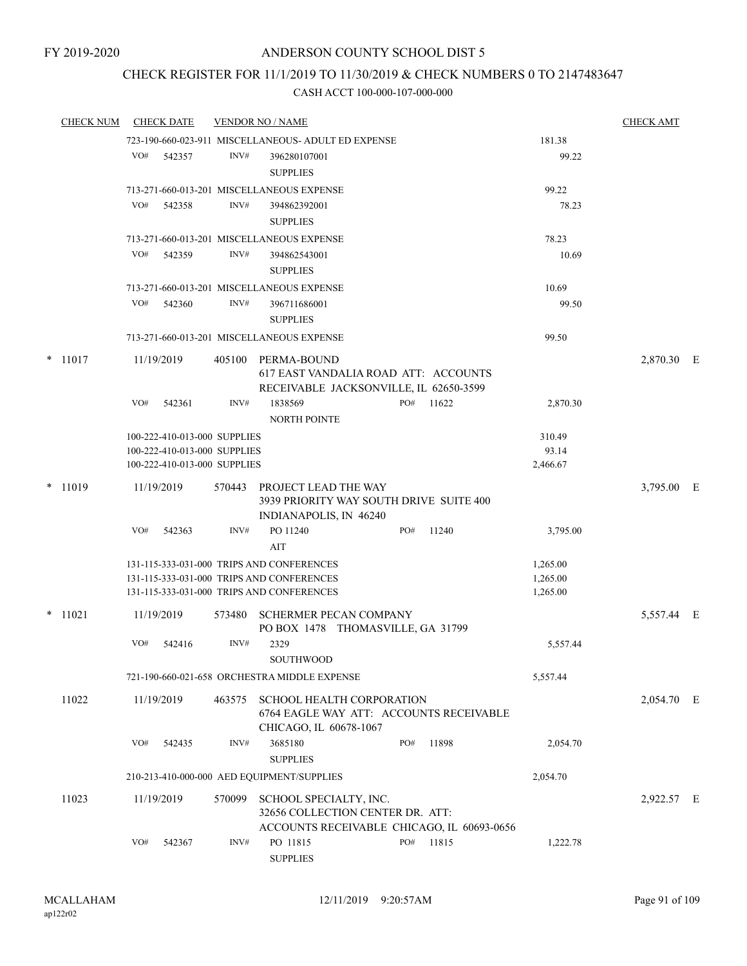# CHECK REGISTER FOR 11/1/2019 TO 11/30/2019 & CHECK NUMBERS 0 TO 2147483647

| <b>CHECK NUM</b> |     | <b>CHECK DATE</b>            |        | <b>VENDOR NO / NAME</b>                                                                                  |     |       |          | <b>CHECK AMT</b> |  |
|------------------|-----|------------------------------|--------|----------------------------------------------------------------------------------------------------------|-----|-------|----------|------------------|--|
|                  |     |                              |        | 723-190-660-023-911 MISCELLANEOUS- ADULT ED EXPENSE                                                      |     |       | 181.38   |                  |  |
|                  | VO# | 542357                       | INV#   | 396280107001                                                                                             |     |       | 99.22    |                  |  |
|                  |     |                              |        | <b>SUPPLIES</b>                                                                                          |     |       |          |                  |  |
|                  |     |                              |        | 713-271-660-013-201 MISCELLANEOUS EXPENSE                                                                |     |       | 99.22    |                  |  |
|                  | VO# | 542358                       | INV#   | 394862392001                                                                                             |     |       | 78.23    |                  |  |
|                  |     |                              |        | <b>SUPPLIES</b>                                                                                          |     |       |          |                  |  |
|                  |     |                              |        | 713-271-660-013-201 MISCELLANEOUS EXPENSE                                                                |     |       | 78.23    |                  |  |
|                  | VO# | 542359                       | INV#   | 394862543001                                                                                             |     |       | 10.69    |                  |  |
|                  |     |                              |        | <b>SUPPLIES</b>                                                                                          |     |       |          |                  |  |
|                  | VO# |                              | INV#   | 713-271-660-013-201 MISCELLANEOUS EXPENSE                                                                |     |       | 10.69    |                  |  |
|                  |     | 542360                       |        | 396711686001<br><b>SUPPLIES</b>                                                                          |     |       | 99.50    |                  |  |
|                  |     |                              |        |                                                                                                          |     |       | 99.50    |                  |  |
|                  |     |                              |        | 713-271-660-013-201 MISCELLANEOUS EXPENSE                                                                |     |       |          |                  |  |
| $*$ 11017        |     | 11/19/2019                   |        | 405100 PERMA-BOUND<br>617 EAST VANDALIA ROAD ATT: ACCOUNTS                                               |     |       |          | 2,870.30 E       |  |
|                  | VO# | 542361                       | INV#   | RECEIVABLE JACKSONVILLE, IL 62650-3599<br>1838569                                                        | PO# | 11622 | 2,870.30 |                  |  |
|                  |     |                              |        | <b>NORTH POINTE</b>                                                                                      |     |       |          |                  |  |
|                  |     | 100-222-410-013-000 SUPPLIES |        |                                                                                                          |     |       | 310.49   |                  |  |
|                  |     | 100-222-410-013-000 SUPPLIES |        |                                                                                                          |     |       | 93.14    |                  |  |
|                  |     | 100-222-410-013-000 SUPPLIES |        |                                                                                                          |     |       | 2,466.67 |                  |  |
| $*$ 11019        |     | 11/19/2019                   | 570443 | PROJECT LEAD THE WAY<br>3939 PRIORITY WAY SOUTH DRIVE SUITE 400<br>INDIANAPOLIS, IN 46240                |     |       |          | 3,795.00 E       |  |
|                  | VO# | 542363                       | INV#   | PO 11240<br>AIT                                                                                          | PO# | 11240 | 3,795.00 |                  |  |
|                  |     |                              |        | 131-115-333-031-000 TRIPS AND CONFERENCES                                                                |     |       | 1,265.00 |                  |  |
|                  |     |                              |        | 131-115-333-031-000 TRIPS AND CONFERENCES                                                                |     |       | 1,265.00 |                  |  |
|                  |     |                              |        | 131-115-333-031-000 TRIPS AND CONFERENCES                                                                |     |       | 1,265.00 |                  |  |
| $*$ 11021        |     | 11/19/2019                   | 573480 | <b>SCHERMER PECAN COMPANY</b><br>PO BOX 1478 THOMASVILLE, GA 31799                                       |     |       |          | 5,557.44 E       |  |
|                  | VO# | 542416                       | INV#   | 2329<br><b>SOUTHWOOD</b>                                                                                 |     |       | 5,557.44 |                  |  |
|                  |     |                              |        | 721-190-660-021-658 ORCHESTRA MIDDLE EXPENSE                                                             |     |       | 5,557.44 |                  |  |
| 11022            |     | 11/19/2019                   |        | 463575 SCHOOL HEALTH CORPORATION<br>6764 EAGLE WAY ATT: ACCOUNTS RECEIVABLE<br>CHICAGO, IL 60678-1067    |     |       |          | 2,054.70 E       |  |
|                  | VO# | 542435                       | INV#   | 3685180<br><b>SUPPLIES</b>                                                                               | PO# | 11898 | 2,054.70 |                  |  |
|                  |     |                              |        | 210-213-410-000-000 AED EQUIPMENT/SUPPLIES                                                               |     |       | 2,054.70 |                  |  |
| 11023            |     | 11/19/2019                   | 570099 | SCHOOL SPECIALTY, INC.<br>32656 COLLECTION CENTER DR. ATT:<br>ACCOUNTS RECEIVABLE CHICAGO, IL 60693-0656 |     |       |          | 2,922.57 E       |  |
|                  | VO# | 542367                       | INV#   | PO 11815<br><b>SUPPLIES</b>                                                                              | PO# | 11815 | 1,222.78 |                  |  |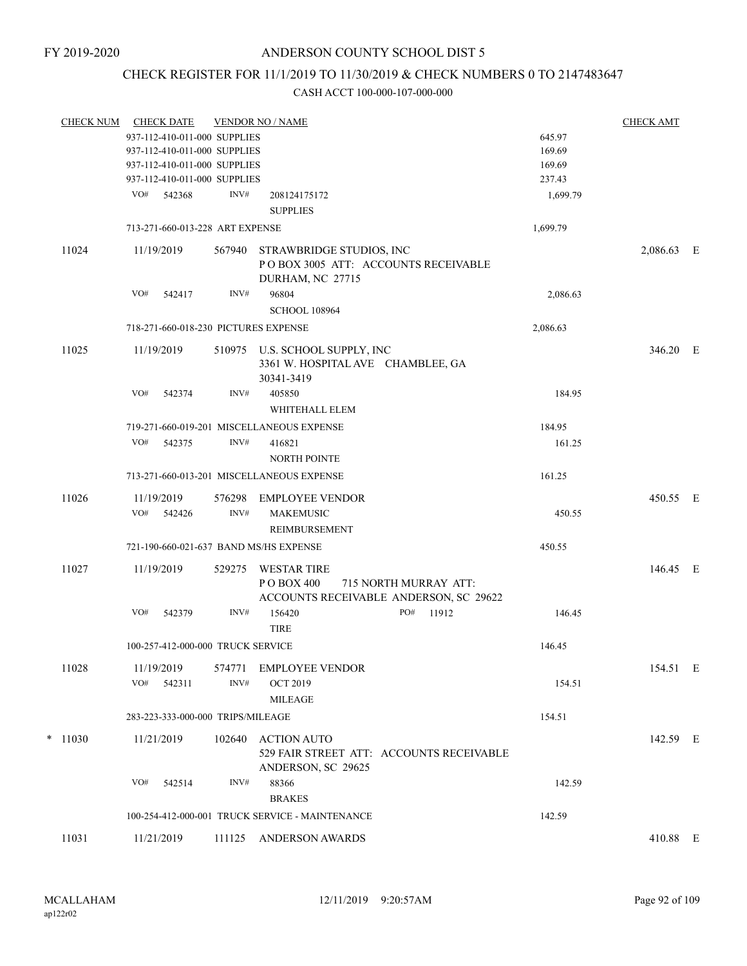# CHECK REGISTER FOR 11/1/2019 TO 11/30/2019 & CHECK NUMBERS 0 TO 2147483647

| <b>CHECK NUM</b> | <b>CHECK DATE</b>                      |                | <b>VENDOR NO / NAME</b>                                                                             |          | <b>CHECK AMT</b> |  |
|------------------|----------------------------------------|----------------|-----------------------------------------------------------------------------------------------------|----------|------------------|--|
|                  | 937-112-410-011-000 SUPPLIES           |                |                                                                                                     | 645.97   |                  |  |
|                  | 937-112-410-011-000 SUPPLIES           |                |                                                                                                     | 169.69   |                  |  |
|                  | 937-112-410-011-000 SUPPLIES           |                |                                                                                                     | 169.69   |                  |  |
|                  | 937-112-410-011-000 SUPPLIES           |                |                                                                                                     | 237.43   |                  |  |
|                  | VO#<br>542368                          | INV#           | 208124175172                                                                                        | 1,699.79 |                  |  |
|                  |                                        |                | <b>SUPPLIES</b>                                                                                     |          |                  |  |
|                  | 713-271-660-013-228 ART EXPENSE        |                |                                                                                                     | 1,699.79 |                  |  |
| 11024            | 11/19/2019                             | 567940         | STRAWBRIDGE STUDIOS, INC<br>POBOX 3005 ATT: ACCOUNTS RECEIVABLE<br>DURHAM, NC 27715                 |          | 2,086.63 E       |  |
|                  | VO#<br>542417                          | INV#           | 96804                                                                                               | 2,086.63 |                  |  |
|                  |                                        |                | <b>SCHOOL 108964</b>                                                                                |          |                  |  |
|                  | 718-271-660-018-230 PICTURES EXPENSE   |                |                                                                                                     | 2,086.63 |                  |  |
| 11025            | 11/19/2019                             |                | 510975 U.S. SCHOOL SUPPLY, INC<br>3361 W. HOSPITAL AVE CHAMBLEE, GA<br>30341-3419                   |          | 346.20 E         |  |
|                  | VO#<br>542374                          | INV#           | 405850<br>WHITEHALL ELEM                                                                            | 184.95   |                  |  |
|                  |                                        |                | 719-271-660-019-201 MISCELLANEOUS EXPENSE                                                           | 184.95   |                  |  |
|                  | VO#<br>542375                          | INV#           | 416821                                                                                              | 161.25   |                  |  |
|                  |                                        |                | <b>NORTH POINTE</b>                                                                                 |          |                  |  |
|                  |                                        |                | 713-271-660-013-201 MISCELLANEOUS EXPENSE                                                           | 161.25   |                  |  |
| 11026            | 11/19/2019<br>VO#<br>542426            | 576298<br>INV# | <b>EMPLOYEE VENDOR</b><br><b>MAKEMUSIC</b>                                                          | 450.55   | 450.55 E         |  |
|                  |                                        |                | <b>REIMBURSEMENT</b>                                                                                |          |                  |  |
|                  | 721-190-660-021-637 BAND MS/HS EXPENSE |                |                                                                                                     | 450.55   |                  |  |
| 11027            | 11/19/2019                             | 529275         | <b>WESTAR TIRE</b><br>PO BOX 400<br>715 NORTH MURRAY ATT:<br>ACCOUNTS RECEIVABLE ANDERSON, SC 29622 |          | 146.45 E         |  |
|                  | VO#<br>542379                          | INV#           | 156420<br>PO#<br>11912<br><b>TIRE</b>                                                               | 146.45   |                  |  |
|                  | 100-257-412-000-000 TRUCK SERVICE      |                |                                                                                                     | 146.45   |                  |  |
| 11028            | 11/19/2019                             | 574771         | <b>EMPLOYEE VENDOR</b>                                                                              |          | 154.51 E         |  |
|                  | VO#<br>542311                          | INV#           | <b>OCT 2019</b>                                                                                     | 154.51   |                  |  |
|                  |                                        |                | <b>MILEAGE</b>                                                                                      |          |                  |  |
|                  | 283-223-333-000-000 TRIPS/MILEAGE      |                |                                                                                                     | 154.51   |                  |  |
| $*$ 11030        | 11/21/2019                             | 102640         | <b>ACTION AUTO</b><br>529 FAIR STREET ATT: ACCOUNTS RECEIVABLE<br>ANDERSON, SC 29625                |          | 142.59 E         |  |
|                  | VO#<br>542514                          | INV#           | 88366<br><b>BRAKES</b>                                                                              | 142.59   |                  |  |
|                  |                                        |                | 100-254-412-000-001 TRUCK SERVICE - MAINTENANCE                                                     | 142.59   |                  |  |
| 11031            | 11/21/2019                             | 111125         | <b>ANDERSON AWARDS</b>                                                                              |          | 410.88 E         |  |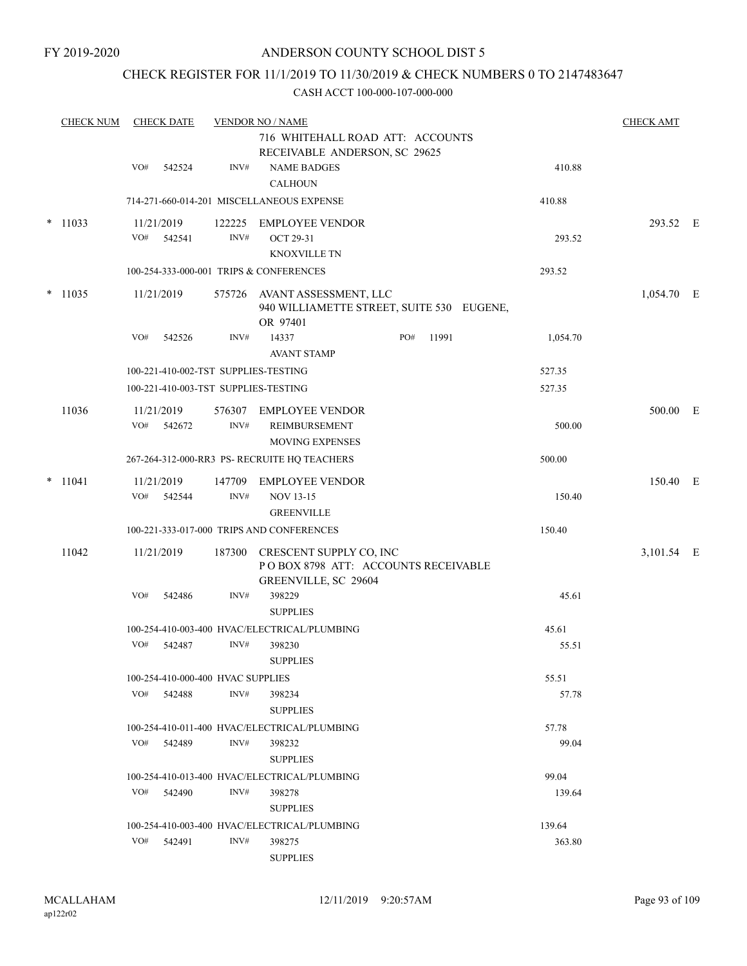### CHECK REGISTER FOR 11/1/2019 TO 11/30/2019 & CHECK NUMBERS 0 TO 2147483647

|        | <b>CHECK NUM</b> |     | <b>CHECK DATE</b>                               |        | <b>VENDOR NO / NAME</b>                                                                |              |                | <b>CHECK AMT</b> |  |
|--------|------------------|-----|-------------------------------------------------|--------|----------------------------------------------------------------------------------------|--------------|----------------|------------------|--|
|        |                  |     |                                                 |        | 716 WHITEHALL ROAD ATT: ACCOUNTS<br>RECEIVABLE ANDERSON, SC 29625                      |              |                |                  |  |
|        |                  | VO# | 542524                                          | INV#   | <b>NAME BADGES</b><br><b>CALHOUN</b>                                                   |              | 410.88         |                  |  |
|        |                  |     |                                                 |        | 714-271-660-014-201 MISCELLANEOUS EXPENSE                                              |              | 410.88         |                  |  |
|        | $*$ 11033        |     | 11/21/2019                                      |        | 122225 EMPLOYEE VENDOR                                                                 |              |                | 293.52 E         |  |
|        |                  | VO# | 542541                                          | INV#   | OCT 29-31                                                                              |              | 293.52         |                  |  |
|        |                  |     |                                                 |        | <b>KNOXVILLE TN</b><br>100-254-333-000-001 TRIPS & CONFERENCES                         |              | 293.52         |                  |  |
|        | $*$ 11035        |     | 11/21/2019                                      |        |                                                                                        |              |                |                  |  |
|        |                  |     |                                                 |        | 575726 AVANT ASSESSMENT, LLC<br>940 WILLIAMETTE STREET, SUITE 530 EUGENE,<br>OR 97401  |              |                | $1,054.70$ E     |  |
|        |                  | VO# | 542526                                          | INV#   | 14337<br><b>AVANT STAMP</b>                                                            | PO#<br>11991 | 1,054.70       |                  |  |
|        |                  |     |                                                 |        | 100-221-410-002-TST SUPPLIES-TESTING                                                   |              | 527.35         |                  |  |
|        |                  |     |                                                 |        | 100-221-410-003-TST SUPPLIES-TESTING                                                   |              | 527.35         |                  |  |
|        | 11036            |     | 11/21/2019                                      |        | 576307 EMPLOYEE VENDOR                                                                 |              |                | 500.00 E         |  |
|        |                  | VO# | 542672                                          | INV#   | <b>REIMBURSEMENT</b><br><b>MOVING EXPENSES</b>                                         |              | 500.00         |                  |  |
|        |                  |     |                                                 |        | 267-264-312-000-RR3 PS- RECRUITE HQ TEACHERS                                           |              | 500.00         |                  |  |
| $\ast$ | 11041            |     | 11/21/2019                                      | 147709 | <b>EMPLOYEE VENDOR</b>                                                                 |              |                | 150.40 E         |  |
|        |                  | VO# | 542544                                          | INV#   | <b>NOV 13-15</b><br><b>GREENVILLE</b>                                                  |              | 150.40         |                  |  |
|        |                  |     |                                                 |        | 100-221-333-017-000 TRIPS AND CONFERENCES                                              |              | 150.40         |                  |  |
|        | 11042            |     | 11/21/2019                                      | 187300 | CRESCENT SUPPLY CO, INC<br>POBOX 8798 ATT: ACCOUNTS RECEIVABLE<br>GREENVILLE, SC 29604 |              |                | 3,101.54 E       |  |
|        |                  | VO# | 542486                                          | INV#   | 398229<br><b>SUPPLIES</b>                                                              |              | 45.61          |                  |  |
|        |                  |     |                                                 |        | 100-254-410-003-400 HVAC/ELECTRICAL/PLUMBING                                           |              | 45.61          |                  |  |
|        |                  | VO# | 542487                                          | INV#   | 398230                                                                                 |              | 55.51          |                  |  |
|        |                  |     |                                                 |        | <b>SUPPLIES</b>                                                                        |              |                |                  |  |
|        |                  |     | 100-254-410-000-400 HVAC SUPPLIES<br>VO# 542488 | INV#   | 398234                                                                                 |              | 55.51<br>57.78 |                  |  |
|        |                  |     |                                                 |        | <b>SUPPLIES</b>                                                                        |              |                |                  |  |
|        |                  |     |                                                 |        | 100-254-410-011-400 HVAC/ELECTRICAL/PLUMBING                                           |              | 57.78          |                  |  |
|        |                  |     | VO# 542489                                      | INV#   | 398232<br><b>SUPPLIES</b>                                                              |              | 99.04          |                  |  |
|        |                  |     |                                                 |        | 100-254-410-013-400 HVAC/ELECTRICAL/PLUMBING                                           |              | 99.04          |                  |  |
|        |                  |     | VO# 542490                                      | INV#   | 398278<br><b>SUPPLIES</b>                                                              |              | 139.64         |                  |  |
|        |                  |     |                                                 |        | 100-254-410-003-400 HVAC/ELECTRICAL/PLUMBING                                           |              | 139.64         |                  |  |
|        |                  |     | $VO#$ 542491                                    | INV#   | 398275<br><b>SUPPLIES</b>                                                              |              | 363.80         |                  |  |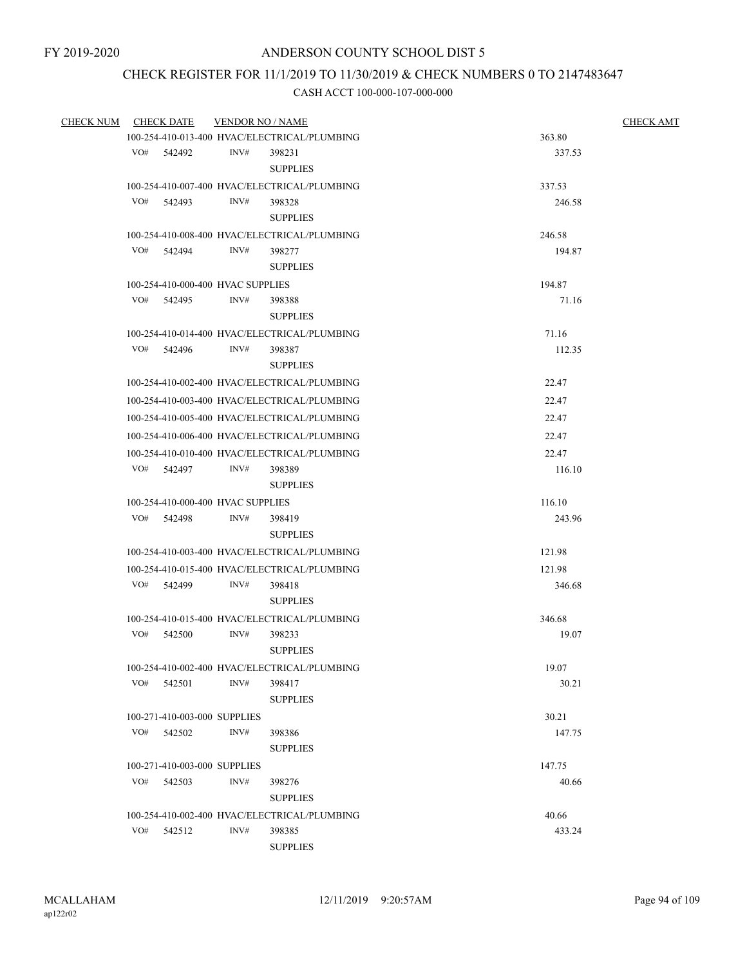# CHECK REGISTER FOR 11/1/2019 TO 11/30/2019 & CHECK NUMBERS 0 TO 2147483647

| <b>CHECK NUM</b> |     | <b>CHECK DATE</b>                      | <b>VENDOR NO / NAME</b> |                                              | <b>CHECK AMT</b> |
|------------------|-----|----------------------------------------|-------------------------|----------------------------------------------|------------------|
|                  |     |                                        |                         | 100-254-410-013-400 HVAC/ELECTRICAL/PLUMBING | 363.80           |
|                  |     | VO# 542492                             | INV#                    | 398231<br><b>SUPPLIES</b>                    | 337.53           |
|                  |     |                                        |                         | 100-254-410-007-400 HVAC/ELECTRICAL/PLUMBING | 337.53           |
|                  | VO# | 542493                                 | INV#                    | 398328                                       | 246.58           |
|                  |     |                                        |                         | <b>SUPPLIES</b>                              |                  |
|                  |     |                                        |                         | 100-254-410-008-400 HVAC/ELECTRICAL/PLUMBING | 246.58           |
|                  |     | VO# 542494                             | INV#                    | 398277                                       | 194.87           |
|                  |     |                                        |                         | <b>SUPPLIES</b>                              |                  |
|                  |     | 100-254-410-000-400 HVAC SUPPLIES      |                         |                                              | 194.87           |
|                  |     | VO# 542495                             | INV#                    | 398388                                       | 71.16            |
|                  |     |                                        |                         | <b>SUPPLIES</b>                              |                  |
|                  |     |                                        |                         | 100-254-410-014-400 HVAC/ELECTRICAL/PLUMBING | 71.16            |
|                  |     | VO# 542496                             | INV#                    | 398387                                       | 112.35           |
|                  |     |                                        |                         | <b>SUPPLIES</b>                              |                  |
|                  |     |                                        |                         | 100-254-410-002-400 HVAC/ELECTRICAL/PLUMBING | 22.47            |
|                  |     |                                        |                         | 100-254-410-003-400 HVAC/ELECTRICAL/PLUMBING | 22.47            |
|                  |     |                                        |                         | 100-254-410-005-400 HVAC/ELECTRICAL/PLUMBING | 22.47            |
|                  |     |                                        |                         | 100-254-410-006-400 HVAC/ELECTRICAL/PLUMBING | 22.47            |
|                  |     |                                        |                         | 100-254-410-010-400 HVAC/ELECTRICAL/PLUMBING | 22.47            |
|                  |     | VO# 542497                             | INV#                    | 398389                                       | 116.10           |
|                  |     |                                        |                         | <b>SUPPLIES</b>                              |                  |
|                  |     | 100-254-410-000-400 HVAC SUPPLIES      |                         |                                              | 116.10           |
|                  |     | VO# 542498                             | INV#                    | 398419                                       | 243.96           |
|                  |     |                                        |                         | <b>SUPPLIES</b>                              |                  |
|                  |     |                                        |                         | 100-254-410-003-400 HVAC/ELECTRICAL/PLUMBING | 121.98           |
|                  |     |                                        |                         | 100-254-410-015-400 HVAC/ELECTRICAL/PLUMBING | 121.98           |
|                  |     | VO# 542499                             | INV#                    | 398418                                       | 346.68           |
|                  |     |                                        |                         | <b>SUPPLIES</b>                              |                  |
|                  |     |                                        |                         | 100-254-410-015-400 HVAC/ELECTRICAL/PLUMBING | 346.68           |
|                  |     | VO# 542500                             | INV#                    | 398233                                       | 19.07            |
|                  |     |                                        |                         | <b>SUPPLIES</b>                              |                  |
|                  |     |                                        |                         | 100-254-410-002-400 HVAC/ELECTRICAL/PLUMBING | 19.07            |
|                  | VO# | 542501                                 | INV#                    | 398417                                       | 30.21            |
|                  |     |                                        |                         | <b>SUPPLIES</b>                              |                  |
|                  |     | 100-271-410-003-000 SUPPLIES           |                         |                                              | 30.21            |
|                  |     | VO# 542502                             | INV#                    | 398386<br><b>SUPPLIES</b>                    | 147.75           |
|                  |     |                                        |                         |                                              |                  |
|                  | VO# | 100-271-410-003-000 SUPPLIES<br>542503 | INV#                    | 398276                                       | 147.75<br>40.66  |
|                  |     |                                        |                         | <b>SUPPLIES</b>                              |                  |
|                  |     |                                        |                         | 100-254-410-002-400 HVAC/ELECTRICAL/PLUMBING | 40.66            |
|                  | VO# | 542512                                 | INV#                    | 398385                                       | 433.24           |
|                  |     |                                        |                         | <b>SUPPLIES</b>                              |                  |
|                  |     |                                        |                         |                                              |                  |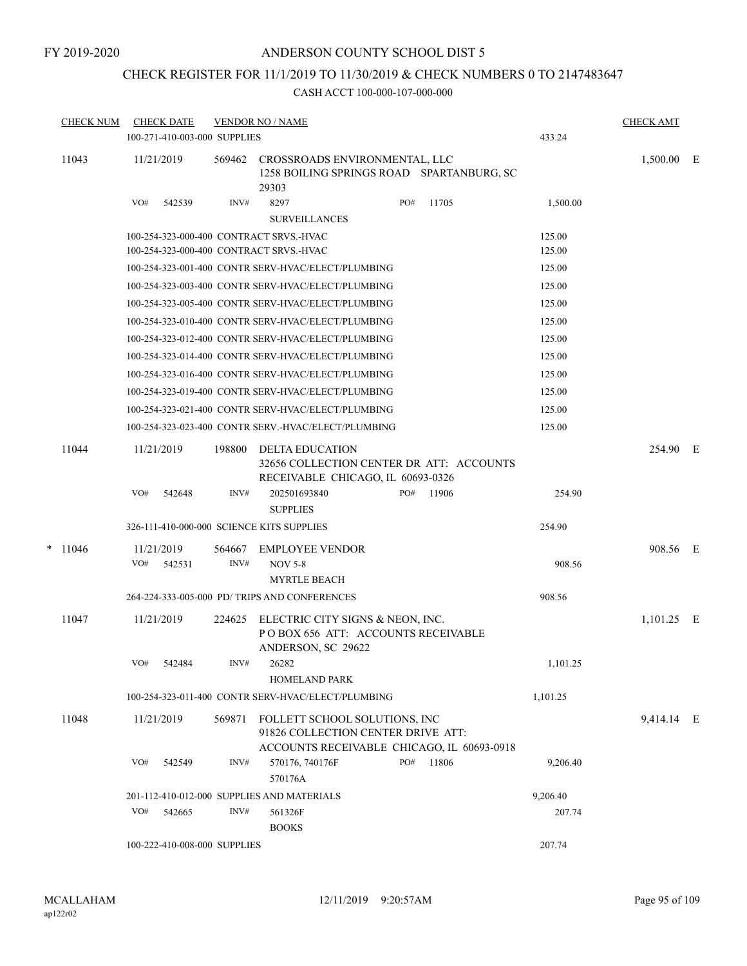# CHECK REGISTER FOR 11/1/2019 TO 11/30/2019 & CHECK NUMBERS 0 TO 2147483647

|       |                             |                  |                                                                                                                 |                                 |                                                                                                                                                                                                                                                                                                                                                                                                                 |                                                                                                                                                                                                                                                                                                                                                                                                                                                                                                                                                                                                                        | 433.24                                                                                                                                                                                                                                  | <b>CHECK AMT</b>                                                                                                                                                                                          |                                                                  |
|-------|-----------------------------|------------------|-----------------------------------------------------------------------------------------------------------------|---------------------------------|-----------------------------------------------------------------------------------------------------------------------------------------------------------------------------------------------------------------------------------------------------------------------------------------------------------------------------------------------------------------------------------------------------------------|------------------------------------------------------------------------------------------------------------------------------------------------------------------------------------------------------------------------------------------------------------------------------------------------------------------------------------------------------------------------------------------------------------------------------------------------------------------------------------------------------------------------------------------------------------------------------------------------------------------------|-----------------------------------------------------------------------------------------------------------------------------------------------------------------------------------------------------------------------------------------|-----------------------------------------------------------------------------------------------------------------------------------------------------------------------------------------------------------|------------------------------------------------------------------|
| 11043 |                             |                  |                                                                                                                 | 29303                           |                                                                                                                                                                                                                                                                                                                                                                                                                 |                                                                                                                                                                                                                                                                                                                                                                                                                                                                                                                                                                                                                        |                                                                                                                                                                                                                                         |                                                                                                                                                                                                           |                                                                  |
|       | VO#                         | 542539           | INV#                                                                                                            | 8297<br><b>SURVEILLANCES</b>    | PO#                                                                                                                                                                                                                                                                                                                                                                                                             | 11705                                                                                                                                                                                                                                                                                                                                                                                                                                                                                                                                                                                                                  | 1,500.00                                                                                                                                                                                                                                |                                                                                                                                                                                                           |                                                                  |
|       |                             |                  |                                                                                                                 |                                 |                                                                                                                                                                                                                                                                                                                                                                                                                 |                                                                                                                                                                                                                                                                                                                                                                                                                                                                                                                                                                                                                        |                                                                                                                                                                                                                                         |                                                                                                                                                                                                           |                                                                  |
|       |                             |                  |                                                                                                                 |                                 |                                                                                                                                                                                                                                                                                                                                                                                                                 |                                                                                                                                                                                                                                                                                                                                                                                                                                                                                                                                                                                                                        | 125.00                                                                                                                                                                                                                                  |                                                                                                                                                                                                           |                                                                  |
|       |                             |                  |                                                                                                                 |                                 |                                                                                                                                                                                                                                                                                                                                                                                                                 |                                                                                                                                                                                                                                                                                                                                                                                                                                                                                                                                                                                                                        | 125.00                                                                                                                                                                                                                                  |                                                                                                                                                                                                           |                                                                  |
|       |                             |                  |                                                                                                                 |                                 |                                                                                                                                                                                                                                                                                                                                                                                                                 |                                                                                                                                                                                                                                                                                                                                                                                                                                                                                                                                                                                                                        | 125.00                                                                                                                                                                                                                                  |                                                                                                                                                                                                           |                                                                  |
|       |                             |                  |                                                                                                                 |                                 |                                                                                                                                                                                                                                                                                                                                                                                                                 |                                                                                                                                                                                                                                                                                                                                                                                                                                                                                                                                                                                                                        | 125.00                                                                                                                                                                                                                                  |                                                                                                                                                                                                           |                                                                  |
|       |                             |                  |                                                                                                                 |                                 |                                                                                                                                                                                                                                                                                                                                                                                                                 |                                                                                                                                                                                                                                                                                                                                                                                                                                                                                                                                                                                                                        | 125.00                                                                                                                                                                                                                                  |                                                                                                                                                                                                           |                                                                  |
|       |                             |                  |                                                                                                                 |                                 |                                                                                                                                                                                                                                                                                                                                                                                                                 |                                                                                                                                                                                                                                                                                                                                                                                                                                                                                                                                                                                                                        | 125.00                                                                                                                                                                                                                                  |                                                                                                                                                                                                           |                                                                  |
|       |                             |                  |                                                                                                                 |                                 |                                                                                                                                                                                                                                                                                                                                                                                                                 |                                                                                                                                                                                                                                                                                                                                                                                                                                                                                                                                                                                                                        |                                                                                                                                                                                                                                         |                                                                                                                                                                                                           |                                                                  |
|       |                             |                  |                                                                                                                 |                                 |                                                                                                                                                                                                                                                                                                                                                                                                                 |                                                                                                                                                                                                                                                                                                                                                                                                                                                                                                                                                                                                                        |                                                                                                                                                                                                                                         |                                                                                                                                                                                                           |                                                                  |
|       |                             |                  |                                                                                                                 |                                 |                                                                                                                                                                                                                                                                                                                                                                                                                 |                                                                                                                                                                                                                                                                                                                                                                                                                                                                                                                                                                                                                        |                                                                                                                                                                                                                                         |                                                                                                                                                                                                           |                                                                  |
|       |                             |                  |                                                                                                                 |                                 |                                                                                                                                                                                                                                                                                                                                                                                                                 |                                                                                                                                                                                                                                                                                                                                                                                                                                                                                                                                                                                                                        |                                                                                                                                                                                                                                         |                                                                                                                                                                                                           |                                                                  |
|       |                             |                  |                                                                                                                 |                                 |                                                                                                                                                                                                                                                                                                                                                                                                                 |                                                                                                                                                                                                                                                                                                                                                                                                                                                                                                                                                                                                                        |                                                                                                                                                                                                                                         |                                                                                                                                                                                                           |                                                                  |
|       |                             |                  |                                                                                                                 |                                 |                                                                                                                                                                                                                                                                                                                                                                                                                 |                                                                                                                                                                                                                                                                                                                                                                                                                                                                                                                                                                                                                        |                                                                                                                                                                                                                                         |                                                                                                                                                                                                           |                                                                  |
|       |                             |                  |                                                                                                                 |                                 |                                                                                                                                                                                                                                                                                                                                                                                                                 |                                                                                                                                                                                                                                                                                                                                                                                                                                                                                                                                                                                                                        |                                                                                                                                                                                                                                         |                                                                                                                                                                                                           |                                                                  |
|       | VO#                         | 542648           | INV#                                                                                                            | 202501693840<br><b>SUPPLIES</b> |                                                                                                                                                                                                                                                                                                                                                                                                                 | 11906                                                                                                                                                                                                                                                                                                                                                                                                                                                                                                                                                                                                                  | 254.90                                                                                                                                                                                                                                  |                                                                                                                                                                                                           |                                                                  |
|       |                             |                  |                                                                                                                 |                                 |                                                                                                                                                                                                                                                                                                                                                                                                                 |                                                                                                                                                                                                                                                                                                                                                                                                                                                                                                                                                                                                                        | 254.90                                                                                                                                                                                                                                  |                                                                                                                                                                                                           |                                                                  |
|       |                             |                  |                                                                                                                 |                                 |                                                                                                                                                                                                                                                                                                                                                                                                                 |                                                                                                                                                                                                                                                                                                                                                                                                                                                                                                                                                                                                                        |                                                                                                                                                                                                                                         |                                                                                                                                                                                                           |                                                                  |
|       | VO#                         |                  | INV#                                                                                                            |                                 |                                                                                                                                                                                                                                                                                                                                                                                                                 |                                                                                                                                                                                                                                                                                                                                                                                                                                                                                                                                                                                                                        |                                                                                                                                                                                                                                         |                                                                                                                                                                                                           |                                                                  |
|       |                             |                  |                                                                                                                 | <b>MYRTLE BEACH</b>             |                                                                                                                                                                                                                                                                                                                                                                                                                 |                                                                                                                                                                                                                                                                                                                                                                                                                                                                                                                                                                                                                        |                                                                                                                                                                                                                                         |                                                                                                                                                                                                           |                                                                  |
|       |                             |                  |                                                                                                                 |                                 |                                                                                                                                                                                                                                                                                                                                                                                                                 |                                                                                                                                                                                                                                                                                                                                                                                                                                                                                                                                                                                                                        | 908.56                                                                                                                                                                                                                                  |                                                                                                                                                                                                           |                                                                  |
| 11047 |                             |                  | 224625                                                                                                          |                                 |                                                                                                                                                                                                                                                                                                                                                                                                                 |                                                                                                                                                                                                                                                                                                                                                                                                                                                                                                                                                                                                                        |                                                                                                                                                                                                                                         |                                                                                                                                                                                                           |                                                                  |
|       |                             |                  |                                                                                                                 | ANDERSON, SC 29622              |                                                                                                                                                                                                                                                                                                                                                                                                                 |                                                                                                                                                                                                                                                                                                                                                                                                                                                                                                                                                                                                                        |                                                                                                                                                                                                                                         |                                                                                                                                                                                                           |                                                                  |
|       |                             |                  |                                                                                                                 |                                 |                                                                                                                                                                                                                                                                                                                                                                                                                 |                                                                                                                                                                                                                                                                                                                                                                                                                                                                                                                                                                                                                        | 1,101.25                                                                                                                                                                                                                                |                                                                                                                                                                                                           |                                                                  |
|       |                             |                  |                                                                                                                 | <b>HOMELAND PARK</b>            |                                                                                                                                                                                                                                                                                                                                                                                                                 |                                                                                                                                                                                                                                                                                                                                                                                                                                                                                                                                                                                                                        |                                                                                                                                                                                                                                         |                                                                                                                                                                                                           |                                                                  |
|       |                             |                  |                                                                                                                 |                                 |                                                                                                                                                                                                                                                                                                                                                                                                                 |                                                                                                                                                                                                                                                                                                                                                                                                                                                                                                                                                                                                                        | 1,101.25                                                                                                                                                                                                                                |                                                                                                                                                                                                           |                                                                  |
|       |                             |                  |                                                                                                                 |                                 |                                                                                                                                                                                                                                                                                                                                                                                                                 |                                                                                                                                                                                                                                                                                                                                                                                                                                                                                                                                                                                                                        |                                                                                                                                                                                                                                         |                                                                                                                                                                                                           |                                                                  |
|       |                             |                  |                                                                                                                 |                                 |                                                                                                                                                                                                                                                                                                                                                                                                                 |                                                                                                                                                                                                                                                                                                                                                                                                                                                                                                                                                                                                                        |                                                                                                                                                                                                                                         |                                                                                                                                                                                                           |                                                                  |
|       | VO#                         | 542549           | INV#                                                                                                            | 570176, 740176F<br>570176A      |                                                                                                                                                                                                                                                                                                                                                                                                                 |                                                                                                                                                                                                                                                                                                                                                                                                                                                                                                                                                                                                                        | 9,206.40                                                                                                                                                                                                                                |                                                                                                                                                                                                           |                                                                  |
|       |                             |                  |                                                                                                                 |                                 |                                                                                                                                                                                                                                                                                                                                                                                                                 |                                                                                                                                                                                                                                                                                                                                                                                                                                                                                                                                                                                                                        | 9,206.40                                                                                                                                                                                                                                |                                                                                                                                                                                                           |                                                                  |
|       | VO#                         | 542665           | INV#                                                                                                            | 561326F<br><b>BOOKS</b>         |                                                                                                                                                                                                                                                                                                                                                                                                                 |                                                                                                                                                                                                                                                                                                                                                                                                                                                                                                                                                                                                                        | 207.74                                                                                                                                                                                                                                  |                                                                                                                                                                                                           |                                                                  |
|       |                             |                  |                                                                                                                 |                                 |                                                                                                                                                                                                                                                                                                                                                                                                                 |                                                                                                                                                                                                                                                                                                                                                                                                                                                                                                                                                                                                                        | 207.74                                                                                                                                                                                                                                  |                                                                                                                                                                                                           |                                                                  |
|       | 11044<br>$*$ 11046<br>11048 | <b>CHECK NUM</b> | <b>CHECK DATE</b><br>11/21/2019<br>11/21/2019<br>11/21/2019<br>542531<br>11/21/2019<br>VO# 542484<br>11/21/2019 | 198800<br>564667<br>569871      | <b>VENDOR NO / NAME</b><br>100-271-410-003-000 SUPPLIES<br>100-254-323-000-400 CONTRACT SRVS.-HVAC<br>100-254-323-000-400 CONTRACT SRVS.-HVAC<br><b>DELTA EDUCATION</b><br>326-111-410-000-000 SCIENCE KITS SUPPLIES<br><b>EMPLOYEE VENDOR</b><br><b>NOV 5-8</b><br>264-224-333-005-000 PD/ TRIPS AND CONFERENCES<br>$INV#$ 26282<br>201-112-410-012-000 SUPPLIES AND MATERIALS<br>100-222-410-008-000 SUPPLIES | 100-254-323-001-400 CONTR SERV-HVAC/ELECT/PLUMBING<br>100-254-323-003-400 CONTR SERV-HVAC/ELECT/PLUMBING<br>100-254-323-005-400 CONTR SERV-HVAC/ELECT/PLUMBING<br>100-254-323-010-400 CONTR SERV-HVAC/ELECT/PLUMBING<br>100-254-323-012-400 CONTR SERV-HVAC/ELECT/PLUMBING<br>100-254-323-014-400 CONTR SERV-HVAC/ELECT/PLUMBING<br>100-254-323-016-400 CONTR SERV-HVAC/ELECT/PLUMBING<br>100-254-323-019-400 CONTR SERV-HVAC/ELECT/PLUMBING<br>100-254-323-021-400 CONTR SERV-HVAC/ELECT/PLUMBING<br>100-254-323-023-400 CONTR SERV.-HVAC/ELECT/PLUMBING<br>PO#<br>100-254-323-011-400 CONTR SERV-HVAC/ELECT/PLUMBING | 569462 CROSSROADS ENVIRONMENTAL, LLC<br>RECEIVABLE CHICAGO, IL 60693-0326<br>ELECTRIC CITY SIGNS & NEON, INC.<br>POBOX 656 ATT: ACCOUNTS RECEIVABLE<br>FOLLETT SCHOOL SOLUTIONS, INC<br>91826 COLLECTION CENTER DRIVE ATT:<br>PO# 11806 | 1258 BOILING SPRINGS ROAD SPARTANBURG, SC<br>125.00<br>125.00<br>125.00<br>125.00<br>125.00<br>125.00<br>32656 COLLECTION CENTER DR ATT: ACCOUNTS<br>908.56<br>ACCOUNTS RECEIVABLE CHICAGO, IL 60693-0918 | 1,500.00 E<br>254.90 E<br>908.56 E<br>$1,101.25$ E<br>9,414.14 E |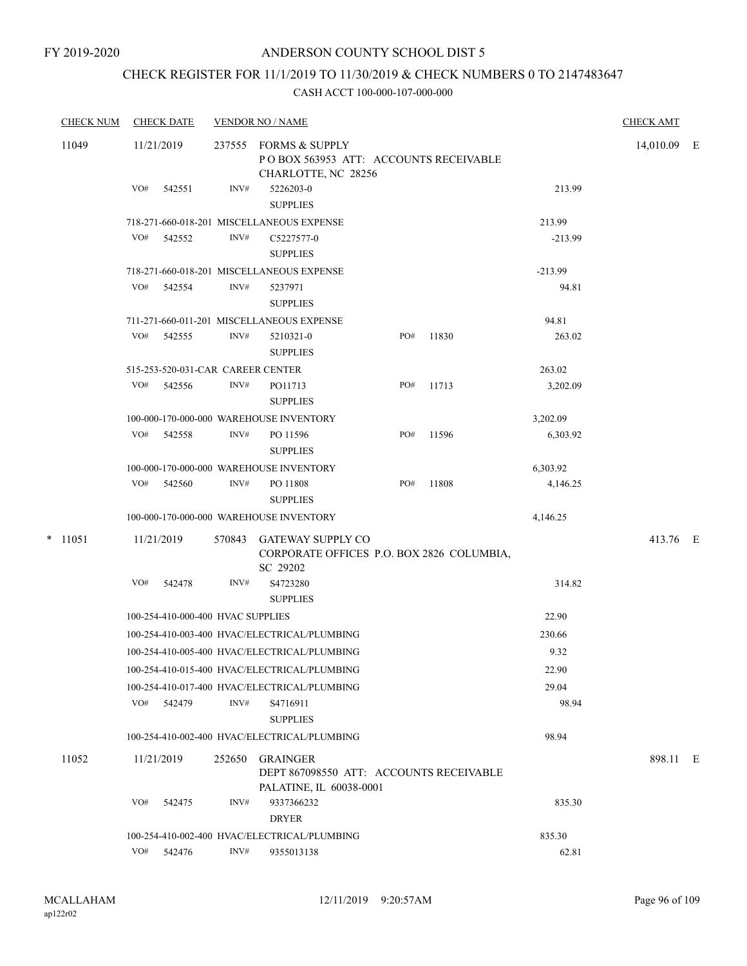# CHECK REGISTER FOR 11/1/2019 TO 11/30/2019 & CHECK NUMBERS 0 TO 2147483647

| <b>CHECK NUM</b> |     | <b>CHECK DATE</b>                 |        | <b>VENDOR NO / NAME</b>                                                               |     |       |           | <b>CHECK AMT</b> |  |
|------------------|-----|-----------------------------------|--------|---------------------------------------------------------------------------------------|-----|-------|-----------|------------------|--|
| 11049            |     | 11/21/2019                        |        | 237555 FORMS & SUPPLY<br>POBOX 563953 ATT: ACCOUNTS RECEIVABLE<br>CHARLOTTE, NC 28256 |     |       |           | 14,010.09 E      |  |
|                  | VO# | 542551                            | INV#   | 5226203-0<br><b>SUPPLIES</b>                                                          |     |       | 213.99    |                  |  |
|                  |     |                                   |        | 718-271-660-018-201 MISCELLANEOUS EXPENSE                                             |     |       | 213.99    |                  |  |
|                  | VO# | 542552                            | INV#   | C5227577-0<br><b>SUPPLIES</b>                                                         |     |       | $-213.99$ |                  |  |
|                  |     |                                   |        | 718-271-660-018-201 MISCELLANEOUS EXPENSE                                             |     |       | $-213.99$ |                  |  |
|                  | VO# | 542554                            | INV#   | 5237971<br><b>SUPPLIES</b>                                                            |     |       | 94.81     |                  |  |
|                  |     |                                   |        | 711-271-660-011-201 MISCELLANEOUS EXPENSE                                             |     |       | 94.81     |                  |  |
|                  | VO# | 542555                            | INV#   | 5210321-0<br><b>SUPPLIES</b>                                                          | PO# | 11830 | 263.02    |                  |  |
|                  |     | 515-253-520-031-CAR CAREER CENTER |        |                                                                                       |     |       | 263.02    |                  |  |
|                  | VO# | 542556                            | INV#   | PO11713<br><b>SUPPLIES</b>                                                            | PO# | 11713 | 3,202.09  |                  |  |
|                  |     |                                   |        | 100-000-170-000-000 WAREHOUSE INVENTORY                                               |     |       | 3,202.09  |                  |  |
|                  | VO# | 542558                            | INV#   | PO 11596<br><b>SUPPLIES</b>                                                           | PO# | 11596 | 6,303.92  |                  |  |
|                  |     |                                   |        | 100-000-170-000-000 WAREHOUSE INVENTORY                                               |     |       | 6,303.92  |                  |  |
|                  | VO# | 542560                            | INV#   | PO 11808<br><b>SUPPLIES</b>                                                           | PO# | 11808 | 4,146.25  |                  |  |
|                  |     |                                   |        | 100-000-170-000-000 WAREHOUSE INVENTORY                                               |     |       | 4,146.25  |                  |  |
| $*$ 11051        |     | 11/21/2019                        |        | 570843 GATEWAY SUPPLY CO<br>CORPORATE OFFICES P.O. BOX 2826 COLUMBIA,<br>SC 29202     |     |       |           | 413.76 E         |  |
|                  | VO# | 542478                            | INV#   | S4723280<br><b>SUPPLIES</b>                                                           |     |       | 314.82    |                  |  |
|                  |     | 100-254-410-000-400 HVAC SUPPLIES |        |                                                                                       |     |       | 22.90     |                  |  |
|                  |     |                                   |        | 100-254-410-003-400 HVAC/ELECTRICAL/PLUMBING                                          |     |       | 230.66    |                  |  |
|                  |     |                                   |        | 100-254-410-005-400 HVAC/ELECTRICAL/PLUMBING                                          |     |       | 9.32      |                  |  |
|                  |     |                                   |        | 100-254-410-015-400 HVAC/ELECTRICAL/PLUMBING                                          |     |       | 22.90     |                  |  |
|                  |     |                                   |        | 100-254-410-017-400 HVAC/ELECTRICAL/PLUMBING                                          |     |       | 29.04     |                  |  |
|                  |     | VO# 542479                        | INV#   | S4716911<br><b>SUPPLIES</b>                                                           |     |       | 98.94     |                  |  |
|                  |     |                                   |        | 100-254-410-002-400 HVAC/ELECTRICAL/PLUMBING                                          |     |       | 98.94     |                  |  |
| 11052            |     | 11/21/2019                        | 252650 | <b>GRAINGER</b><br>DEPT 867098550 ATT: ACCOUNTS RECEIVABLE<br>PALATINE, IL 60038-0001 |     |       |           | 898.11 E         |  |
|                  | VO# | 542475                            | INV#   | 9337366232<br><b>DRYER</b>                                                            |     |       | 835.30    |                  |  |
|                  |     |                                   |        | 100-254-410-002-400 HVAC/ELECTRICAL/PLUMBING                                          |     |       | 835.30    |                  |  |
|                  | VO# | 542476                            | INV#   | 9355013138                                                                            |     |       | 62.81     |                  |  |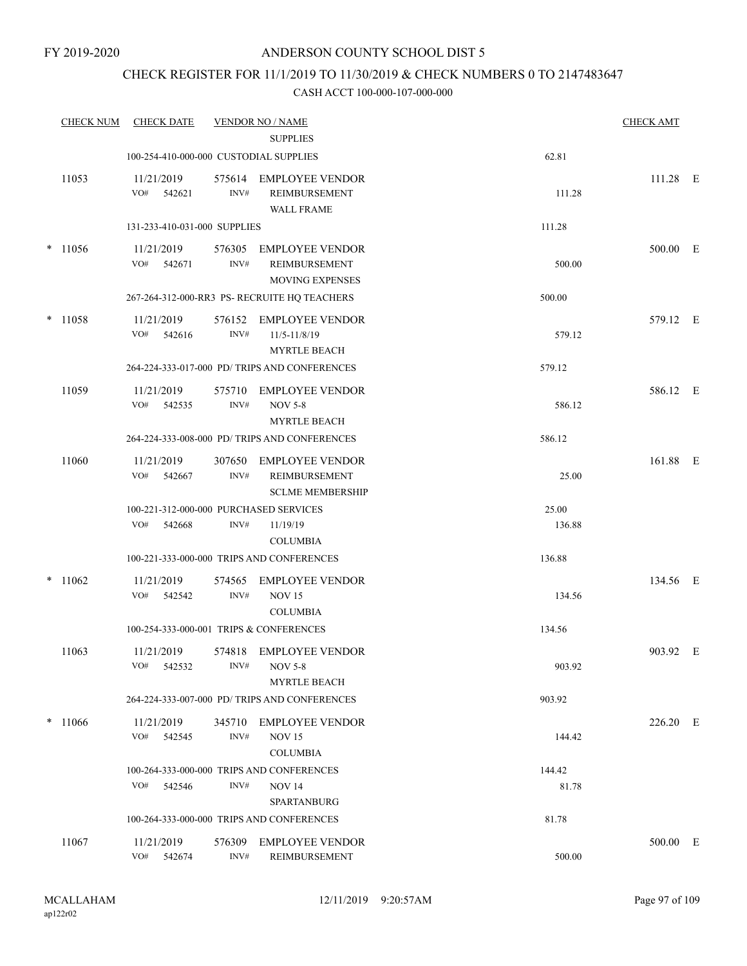### CHECK REGISTER FOR 11/1/2019 TO 11/30/2019 & CHECK NUMBERS 0 TO 2147483647

| <b>CHECK NUM</b> | <b>CHECK DATE</b> |                                                         | <b>VENDOR NO / NAME</b> | <b>CHECK AMT</b>                                                   |                 |          |  |
|------------------|-------------------|---------------------------------------------------------|-------------------------|--------------------------------------------------------------------|-----------------|----------|--|
|                  |                   |                                                         |                         | <b>SUPPLIES</b>                                                    |                 |          |  |
|                  |                   | 100-254-410-000-000 CUSTODIAL SUPPLIES                  |                         |                                                                    | 62.81           |          |  |
|                  | 11053             | 11/21/2019<br>VO#<br>542621                             | 575614<br>INV#          | <b>EMPLOYEE VENDOR</b><br>REIMBURSEMENT<br><b>WALL FRAME</b>       | 111.28          | 111.28 E |  |
|                  |                   | 131-233-410-031-000 SUPPLIES                            |                         |                                                                    | 111.28          |          |  |
|                  | $* 11056$         | 11/21/2019<br>VO#<br>542671                             | 576305<br>INV#          | <b>EMPLOYEE VENDOR</b><br>REIMBURSEMENT<br><b>MOVING EXPENSES</b>  | 500.00          | 500.00 E |  |
|                  |                   |                                                         |                         | 267-264-312-000-RR3 PS- RECRUITE HQ TEACHERS                       | 500.00          |          |  |
|                  | $*$ 11058         | 11/21/2019<br>VO#<br>542616                             | 576152<br>INV#          | <b>EMPLOYEE VENDOR</b><br>11/5-11/8/19<br><b>MYRTLE BEACH</b>      | 579.12          | 579.12 E |  |
|                  |                   |                                                         |                         | 264-224-333-017-000 PD/ TRIPS AND CONFERENCES                      | 579.12          |          |  |
|                  | 11059             | 11/21/2019<br>VO#<br>542535                             | 575710<br>INV#          | <b>EMPLOYEE VENDOR</b><br><b>NOV 5-8</b><br><b>MYRTLE BEACH</b>    | 586.12          | 586.12 E |  |
|                  |                   |                                                         |                         | 264-224-333-008-000 PD/ TRIPS AND CONFERENCES                      | 586.12          |          |  |
|                  | 11060             | 11/21/2019<br>VO#<br>542667                             | 307650<br>INV#          | <b>EMPLOYEE VENDOR</b><br>REIMBURSEMENT<br><b>SCLME MEMBERSHIP</b> | 25.00           | 161.88 E |  |
|                  |                   | 100-221-312-000-000 PURCHASED SERVICES<br>VO#<br>542668 | INV#                    | 11/19/19<br><b>COLUMBIA</b>                                        | 25.00<br>136.88 |          |  |
|                  |                   |                                                         |                         | 100-221-333-000-000 TRIPS AND CONFERENCES                          | 136.88          |          |  |
|                  | $*11062$          | 11/21/2019<br>VO#<br>542542                             | 574565<br>INV#          | <b>EMPLOYEE VENDOR</b><br><b>NOV 15</b><br><b>COLUMBIA</b>         | 134.56          | 134.56 E |  |
|                  |                   | 100-254-333-000-001 TRIPS & CONFERENCES                 |                         |                                                                    | 134.56          |          |  |
|                  | 11063             | 11/21/2019<br>VO#<br>542532                             | INV#                    | 574818 EMPLOYEE VENDOR<br><b>NOV 5-8</b><br><b>MYRTLE BEACH</b>    | 903.92          | 903.92 E |  |
|                  |                   |                                                         |                         | 264-224-333-007-000 PD/ TRIPS AND CONFERENCES                      | 903.92          |          |  |
|                  | $*11066$          | 11/21/2019<br>VO#<br>542545                             | 345710<br>INV#          | <b>EMPLOYEE VENDOR</b><br><b>NOV 15</b><br><b>COLUMBIA</b>         | 144.42          | 226.20 E |  |
|                  |                   |                                                         |                         | 100-264-333-000-000 TRIPS AND CONFERENCES                          | 144.42          |          |  |
|                  |                   | VO#<br>542546                                           | INV#                    | <b>NOV 14</b><br><b>SPARTANBURG</b>                                | 81.78           |          |  |
|                  |                   |                                                         |                         | 100-264-333-000-000 TRIPS AND CONFERENCES                          | 81.78           |          |  |
|                  | 11067             | 11/21/2019<br>VO#<br>542674                             | 576309<br>INV#          | <b>EMPLOYEE VENDOR</b><br>REIMBURSEMENT                            | 500.00          | 500.00 E |  |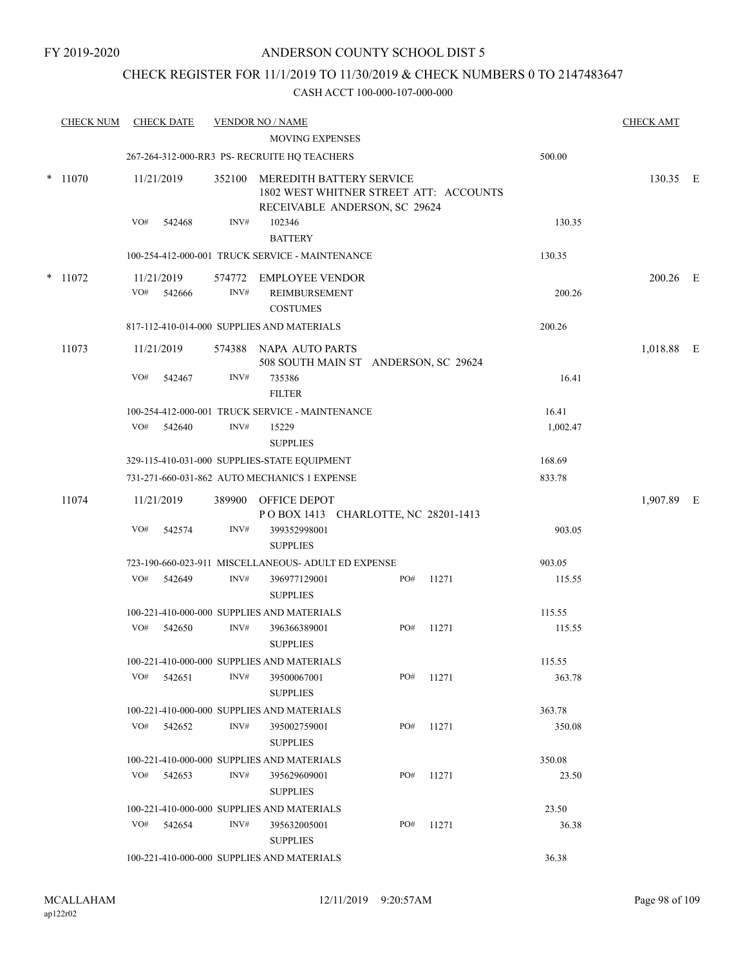## CHECK REGISTER FOR 11/1/2019 TO 11/30/2019 & CHECK NUMBERS 0 TO 2147483647

| <b>CHECK NUM</b> |     | <b>CHECK DATE</b>    |                | <b>VENDOR NO / NAME</b><br><b>MOVING EXPENSES</b>                                                   |     |           |                   | <b>CHECK AMT</b> |  |
|------------------|-----|----------------------|----------------|-----------------------------------------------------------------------------------------------------|-----|-----------|-------------------|------------------|--|
|                  |     |                      |                | 267-264-312-000-RR3 PS- RECRUITE HQ TEACHERS                                                        |     |           | 500.00            |                  |  |
| $*$ 11070        |     | 11/21/2019           | 352100         | MEREDITH BATTERY SERVICE<br>1802 WEST WHITNER STREET ATT: ACCOUNTS<br>RECEIVABLE ANDERSON, SC 29624 |     |           |                   | 130.35 E         |  |
|                  | VO# | 542468               | INV#           | 102346<br><b>BATTERY</b>                                                                            |     |           | 130.35            |                  |  |
|                  |     |                      |                | 100-254-412-000-001 TRUCK SERVICE - MAINTENANCE                                                     |     |           | 130.35            |                  |  |
| $*$ 11072        | VO# | 11/21/2019<br>542666 | 574772<br>INV# | <b>EMPLOYEE VENDOR</b><br><b>REIMBURSEMENT</b><br><b>COSTUMES</b>                                   |     |           | 200.26            | 200.26 E         |  |
|                  |     |                      |                | 817-112-410-014-000 SUPPLIES AND MATERIALS                                                          |     |           | 200.26            |                  |  |
| 11073            |     | 11/21/2019           |                | 574388 NAPA AUTO PARTS<br>508 SOUTH MAIN ST ANDERSON, SC 29624                                      |     |           |                   | 1,018.88 E       |  |
|                  | VO# | 542467               | INV#           | 735386<br><b>FILTER</b>                                                                             |     |           | 16.41             |                  |  |
|                  |     | VO# 542640           | INV#           | 100-254-412-000-001 TRUCK SERVICE - MAINTENANCE<br>15229<br><b>SUPPLIES</b>                         |     |           | 16.41<br>1,002.47 |                  |  |
|                  |     |                      |                | 329-115-410-031-000 SUPPLIES-STATE EQUIPMENT                                                        |     |           | 168.69            |                  |  |
|                  |     |                      |                | 731-271-660-031-862 AUTO MECHANICS 1 EXPENSE                                                        |     |           | 833.78            |                  |  |
| 11074            |     | 11/21/2019           |                | 389900 OFFICE DEPOT<br>POBOX 1413 CHARLOTTE, NC 28201-1413                                          |     |           |                   | 1,907.89 E       |  |
|                  | VO# | 542574               | INV#           | 399352998001<br><b>SUPPLIES</b>                                                                     |     |           | 903.05            |                  |  |
|                  |     |                      |                | 723-190-660-023-911 MISCELLANEOUS- ADULT ED EXPENSE                                                 |     |           | 903.05            |                  |  |
|                  | VO# | 542649               | INV#           | 396977129001<br><b>SUPPLIES</b>                                                                     | PO# | 11271     | 115.55            |                  |  |
|                  |     |                      |                | 100-221-410-000-000 SUPPLIES AND MATERIALS                                                          |     |           | 115.55            |                  |  |
|                  | VO# | 542650               | INV#           | 396366389001<br><b>SUPPLIES</b>                                                                     | PO# | 11271     | 115.55            |                  |  |
|                  |     |                      |                | 100-221-410-000-000 SUPPLIES AND MATERIALS                                                          |     |           | 115.55            |                  |  |
|                  |     | VO# 542651           | INV#           | 39500067001<br><b>SUPPLIES</b>                                                                      |     | PO# 11271 | 363.78            |                  |  |
|                  |     |                      |                | 100-221-410-000-000 SUPPLIES AND MATERIALS                                                          |     |           | 363.78            |                  |  |
|                  |     | VO# 542652           | INV#           | 395002759001<br><b>SUPPLIES</b>                                                                     |     | PO# 11271 | 350.08            |                  |  |
|                  |     |                      |                | 100-221-410-000-000 SUPPLIES AND MATERIALS                                                          |     |           | 350.08            |                  |  |
|                  |     | $VO#$ 542653         | INV#           | 395629609001<br><b>SUPPLIES</b>                                                                     | PO# | 11271     | 23.50             |                  |  |
|                  |     |                      |                | 100-221-410-000-000 SUPPLIES AND MATERIALS                                                          |     |           | 23.50             |                  |  |
|                  |     | VO# 542654           | INV#           | 395632005001<br><b>SUPPLIES</b>                                                                     | PO# | 11271     | 36.38             |                  |  |
|                  |     |                      |                | 100-221-410-000-000 SUPPLIES AND MATERIALS                                                          |     |           | 36.38             |                  |  |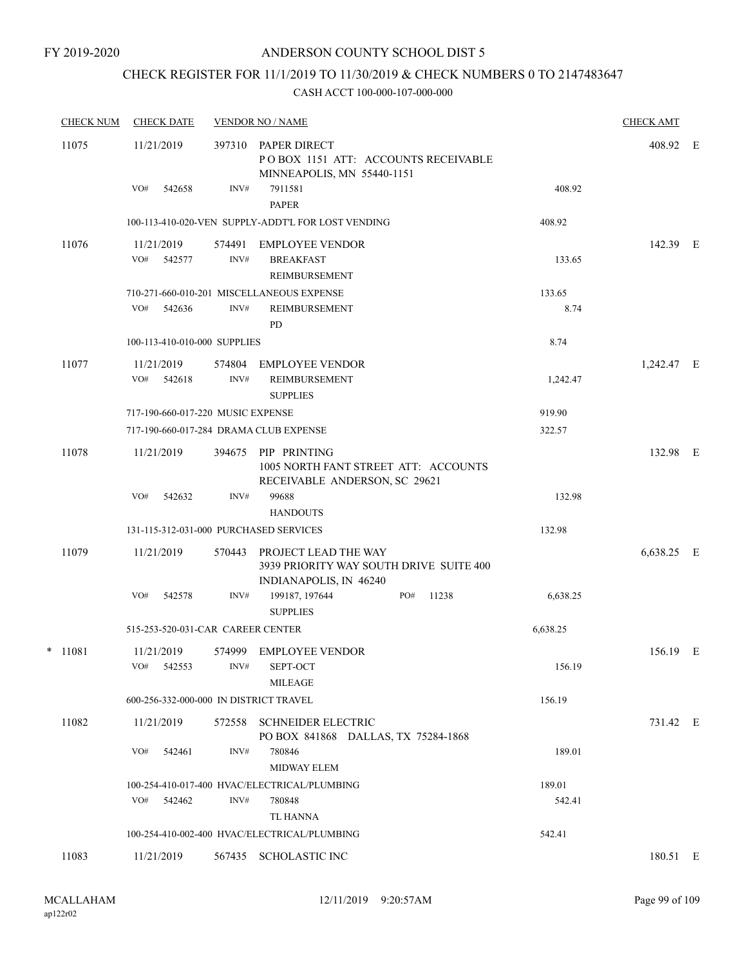# CHECK REGISTER FOR 11/1/2019 TO 11/30/2019 & CHECK NUMBERS 0 TO 2147483647

| <b>CHECK NUM</b> | <b>CHECK DATE</b>                      |                | <b>VENDOR NO / NAME</b>                                                                   |       |                | <b>CHECK AMT</b> |  |
|------------------|----------------------------------------|----------------|-------------------------------------------------------------------------------------------|-------|----------------|------------------|--|
| 11075            | 11/21/2019                             | 397310         | PAPER DIRECT<br>POBOX 1151 ATT: ACCOUNTS RECEIVABLE<br>MINNEAPOLIS, MN 55440-1151         |       |                | 408.92 E         |  |
|                  | VO#<br>542658                          | INV#           | 7911581<br><b>PAPER</b>                                                                   |       | 408.92         |                  |  |
|                  |                                        |                | 100-113-410-020-VEN SUPPLY-ADDT'L FOR LOST VENDING                                        |       | 408.92         |                  |  |
| 11076            | 11/21/2019<br>VO#<br>542577            | INV#           | 574491 EMPLOYEE VENDOR<br><b>BREAKFAST</b><br>REIMBURSEMENT                               |       | 133.65         | 142.39 E         |  |
|                  | VO#<br>542636                          | INV#           | 710-271-660-010-201 MISCELLANEOUS EXPENSE<br><b>REIMBURSEMENT</b><br>PD                   |       | 133.65<br>8.74 |                  |  |
|                  | 100-113-410-010-000 SUPPLIES           |                |                                                                                           |       | 8.74           |                  |  |
| 11077            | 11/21/2019<br>VO#<br>542618            | 574804<br>INV# | EMPLOYEE VENDOR<br><b>REIMBURSEMENT</b><br><b>SUPPLIES</b>                                |       | 1,242.47       | 1,242.47 E       |  |
|                  | 717-190-660-017-220 MUSIC EXPENSE      |                |                                                                                           |       | 919.90         |                  |  |
|                  | 717-190-660-017-284 DRAMA CLUB EXPENSE |                |                                                                                           |       | 322.57         |                  |  |
| 11078            | 11/21/2019                             | 394675         | PIP PRINTING<br>1005 NORTH FANT STREET ATT: ACCOUNTS<br>RECEIVABLE ANDERSON, SC 29621     |       |                | 132.98 E         |  |
|                  | VO#<br>542632                          | INV#           | 99688<br><b>HANDOUTS</b>                                                                  |       | 132.98         |                  |  |
|                  | 131-115-312-031-000 PURCHASED SERVICES |                |                                                                                           |       | 132.98         |                  |  |
| 11079            | 11/21/2019                             | 570443         | PROJECT LEAD THE WAY<br>3939 PRIORITY WAY SOUTH DRIVE SUITE 400<br>INDIANAPOLIS, IN 46240 |       |                | 6,638.25 E       |  |
|                  | VO#<br>542578                          | INV#           | 199187, 197644<br>PO#<br><b>SUPPLIES</b>                                                  | 11238 | 6,638.25       |                  |  |
|                  | 515-253-520-031-CAR CAREER CENTER      |                |                                                                                           |       | 6,638.25       |                  |  |
| $*$ 11081        | 11/21/2019<br>VO#<br>542553            | INV#           | 574999 EMPLOYEE VENDOR<br>SEPT-OCT<br>MILEAGE                                             |       | 156.19         | 156.19 E         |  |
|                  | 600-256-332-000-000 IN DISTRICT TRAVEL |                |                                                                                           |       | 156.19         |                  |  |
| 11082            | 11/21/2019                             | 572558         | <b>SCHNEIDER ELECTRIC</b><br>PO BOX 841868 DALLAS, TX 75284-1868                          |       |                | 731.42 E         |  |
|                  | VO#<br>542461                          | INV#           | 780846<br><b>MIDWAY ELEM</b>                                                              |       | 189.01         |                  |  |
|                  |                                        |                | 100-254-410-017-400 HVAC/ELECTRICAL/PLUMBING                                              |       | 189.01         |                  |  |
|                  | VO#<br>542462                          | INV#           | 780848<br>TL HANNA                                                                        |       | 542.41         |                  |  |
|                  |                                        |                | 100-254-410-002-400 HVAC/ELECTRICAL/PLUMBING                                              |       | 542.41         |                  |  |
| 11083            | 11/21/2019                             | 567435         | <b>SCHOLASTIC INC</b>                                                                     |       |                | 180.51 E         |  |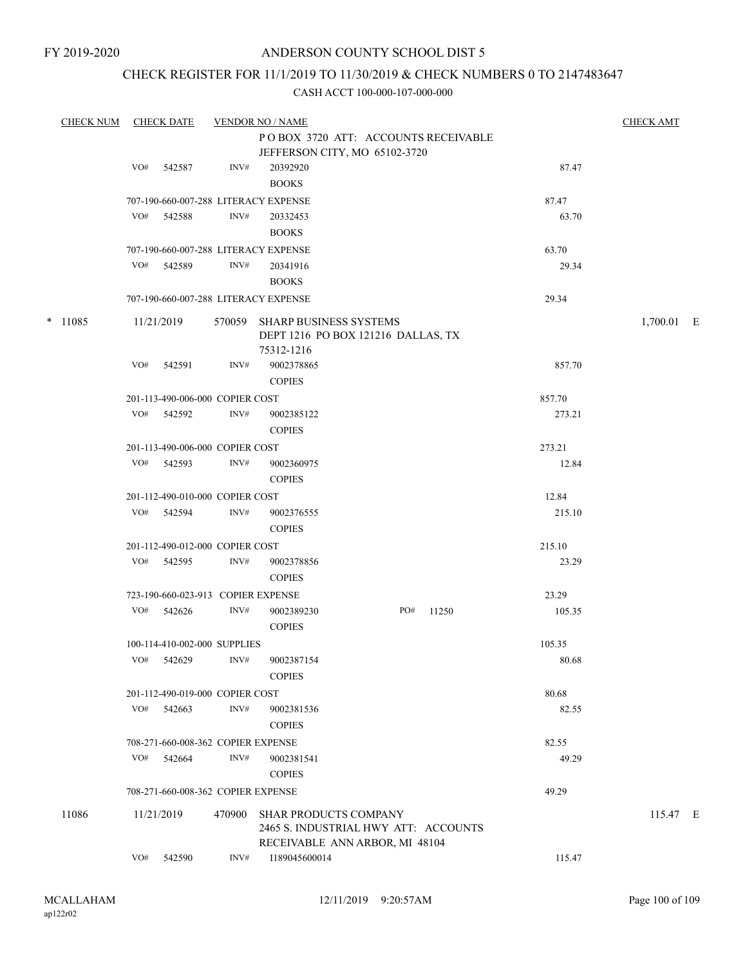### CHECK REGISTER FOR 11/1/2019 TO 11/30/2019 & CHECK NUMBERS 0 TO 2147483647

| <b>CHECK NUM</b> |     | <b>CHECK DATE</b>                  |        | <b>VENDOR NO / NAME</b>                                             |     |       |        | <b>CHECK AMT</b> |  |
|------------------|-----|------------------------------------|--------|---------------------------------------------------------------------|-----|-------|--------|------------------|--|
|                  |     |                                    |        | POBOX 3720 ATT: ACCOUNTS RECEIVABLE                                 |     |       |        |                  |  |
|                  |     |                                    |        | JEFFERSON CITY, MO 65102-3720                                       |     |       |        |                  |  |
|                  | VO# | 542587                             | INV#   | 20392920                                                            |     |       | 87.47  |                  |  |
|                  |     |                                    |        | <b>BOOKS</b>                                                        |     |       |        |                  |  |
|                  |     |                                    |        | 707-190-660-007-288 LITERACY EXPENSE                                |     |       | 87.47  |                  |  |
|                  | VO# | 542588                             | INV#   | 20332453                                                            |     |       | 63.70  |                  |  |
|                  |     |                                    |        | <b>BOOKS</b>                                                        |     |       |        |                  |  |
|                  |     |                                    |        | 707-190-660-007-288 LITERACY EXPENSE                                |     |       | 63.70  |                  |  |
|                  | VO# | 542589                             | INV#   | 20341916                                                            |     |       | 29.34  |                  |  |
|                  |     |                                    |        | <b>BOOKS</b>                                                        |     |       |        |                  |  |
|                  |     |                                    |        | 707-190-660-007-288 LITERACY EXPENSE                                |     |       | 29.34  |                  |  |
|                  |     |                                    |        |                                                                     |     |       |        |                  |  |
| $*$ 11085        |     | 11/21/2019                         |        | 570059 SHARP BUSINESS SYSTEMS<br>DEPT 1216 PO BOX 121216 DALLAS, TX |     |       |        | 1,700.01 E       |  |
|                  |     |                                    |        | 75312-1216                                                          |     |       |        |                  |  |
|                  | VO# | 542591                             | INV#   | 9002378865                                                          |     |       | 857.70 |                  |  |
|                  |     |                                    |        | <b>COPIES</b>                                                       |     |       |        |                  |  |
|                  |     | 201-113-490-006-000 COPIER COST    |        |                                                                     |     |       | 857.70 |                  |  |
|                  |     | VO# 542592                         | INV#   | 9002385122                                                          |     |       | 273.21 |                  |  |
|                  |     |                                    |        | <b>COPIES</b>                                                       |     |       |        |                  |  |
|                  |     | 201-113-490-006-000 COPIER COST    |        |                                                                     |     |       | 273.21 |                  |  |
|                  |     | VO# 542593                         | INV#   | 9002360975                                                          |     |       | 12.84  |                  |  |
|                  |     |                                    |        | <b>COPIES</b>                                                       |     |       |        |                  |  |
|                  |     |                                    |        |                                                                     |     |       |        |                  |  |
|                  | VO# | 201-112-490-010-000 COPIER COST    |        |                                                                     |     |       | 12.84  |                  |  |
|                  |     | 542594                             | INV#   | 9002376555<br><b>COPIES</b>                                         |     |       | 215.10 |                  |  |
|                  |     | 201-112-490-012-000 COPIER COST    |        |                                                                     |     |       | 215.10 |                  |  |
|                  |     | VO# 542595                         | INV#   | 9002378856                                                          |     |       | 23.29  |                  |  |
|                  |     |                                    |        | <b>COPIES</b>                                                       |     |       |        |                  |  |
|                  |     | 723-190-660-023-913 COPIER EXPENSE |        |                                                                     |     |       | 23.29  |                  |  |
|                  | VO# | 542626                             | INV#   | 9002389230                                                          | PO# | 11250 | 105.35 |                  |  |
|                  |     |                                    |        | <b>COPIES</b>                                                       |     |       |        |                  |  |
|                  |     | 100-114-410-002-000 SUPPLIES       |        |                                                                     |     |       | 105.35 |                  |  |
|                  |     | VO# 542629                         | INV#   | 9002387154                                                          |     |       | 80.68  |                  |  |
|                  |     |                                    |        | <b>COPIES</b>                                                       |     |       |        |                  |  |
|                  |     | 201-112-490-019-000 COPIER COST    |        |                                                                     |     |       | 80.68  |                  |  |
|                  | VO# | 542663                             | INV#   | 9002381536                                                          |     |       | 82.55  |                  |  |
|                  |     |                                    |        | <b>COPIES</b>                                                       |     |       |        |                  |  |
|                  |     | 708-271-660-008-362 COPIER EXPENSE |        |                                                                     |     |       | 82.55  |                  |  |
|                  | VO# | 542664                             | INV#   | 9002381541                                                          |     |       | 49.29  |                  |  |
|                  |     |                                    |        | <b>COPIES</b>                                                       |     |       |        |                  |  |
|                  |     | 708-271-660-008-362 COPIER EXPENSE |        |                                                                     |     |       | 49.29  |                  |  |
| 11086            |     | 11/21/2019                         | 470900 | <b>SHAR PRODUCTS COMPANY</b>                                        |     |       |        | 115.47 E         |  |
|                  |     |                                    |        | 2465 S. INDUSTRIAL HWY ATT: ACCOUNTS                                |     |       |        |                  |  |
|                  |     |                                    |        | RECEIVABLE ANN ARBOR, MI 48104                                      |     |       |        |                  |  |
|                  | VO# | 542590                             | INV#   | I189045600014                                                       |     |       | 115.47 |                  |  |
|                  |     |                                    |        |                                                                     |     |       |        |                  |  |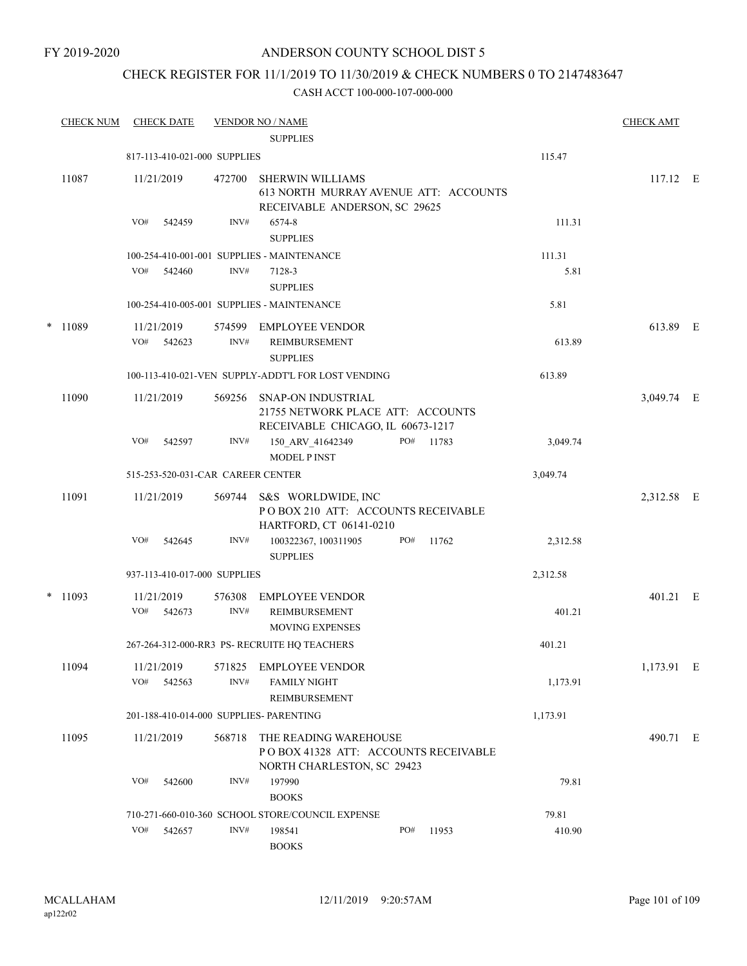FY 2019-2020

### ANDERSON COUNTY SCHOOL DIST 5

### CHECK REGISTER FOR 11/1/2019 TO 11/30/2019 & CHECK NUMBERS 0 TO 2147483647

|   | <b>CHECK NUM</b> | <b>CHECK DATE</b>                       |                | <b>VENDOR NO / NAME</b><br><b>SUPPLIES</b>                                                        |     |       |                | <b>CHECK AMT</b> |  |
|---|------------------|-----------------------------------------|----------------|---------------------------------------------------------------------------------------------------|-----|-------|----------------|------------------|--|
|   |                  | 817-113-410-021-000 SUPPLIES            |                |                                                                                                   |     |       | 115.47         |                  |  |
|   | 11087            | 11/21/2019                              | 472700         | <b>SHERWIN WILLIAMS</b><br>613 NORTH MURRAY AVENUE ATT: ACCOUNTS<br>RECEIVABLE ANDERSON, SC 29625 |     |       |                | 117.12 E         |  |
|   |                  | VO#<br>542459                           | INV#           | 6574-8<br><b>SUPPLIES</b>                                                                         |     |       | 111.31         |                  |  |
|   |                  | VO#<br>542460                           | INV#           | 100-254-410-001-001 SUPPLIES - MAINTENANCE<br>7128-3<br><b>SUPPLIES</b>                           |     |       | 111.31<br>5.81 |                  |  |
|   |                  |                                         |                | 100-254-410-005-001 SUPPLIES - MAINTENANCE                                                        |     |       | 5.81           |                  |  |
| * | 11089            | 11/21/2019<br>VO# 542623                | INV#           | 574599 EMPLOYEE VENDOR<br>REIMBURSEMENT<br><b>SUPPLIES</b>                                        |     |       | 613.89         | 613.89 E         |  |
|   |                  |                                         |                | 100-113-410-021-VEN SUPPLY-ADDT'L FOR LOST VENDING                                                |     |       | 613.89         |                  |  |
|   | 11090            | 11/21/2019                              | 569256         | SNAP-ON INDUSTRIAL<br>21755 NETWORK PLACE ATT: ACCOUNTS<br>RECEIVABLE CHICAGO, IL 60673-1217      |     |       |                | 3,049.74 E       |  |
|   |                  | VO#<br>542597                           | INV#           | 150_ARV_41642349<br>MODEL PINST                                                                   | PO# | 11783 | 3,049.74       |                  |  |
|   |                  | 515-253-520-031-CAR CAREER CENTER       |                |                                                                                                   |     |       | 3,049.74       |                  |  |
|   | 11091            | 11/21/2019                              | 569744         | S&S WORLDWIDE, INC<br>POBOX 210 ATT: ACCOUNTS RECEIVABLE<br>HARTFORD, CT 06141-0210               |     |       |                | 2,312.58 E       |  |
|   |                  | VO#<br>542645                           | INV#           | 100322367, 100311905<br><b>SUPPLIES</b>                                                           | PO# | 11762 | 2,312.58       |                  |  |
|   |                  | 937-113-410-017-000 SUPPLIES            |                |                                                                                                   |     |       | 2,312.58       |                  |  |
|   | $*$ 11093        | 11/21/2019<br>VO#<br>542673             | 576308<br>INV# | <b>EMPLOYEE VENDOR</b><br>REIMBURSEMENT<br><b>MOVING EXPENSES</b>                                 |     |       | 401.21         | 401.21 E         |  |
|   |                  |                                         |                | 267-264-312-000-RR3 PS- RECRUITE HQ TEACHERS                                                      |     |       | 401.21         |                  |  |
|   | 11094            | 11/21/2019<br>VO#<br>542563             | 571825<br>INV# | <b>EMPLOYEE VENDOR</b><br><b>FAMILY NIGHT</b><br><b>REIMBURSEMENT</b>                             |     |       | 1,173.91       | 1,173.91 E       |  |
|   |                  | 201-188-410-014-000 SUPPLIES- PARENTING |                |                                                                                                   |     |       | 1,173.91       |                  |  |
|   | 11095            | 11/21/2019                              | 568718         | THE READING WAREHOUSE<br>PO BOX 41328 ATT: ACCOUNTS RECEIVABLE<br>NORTH CHARLESTON, SC 29423      |     |       |                | 490.71 E         |  |
|   |                  | VO#<br>542600                           | INV#           | 197990<br><b>BOOKS</b>                                                                            |     |       | 79.81          |                  |  |
|   |                  |                                         |                | 710-271-660-010-360 SCHOOL STORE/COUNCIL EXPENSE                                                  |     |       | 79.81          |                  |  |
|   |                  | VO#<br>542657                           | INV#           | 198541<br><b>BOOKS</b>                                                                            | PO# | 11953 | 410.90         |                  |  |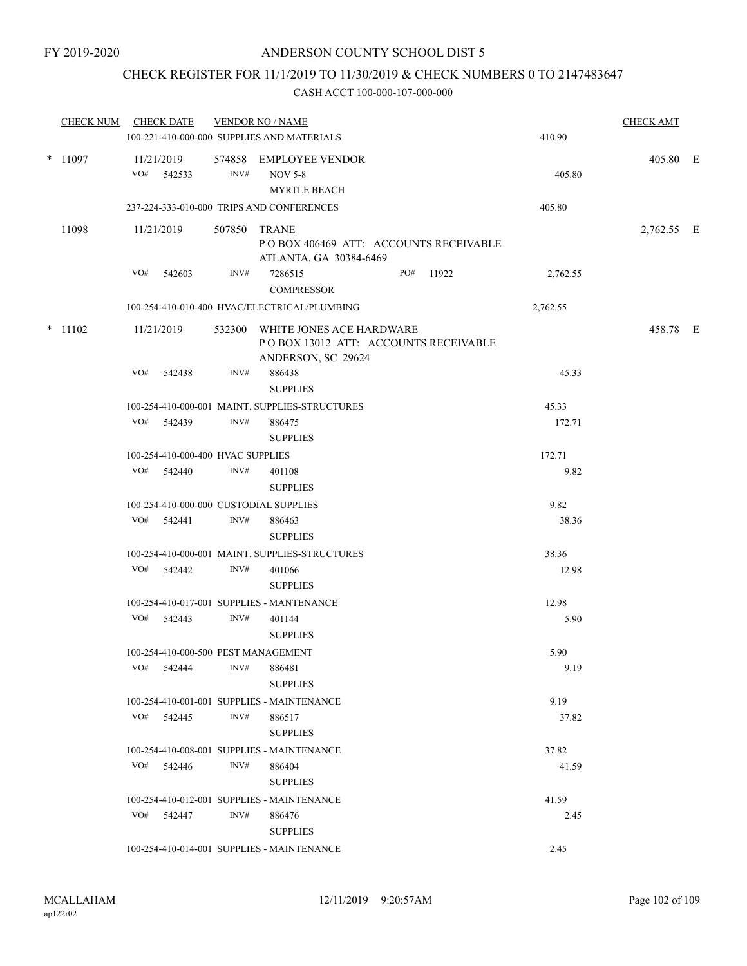## CHECK REGISTER FOR 11/1/2019 TO 11/30/2019 & CHECK NUMBERS 0 TO 2147483647

|  |           | CHECK NUM CHECK DATE                       |              | <b>VENDOR NO / NAME</b><br>100-221-410-000-000 SUPPLIES AND MATERIALS                         |           | 410.90   | <b>CHECK AMT</b> |  |
|--|-----------|--------------------------------------------|--------------|-----------------------------------------------------------------------------------------------|-----------|----------|------------------|--|
|  | $*$ 11097 | 11/21/2019<br>VO# 542533                   | INV#         | 574858 EMPLOYEE VENDOR<br><b>NOV 5-8</b><br><b>MYRTLE BEACH</b>                               |           | 405.80   | 405.80 E         |  |
|  |           | 237-224-333-010-000 TRIPS AND CONFERENCES  |              |                                                                                               |           | 405.80   |                  |  |
|  | 11098     | 11/21/2019                                 | 507850 TRANE | POBOX 406469 ATT: ACCOUNTS RECEIVABLE<br>ATLANTA, GA 30384-6469                               |           |          | 2,762.55 E       |  |
|  |           | VO#<br>542603                              | INV#         | 7286515<br><b>COMPRESSOR</b>                                                                  | PO# 11922 | 2,762.55 |                  |  |
|  |           |                                            |              | 100-254-410-010-400 HVAC/ELECTRICAL/PLUMBING                                                  |           | 2,762.55 |                  |  |
|  | $*$ 11102 | 11/21/2019                                 |              | 532300 WHITE JONES ACE HARDWARE<br>POBOX 13012 ATT: ACCOUNTS RECEIVABLE<br>ANDERSON, SC 29624 |           |          | 458.78 E         |  |
|  |           | VO#<br>542438                              | INV#         | 886438<br><b>SUPPLIES</b>                                                                     |           | 45.33    |                  |  |
|  |           |                                            |              | 100-254-410-000-001 MAINT. SUPPLIES-STRUCTURES                                                |           | 45.33    |                  |  |
|  |           | VO# 542439                                 | INV#         | 886475<br><b>SUPPLIES</b>                                                                     |           | 172.71   |                  |  |
|  |           | 100-254-410-000-400 HVAC SUPPLIES          |              |                                                                                               |           | 172.71   |                  |  |
|  |           | VO# 542440                                 | INV#         | 401108<br><b>SUPPLIES</b>                                                                     |           | 9.82     |                  |  |
|  |           | 100-254-410-000-000 CUSTODIAL SUPPLIES     |              |                                                                                               |           | 9.82     |                  |  |
|  |           | VO# 542441                                 | INV#         | 886463<br><b>SUPPLIES</b>                                                                     |           | 38.36    |                  |  |
|  |           |                                            |              | 100-254-410-000-001 MAINT. SUPPLIES-STRUCTURES                                                |           | 38.36    |                  |  |
|  |           | VO# 542442                                 | INV#         | 401066<br><b>SUPPLIES</b>                                                                     |           | 12.98    |                  |  |
|  |           | 100-254-410-017-001 SUPPLIES - MANTENANCE  |              |                                                                                               |           | 12.98    |                  |  |
|  |           | VO# 542443                                 | INV#         | 401144<br><b>SUPPLIES</b>                                                                     |           | 5.90     |                  |  |
|  |           | 100-254-410-000-500 PEST MANAGEMENT        |              |                                                                                               |           | 5.90     |                  |  |
|  |           | 542444<br>VO#                              | INV#         | 886481<br><b>SUPPLIES</b>                                                                     |           | 9.19     |                  |  |
|  |           | 100-254-410-001-001 SUPPLIES - MAINTENANCE |              |                                                                                               |           | 9.19     |                  |  |
|  |           | VO# 542445                                 | INV#         | 886517<br><b>SUPPLIES</b>                                                                     |           | 37.82    |                  |  |
|  |           | 100-254-410-008-001 SUPPLIES - MAINTENANCE |              |                                                                                               |           | 37.82    |                  |  |
|  |           | VO#<br>542446                              | INV#         | 886404<br><b>SUPPLIES</b>                                                                     |           | 41.59    |                  |  |
|  |           |                                            |              | 100-254-410-012-001 SUPPLIES - MAINTENANCE                                                    |           | 41.59    |                  |  |
|  |           | VO# 542447                                 | INV#         | 886476<br><b>SUPPLIES</b>                                                                     |           | 2.45     |                  |  |
|  |           | 100-254-410-014-001 SUPPLIES - MAINTENANCE |              |                                                                                               |           | 2.45     |                  |  |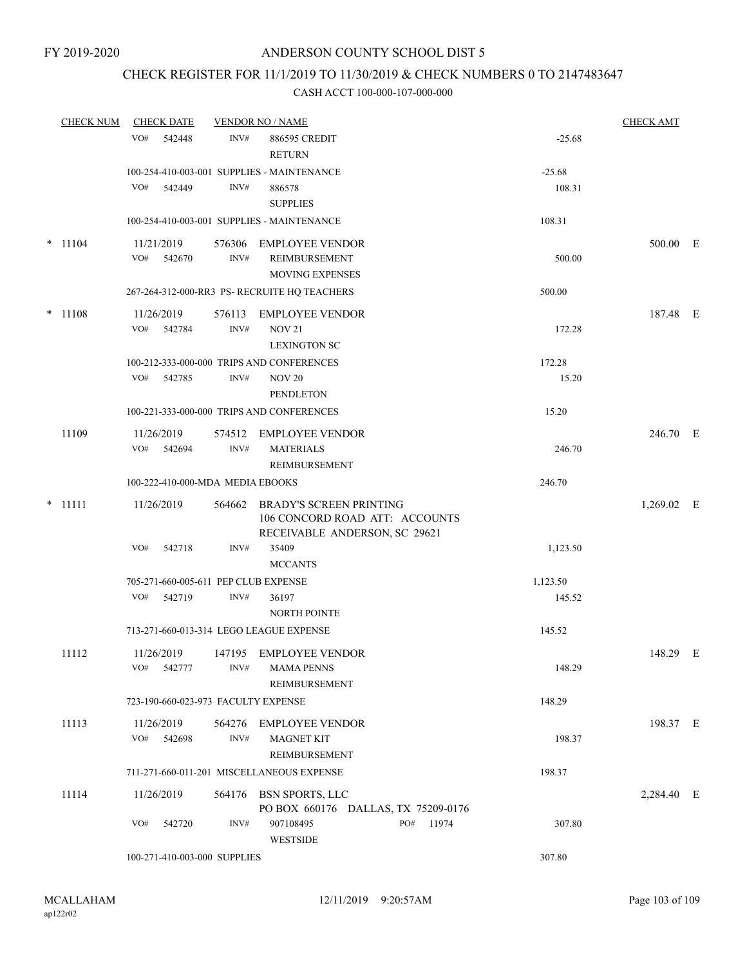### CHECK REGISTER FOR 11/1/2019 TO 11/30/2019 & CHECK NUMBERS 0 TO 2147483647

|  | <b>CHECK NUM</b> |                   | <b>CHECK DATE</b> |                                  | <b>VENDOR NO / NAME</b>                                                                           |              |                 | <b>CHECK AMT</b> |  |
|--|------------------|-------------------|-------------------|----------------------------------|---------------------------------------------------------------------------------------------------|--------------|-----------------|------------------|--|
|  | VO#              | 542448            | INV#              | 886595 CREDIT<br><b>RETURN</b>   |                                                                                                   | $-25.68$     |                 |                  |  |
|  |                  |                   |                   |                                  | 100-254-410-003-001 SUPPLIES - MAINTENANCE                                                        |              | $-25.68$        |                  |  |
|  |                  | VO#               | 542449            | INV#                             | 886578<br><b>SUPPLIES</b>                                                                         |              | 108.31          |                  |  |
|  |                  |                   |                   |                                  | 100-254-410-003-001 SUPPLIES - MAINTENANCE                                                        |              | 108.31          |                  |  |
|  | $*$ 11104        | 11/21/2019<br>VO# | 542670            | INV#                             | 576306 EMPLOYEE VENDOR<br>REIMBURSEMENT<br><b>MOVING EXPENSES</b>                                 |              | 500.00          | 500.00 E         |  |
|  |                  |                   |                   |                                  | 267-264-312-000-RR3 PS- RECRUITE HO TEACHERS                                                      |              | 500.00          |                  |  |
|  | $*$ 11108        | 11/26/2019<br>VO# | 542784            | 576113<br>INV#                   | <b>EMPLOYEE VENDOR</b><br><b>NOV 21</b><br><b>LEXINGTON SC</b>                                    |              | 172.28          | 187.48 E         |  |
|  |                  | VO#               | 542785            | INV#                             | 100-212-333-000-000 TRIPS AND CONFERENCES<br><b>NOV 20</b><br><b>PENDLETON</b>                    |              | 172.28<br>15.20 |                  |  |
|  |                  |                   |                   |                                  | 100-221-333-000-000 TRIPS AND CONFERENCES                                                         |              | 15.20           |                  |  |
|  | 11109            | 11/26/2019<br>VO# | 542694            | INV#                             | 574512 EMPLOYEE VENDOR<br><b>MATERIALS</b><br>REIMBURSEMENT                                       |              | 246.70          | 246.70 E         |  |
|  |                  |                   |                   | 100-222-410-000-MDA MEDIA EBOOKS |                                                                                                   |              | 246.70          |                  |  |
|  | $*$ 11111        | 11/26/2019        |                   | 564662                           | <b>BRADY'S SCREEN PRINTING</b><br>106 CONCORD ROAD ATT: ACCOUNTS<br>RECEIVABLE ANDERSON, SC 29621 |              |                 | $1,269.02$ E     |  |
|  |                  | VO#               | 542718            | INV#                             | 35409<br><b>MCCANTS</b>                                                                           |              | 1,123.50        |                  |  |
|  |                  |                   |                   |                                  | 705-271-660-005-611 PEP CLUB EXPENSE                                                              |              | 1,123.50        |                  |  |
|  |                  | VO#               | 542719            | INV#                             | 36197<br><b>NORTH POINTE</b>                                                                      |              | 145.52          |                  |  |
|  |                  |                   |                   |                                  | 713-271-660-013-314 LEGO LEAGUE EXPENSE                                                           |              | 145.52          |                  |  |
|  | 11112            | 11/26/2019<br>VO# | 542777            | INV#                             | 147195 EMPLOYEE VENDOR<br><b>MAMA PENNS</b><br>REIMBURSEMENT                                      |              | 148.29          | 148.29 E         |  |
|  |                  |                   |                   |                                  | 723-190-660-023-973 FACULTY EXPENSE                                                               |              | 148.29          |                  |  |
|  | 11113            | 11/26/2019<br>VO# | 542698            | 564276<br>INV#                   | <b>EMPLOYEE VENDOR</b><br><b>MAGNET KIT</b><br>REIMBURSEMENT                                      |              | 198.37          | 198.37 E         |  |
|  |                  |                   |                   |                                  | 711-271-660-011-201 MISCELLANEOUS EXPENSE                                                         |              | 198.37          |                  |  |
|  | 11114            | 11/26/2019        |                   |                                  | 564176 BSN SPORTS, LLC<br>PO BOX 660176 DALLAS, TX 75209-0176                                     |              |                 | 2,284.40 E       |  |
|  |                  | VO#               | 542720            | INV#                             | 907108495<br><b>WESTSIDE</b>                                                                      | PO#<br>11974 | 307.80          |                  |  |
|  |                  |                   |                   | 100-271-410-003-000 SUPPLIES     |                                                                                                   |              | 307.80          |                  |  |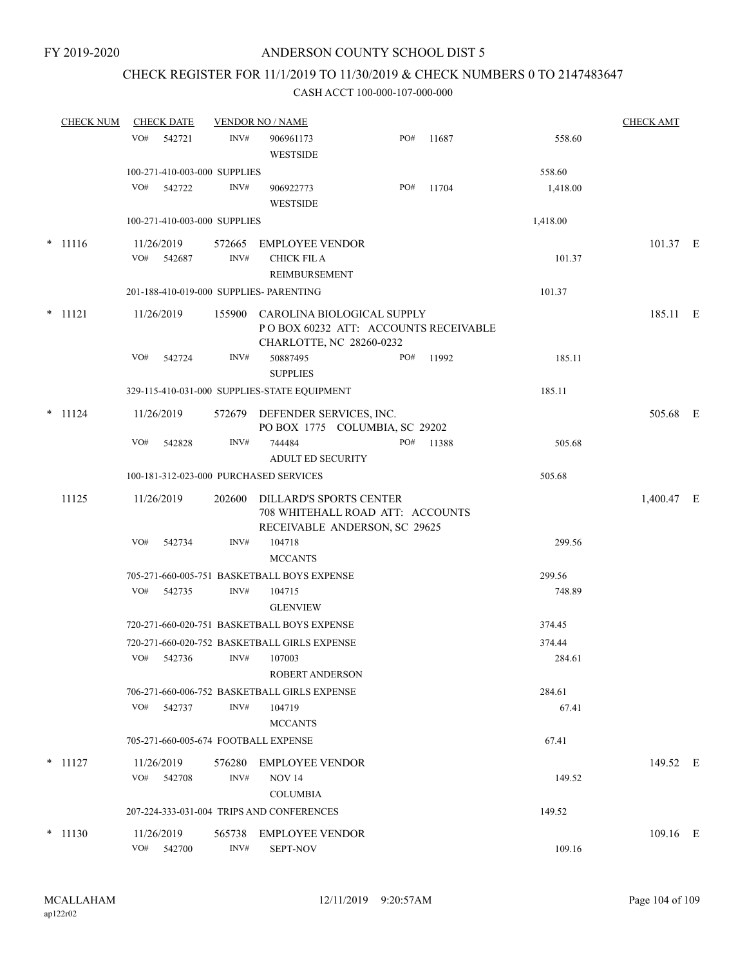### CHECK REGISTER FOR 11/1/2019 TO 11/30/2019 & CHECK NUMBERS 0 TO 2147483647

| <b>CHECK NUM</b> | <b>CHECK DATE</b> |                                         | <b>VENDOR NO / NAME</b>                      |                                                                                                       |           |          | <b>CHECK AMT</b> |  |
|------------------|-------------------|-----------------------------------------|----------------------------------------------|-------------------------------------------------------------------------------------------------------|-----------|----------|------------------|--|
|                  | VO#<br>542721     | INV#                                    | 906961173<br><b>WESTSIDE</b>                 | PO#                                                                                                   | 11687     | 558.60   |                  |  |
|                  |                   | 100-271-410-003-000 SUPPLIES            |                                              |                                                                                                       |           | 558.60   |                  |  |
|                  | VO#               | 542722<br>INV#                          | 906922773<br><b>WESTSIDE</b>                 | PO#                                                                                                   | 11704     | 1,418.00 |                  |  |
|                  |                   | 100-271-410-003-000 SUPPLIES            |                                              |                                                                                                       |           | 1,418.00 |                  |  |
| $* 11116$        | 11/26/2019        |                                         | 572665 EMPLOYEE VENDOR                       |                                                                                                       |           |          | 101.37 E         |  |
|                  | VO#<br>542687     | INV#                                    | <b>CHICK FIL A</b><br>REIMBURSEMENT          |                                                                                                       |           | 101.37   |                  |  |
|                  |                   | 201-188-410-019-000 SUPPLIES- PARENTING |                                              |                                                                                                       |           | 101.37   |                  |  |
| $*$ 11121        | 11/26/2019        |                                         |                                              | 155900 CAROLINA BIOLOGICAL SUPPLY<br>POBOX 60232 ATT: ACCOUNTS RECEIVABLE<br>CHARLOTTE, NC 28260-0232 |           |          | 185.11 E         |  |
|                  | VO#<br>542724     | INV#                                    | 50887495<br><b>SUPPLIES</b>                  | PO#                                                                                                   | 11992     | 185.11   |                  |  |
|                  |                   |                                         | 329-115-410-031-000 SUPPLIES-STATE EQUIPMENT |                                                                                                       |           | 185.11   |                  |  |
| $*$ 11124        | 11/26/2019        |                                         | 572679 DEFENDER SERVICES, INC.               | PO BOX 1775 COLUMBIA, SC 29202                                                                        |           |          | 505.68 E         |  |
|                  | VO#<br>542828     | INV#                                    | 744484<br><b>ADULT ED SECURITY</b>           |                                                                                                       | PO# 11388 | 505.68   |                  |  |
|                  |                   | 100-181-312-023-000 PURCHASED SERVICES  |                                              |                                                                                                       |           | 505.68   |                  |  |
| 11125            | 11/26/2019        | 202600                                  |                                              | DILLARD'S SPORTS CENTER<br>708 WHITEHALL ROAD ATT: ACCOUNTS<br>RECEIVABLE ANDERSON, SC 29625          |           |          | 1,400.47 E       |  |
|                  | VO#               | 542734<br>INV#                          | 104718<br><b>MCCANTS</b>                     |                                                                                                       |           | 299.56   |                  |  |
|                  |                   |                                         | 705-271-660-005-751 BASKETBALL BOYS EXPENSE  |                                                                                                       |           | 299.56   |                  |  |
|                  | VO#               | 542735<br>INV#                          | 104715<br><b>GLENVIEW</b>                    |                                                                                                       |           | 748.89   |                  |  |
|                  |                   |                                         | 720-271-660-020-751 BASKETBALL BOYS EXPENSE  |                                                                                                       |           | 374.45   |                  |  |
|                  |                   |                                         | 720-271-660-020-752 BASKETBALL GIRLS EXPENSE |                                                                                                       |           | 374.44   |                  |  |
|                  | VO#<br>542736     | INV#                                    | 107003<br>ROBERT ANDERSON                    |                                                                                                       |           | 284.61   |                  |  |
|                  |                   |                                         | 706-271-660-006-752 BASKETBALL GIRLS EXPENSE |                                                                                                       |           | 284.61   |                  |  |
|                  | VO#               | INV#<br>542737                          | 104719<br><b>MCCANTS</b>                     |                                                                                                       |           | 67.41    |                  |  |
|                  |                   | 705-271-660-005-674 FOOTBALL EXPENSE    |                                              |                                                                                                       |           | 67.41    |                  |  |
| $*$ 11127        | 11/26/2019        | 576280                                  | <b>EMPLOYEE VENDOR</b>                       |                                                                                                       |           |          | 149.52 E         |  |
|                  | VO#<br>542708     | INV#                                    | <b>NOV 14</b><br><b>COLUMBIA</b>             |                                                                                                       |           | 149.52   |                  |  |
|                  |                   |                                         | 207-224-333-031-004 TRIPS AND CONFERENCES    |                                                                                                       |           | 149.52   |                  |  |
| $*$ 11130        | 11/26/2019        | 565738                                  | <b>EMPLOYEE VENDOR</b>                       |                                                                                                       |           |          | $109.16$ E       |  |
|                  | VO#<br>542700     | INV#                                    | <b>SEPT-NOV</b>                              |                                                                                                       |           | 109.16   |                  |  |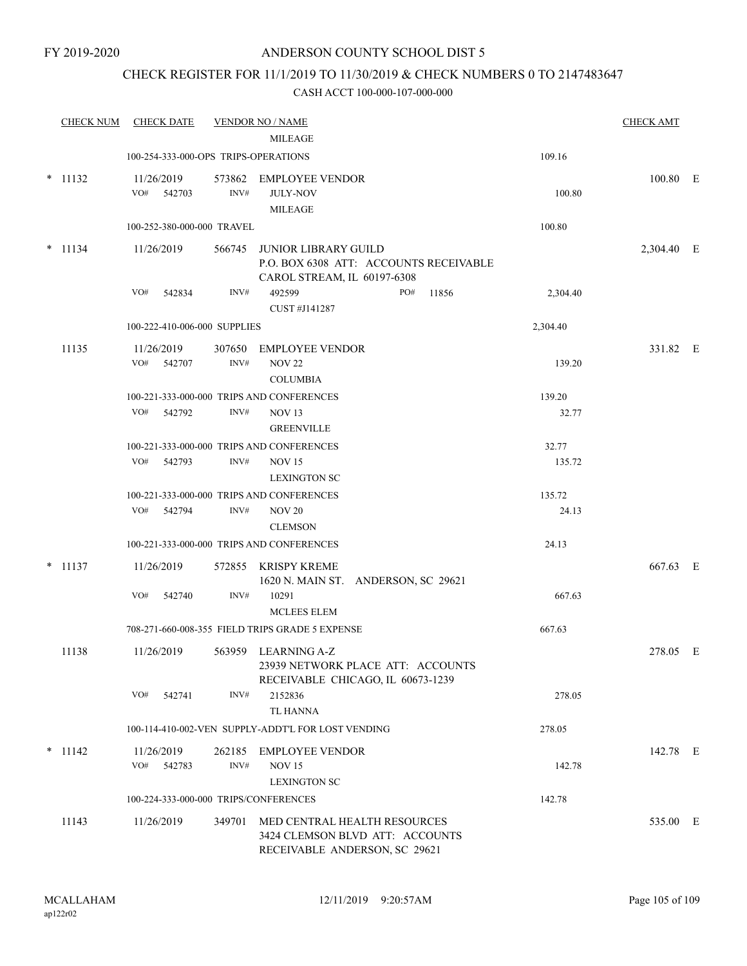### CHECK REGISTER FOR 11/1/2019 TO 11/30/2019 & CHECK NUMBERS 0 TO 2147483647

| <b>CHECK NUM</b> | <b>CHECK DATE</b>                     |                | <b>VENDOR NO / NAME</b>                                                                              |          | <b>CHECK AMT</b> |  |
|------------------|---------------------------------------|----------------|------------------------------------------------------------------------------------------------------|----------|------------------|--|
|                  |                                       |                | <b>MILEAGE</b>                                                                                       |          |                  |  |
|                  | 100-254-333-000-OPS TRIPS-OPERATIONS  |                |                                                                                                      | 109.16   |                  |  |
| $*$ 11132        | 11/26/2019<br>VO# 542703              | 573862<br>INV# | <b>EMPLOYEE VENDOR</b><br><b>JULY-NOV</b><br><b>MILEAGE</b>                                          | 100.80   | 100.80 E         |  |
|                  | 100-252-380-000-000 TRAVEL            |                |                                                                                                      | 100.80   |                  |  |
| $* 11134$        | 11/26/2019                            | 566745         | <b>JUNIOR LIBRARY GUILD</b><br>P.O. BOX 6308 ATT: ACCOUNTS RECEIVABLE<br>CAROL STREAM, IL 60197-6308 |          | 2,304.40 E       |  |
|                  | VO#<br>542834                         | INV#           | 492599<br>PO#<br>11856<br>CUST #J141287                                                              | 2,304.40 |                  |  |
|                  | 100-222-410-006-000 SUPPLIES          |                |                                                                                                      | 2,304.40 |                  |  |
| 11135            | 11/26/2019<br>VO#<br>542707           | 307650<br>INV# | <b>EMPLOYEE VENDOR</b><br><b>NOV 22</b><br><b>COLUMBIA</b>                                           | 139.20   | 331.82 E         |  |
|                  |                                       |                | 100-221-333-000-000 TRIPS AND CONFERENCES                                                            | 139.20   |                  |  |
|                  | VO# 542792                            | INV#           | NOV <sub>13</sub><br><b>GREENVILLE</b>                                                               | 32.77    |                  |  |
|                  |                                       |                | 100-221-333-000-000 TRIPS AND CONFERENCES                                                            | 32.77    |                  |  |
|                  | VO#<br>542793                         | INV#           | <b>NOV 15</b><br><b>LEXINGTON SC</b>                                                                 | 135.72   |                  |  |
|                  |                                       |                | 100-221-333-000-000 TRIPS AND CONFERENCES                                                            | 135.72   |                  |  |
|                  | VO#<br>542794                         | INV#           | <b>NOV 20</b><br><b>CLEMSON</b>                                                                      | 24.13    |                  |  |
|                  |                                       |                | 100-221-333-000-000 TRIPS AND CONFERENCES                                                            | 24.13    |                  |  |
| $*$ 11137        | 11/26/2019                            | 572855         | KRISPY KREME<br>1620 N. MAIN ST. ANDERSON, SC 29621                                                  |          | 667.63 E         |  |
|                  | VO#<br>542740                         | INV#           | 10291<br>MCLEES ELEM                                                                                 | 667.63   |                  |  |
|                  |                                       |                | 708-271-660-008-355 FIELD TRIPS GRADE 5 EXPENSE                                                      | 667.63   |                  |  |
| 11138            | 11/26/2019                            |                | 563959 LEARNING A-Z<br>23939 NETWORK PLACE ATT: ACCOUNTS<br>RECEIVABLE CHICAGO, IL 60673-1239        |          | 278.05 E         |  |
|                  | VO#<br>542741                         | INV#           | 2152836<br><b>TL HANNA</b>                                                                           | 278.05   |                  |  |
|                  |                                       |                | 100-114-410-002-VEN SUPPLY-ADDT'L FOR LOST VENDING                                                   | 278.05   |                  |  |
| $*$ 11142        | 11/26/2019<br>VO#<br>542783           | INV#           | 262185 EMPLOYEE VENDOR<br><b>NOV 15</b><br><b>LEXINGTON SC</b>                                       | 142.78   | 142.78 E         |  |
|                  | 100-224-333-000-000 TRIPS/CONFERENCES |                |                                                                                                      | 142.78   |                  |  |
| 11143            | 11/26/2019                            | 349701         | MED CENTRAL HEALTH RESOURCES<br>3424 CLEMSON BLVD ATT: ACCOUNTS<br>RECEIVABLE ANDERSON, SC 29621     |          | 535.00 E         |  |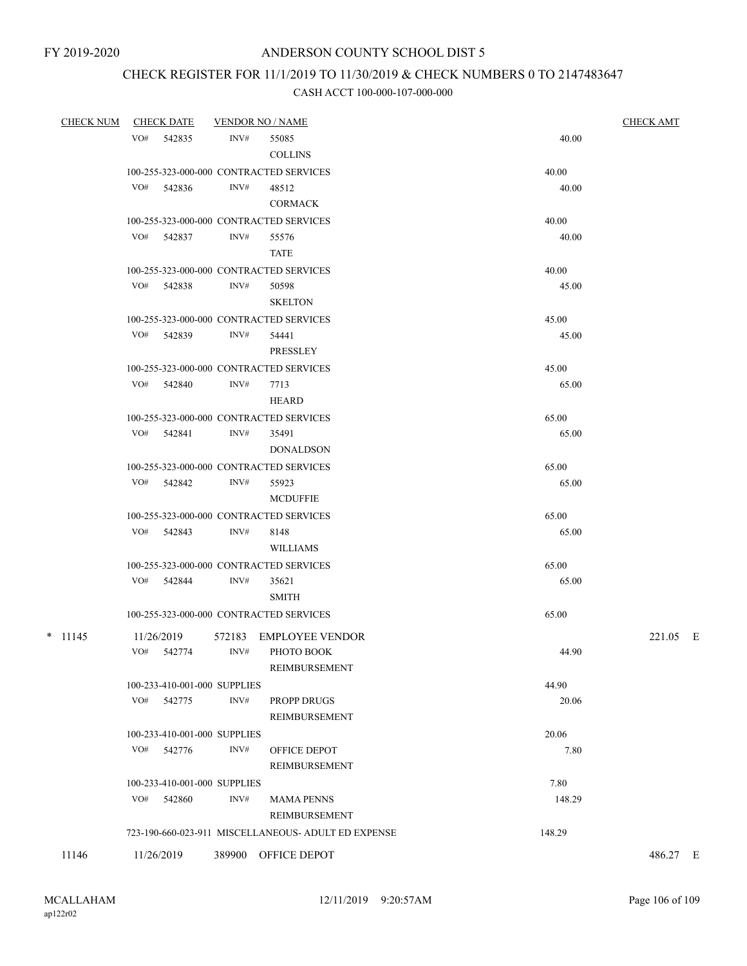# CHECK REGISTER FOR 11/1/2019 TO 11/30/2019 & CHECK NUMBERS 0 TO 2147483647

| <u>CHECK NUM</u> | <b>CHECK DATE</b> |                              | <u>VENDOR NO / NAME</u>                             |        |          |  |  |
|------------------|-------------------|------------------------------|-----------------------------------------------------|--------|----------|--|--|
|                  | VO# 542835        | INV#                         | 55085                                               | 40.00  |          |  |  |
|                  |                   |                              | <b>COLLINS</b>                                      |        |          |  |  |
|                  |                   |                              | 100-255-323-000-000 CONTRACTED SERVICES             | 40.00  |          |  |  |
|                  | VO# 542836        | INV#                         | 48512                                               | 40.00  |          |  |  |
|                  |                   |                              | <b>CORMACK</b>                                      |        |          |  |  |
|                  |                   |                              | 100-255-323-000-000 CONTRACTED SERVICES             | 40.00  |          |  |  |
|                  | VO# 542837        | INV#                         | 55576                                               | 40.00  |          |  |  |
|                  |                   |                              | <b>TATE</b>                                         |        |          |  |  |
|                  |                   |                              | 100-255-323-000-000 CONTRACTED SERVICES             | 40.00  |          |  |  |
|                  | VO# 542838        | INV#                         | 50598                                               | 45.00  |          |  |  |
|                  |                   |                              | <b>SKELTON</b>                                      |        |          |  |  |
|                  |                   |                              | 100-255-323-000-000 CONTRACTED SERVICES             | 45.00  |          |  |  |
|                  | VO# 542839        | INV#                         | 54441                                               | 45.00  |          |  |  |
|                  |                   |                              | <b>PRESSLEY</b>                                     |        |          |  |  |
|                  |                   |                              | 100-255-323-000-000 CONTRACTED SERVICES             | 45.00  |          |  |  |
|                  | VO# 542840        | INV#                         | 7713                                                | 65.00  |          |  |  |
|                  |                   |                              | <b>HEARD</b>                                        |        |          |  |  |
|                  |                   |                              | 100-255-323-000-000 CONTRACTED SERVICES             | 65.00  |          |  |  |
|                  | VO# 542841        | INV#                         | 35491                                               | 65.00  |          |  |  |
|                  |                   |                              | <b>DONALDSON</b>                                    |        |          |  |  |
|                  |                   |                              | 100-255-323-000-000 CONTRACTED SERVICES             | 65.00  |          |  |  |
|                  | VO# 542842        | INV#                         | 55923                                               | 65.00  |          |  |  |
|                  |                   |                              | <b>MCDUFFIE</b>                                     |        |          |  |  |
|                  |                   |                              | 100-255-323-000-000 CONTRACTED SERVICES             | 65.00  |          |  |  |
|                  | VO# 542843        | INV#                         | 8148                                                | 65.00  |          |  |  |
|                  |                   |                              | <b>WILLIAMS</b>                                     |        |          |  |  |
|                  |                   |                              | 100-255-323-000-000 CONTRACTED SERVICES             | 65.00  |          |  |  |
|                  | VO# 542844        | INV#                         | 35621                                               | 65.00  |          |  |  |
|                  |                   |                              | <b>SMITH</b>                                        |        |          |  |  |
|                  |                   |                              | 100-255-323-000-000 CONTRACTED SERVICES             | 65.00  |          |  |  |
| $*$ 11145        | 11/26/2019        | 572183                       | EMPLOYEE VENDOR                                     |        | 221.05 E |  |  |
|                  | VO# 542774        | INV#                         | PHOTO BOOK                                          | 44.90  |          |  |  |
|                  |                   |                              | REIMBURSEMENT                                       |        |          |  |  |
|                  |                   | 100-233-410-001-000 SUPPLIES |                                                     | 44.90  |          |  |  |
|                  | VO# 542775        | INV#                         | PROPP DRUGS                                         | 20.06  |          |  |  |
|                  |                   |                              | REIMBURSEMENT                                       |        |          |  |  |
|                  |                   | 100-233-410-001-000 SUPPLIES |                                                     | 20.06  |          |  |  |
|                  | VO#<br>542776     | INV#                         | OFFICE DEPOT                                        | 7.80   |          |  |  |
|                  |                   |                              | REIMBURSEMENT                                       |        |          |  |  |
|                  |                   | 100-233-410-001-000 SUPPLIES |                                                     | 7.80   |          |  |  |
|                  | $VO#$ 542860      | INV#                         | <b>MAMA PENNS</b>                                   | 148.29 |          |  |  |
|                  |                   |                              | REIMBURSEMENT                                       |        |          |  |  |
|                  |                   |                              | 723-190-660-023-911 MISCELLANEOUS- ADULT ED EXPENSE | 148.29 |          |  |  |
| 11146            | 11/26/2019        |                              | 389900 OFFICE DEPOT                                 |        | 486.27 E |  |  |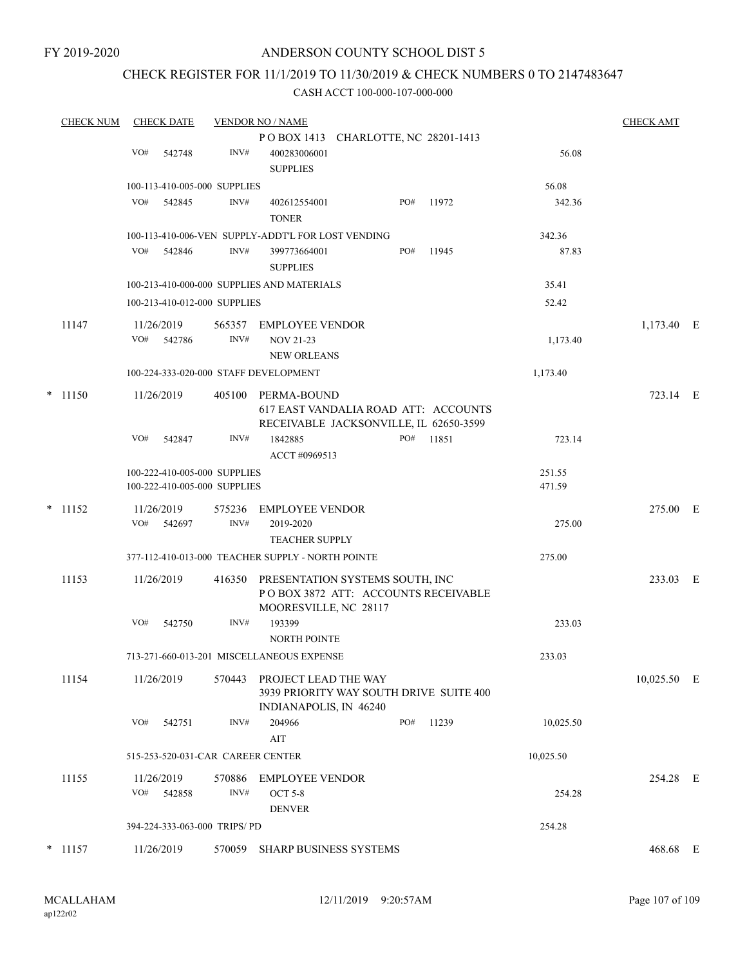### CHECK REGISTER FOR 11/1/2019 TO 11/30/2019 & CHECK NUMBERS 0 TO 2147483647

| <b>CHECK NUM</b> | <b>CHECK DATE</b>                                            |        | <b>VENDOR NO / NAME</b>                                                                          |     |        |                  | <b>CHECK AMT</b> |  |
|------------------|--------------------------------------------------------------|--------|--------------------------------------------------------------------------------------------------|-----|--------|------------------|------------------|--|
|                  |                                                              |        | POBOX 1413 CHARLOTTE, NC 28201-1413                                                              |     |        |                  |                  |  |
|                  | VO#<br>542748                                                | INV#   | 400283006001<br><b>SUPPLIES</b>                                                                  |     |        | 56.08            |                  |  |
|                  | 100-113-410-005-000 SUPPLIES                                 |        |                                                                                                  |     |        | 56.08            |                  |  |
|                  | VO#<br>542845                                                | INV#   | 402612554001<br><b>TONER</b>                                                                     | PO# | 11972  | 342.36           |                  |  |
|                  |                                                              |        | 100-113-410-006-VEN SUPPLY-ADDT'L FOR LOST VENDING                                               |     |        | 342.36           |                  |  |
|                  | VO#<br>542846                                                | INV#   | 399773664001<br><b>SUPPLIES</b>                                                                  | PO# | 11945  | 87.83            |                  |  |
|                  | 100-213-410-000-000 SUPPLIES AND MATERIALS                   |        | 35.41                                                                                            |     |        |                  |                  |  |
|                  | 100-213-410-012-000 SUPPLIES                                 |        |                                                                                                  |     |        | 52.42            |                  |  |
| 11147            | 11/26/2019                                                   |        | 565357 EMPLOYEE VENDOR                                                                           |     |        |                  | 1,173.40 E       |  |
|                  | VO# 542786                                                   | INV#   | <b>NOV 21-23</b><br><b>NEW ORLEANS</b>                                                           |     |        | 1,173.40         |                  |  |
|                  | 100-224-333-020-000 STAFF DEVELOPMENT                        |        |                                                                                                  |     |        | 1,173.40         |                  |  |
| $*$ 11150        | 11/26/2019                                                   | 405100 | PERMA-BOUND<br>617 EAST VANDALIA ROAD ATT: ACCOUNTS<br>RECEIVABLE JACKSONVILLE, IL 62650-3599    |     |        |                  | 723.14 E         |  |
|                  | VO#<br>542847                                                | INV#   | 1842885<br>ACCT #0969513                                                                         | PO# | 11851  | 723.14           |                  |  |
|                  | 100-222-410-005-000 SUPPLIES<br>100-222-410-005-000 SUPPLIES |        |                                                                                                  |     |        | 251.55<br>471.59 |                  |  |
| $*$ 11152        | 11/26/2019                                                   |        | 575236 EMPLOYEE VENDOR                                                                           |     |        |                  | 275.00 E         |  |
|                  | VO#<br>542697                                                | INV#   | 2019-2020<br><b>TEACHER SUPPLY</b>                                                               |     |        | 275.00           |                  |  |
|                  | 377-112-410-013-000 TEACHER SUPPLY - NORTH POINTE            |        |                                                                                                  |     | 275.00 |                  |                  |  |
| 11153            | 11/26/2019                                                   | 416350 | PRESENTATION SYSTEMS SOUTH, INC<br>POBOX 3872 ATT: ACCOUNTS RECEIVABLE<br>MOORESVILLE, NC 28117  |     |        |                  | 233.03 E         |  |
|                  | VO#<br>542750                                                | INV#   | 193399<br><b>NORTH POINTE</b>                                                                    |     |        | 233.03           |                  |  |
|                  | 713-271-660-013-201 MISCELLANEOUS EXPENSE                    |        |                                                                                                  |     |        | 233.03           |                  |  |
| 11154            | 11/26/2019                                                   |        | 570443 PROJECT LEAD THE WAY<br>3939 PRIORITY WAY SOUTH DRIVE SUITE 400<br>INDIANAPOLIS, IN 46240 |     |        |                  | 10,025.50 E      |  |
|                  | VO#<br>542751                                                | INV#   | 204966<br>AIT                                                                                    | PO# | 11239  | 10,025.50        |                  |  |
|                  | 515-253-520-031-CAR CAREER CENTER                            |        |                                                                                                  |     |        | 10,025.50        |                  |  |
| 11155            | 11/26/2019                                                   | 570886 | EMPLOYEE VENDOR                                                                                  |     |        |                  | 254.28 E         |  |
|                  | VO# 542858                                                   | INV#   | <b>OCT 5-8</b><br><b>DENVER</b>                                                                  |     |        | 254.28           |                  |  |
|                  | 394-224-333-063-000 TRIPS/ PD                                |        |                                                                                                  |     |        | 254.28           |                  |  |
| $*$ 11157        | 11/26/2019                                                   | 570059 | SHARP BUSINESS SYSTEMS                                                                           |     |        |                  | 468.68 E         |  |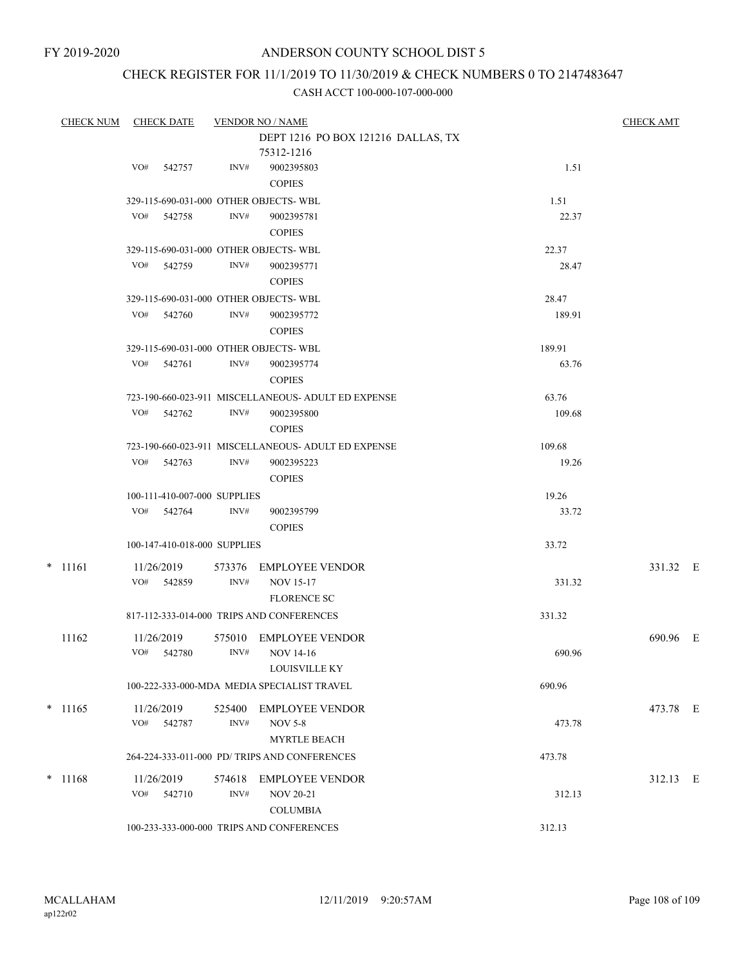# CHECK REGISTER FOR 11/1/2019 TO 11/30/2019 & CHECK NUMBERS 0 TO 2147483647

| <b>CHECK NUM</b> |     | <b>CHECK DATE</b>            |                | <b>VENDOR NO / NAME</b>                                            |        | <b>CHECK AMT</b> |  |
|------------------|-----|------------------------------|----------------|--------------------------------------------------------------------|--------|------------------|--|
|                  |     |                              |                | DEPT 1216 PO BOX 121216 DALLAS, TX                                 |        |                  |  |
|                  |     |                              |                | 75312-1216                                                         |        |                  |  |
|                  | VO# | 542757                       | INV#           | 9002395803<br><b>COPIES</b>                                        | 1.51   |                  |  |
|                  |     |                              |                | 329-115-690-031-000 OTHER OBJECTS- WBL                             | 1.51   |                  |  |
|                  | VO# | 542758                       | INV#           | 9002395781<br><b>COPIES</b>                                        | 22.37  |                  |  |
|                  |     |                              |                | 329-115-690-031-000 OTHER OBJECTS-WBL                              | 22.37  |                  |  |
|                  | VO# | 542759                       | INV#           | 9002395771<br><b>COPIES</b>                                        | 28.47  |                  |  |
|                  |     |                              |                | 329-115-690-031-000 OTHER OBJECTS-WBL                              | 28.47  |                  |  |
|                  |     | VO# 542760                   | INV#           | 9002395772<br><b>COPIES</b>                                        | 189.91 |                  |  |
|                  |     |                              |                | 329-115-690-031-000 OTHER OBJECTS-WBL                              | 189.91 |                  |  |
|                  | VO# | 542761                       | INV#           | 9002395774<br><b>COPIES</b>                                        | 63.76  |                  |  |
|                  |     |                              |                | 723-190-660-023-911 MISCELLANEOUS- ADULT ED EXPENSE                | 63.76  |                  |  |
|                  | VO# | 542762                       | INV#           | 9002395800<br><b>COPIES</b>                                        | 109.68 |                  |  |
|                  |     |                              |                | 723-190-660-023-911 MISCELLANEOUS- ADULT ED EXPENSE                | 109.68 |                  |  |
|                  | VO# | 542763                       | INV#           | 9002395223<br><b>COPIES</b>                                        | 19.26  |                  |  |
|                  |     | 100-111-410-007-000 SUPPLIES |                |                                                                    | 19.26  |                  |  |
|                  |     | VO# 542764                   | INV#           | 9002395799<br><b>COPIES</b>                                        | 33.72  |                  |  |
|                  |     | 100-147-410-018-000 SUPPLIES |                |                                                                    | 33.72  |                  |  |
| $*$ 11161        | VO# | 11/26/2019<br>542859         | 573376<br>INV# | <b>EMPLOYEE VENDOR</b><br><b>NOV 15-17</b>                         | 331.32 | 331.32 E         |  |
|                  |     |                              |                | FLORENCE SC                                                        |        |                  |  |
|                  |     |                              |                | 817-112-333-014-000 TRIPS AND CONFERENCES                          | 331.32 |                  |  |
| 11162            | VO# | 11/26/2019<br>542780         | 575010<br>INV# | <b>EMPLOYEE VENDOR</b><br><b>NOV 14-16</b><br><b>LOUISVILLE KY</b> | 690.96 | 690.96 E         |  |
|                  |     |                              |                | 100-222-333-000-MDA MEDIA SPECIALIST TRAVEL                        | 690.96 |                  |  |
| $*$ 11165        |     | 11/26/2019                   | 525400         | <b>EMPLOYEE VENDOR</b>                                             |        | 473.78 E         |  |
|                  | VO# | 542787                       | INV#           | <b>NOV 5-8</b><br><b>MYRTLE BEACH</b>                              | 473.78 |                  |  |
|                  |     |                              |                | 264-224-333-011-000 PD/ TRIPS AND CONFERENCES                      | 473.78 |                  |  |
| $*$ 11168        |     | 11/26/2019<br>VO# 542710     | 574618<br>INV# | <b>EMPLOYEE VENDOR</b><br><b>NOV 20-21</b>                         | 312.13 | 312.13 E         |  |
|                  |     |                              |                | <b>COLUMBIA</b>                                                    |        |                  |  |
|                  |     |                              |                | 100-233-333-000-000 TRIPS AND CONFERENCES                          | 312.13 |                  |  |